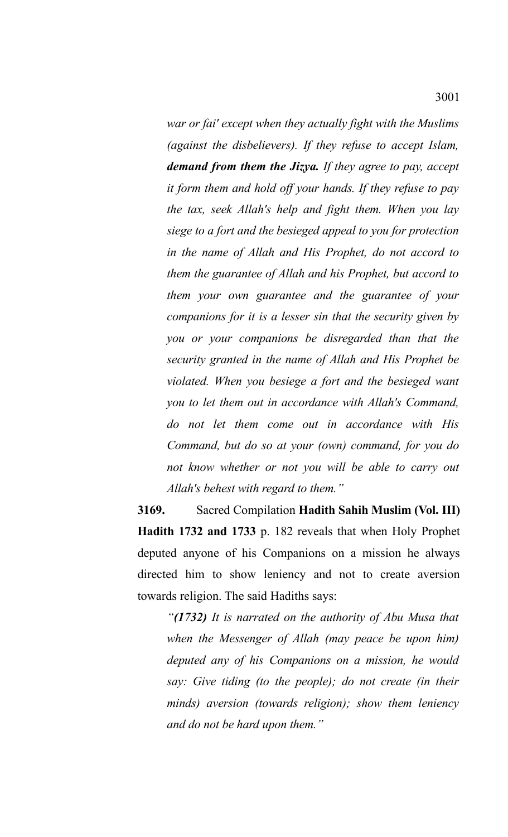*war or fai' except when they actually fight with the Muslims (against the disbelievers). If they refuse to accept Islam, demand from them the Jizya. If they agree to pay, accept it form them and hold off your hands. If they refuse to pay the tax, seek Allah's help and fight them. When you lay siege to a fort and the besieged appeal to you for protection in the name of Allah and His Prophet, do not accord to them the guarantee of Allah and his Prophet, but accord to them your own guarantee and the guarantee of your companions for it is a lesser sin that the security given by you or your companions be disregarded than that the security granted in the name of Allah and His Prophet be violated. When you besiege a fort and the besieged want you to let them out in accordance with Allah's Command, do not let them come out in accordance with His Command, but do so at your (own) command, for you do not know whether or not you will be able to carry out Allah's behest with regard to them."*

**3169.** Sacred Compilation **Hadith Sahih Muslim (Vol. III) Hadith 1732 and 1733** p. 182 reveals that when Holy Prophet deputed anyone of his Companions on a mission he always directed him to show leniency and not to create aversion towards religion. The said Hadiths says:

*"(1732) It is narrated on the authority of Abu Musa that when the Messenger of Allah (may peace be upon him) deputed any of his Companions on a mission, he would say: Give tiding (to the people); do not create (in their minds) aversion (towards religion); show them leniency and do not be hard upon them."*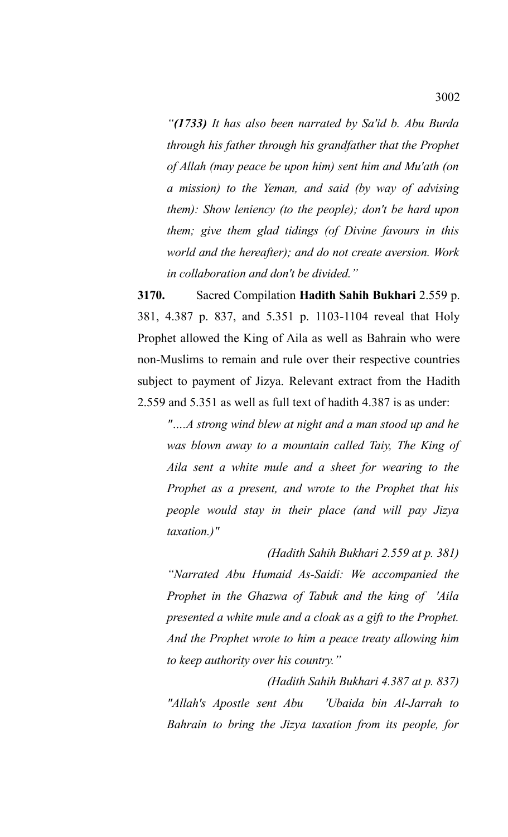*"(1733) It has also been narrated by Sa'id b. Abu Burda through his father through his grandfather that the Prophet of Allah (may peace be upon him) sent him and Mu'ath (on a mission) to the Yeman, and said (by way of advising them): Show leniency (to the people); don't be hard upon them; give them glad tidings (of Divine favours in this world and the hereafter); and do not create aversion. Work in collaboration and don't be divided."*

**3170.** Sacred Compilation **Hadith Sahih Bukhari** 2.559 p. 381, 4.387 p. 837, and 5.351 p. 1103-1104 reveal that Holy Prophet allowed the King of Aila as well as Bahrain who were non-Muslims to remain and rule over their respective countries subject to payment of Jizya. Relevant extract from the Hadith 2.559 and 5.351 as well as full text of hadith 4.387 is as under:

*"….A strong wind blew at night and a man stood up and he was blown away to a mountain called Taiy, The King of Aila sent a white mule and a sheet for wearing to the Prophet as a present, and wrote to the Prophet that his people would stay in their place (and will pay Jizya taxation.)"*

*(Hadith Sahih Bukhari 2.559 at p. 381) "Narrated Abu Humaid As-Saidi: We accompanied the Prophet in the Ghazwa of Tabuk and the king of 'Aila presented a white mule and a cloak as a gift to the Prophet. And the Prophet wrote to him a peace treaty allowing him to keep authority over his country."*

*(Hadith Sahih Bukhari 4.387 at p. 837) "Allah's Apostle sent Abu 'Ubaida bin Al-Jarrah to Bahrain to bring the Jizya taxation from its people, for*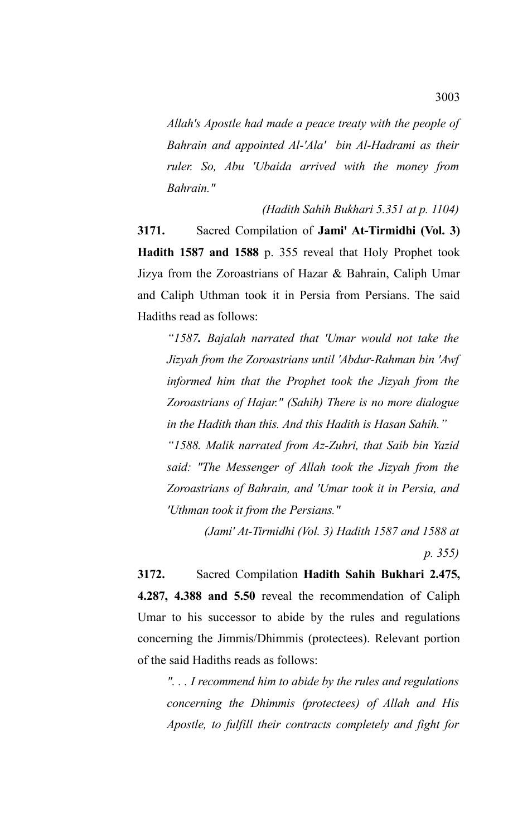*Allah's Apostle had made a peace treaty with the people of Bahrain and appointed Al-'Ala' bin Al-Hadrami as their ruler. So, Abu 'Ubaida arrived with the money from Bahrain."*

*(Hadith Sahih Bukhari 5.351 at p. 1104)*

**3171.** Sacred Compilation of **Jami' At-Tirmidhi (Vol. 3) Hadith 1587 and 1588** p. 355 reveal that Holy Prophet took Jizya from the Zoroastrians of Hazar & Bahrain, Caliph Umar and Caliph Uthman took it in Persia from Persians. The said Hadiths read as follows:

*"1587. Bajalah narrated that 'Umar would not take the Jizyah from the Zoroastrians until 'Abdur-Rahman bin 'Awf informed him that the Prophet took the Jizyah from the Zoroastrians of Hajar." (Sahih) There is no more dialogue in the Hadith than this. And this Hadith is Hasan Sahih."*

*"1588. Malik narrated from Az-Zuhri, that Saib bin Yazid said: "The Messenger of Allah took the Jizyah from the Zoroastrians of Bahrain, and 'Umar took it in Persia, and 'Uthman took it from the Persians."*

> *(Jami' At-Tirmidhi (Vol. 3) Hadith 1587 and 1588 at p. 355)*

**3172.** Sacred Compilation **Hadith Sahih Bukhari 2.475, 4.287, 4.388 and 5.50** reveal the recommendation of Caliph Umar to his successor to abide by the rules and regulations concerning the Jimmis/Dhimmis (protectees). Relevant portion of the said Hadiths reads as follows:

*". . . I recommend him to abide by the rules and regulations concerning the Dhimmis (protectees) of Allah and His Apostle, to fulfill their contracts completely and fight for*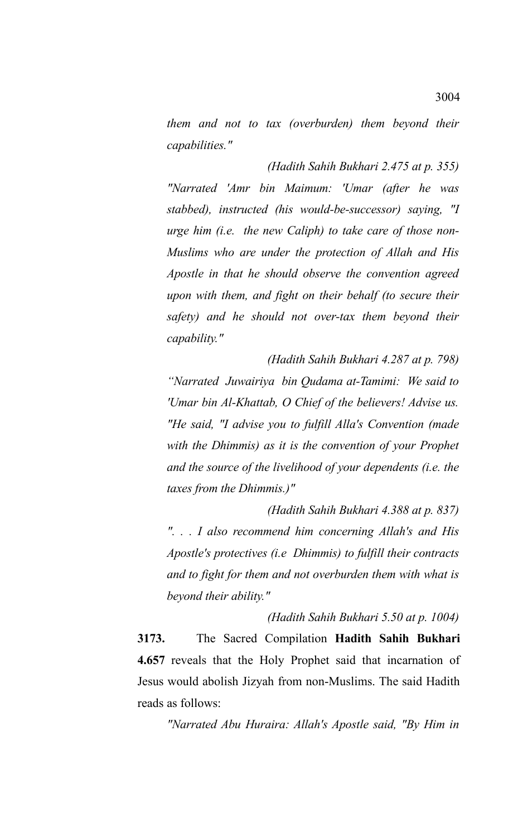*them and not to tax (overburden) them beyond their capabilities."*

*(Hadith Sahih Bukhari 2.475 at p. 355) "Narrated 'Amr bin Maimum: 'Umar (after he was stabbed), instructed (his would-be-successor) saying, "I urge him (i.e. the new Caliph) to take care of those non-Muslims who are under the protection of Allah and His Apostle in that he should observe the convention agreed upon with them, and fight on their behalf (to secure their safety) and he should not over-tax them beyond their capability."*

*(Hadith Sahih Bukhari 4.287 at p. 798) "Narrated Juwairiya bin Qudama at-Tamimi: We said to 'Umar bin Al-Khattab, O Chief of the believers! Advise us. "He said, "I advise you to fulfill Alla's Convention (made with the Dhimmis) as it is the convention of your Prophet and the source of the livelihood of your dependents (i.e. the taxes from the Dhimmis.)"*

*(Hadith Sahih Bukhari 4.388 at p. 837) ". . . I also recommend him concerning Allah's and His Apostle's protectives (i.e Dhimmis) to fulfill their contracts and to fight for them and not overburden them with what is beyond their ability."*

*(Hadith Sahih Bukhari 5.50 at p. 1004)*

**3173.** The Sacred Compilation **Hadith Sahih Bukhari 4.657** reveals that the Holy Prophet said that incarnation of Jesus would abolish Jizyah from non-Muslims. The said Hadith reads as follows:

*"Narrated Abu Huraira: Allah's Apostle said, "By Him in*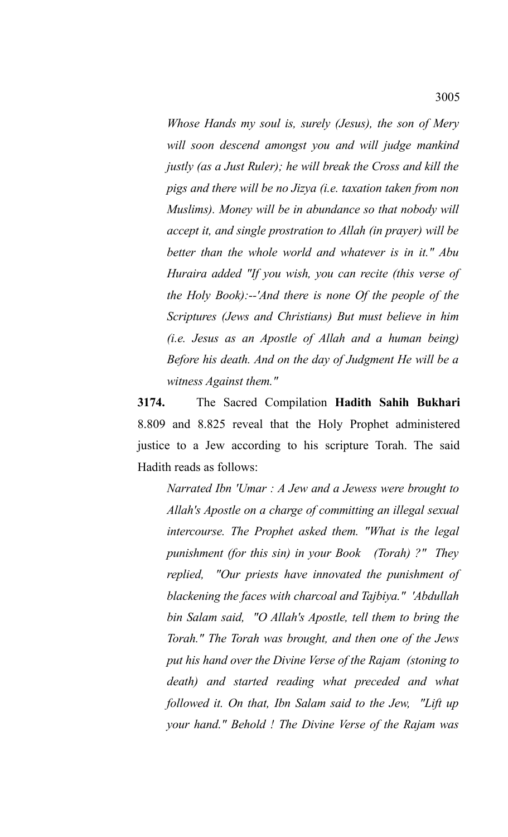*Whose Hands my soul is, surely (Jesus), the son of Mery will soon descend amongst you and will judge mankind justly (as a Just Ruler); he will break the Cross and kill the pigs and there will be no Jizya (i.e. taxation taken from non Muslims). Money will be in abundance so that nobody will accept it, and single prostration to Allah (in prayer) will be better than the whole world and whatever is in it." Abu Huraira added "If you wish, you can recite (this verse of the Holy Book):--'And there is none Of the people of the Scriptures (Jews and Christians) But must believe in him (i.e. Jesus as an Apostle of Allah and a human being) Before his death. And on the day of Judgment He will be a witness Against them."*

**3174.** The Sacred Compilation **Hadith Sahih Bukhari** 8.809 and 8.825 reveal that the Holy Prophet administered justice to a Jew according to his scripture Torah. The said Hadith reads as follows:

*Narrated Ibn 'Umar : A Jew and a Jewess were brought to Allah's Apostle on a charge of committing an illegal sexual intercourse. The Prophet asked them. "What is the legal punishment (for this sin) in your Book (Torah) ?" They replied, "Our priests have innovated the punishment of blackening the faces with charcoal and Tajbiya." 'Abdullah bin Salam said, "O Allah's Apostle, tell them to bring the Torah." The Torah was brought, and then one of the Jews put his hand over the Divine Verse of the Rajam (stoning to death) and started reading what preceded and what followed it. On that, Ibn Salam said to the Jew, "Lift up your hand." Behold ! The Divine Verse of the Rajam was*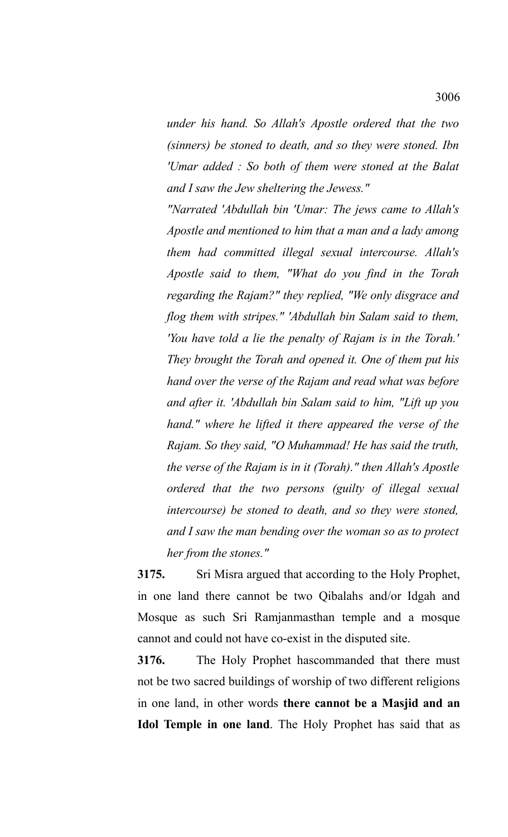*under his hand. So Allah's Apostle ordered that the two (sinners) be stoned to death, and so they were stoned. Ibn 'Umar added : So both of them were stoned at the Balat and I saw the Jew sheltering the Jewess."*

*"Narrated 'Abdullah bin 'Umar: The jews came to Allah's Apostle and mentioned to him that a man and a lady among them had committed illegal sexual intercourse. Allah's Apostle said to them, "What do you find in the Torah regarding the Rajam?" they replied, "We only disgrace and flog them with stripes." 'Abdullah bin Salam said to them, 'You have told a lie the penalty of Rajam is in the Torah.' They brought the Torah and opened it. One of them put his hand over the verse of the Rajam and read what was before and after it. 'Abdullah bin Salam said to him, "Lift up you hand." where he lifted it there appeared the verse of the Rajam. So they said, "O Muhammad! He has said the truth, the verse of the Rajam is in it (Torah)." then Allah's Apostle ordered that the two persons (guilty of illegal sexual intercourse) be stoned to death, and so they were stoned, and I saw the man bending over the woman so as to protect her from the stones."*

**3175.** Sri Misra argued that according to the Holy Prophet, in one land there cannot be two Qibalahs and/or Idgah and Mosque as such Sri Ramjanmasthan temple and a mosque cannot and could not have co-exist in the disputed site.

**3176.** The Holy Prophet hascommanded that there must not be two sacred buildings of worship of two different religions in one land, in other words **there cannot be a Masjid and an Idol Temple in one land**. The Holy Prophet has said that as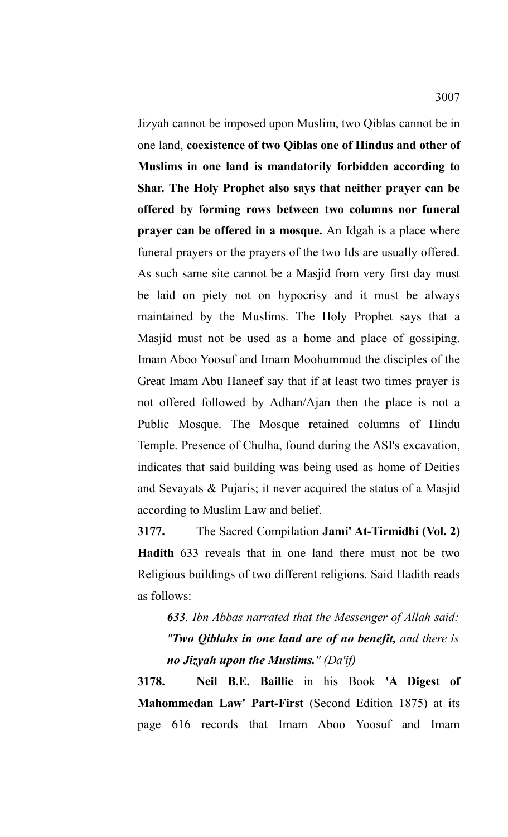Jizyah cannot be imposed upon Muslim, two Qiblas cannot be in one land, **coexistence of two Qiblas one of Hindus and other of Muslims in one land is mandatorily forbidden according to Shar. The Holy Prophet also says that neither prayer can be offered by forming rows between two columns nor funeral prayer can be offered in a mosque.** An Idgah is a place where funeral prayers or the prayers of the two Ids are usually offered. As such same site cannot be a Masjid from very first day must be laid on piety not on hypocrisy and it must be always maintained by the Muslims. The Holy Prophet says that a Masjid must not be used as a home and place of gossiping. Imam Aboo Yoosuf and Imam Moohummud the disciples of the Great Imam Abu Haneef say that if at least two times prayer is not offered followed by Adhan/Ajan then the place is not a Public Mosque. The Mosque retained columns of Hindu Temple. Presence of Chulha, found during the ASI's excavation, indicates that said building was being used as home of Deities and Sevayats & Pujaris; it never acquired the status of a Masjid according to Muslim Law and belief.

**3177.** The Sacred Compilation **Jami' At-Tirmidhi (Vol. 2) Hadith** 633 reveals that in one land there must not be two Religious buildings of two different religions. Said Hadith reads as follows:

# *633. Ibn Abbas narrated that the Messenger of Allah said: "Two Qiblahs in one land are of no benefit, and there is no Jizyah upon the Muslims." (Da'if)*

**3178. Neil B.E. Baillie** in his Book **'A Digest of Mahommedan Law' Part-First** (Second Edition 1875) at its page 616 records that Imam Aboo Yoosuf and Imam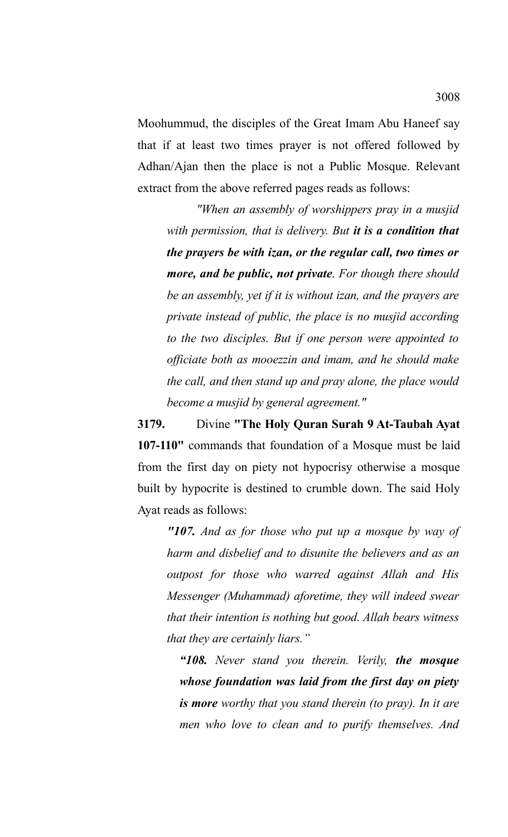Moohummud, the disciples of the Great Imam Abu Haneef say that if at least two times prayer is not offered followed by Adhan/Ajan then the place is not a Public Mosque. Relevant extract from the above referred pages reads as follows:

*"When an assembly of worshippers pray in a musjid with permission, that is delivery. But it is a condition that the prayers be with izan, or the regular call, two times or more, and be public, not private. For though there should be an assembly, yet if it is without izan, and the prayers are private instead of public, the place is no musjid according to the two disciples. But if one person were appointed to officiate both as mooezzin and imam, and he should make the call, and then stand up and pray alone, the place would become a musjid by general agreement."*

**3179.** Divine **"The Holy Quran Surah 9 At-Taubah Ayat 107-110"** commands that foundation of a Mosque must be laid from the first day on piety not hypocrisy otherwise a mosque built by hypocrite is destined to crumble down. The said Holy Ayat reads as follows:

*"107. And as for those who put up a mosque by way of harm and disbelief and to disunite the believers and as an outpost for those who warred against Allah and His Messenger (Muhammad) aforetime, they will indeed swear that their intention is nothing but good. Allah bears witness that they are certainly liars."* 

*"108. Never stand you therein. Verily, the mosque whose foundation was laid from the first day on piety is more worthy that you stand therein (to pray). In it are men who love to clean and to purify themselves. And*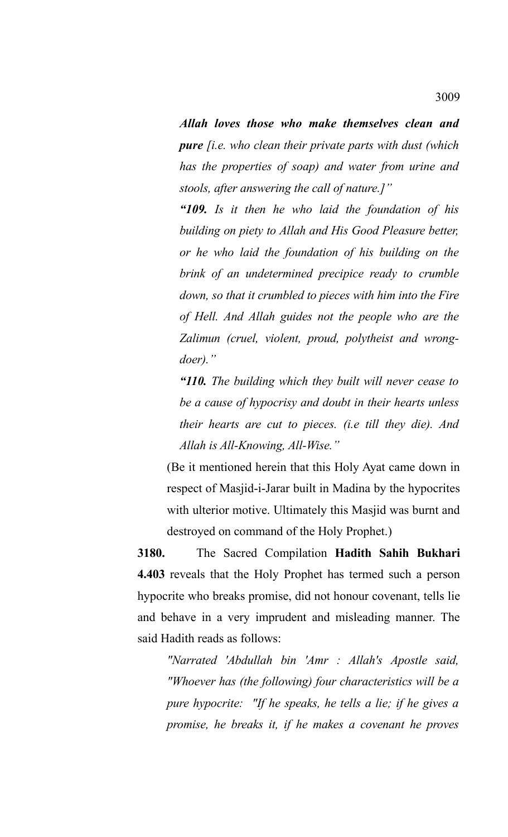*Allah loves those who make themselves clean and pure [i.e. who clean their private parts with dust (which has the properties of soap) and water from urine and stools, after answering the call of nature.]"*

*"109. Is it then he who laid the foundation of his building on piety to Allah and His Good Pleasure better, or he who laid the foundation of his building on the brink of an undetermined precipice ready to crumble down, so that it crumbled to pieces with him into the Fire of Hell. And Allah guides not the people who are the Zalimun (cruel, violent, proud, polytheist and wrongdoer)."*

*"110. The building which they built will never cease to be a cause of hypocrisy and doubt in their hearts unless their hearts are cut to pieces. (i.e till they die). And Allah is All-Knowing, All-Wise."*

(Be it mentioned herein that this Holy Ayat came down in respect of Masjid-i-Jarar built in Madina by the hypocrites with ulterior motive. Ultimately this Masjid was burnt and destroyed on command of the Holy Prophet.)

**3180.** The Sacred Compilation **Hadith Sahih Bukhari 4.403** reveals that the Holy Prophet has termed such a person hypocrite who breaks promise, did not honour covenant, tells lie and behave in a very imprudent and misleading manner. The said Hadith reads as follows:

*"Narrated 'Abdullah bin 'Amr : Allah's Apostle said, "Whoever has (the following) four characteristics will be a pure hypocrite: "If he speaks, he tells a lie; if he gives a promise, he breaks it, if he makes a covenant he proves*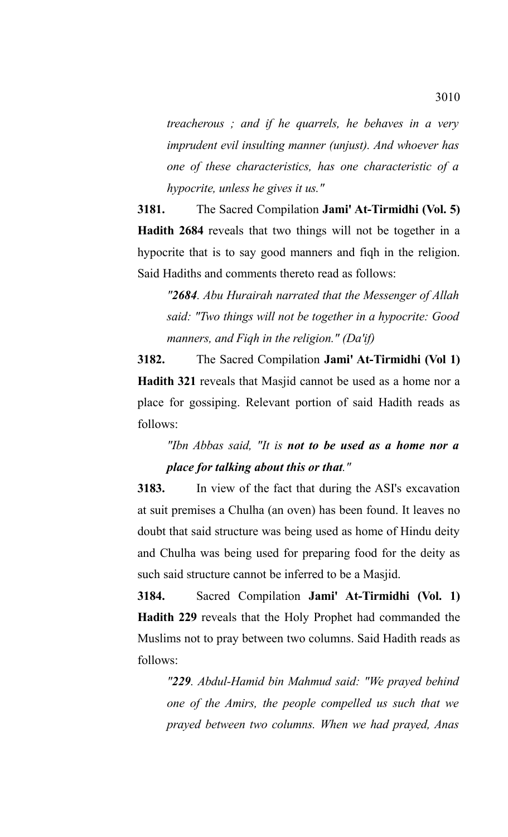*treacherous ; and if he quarrels, he behaves in a very imprudent evil insulting manner (unjust). And whoever has one of these characteristics, has one characteristic of a hypocrite, unless he gives it us."*

**3181.** The Sacred Compilation **Jami' At-Tirmidhi (Vol. 5) Hadith 2684** reveals that two things will not be together in a hypocrite that is to say good manners and fiqh in the religion. Said Hadiths and comments thereto read as follows:

*"2684. Abu Hurairah narrated that the Messenger of Allah said: "Two things will not be together in a hypocrite: Good manners, and Fiqh in the religion." (Da'if)*

**3182.** The Sacred Compilation **Jami' At-Tirmidhi (Vol 1) Hadith 321** reveals that Masjid cannot be used as a home nor a place for gossiping. Relevant portion of said Hadith reads as follows:

## *"Ibn Abbas said, "It is not to be used as a home nor a place for talking about this or that."*

**3183.** In view of the fact that during the ASI's excavation at suit premises a Chulha (an oven) has been found. It leaves no doubt that said structure was being used as home of Hindu deity and Chulha was being used for preparing food for the deity as such said structure cannot be inferred to be a Masjid.

**3184.** Sacred Compilation **Jami' At-Tirmidhi (Vol. 1) Hadith 229** reveals that the Holy Prophet had commanded the Muslims not to pray between two columns. Said Hadith reads as follows:

*"229. Abdul-Hamid bin Mahmud said: "We prayed behind one of the Amirs, the people compelled us such that we prayed between two columns. When we had prayed, Anas*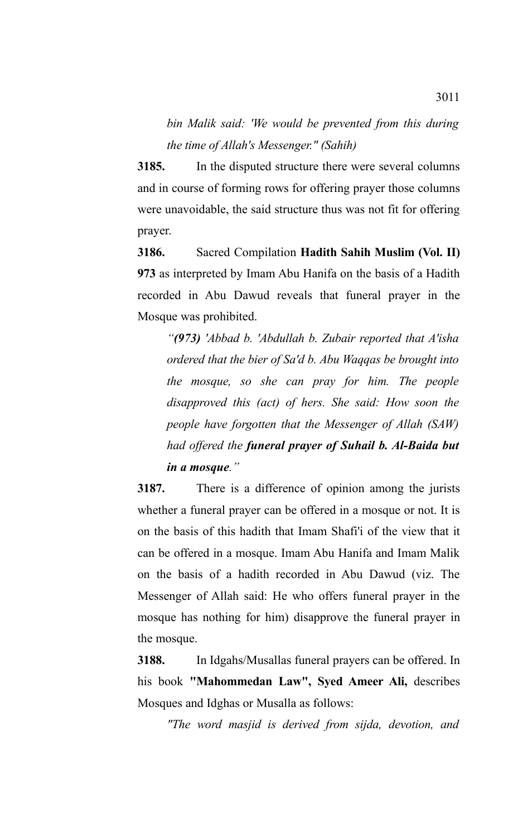*bin Malik said: 'We would be prevented from this during the time of Allah's Messenger." (Sahih)*

**3185.** In the disputed structure there were several columns and in course of forming rows for offering prayer those columns were unavoidable, the said structure thus was not fit for offering prayer.

**3186.** Sacred Compilation **Hadith Sahih Muslim (Vol. II) 973** as interpreted by Imam Abu Hanifa on the basis of a Hadith recorded in Abu Dawud reveals that funeral prayer in the Mosque was prohibited.

*"(973) 'Abbad b. 'Abdullah b. Zubair reported that A'isha ordered that the bier of Sa'd b. Abu Waqqas be brought into the mosque, so she can pray for him. The people disapproved this (act) of hers. She said: How soon the people have forgotten that the Messenger of Allah (SAW) had offered the funeral prayer of Suhail b. Al-Baida but in a mosque."*

**3187.** There is a difference of opinion among the jurists whether a funeral prayer can be offered in a mosque or not. It is on the basis of this hadith that Imam Shafi'i of the view that it can be offered in a mosque. Imam Abu Hanifa and Imam Malik on the basis of a hadith recorded in Abu Dawud (viz. The Messenger of Allah said: He who offers funeral prayer in the mosque has nothing for him) disapprove the funeral prayer in the mosque.

**3188.** In Idgahs/Musallas funeral prayers can be offered. In his book **"Mahommedan Law", Syed Ameer Ali,** describes Mosques and Idghas or Musalla as follows:

*"The word masjid is derived from sijda, devotion, and*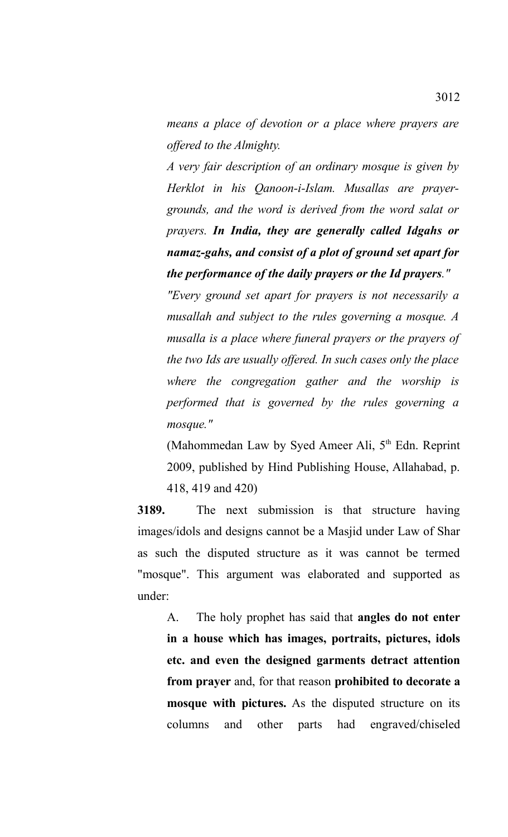*means a place of devotion or a place where prayers are offered to the Almighty.* 

*A very fair description of an ordinary mosque is given by Herklot in his Qanoon-i-Islam. Musallas are prayergrounds, and the word is derived from the word salat or prayers. In India, they are generally called Idgahs or namaz-gahs, and consist of a plot of ground set apart for the performance of the daily prayers or the Id prayers."*

*"Every ground set apart for prayers is not necessarily a musallah and subject to the rules governing a mosque. A musalla is a place where funeral prayers or the prayers of the two Ids are usually offered. In such cases only the place where the congregation gather and the worship is performed that is governed by the rules governing a mosque."*

(Mahommedan Law by Syed Ameer Ali,  $5<sup>th</sup>$  Edn. Reprint 2009, published by Hind Publishing House, Allahabad, p. 418, 419 and 420)

**3189.** The next submission is that structure having images/idols and designs cannot be a Masjid under Law of Shar as such the disputed structure as it was cannot be termed "mosque". This argument was elaborated and supported as under:

A. The holy prophet has said that **angles do not enter in a house which has images, portraits, pictures, idols etc. and even the designed garments detract attention from prayer** and, for that reason **prohibited to decorate a mosque with pictures.** As the disputed structure on its columns and other parts had engraved/chiseled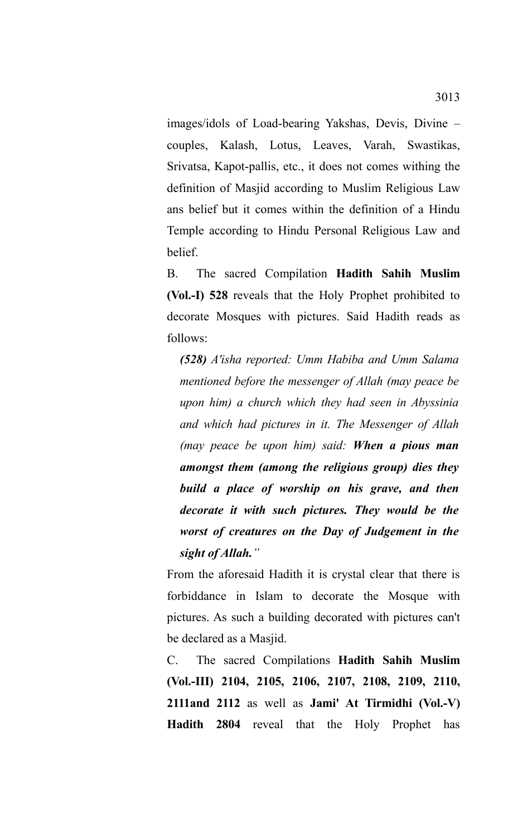images/idols of Load-bearing Yakshas, Devis, Divine – couples, Kalash, Lotus, Leaves, Varah, Swastikas, Srivatsa, Kapot-pallis, etc., it does not comes withing the definition of Masjid according to Muslim Religious Law ans belief but it comes within the definition of a Hindu Temple according to Hindu Personal Religious Law and belief.

B. The sacred Compilation **Hadith Sahih Muslim (Vol.-I) 528** reveals that the Holy Prophet prohibited to decorate Mosques with pictures. Said Hadith reads as follows:

*(528) A'isha reported: Umm Habiba and Umm Salama mentioned before the messenger of Allah (may peace be upon him) a church which they had seen in Abyssinia and which had pictures in it. The Messenger of Allah (may peace be upon him) said: When a pious man amongst them (among the religious group) dies they build a place of worship on his grave, and then decorate it with such pictures. They would be the worst of creatures on the Day of Judgement in the sight of Allah."*

From the aforesaid Hadith it is crystal clear that there is forbiddance in Islam to decorate the Mosque with pictures. As such a building decorated with pictures can't be declared as a Masjid.

C. The sacred Compilations **Hadith Sahih Muslim (Vol.-III) 2104, 2105, 2106, 2107, 2108, 2109, 2110, 2111and 2112** as well as **Jami' At Tirmidhi (Vol.-V) Hadith 2804** reveal that the Holy Prophet has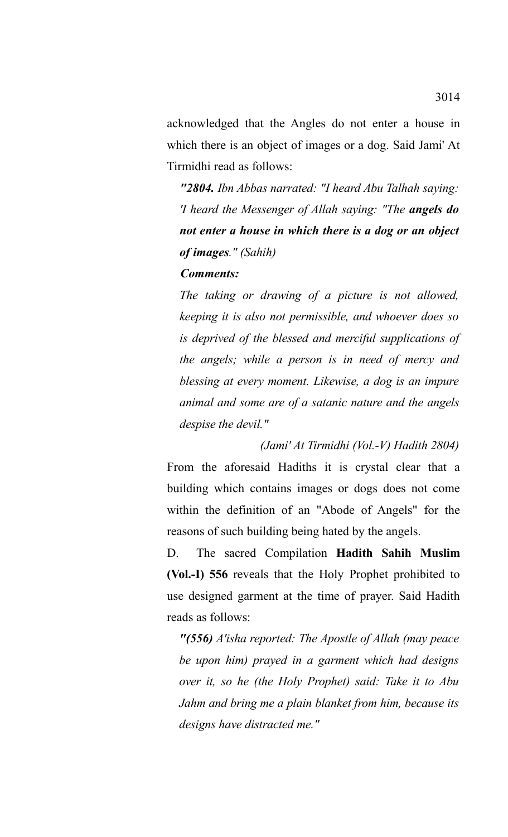acknowledged that the Angles do not enter a house in which there is an object of images or a dog. Said Jami' At Tirmidhi read as follows:

*"2804. Ibn Abbas narrated: "I heard Abu Talhah saying: 'I heard the Messenger of Allah saying: "The angels do not enter a house in which there is a dog or an object of images." (Sahih)*

## *Comments:*

*The taking or drawing of a picture is not allowed, keeping it is also not permissible, and whoever does so is deprived of the blessed and merciful supplications of the angels; while a person is in need of mercy and blessing at every moment. Likewise, a dog is an impure animal and some are of a satanic nature and the angels despise the devil."*

*(Jami' At Tirmidhi (Vol.-V) Hadith 2804)* From the aforesaid Hadiths it is crystal clear that a building which contains images or dogs does not come within the definition of an "Abode of Angels" for the reasons of such building being hated by the angels.

D. The sacred Compilation **Hadith Sahih Muslim (Vol.-I) 556** reveals that the Holy Prophet prohibited to use designed garment at the time of prayer. Said Hadith reads as follows:

*"(556) A'isha reported: The Apostle of Allah (may peace be upon him) prayed in a garment which had designs over it, so he (the Holy Prophet) said: Take it to Abu Jahm and bring me a plain blanket from him, because its designs have distracted me."*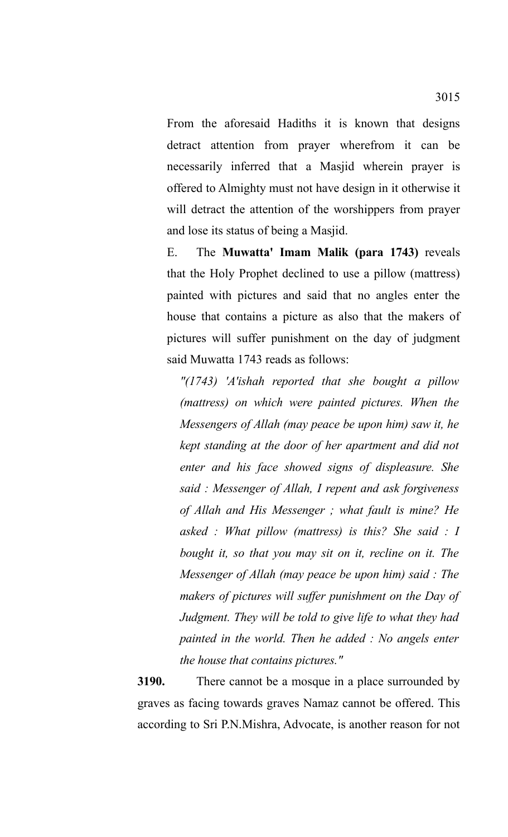From the aforesaid Hadiths it is known that designs detract attention from prayer wherefrom it can be necessarily inferred that a Masjid wherein prayer is offered to Almighty must not have design in it otherwise it will detract the attention of the worshippers from prayer and lose its status of being a Masjid.

E. The **Muwatta' Imam Malik (para 1743)** reveals that the Holy Prophet declined to use a pillow (mattress) painted with pictures and said that no angles enter the house that contains a picture as also that the makers of pictures will suffer punishment on the day of judgment said Muwatta 1743 reads as follows:

*"(1743) 'A'ishah reported that she bought a pillow (mattress) on which were painted pictures. When the Messengers of Allah (may peace be upon him) saw it, he kept standing at the door of her apartment and did not enter and his face showed signs of displeasure. She said : Messenger of Allah, I repent and ask forgiveness of Allah and His Messenger ; what fault is mine? He asked : What pillow (mattress) is this? She said : I bought it, so that you may sit on it, recline on it. The Messenger of Allah (may peace be upon him) said : The makers of pictures will suffer punishment on the Day of Judgment. They will be told to give life to what they had painted in the world. Then he added : No angels enter the house that contains pictures."*

**3190.** There cannot be a mosque in a place surrounded by graves as facing towards graves Namaz cannot be offered. This according to Sri P.N.Mishra, Advocate, is another reason for not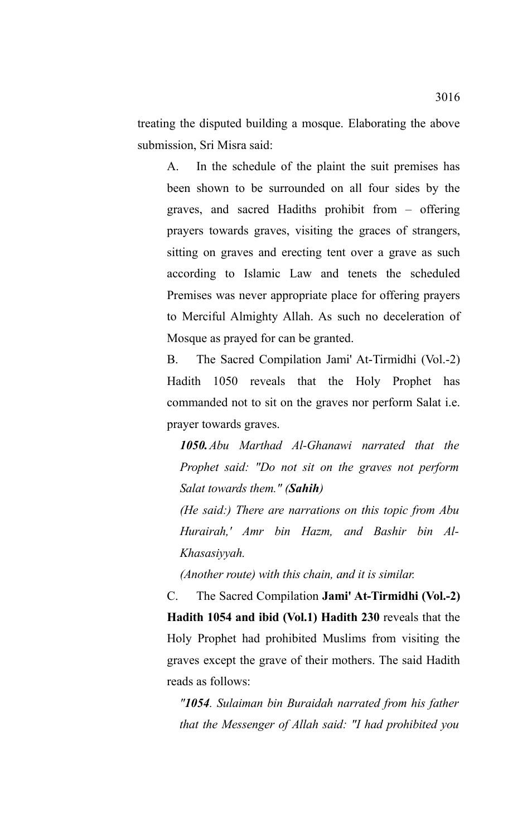treating the disputed building a mosque. Elaborating the above submission, Sri Misra said:

A. In the schedule of the plaint the suit premises has been shown to be surrounded on all four sides by the graves, and sacred Hadiths prohibit from – offering prayers towards graves, visiting the graces of strangers, sitting on graves and erecting tent over a grave as such according to Islamic Law and tenets the scheduled Premises was never appropriate place for offering prayers to Merciful Almighty Allah. As such no deceleration of Mosque as prayed for can be granted.

B. The Sacred Compilation Jami' At-Tirmidhi (Vol.-2) Hadith 1050 reveals that the Holy Prophet has commanded not to sit on the graves nor perform Salat i.e. prayer towards graves.

*1050.Abu Marthad Al-Ghanawi narrated that the Prophet said: "Do not sit on the graves not perform Salat towards them." (Sahih)*

*(He said:) There are narrations on this topic from Abu Hurairah,' Amr bin Hazm, and Bashir bin Al-Khasasiyyah.*

*(Another route) with this chain, and it is similar.*

C. The Sacred Compilation **Jami' At-Tirmidhi (Vol.-2) Hadith 1054 and ibid (Vol.1) Hadith 230** reveals that the Holy Prophet had prohibited Muslims from visiting the graves except the grave of their mothers. The said Hadith reads as follows:

*"1054. Sulaiman bin Buraidah narrated from his father that the Messenger of Allah said: "I had prohibited you*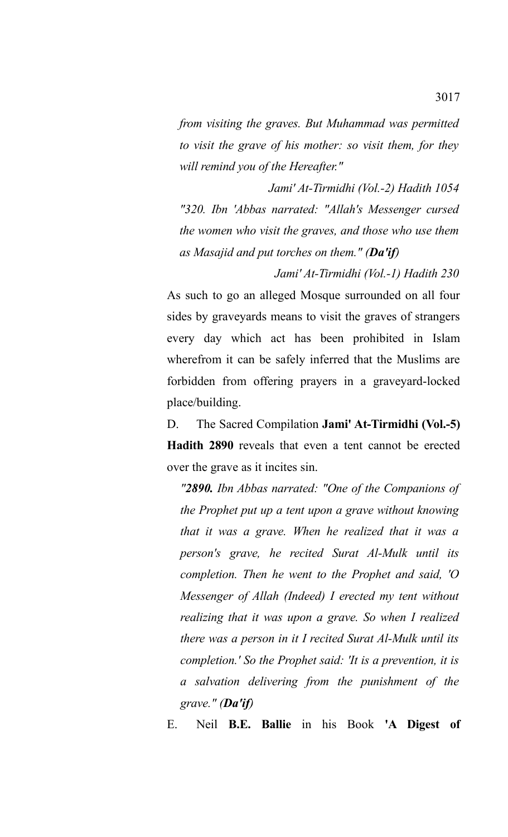*from visiting the graves. But Muhammad was permitted to visit the grave of his mother: so visit them, for they will remind you of the Hereafter."*

*Jami' At-Tirmidhi (Vol.-2) Hadith 1054 "320. Ibn 'Abbas narrated: "Allah's Messenger cursed the women who visit the graves, and those who use them as Masajid and put torches on them." (Da'if)*

*Jami' At-Tirmidhi (Vol.-1) Hadith 230*

As such to go an alleged Mosque surrounded on all four sides by graveyards means to visit the graves of strangers every day which act has been prohibited in Islam wherefrom it can be safely inferred that the Muslims are forbidden from offering prayers in a graveyard-locked place/building.

D. The Sacred Compilation **Jami' At-Tirmidhi (Vol.-5) Hadith 2890** reveals that even a tent cannot be erected over the grave as it incites sin.

*"2890. Ibn Abbas narrated: "One of the Companions of the Prophet put up a tent upon a grave without knowing that it was a grave. When he realized that it was a person's grave, he recited Surat Al-Mulk until its completion. Then he went to the Prophet and said, 'O Messenger of Allah (Indeed) I erected my tent without realizing that it was upon a grave. So when I realized there was a person in it I recited Surat Al-Mulk until its completion.' So the Prophet said: 'It is a prevention, it is a salvation delivering from the punishment of the grave." (Da'if)*

E. Neil **B.E. Ballie** in his Book **'A Digest of**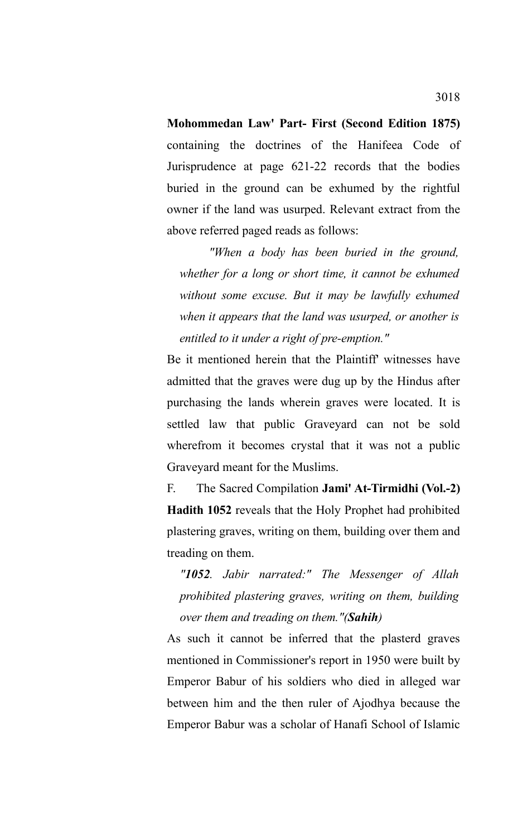**Mohommedan Law' Part- First (Second Edition 1875)** containing the doctrines of the Hanifeea Code of Jurisprudence at page 621-22 records that the bodies buried in the ground can be exhumed by the rightful owner if the land was usurped. Relevant extract from the above referred paged reads as follows:

*"When a body has been buried in the ground, whether for a long or short time, it cannot be exhumed without some excuse. But it may be lawfully exhumed when it appears that the land was usurped, or another is entitled to it under a right of pre-emption."*

Be it mentioned herein that the Plaintiff' witnesses have admitted that the graves were dug up by the Hindus after purchasing the lands wherein graves were located. It is settled law that public Graveyard can not be sold wherefrom it becomes crystal that it was not a public Graveyard meant for the Muslims.

F. The Sacred Compilation **Jami' At-Tirmidhi (Vol.-2) Hadith 1052** reveals that the Holy Prophet had prohibited plastering graves, writing on them, building over them and treading on them.

*"1052. Jabir narrated:" The Messenger of Allah prohibited plastering graves, writing on them, building over them and treading on them."(Sahih)*

As such it cannot be inferred that the plasterd graves mentioned in Commissioner's report in 1950 were built by Emperor Babur of his soldiers who died in alleged war between him and the then ruler of Ajodhya because the Emperor Babur was a scholar of Hanafi School of Islamic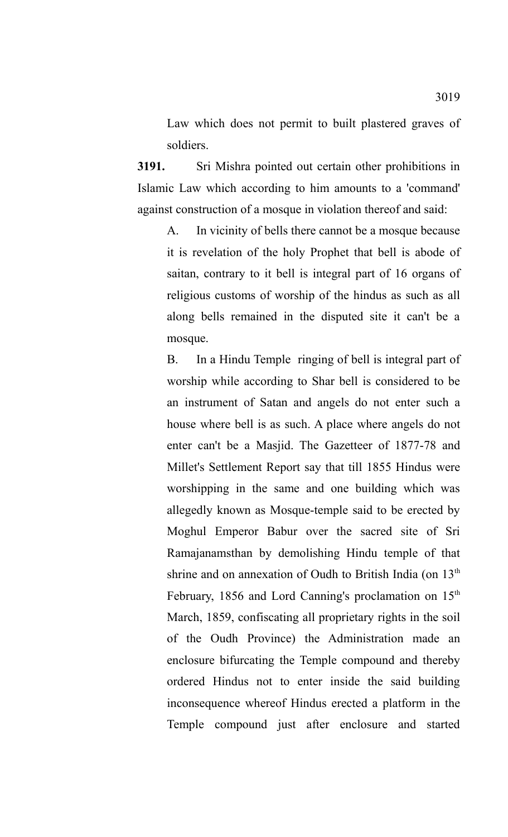Law which does not permit to built plastered graves of soldiers.

**3191.** Sri Mishra pointed out certain other prohibitions in Islamic Law which according to him amounts to a 'command' against construction of a mosque in violation thereof and said:

A. In vicinity of bells there cannot be a mosque because it is revelation of the holy Prophet that bell is abode of saitan, contrary to it bell is integral part of 16 organs of religious customs of worship of the hindus as such as all along bells remained in the disputed site it can't be a mosque.

B. In a Hindu Temple ringing of bell is integral part of worship while according to Shar bell is considered to be an instrument of Satan and angels do not enter such a house where bell is as such. A place where angels do not enter can't be a Masjid. The Gazetteer of 1877-78 and Millet's Settlement Report say that till 1855 Hindus were worshipping in the same and one building which was allegedly known as Mosque-temple said to be erected by Moghul Emperor Babur over the sacred site of Sri Ramajanamsthan by demolishing Hindu temple of that shrine and on annexation of Oudh to British India (on  $13<sup>th</sup>$ February, 1856 and Lord Canning's proclamation on 15<sup>th</sup> March, 1859, confiscating all proprietary rights in the soil of the Oudh Province) the Administration made an enclosure bifurcating the Temple compound and thereby ordered Hindus not to enter inside the said building inconsequence whereof Hindus erected a platform in the Temple compound just after enclosure and started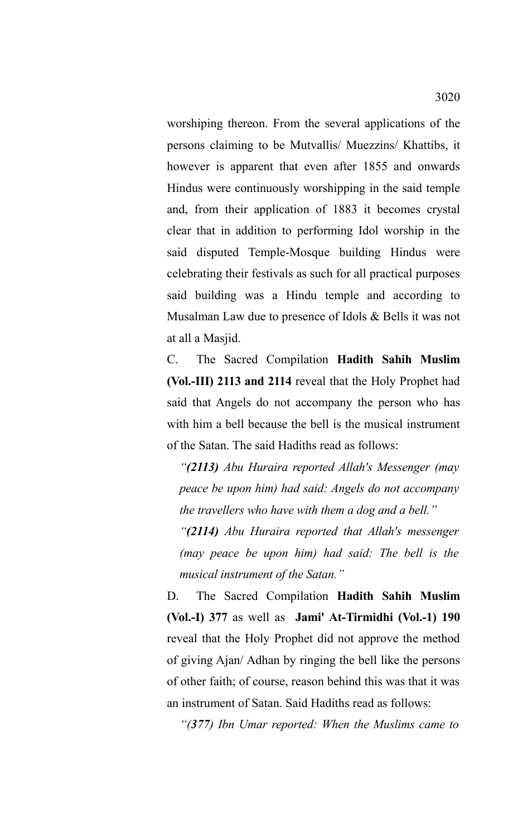worshiping thereon. From the several applications of the persons claiming to be Mutvallis/ Muezzins/ Khattibs, it however is apparent that even after 1855 and onwards Hindus were continuously worshipping in the said temple and, from their application of 1883 it becomes crystal clear that in addition to performing Idol worship in the said disputed Temple-Mosque building Hindus were celebrating their festivals as such for all practical purposes said building was a Hindu temple and according to Musalman Law due to presence of Idols & Bells it was not at all a Masjid.

C. The Sacred Compilation **Hadith Sahih Muslim (Vol.-III) 2113 and 2114** reveal that the Holy Prophet had said that Angels do not accompany the person who has with him a bell because the bell is the musical instrument of the Satan. The said Hadiths read as follows:

*"(2113) Abu Huraira reported Allah's Messenger (may peace be upon him) had said: Angels do not accompany the travellers who have with them a dog and a bell."*

*"(2114) Abu Huraira reported that Allah's messenger (may peace be upon him) had said: The bell is the musical instrument of the Satan."*

D. The Sacred Compilation **Hadith Sahih Muslim (Vol.-I) 377** as well as **Jami' At-Tirmidhi (Vol.-1) 190** reveal that the Holy Prophet did not approve the method of giving Ajan/ Adhan by ringing the bell like the persons of other faith; of course, reason behind this was that it was an instrument of Satan. Said Hadiths read as follows:

*"(377) Ibn Umar reported: When the Muslims came to*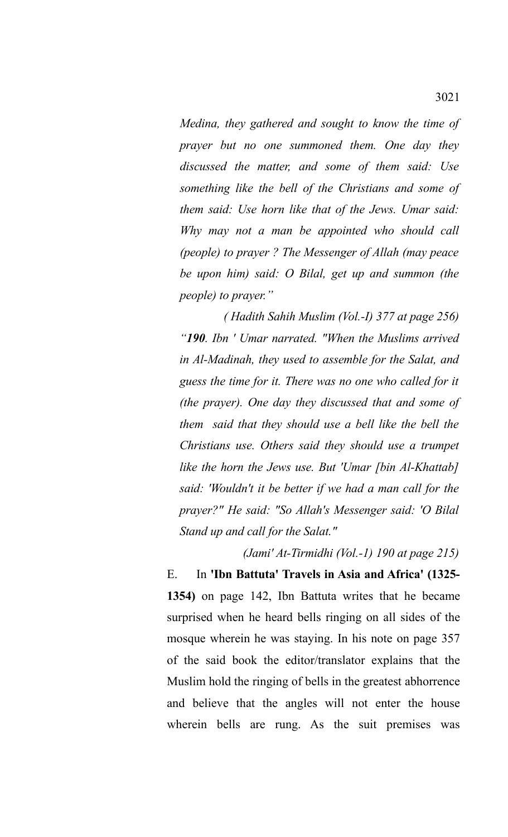*Medina, they gathered and sought to know the time of prayer but no one summoned them. One day they discussed the matter, and some of them said: Use something like the bell of the Christians and some of them said: Use horn like that of the Jews. Umar said: Why may not a man be appointed who should call (people) to prayer ? The Messenger of Allah (may peace be upon him) said: O Bilal, get up and summon (the people) to prayer."*

*( Hadith Sahih Muslim (Vol.-I) 377 at page 256) "190. Ibn ' Umar narrated. "When the Muslims arrived in Al-Madinah, they used to assemble for the Salat, and guess the time for it. There was no one who called for it (the prayer). One day they discussed that and some of them said that they should use a bell like the bell the Christians use. Others said they should use a trumpet like the horn the Jews use. But 'Umar [bin Al-Khattab] said: 'Wouldn't it be better if we had a man call for the prayer?" He said: "So Allah's Messenger said: 'O Bilal Stand up and call for the Salat."*

*(Jami' At-Tirmidhi (Vol.-1) 190 at page 215)*

E. In **'Ibn Battuta' Travels in Asia and Africa' (1325- 1354)** on page 142, Ibn Battuta writes that he became surprised when he heard bells ringing on all sides of the mosque wherein he was staying. In his note on page 357 of the said book the editor/translator explains that the Muslim hold the ringing of bells in the greatest abhorrence and believe that the angles will not enter the house wherein bells are rung. As the suit premises was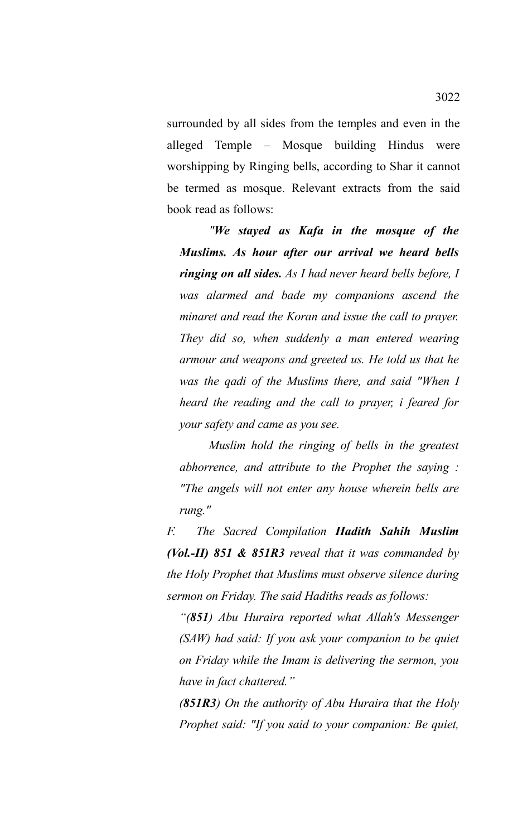surrounded by all sides from the temples and even in the alleged Temple – Mosque building Hindus were worshipping by Ringing bells, according to Shar it cannot be termed as mosque. Relevant extracts from the said book read as follows:

*"We stayed as Kafa in the mosque of the Muslims. As hour after our arrival we heard bells ringing on all sides. As I had never heard bells before, I was alarmed and bade my companions ascend the minaret and read the Koran and issue the call to prayer. They did so, when suddenly a man entered wearing armour and weapons and greeted us. He told us that he was the qadi of the Muslims there, and said "When I heard the reading and the call to prayer, i feared for your safety and came as you see.*

*Muslim hold the ringing of bells in the greatest abhorrence, and attribute to the Prophet the saying : "The angels will not enter any house wherein bells are rung."*

*F. The Sacred Compilation Hadith Sahih Muslim (Vol.-II) 851 & 851R3 reveal that it was commanded by the Holy Prophet that Muslims must observe silence during sermon on Friday. The said Hadiths reads as follows:*

*"(851) Abu Huraira reported what Allah's Messenger (SAW) had said: If you ask your companion to be quiet on Friday while the Imam is delivering the sermon, you have in fact chattered."*

*(851R3) On the authority of Abu Huraira that the Holy Prophet said: "If you said to your companion: Be quiet,*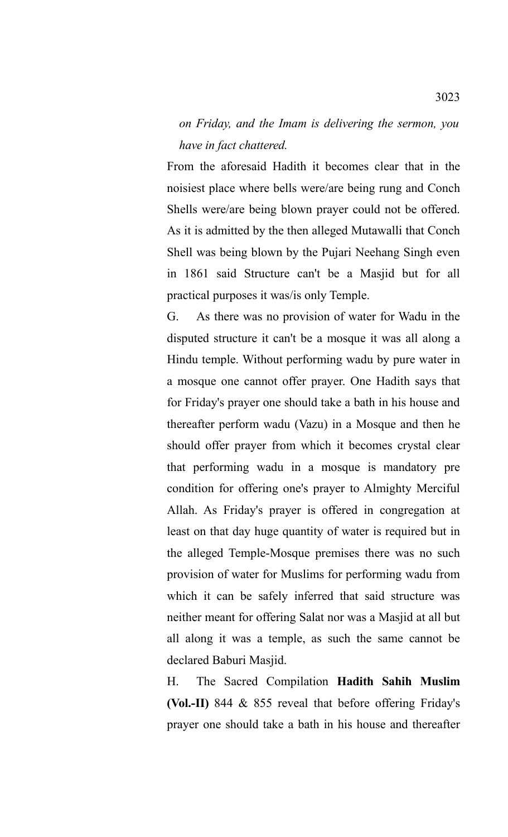## *on Friday, and the Imam is delivering the sermon, you have in fact chattered.*

From the aforesaid Hadith it becomes clear that in the noisiest place where bells were/are being rung and Conch Shells were/are being blown prayer could not be offered. As it is admitted by the then alleged Mutawalli that Conch Shell was being blown by the Pujari Neehang Singh even in 1861 said Structure can't be a Masjid but for all practical purposes it was/is only Temple.

G. As there was no provision of water for Wadu in the disputed structure it can't be a mosque it was all along a Hindu temple. Without performing wadu by pure water in a mosque one cannot offer prayer. One Hadith says that for Friday's prayer one should take a bath in his house and thereafter perform wadu (Vazu) in a Mosque and then he should offer prayer from which it becomes crystal clear that performing wadu in a mosque is mandatory pre condition for offering one's prayer to Almighty Merciful Allah. As Friday's prayer is offered in congregation at least on that day huge quantity of water is required but in the alleged Temple-Mosque premises there was no such provision of water for Muslims for performing wadu from which it can be safely inferred that said structure was neither meant for offering Salat nor was a Masjid at all but all along it was a temple, as such the same cannot be declared Baburi Masjid.

H. The Sacred Compilation **Hadith Sahih Muslim (Vol.-II)** 844 & 855 reveal that before offering Friday's prayer one should take a bath in his house and thereafter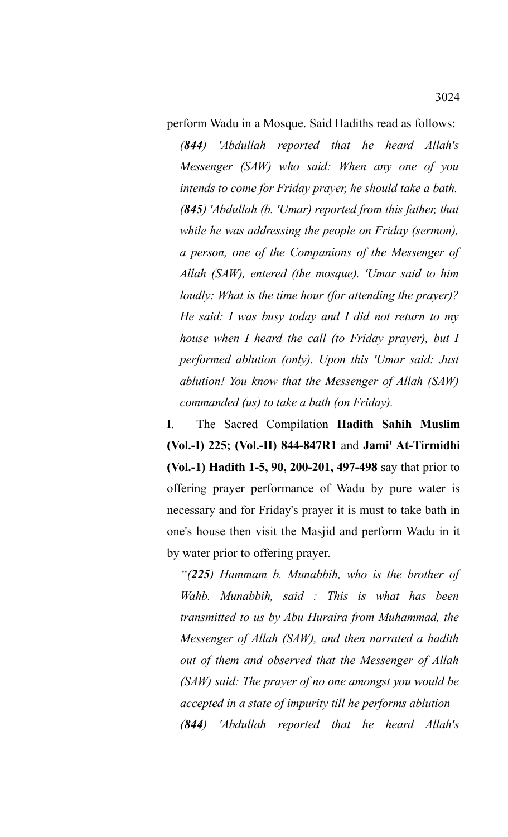perform Wadu in a Mosque. Said Hadiths read as follows:

*(844) 'Abdullah reported that he heard Allah's Messenger (SAW) who said: When any one of you intends to come for Friday prayer, he should take a bath. (845) 'Abdullah (b. 'Umar) reported from this father, that while he was addressing the people on Friday (sermon), a person, one of the Companions of the Messenger of Allah (SAW), entered (the mosque). 'Umar said to him loudly: What is the time hour (for attending the prayer)? He said: I was busy today and I did not return to my house when I heard the call (to Friday prayer), but I performed ablution (only). Upon this 'Umar said: Just ablution! You know that the Messenger of Allah (SAW) commanded (us) to take a bath (on Friday).*

I. The Sacred Compilation **Hadith Sahih Muslim (Vol.-I) 225; (Vol.-II) 844-847R1** and **Jami' At-Tirmidhi (Vol.-1) Hadith 1-5, 90, 200-201, 497-498** say that prior to offering prayer performance of Wadu by pure water is necessary and for Friday's prayer it is must to take bath in one's house then visit the Masjid and perform Wadu in it by water prior to offering prayer.

*"(225) Hammam b. Munabbih, who is the brother of Wahb. Munabbih, said : This is what has been transmitted to us by Abu Huraira from Muhammad, the Messenger of Allah (SAW), and then narrated a hadith out of them and observed that the Messenger of Allah (SAW) said: The prayer of no one amongst you would be accepted in a state of impurity till he performs ablution (844) 'Abdullah reported that he heard Allah's*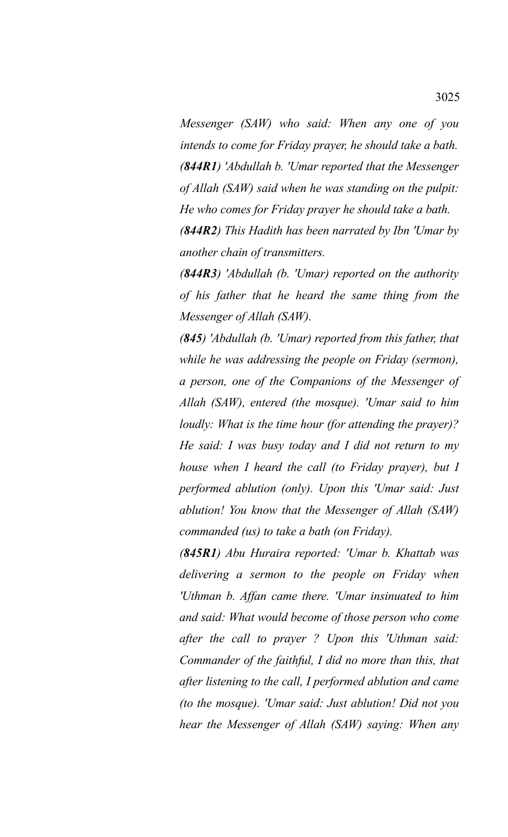*Messenger (SAW) who said: When any one of you intends to come for Friday prayer, he should take a bath. (844R1) 'Abdullah b. 'Umar reported that the Messenger of Allah (SAW) said when he was standing on the pulpit: He who comes for Friday prayer he should take a bath. (844R2) This Hadith has been narrated by Ibn 'Umar by another chain of transmitters.*

*(844R3) 'Abdullah (b. 'Umar) reported on the authority of his father that he heard the same thing from the Messenger of Allah (SAW).*

*(845) 'Abdullah (b. 'Umar) reported from this father, that while he was addressing the people on Friday (sermon),*

*a person, one of the Companions of the Messenger of Allah (SAW), entered (the mosque). 'Umar said to him loudly: What is the time hour (for attending the prayer)? He said: I was busy today and I did not return to my house when I heard the call (to Friday prayer), but I performed ablution (only). Upon this 'Umar said: Just ablution! You know that the Messenger of Allah (SAW) commanded (us) to take a bath (on Friday).*

*(845R1) Abu Huraira reported: 'Umar b. Khattab was delivering a sermon to the people on Friday when 'Uthman b. Affan came there. 'Umar insinuated to him and said: What would become of those person who come after the call to prayer ? Upon this 'Uthman said: Commander of the faithful, I did no more than this, that after listening to the call, I performed ablution and came (to the mosque). 'Umar said: Just ablution! Did not you hear the Messenger of Allah (SAW) saying: When any*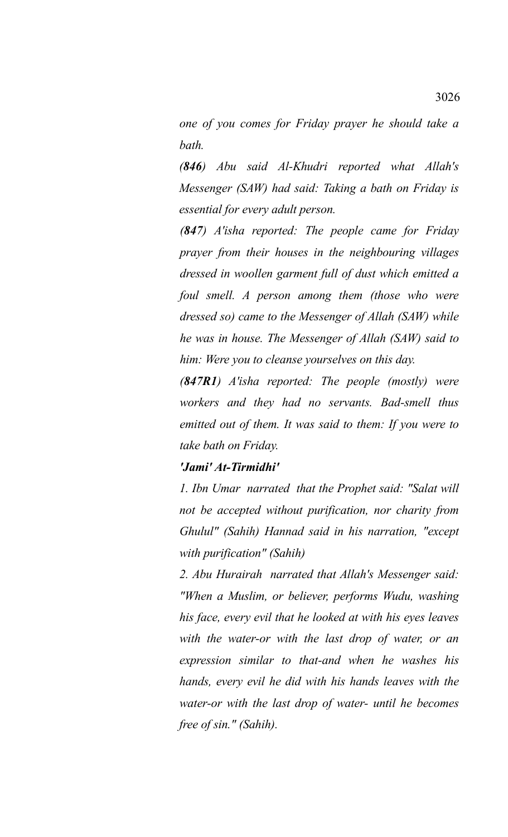*one of you comes for Friday prayer he should take a bath.*

*(846) Abu said Al-Khudri reported what Allah's Messenger (SAW) had said: Taking a bath on Friday is essential for every adult person.*

*(847) A'isha reported: The people came for Friday prayer from their houses in the neighbouring villages dressed in woollen garment full of dust which emitted a foul smell. A person among them (those who were dressed so) came to the Messenger of Allah (SAW) while he was in house. The Messenger of Allah (SAW) said to him: Were you to cleanse yourselves on this day.*

*(847R1) A'isha reported: The people (mostly) were workers and they had no servants. Bad-smell thus emitted out of them. It was said to them: If you were to take bath on Friday.*

#### *'Jami' At-Tirmidhi'*

*1. Ibn Umar narrated that the Prophet said: "Salat will not be accepted without purification, nor charity from Ghulul" (Sahih) Hannad said in his narration, "except with purification" (Sahih)*

*2. Abu Hurairah narrated that Allah's Messenger said: "When a Muslim, or believer, performs Wudu, washing his face, every evil that he looked at with his eyes leaves with the water-or with the last drop of water, or an expression similar to that-and when he washes his hands, every evil he did with his hands leaves with the water-or with the last drop of water- until he becomes free of sin." (Sahih).*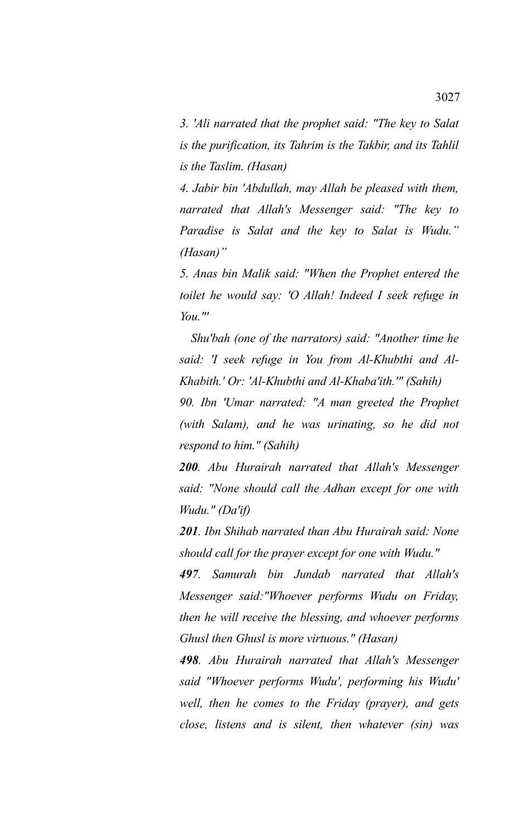*3. 'Ali narrated that the prophet said: "The key to Salat is the purification, its Tahrim is the Takbir, and its Tahlil is the Taslim. (Hasan)*

*4. Jabir bin 'Abdullah, may Allah be pleased with them, narrated that Allah's Messenger said: "The key to Paradise is Salat and the key to Salat is Wudu." (Hasan)"*

*5. Anas bin Malik said: "When the Prophet entered the toilet he would say: 'O Allah! Indeed I seek refuge in You."'*

 *Shu'bah (one of the narrators) said: "Another time he said: 'I seek refuge in You from Al-Khubthi and Al-Khabith.' Or: 'Al-Khubthi and Al-Khaba'ith.'" (Sahih)*

*90. Ibn 'Umar narrated: "A man greeted the Prophet (with Salam), and he was urinating, so he did not respond to him." (Sahih)* 

*200. Abu Hurairah narrated that Allah's Messenger said: "None should call the Adhan except for one with Wudu." (Da'if)* 

*201. Ibn Shihab narrated than Abu Hurairah said: None should call for the prayer except for one with Wudu."*

*497. Samurah bin Jundab narrated that Allah's Messenger said:"Whoever performs Wudu on Friday, then he will receive the blessing, and whoever performs Ghusl then Ghusl is more virtuous." (Hasan)*

*498. Abu Hurairah narrated that Allah's Messenger said "Whoever performs Wudu', performing his Wudu' well, then he comes to the Friday (prayer), and gets close, listens and is silent, then whatever (sin) was*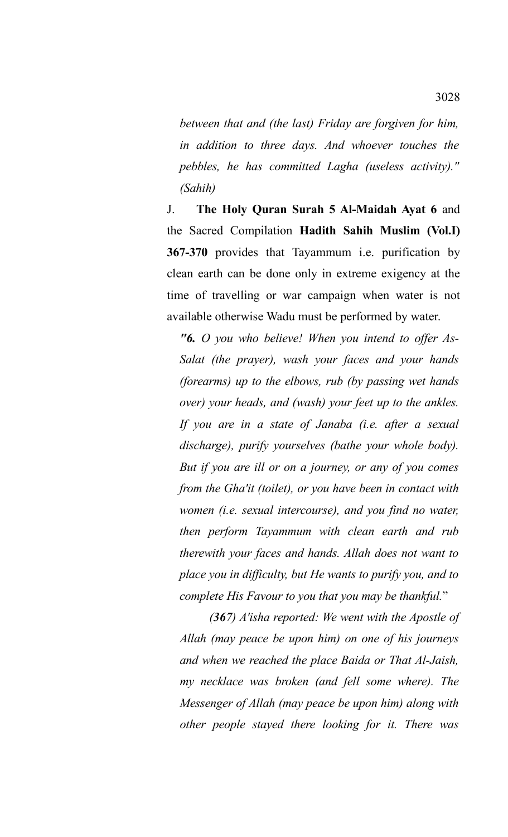*between that and (the last) Friday are forgiven for him, in addition to three days. And whoever touches the pebbles, he has committed Lagha (useless activity)." (Sahih)*

J. **The Holy Quran Surah 5 Al-Maidah Ayat 6** and the Sacred Compilation **Hadith Sahih Muslim (Vol.I) 367-370** provides that Tayammum i.e. purification by clean earth can be done only in extreme exigency at the time of travelling or war campaign when water is not available otherwise Wadu must be performed by water.

*"6. O you who believe! When you intend to offer As-Salat (the prayer), wash your faces and your hands (forearms) up to the elbows, rub (by passing wet hands over) your heads, and (wash) your feet up to the ankles. If you are in a state of Janaba (i.e. after a sexual discharge), purify yourselves (bathe your whole body). But if you are ill or on a journey, or any of you comes from the Gha'it (toilet), or you have been in contact with women (i.e. sexual intercourse), and you find no water, then perform Tayammum with clean earth and rub therewith your faces and hands. Allah does not want to place you in difficulty, but He wants to purify you, and to complete His Favour to you that you may be thankful.*"

*(367) A'isha reported: We went with the Apostle of Allah (may peace be upon him) on one of his journeys and when we reached the place Baida or That Al-Jaish, my necklace was broken (and fell some where). The Messenger of Allah (may peace be upon him) along with other people stayed there looking for it. There was*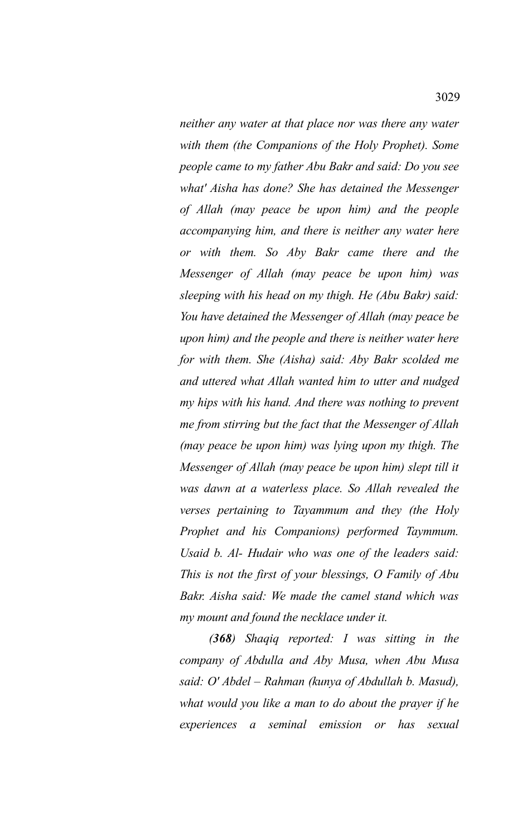*neither any water at that place nor was there any water with them (the Companions of the Holy Prophet). Some people came to my father Abu Bakr and said: Do you see what' Aisha has done? She has detained the Messenger of Allah (may peace be upon him) and the people accompanying him, and there is neither any water here or with them. So Aby Bakr came there and the Messenger of Allah (may peace be upon him) was sleeping with his head on my thigh. He (Abu Bakr) said: You have detained the Messenger of Allah (may peace be upon him) and the people and there is neither water here for with them. She (Aisha) said: Aby Bakr scolded me and uttered what Allah wanted him to utter and nudged my hips with his hand. And there was nothing to prevent me from stirring but the fact that the Messenger of Allah (may peace be upon him) was lying upon my thigh. The Messenger of Allah (may peace be upon him) slept till it was dawn at a waterless place. So Allah revealed the verses pertaining to Tayammum and they (the Holy Prophet and his Companions) performed Taymmum. Usaid b. Al- Hudair who was one of the leaders said: This is not the first of your blessings, O Family of Abu Bakr. Aisha said: We made the camel stand which was my mount and found the necklace under it.* 

*(368) Shaqiq reported: I was sitting in the company of Abdulla and Aby Musa, when Abu Musa said: O' Abdel – Rahman (kunya of Abdullah b. Masud), what would you like a man to do about the prayer if he experiences a seminal emission or has sexual*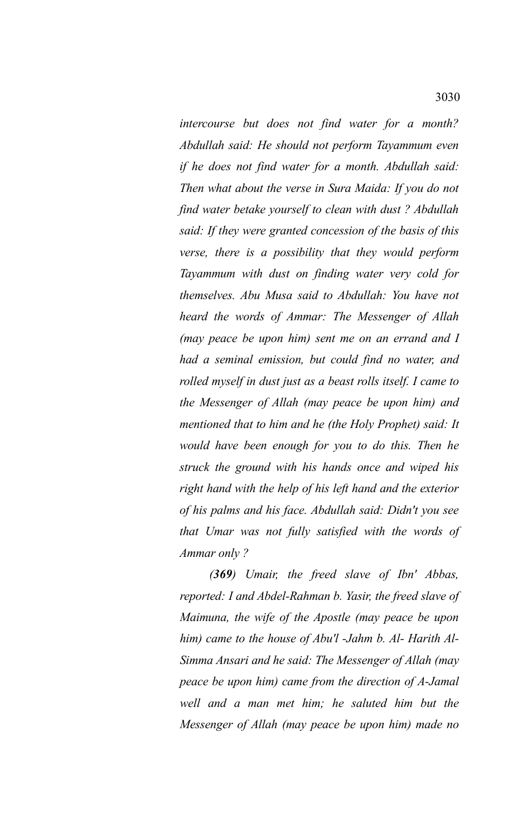*intercourse but does not find water for a month? Abdullah said: He should not perform Tayammum even if he does not find water for a month. Abdullah said: Then what about the verse in Sura Maida: If you do not find water betake yourself to clean with dust ? Abdullah said: If they were granted concession of the basis of this verse, there is a possibility that they would perform Tayammum with dust on finding water very cold for themselves. Abu Musa said to Abdullah: You have not heard the words of Ammar: The Messenger of Allah (may peace be upon him) sent me on an errand and I had a seminal emission, but could find no water, and rolled myself in dust just as a beast rolls itself. I came to the Messenger of Allah (may peace be upon him) and mentioned that to him and he (the Holy Prophet) said: It would have been enough for you to do this. Then he struck the ground with his hands once and wiped his right hand with the help of his left hand and the exterior of his palms and his face. Abdullah said: Didn't you see that Umar was not fully satisfied with the words of Ammar only ?*

*(369) Umair, the freed slave of Ibn' Abbas, reported: I and Abdel-Rahman b. Yasir, the freed slave of Maimuna, the wife of the Apostle (may peace be upon him) came to the house of Abu'l -Jahm b. Al- Harith Al-Simma Ansari and he said: The Messenger of Allah (may peace be upon him) came from the direction of A-Jamal well and a man met him; he saluted him but the Messenger of Allah (may peace be upon him) made no*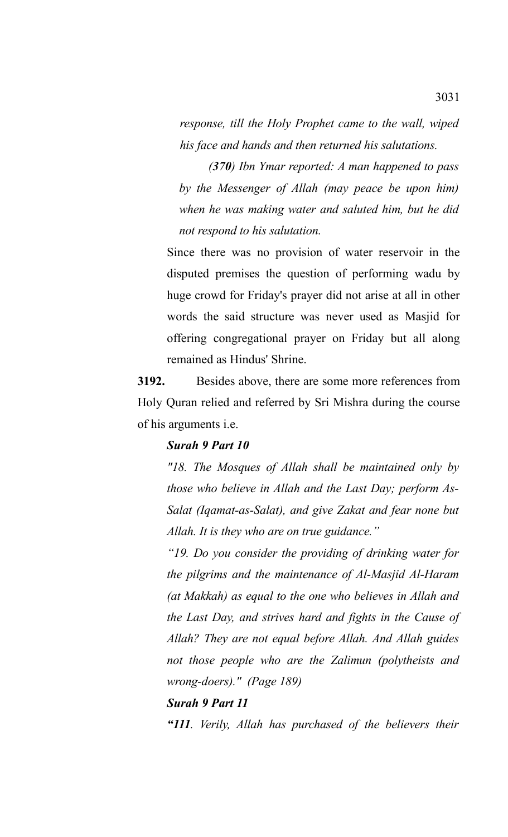*response, till the Holy Prophet came to the wall, wiped his face and hands and then returned his salutations.*

*(370) Ibn Ymar reported: A man happened to pass by the Messenger of Allah (may peace be upon him) when he was making water and saluted him, but he did not respond to his salutation.*

Since there was no provision of water reservoir in the disputed premises the question of performing wadu by huge crowd for Friday's prayer did not arise at all in other words the said structure was never used as Masjid for offering congregational prayer on Friday but all along remained as Hindus' Shrine.

**3192.** Besides above, there are some more references from Holy Quran relied and referred by Sri Mishra during the course of his arguments i.e.

## *Surah 9 Part 10*

*"18. The Mosques of Allah shall be maintained only by those who believe in Allah and the Last Day; perform As-Salat (Iqamat-as-Salat), and give Zakat and fear none but Allah. It is they who are on true guidance."* 

*"19. Do you consider the providing of drinking water for the pilgrims and the maintenance of Al-Masjid Al-Haram (at Makkah) as equal to the one who believes in Allah and the Last Day, and strives hard and fights in the Cause of Allah? They are not equal before Allah. And Allah guides not those people who are the Zalimun (polytheists and wrong-doers)." (Page 189)*

## *Surah 9 Part 11*

*"111. Verily, Allah has purchased of the believers their*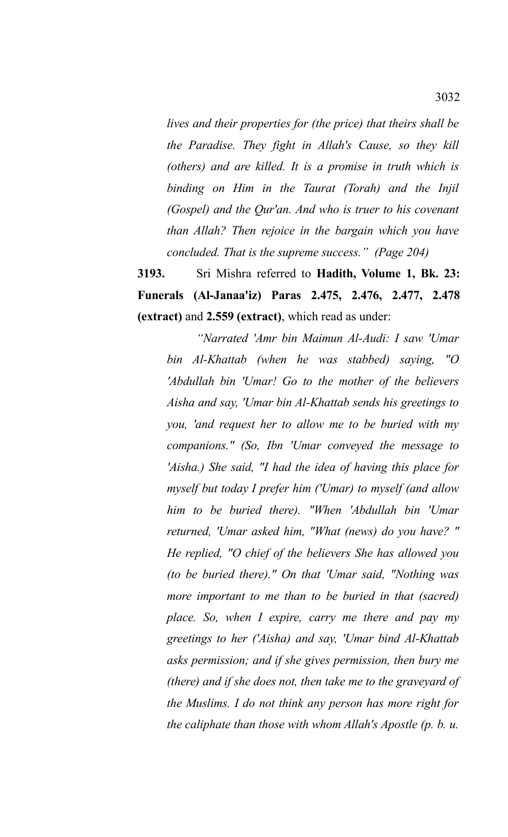*lives and their properties for (the price) that theirs shall be the Paradise. They fight in Allah's Cause, so they kill (others) and are killed. It is a promise in truth which is binding on Him in the Taurat (Torah) and the Injil (Gospel) and the Qur'an. And who is truer to his covenant than Allah? Then rejoice in the bargain which you have concluded. That is the supreme success." (Page 204)*

**3193.** Sri Mishra referred to **Hadith, Volume 1, Bk. 23: Funerals (Al-Janaa'iz) Paras 2.475, 2.476, 2.477, 2.478 (extract)** and **2.559 (extract)**, which read as under:

*"Narrated 'Amr bin Maimun Al-Audi: I saw 'Umar bin Al-Khattab (when he was stabbed) saying, "O 'Abdullah bin 'Umar! Go to the mother of the believers Aisha and say, 'Umar bin Al-Khattab sends his greetings to you, 'and request her to allow me to be buried with my companions." (So, Ibn 'Umar conveyed the message to 'Aisha.) She said, "I had the idea of having this place for myself but today I prefer him ('Umar) to myself (and allow him to be buried there). "When 'Abdullah bin 'Umar returned, 'Umar asked him, "What (news) do you have? " He replied, "O chief of the believers She has allowed you (to be buried there)." On that 'Umar said, "Nothing was more important to me than to be buried in that (sacred) place. So, when I expire, carry me there and pay my greetings to her ('Aisha) and say, 'Umar bind Al-Khattab asks permission; and if she gives permission, then bury me (there) and if she does not, then take me to the graveyard of the Muslims. I do not think any person has more right for the caliphate than those with whom Allah's Apostle (p. b. u.*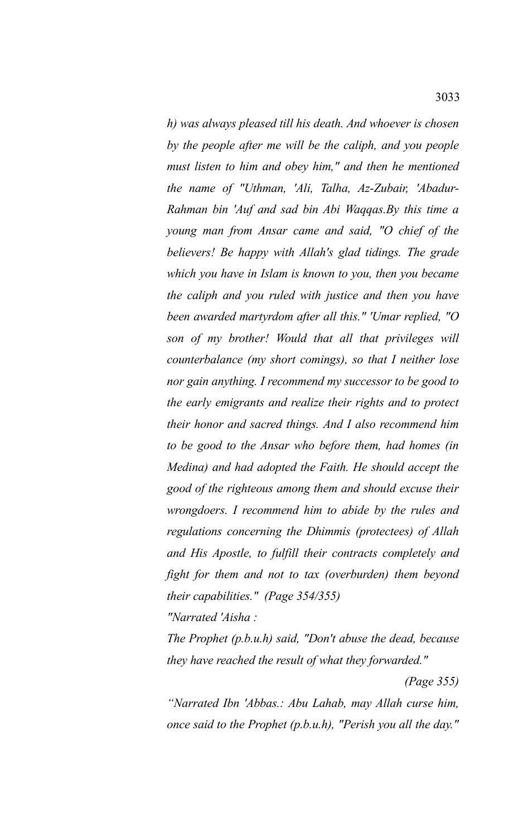*h) was always pleased till his death. And whoever is chosen by the people after me will be the caliph, and you people must listen to him and obey him," and then he mentioned the name of "Uthman, 'Ali, Talha, Az-Zubair, 'Abadur-Rahman bin 'Auf and sad bin Abi Waqqas.By this time a young man from Ansar came and said, "O chief of the believers! Be happy with Allah's glad tidings. The grade which you have in Islam is known to you, then you became the caliph and you ruled with justice and then you have been awarded martyrdom after all this." 'Umar replied, "O son of my brother! Would that all that privileges will counterbalance (my short comings), so that I neither lose nor gain anything. I recommend my successor to be good to the early emigrants and realize their rights and to protect their honor and sacred things. And I also recommend him to be good to the Ansar who before them, had homes (in Medina) and had adopted the Faith. He should accept the good of the righteous among them and should excuse their wrongdoers. I recommend him to abide by the rules and regulations concerning the Dhimmis (protectees) of Allah and His Apostle, to fulfill their contracts completely and fight for them and not to tax (overburden) them beyond their capabilities." (Page 354/355)*

*"Narrated 'Aisha :*

*The Prophet (p.b.u.h) said, "Don't abuse the dead, because they have reached the result of what they forwarded."*

 *(Page 355)*

*"Narrated Ibn 'Abbas.: Abu Lahab, may Allah curse him, once said to the Prophet (p.b.u.h), "Perish you all the day."*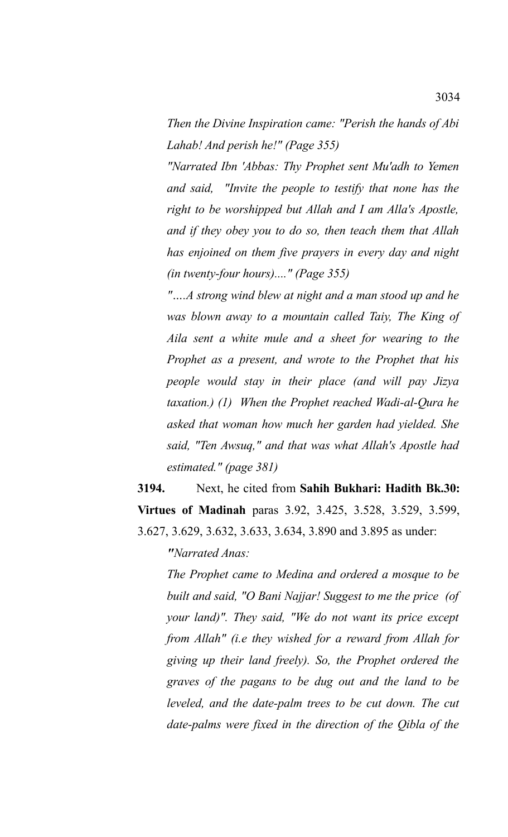*Then the Divine Inspiration came: "Perish the hands of Abi Lahab! And perish he!" (Page 355)*

*"Narrated Ibn 'Abbas: Thy Prophet sent Mu'adh to Yemen and said, "Invite the people to testify that none has the right to be worshipped but Allah and I am Alla's Apostle, and if they obey you to do so, then teach them that Allah has enjoined on them five prayers in every day and night (in twenty-four hours)...." (Page 355)*

*"….A strong wind blew at night and a man stood up and he was blown away to a mountain called Taiy, The King of Aila sent a white mule and a sheet for wearing to the Prophet as a present, and wrote to the Prophet that his people would stay in their place (and will pay Jizya taxation.) (1) When the Prophet reached Wadi-al-Qura he asked that woman how much her garden had yielded. She said, "Ten Awsuq," and that was what Allah's Apostle had estimated." (page 381)* 

**3194.** Next, he cited from **Sahih Bukhari: Hadith Bk.30: Virtues of Madinah** paras 3.92, 3.425, 3.528, 3.529, 3.599, 3.627, 3.629, 3.632, 3.633, 3.634, 3.890 and 3.895 as under:

*"Narrated Anas:*

*The Prophet came to Medina and ordered a mosque to be built and said, "O Bani Najjar! Suggest to me the price (of your land)". They said, "We do not want its price except from Allah" (i.e they wished for a reward from Allah for giving up their land freely). So, the Prophet ordered the graves of the pagans to be dug out and the land to be leveled, and the date-palm trees to be cut down. The cut date-palms were fixed in the direction of the Qibla of the*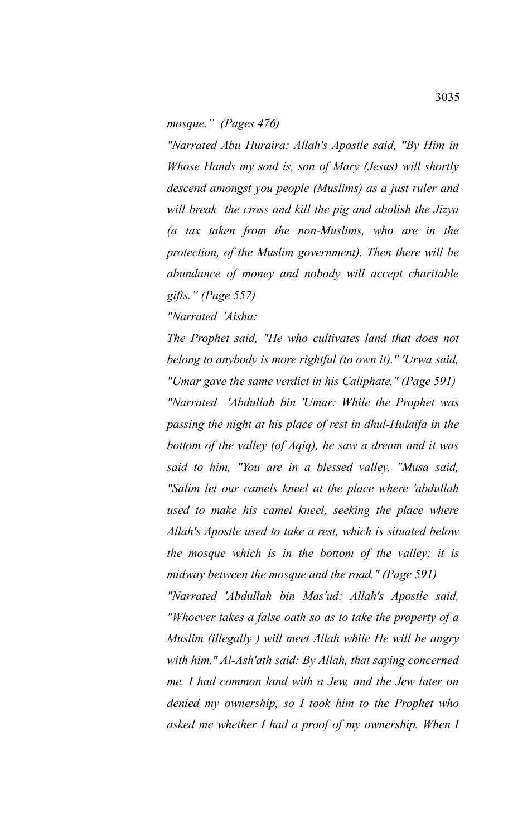*mosque." (Pages 476)*

*"Narrated Abu Huraira: Allah's Apostle said, "By Him in Whose Hands my soul is, son of Mary (Jesus) will shortly descend amongst you people (Muslims) as a just ruler and will break the cross and kill the pig and abolish the Jizya (a tax taken from the non-Muslims, who are in the protection, of the Muslim government). Then there will be abundance of money and nobody will accept charitable gifts." (Page 557)*

## *"Narrated 'Aisha:*

*The Prophet said, "He who cultivates land that does not belong to anybody is more rightful (to own it)." 'Urwa said, "Umar gave the same verdict in his Caliphate." (Page 591) "Narrated 'Abdullah bin 'Umar: While the Prophet was passing the night at his place of rest in dhul-Hulaifa in the bottom of the valley (of Aqiq), he saw a dream and it was said to him, "You are in a blessed valley. "Musa said, "Salim let our camels kneel at the place where 'abdullah used to make his camel kneel, seeking the place where Allah's Apostle used to take a rest, which is situated below the mosque which is in the bottom of the valley; it is midway between the mosque and the road." (Page 591)*

*"Narrated 'Abdullah bin Mas'ud: Allah's Apostle said, "Whoever takes a false oath so as to take the property of a Muslim (illegally ) will meet Allah while He will be angry with him." Al-Ash'ath said: By Allah, that saying concerned me. I had common land with a Jew, and the Jew later on denied my ownership, so I took him to the Prophet who asked me whether I had a proof of my ownership. When I*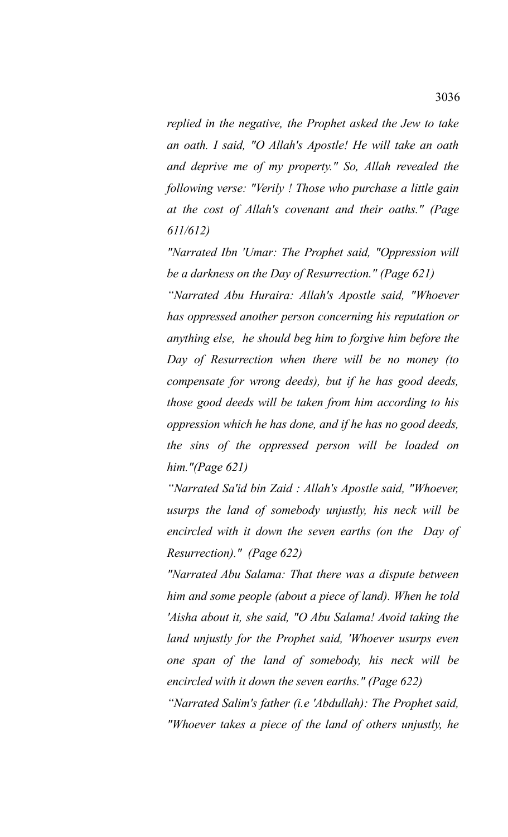*replied in the negative, the Prophet asked the Jew to take an oath. I said, "O Allah's Apostle! He will take an oath and deprive me of my property." So, Allah revealed the following verse: "Verily ! Those who purchase a little gain at the cost of Allah's covenant and their oaths." (Page 611/612)*

*"Narrated Ibn 'Umar: The Prophet said, "Oppression will be a darkness on the Day of Resurrection." (Page 621)*

*"Narrated Abu Huraira: Allah's Apostle said, "Whoever has oppressed another person concerning his reputation or anything else, he should beg him to forgive him before the Day of Resurrection when there will be no money (to compensate for wrong deeds), but if he has good deeds, those good deeds will be taken from him according to his oppression which he has done, and if he has no good deeds, the sins of the oppressed person will be loaded on him."(Page 621)*

*"Narrated Sa'id bin Zaid : Allah's Apostle said, "Whoever, usurps the land of somebody unjustly, his neck will be encircled with it down the seven earths (on the Day of Resurrection)." (Page 622)*

*"Narrated Abu Salama: That there was a dispute between him and some people (about a piece of land). When he told 'Aisha about it, she said, "O Abu Salama! Avoid taking the land unjustly for the Prophet said, 'Whoever usurps even one span of the land of somebody, his neck will be encircled with it down the seven earths." (Page 622)*

*"Narrated Salim's father (i.e 'Abdullah): The Prophet said, "Whoever takes a piece of the land of others unjustly, he*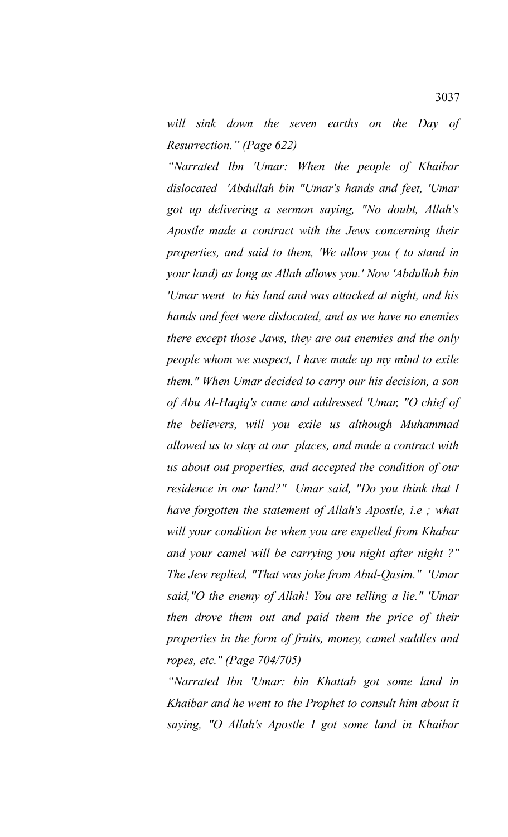*will sink down the seven earths on the Day of Resurrection." (Page 622)*

*"Narrated Ibn 'Umar: When the people of Khaibar dislocated 'Abdullah bin "Umar's hands and feet, 'Umar got up delivering a sermon saying, "No doubt, Allah's Apostle made a contract with the Jews concerning their properties, and said to them, 'We allow you ( to stand in your land) as long as Allah allows you.' Now 'Abdullah bin 'Umar went to his land and was attacked at night, and his hands and feet were dislocated, and as we have no enemies there except those Jaws, they are out enemies and the only people whom we suspect, I have made up my mind to exile them." When Umar decided to carry our his decision, a son of Abu Al-Haqiq's came and addressed 'Umar, "O chief of the believers, will you exile us although Muhammad allowed us to stay at our places, and made a contract with us about out properties, and accepted the condition of our residence in our land?" Umar said, "Do you think that I have forgotten the statement of Allah's Apostle, i.e ; what will your condition be when you are expelled from Khabar and your camel will be carrying you night after night ?" The Jew replied, "That was joke from Abul-Qasim." 'Umar said,"O the enemy of Allah! You are telling a lie." 'Umar then drove them out and paid them the price of their properties in the form of fruits, money, camel saddles and ropes, etc." (Page 704/705)*

*"Narrated Ibn 'Umar: bin Khattab got some land in Khaibar and he went to the Prophet to consult him about it saying, "O Allah's Apostle I got some land in Khaibar*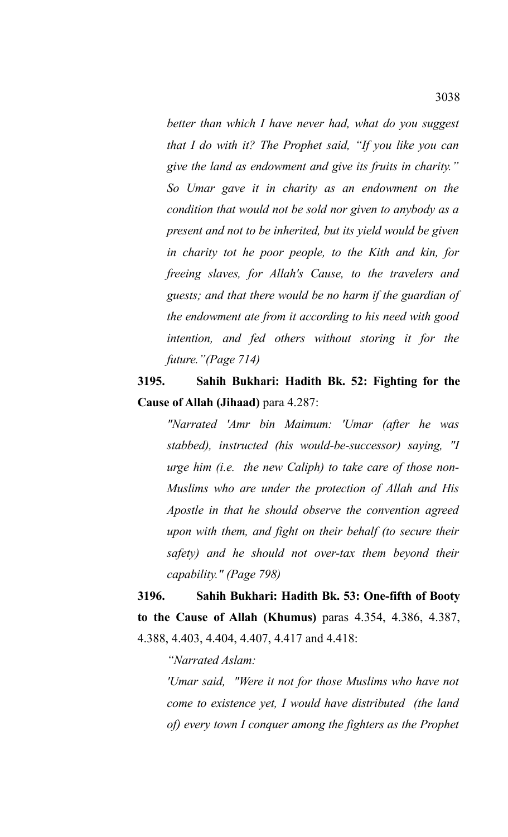*better than which I have never had, what do you suggest that I do with it? The Prophet said, "If you like you can give the land as endowment and give its fruits in charity." So Umar gave it in charity as an endowment on the condition that would not be sold nor given to anybody as a present and not to be inherited, but its yield would be given in charity tot he poor people, to the Kith and kin, for freeing slaves, for Allah's Cause, to the travelers and guests; and that there would be no harm if the guardian of the endowment ate from it according to his need with good intention, and fed others without storing it for the future."(Page 714)*

## **3195. Sahih Bukhari: Hadith Bk. 52: Fighting for the Cause of Allah (Jihaad)** para 4.287:

*"Narrated 'Amr bin Maimum: 'Umar (after he was stabbed), instructed (his would-be-successor) saying, "I urge him (i.e. the new Caliph) to take care of those non-Muslims who are under the protection of Allah and His Apostle in that he should observe the convention agreed upon with them, and fight on their behalf (to secure their safety) and he should not over-tax them beyond their capability." (Page 798)*

**3196. Sahih Bukhari: Hadith Bk. 53: One-fifth of Booty to the Cause of Allah (Khumus)** paras 4.354, 4.386, 4.387, 4.388, 4.403, 4.404, 4.407, 4.417 and 4.418:

*"Narrated Aslam:*

*'Umar said, "Were it not for those Muslims who have not come to existence yet, I would have distributed (the land of) every town I conquer among the fighters as the Prophet*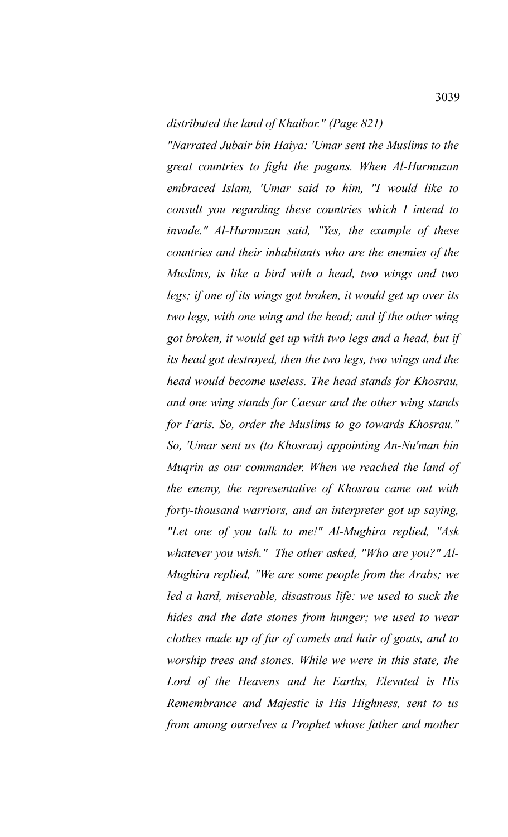## *distributed the land of Khaibar." (Page 821)*

*"Narrated Jubair bin Haiya: 'Umar sent the Muslims to the great countries to fight the pagans. When Al-Hurmuzan embraced Islam, 'Umar said to him, "I would like to consult you regarding these countries which I intend to invade." Al-Hurmuzan said, "Yes, the example of these countries and their inhabitants who are the enemies of the Muslims, is like a bird with a head, two wings and two legs; if one of its wings got broken, it would get up over its two legs, with one wing and the head; and if the other wing got broken, it would get up with two legs and a head, but if its head got destroyed, then the two legs, two wings and the head would become useless. The head stands for Khosrau, and one wing stands for Caesar and the other wing stands for Faris. So, order the Muslims to go towards Khosrau." So, 'Umar sent us (to Khosrau) appointing An-Nu'man bin Muqrin as our commander. When we reached the land of the enemy, the representative of Khosrau came out with forty-thousand warriors, and an interpreter got up saying, "Let one of you talk to me!" Al-Mughira replied, "Ask whatever you wish." The other asked, "Who are you?" Al-Mughira replied, "We are some people from the Arabs; we led a hard, miserable, disastrous life: we used to suck the hides and the date stones from hunger; we used to wear clothes made up of fur of camels and hair of goats, and to worship trees and stones. While we were in this state, the Lord of the Heavens and he Earths, Elevated is His Remembrance and Majestic is His Highness, sent to us from among ourselves a Prophet whose father and mother*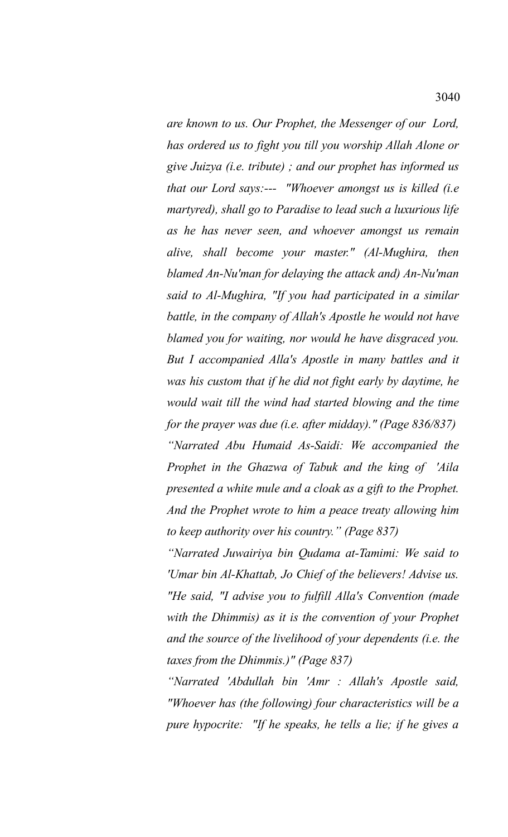*are known to us. Our Prophet, the Messenger of our Lord, has ordered us to fight you till you worship Allah Alone or give Juizya (i.e. tribute) ; and our prophet has informed us that our Lord says:--- "Whoever amongst us is killed (i.e martyred), shall go to Paradise to lead such a luxurious life as he has never seen, and whoever amongst us remain alive, shall become your master." (Al-Mughira, then blamed An-Nu'man for delaying the attack and) An-Nu'man said to Al-Mughira, "If you had participated in a similar battle, in the company of Allah's Apostle he would not have blamed you for waiting, nor would he have disgraced you. But I accompanied Alla's Apostle in many battles and it was his custom that if he did not fight early by daytime, he would wait till the wind had started blowing and the time for the prayer was due (i.e. after midday)." (Page 836/837) "Narrated Abu Humaid As-Saidi: We accompanied the Prophet in the Ghazwa of Tabuk and the king of 'Aila presented a white mule and a cloak as a gift to the Prophet. And the Prophet wrote to him a peace treaty allowing him to keep authority over his country." (Page 837)*

*"Narrated Juwairiya bin Qudama at-Tamimi: We said to 'Umar bin Al-Khattab, Jo Chief of the believers! Advise us. "He said, "I advise you to fulfill Alla's Convention (made with the Dhimmis) as it is the convention of your Prophet and the source of the livelihood of your dependents (i.e. the taxes from the Dhimmis.)" (Page 837)*

*"Narrated 'Abdullah bin 'Amr : Allah's Apostle said, "Whoever has (the following) four characteristics will be a pure hypocrite: "If he speaks, he tells a lie; if he gives a*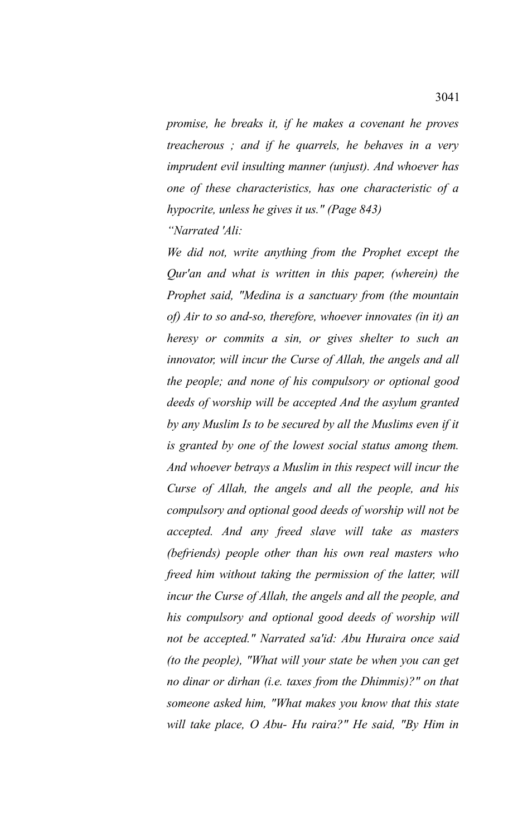*promise, he breaks it, if he makes a covenant he proves treacherous ; and if he quarrels, he behaves in a very imprudent evil insulting manner (unjust). And whoever has one of these characteristics, has one characteristic of a hypocrite, unless he gives it us." (Page 843) "Narrated 'Ali:*

*We did not, write anything from the Prophet except the Qur'an and what is written in this paper, (wherein) the Prophet said, "Medina is a sanctuary from (the mountain of) Air to so and-so, therefore, whoever innovates (in it) an heresy or commits a sin, or gives shelter to such an innovator, will incur the Curse of Allah, the angels and all the people; and none of his compulsory or optional good deeds of worship will be accepted And the asylum granted by any Muslim Is to be secured by all the Muslims even if it is granted by one of the lowest social status among them. And whoever betrays a Muslim in this respect will incur the Curse of Allah, the angels and all the people, and his compulsory and optional good deeds of worship will not be accepted. And any freed slave will take as masters (befriends) people other than his own real masters who freed him without taking the permission of the latter, will incur the Curse of Allah, the angels and all the people, and his compulsory and optional good deeds of worship will not be accepted." Narrated sa'id: Abu Huraira once said (to the people), "What will your state be when you can get no dinar or dirhan (i.e. taxes from the Dhimmis)?" on that someone asked him, "What makes you know that this state will take place, O Abu- Hu raira?" He said, "By Him in*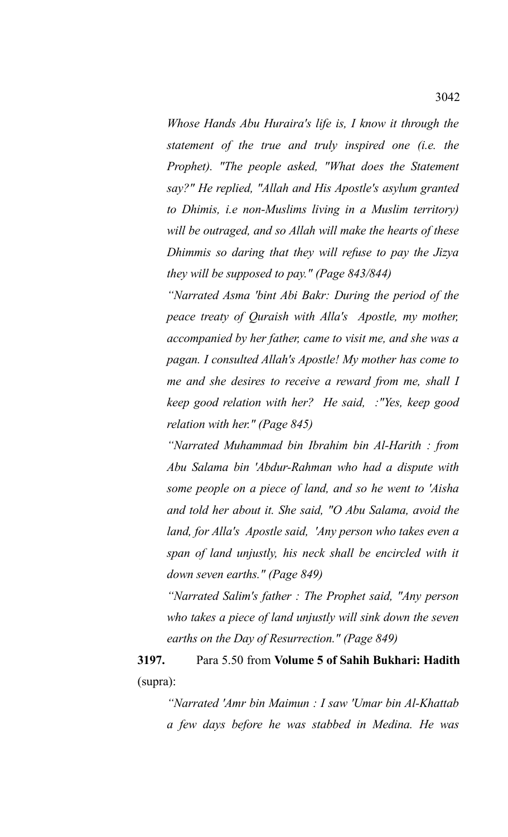*Whose Hands Abu Huraira's life is, I know it through the statement of the true and truly inspired one (i.e. the Prophet). "The people asked, "What does the Statement say?" He replied, "Allah and His Apostle's asylum granted to Dhimis, i.e non-Muslims living in a Muslim territory) will be outraged, and so Allah will make the hearts of these Dhimmis so daring that they will refuse to pay the Jizya they will be supposed to pay." (Page 843/844)*

*"Narrated Asma 'bint Abi Bakr: During the period of the peace treaty of Quraish with Alla's Apostle, my mother, accompanied by her father, came to visit me, and she was a pagan. I consulted Allah's Apostle! My mother has come to me and she desires to receive a reward from me, shall I keep good relation with her? He said, :"Yes, keep good relation with her." (Page 845)*

*"Narrated Muhammad bin Ibrahim bin Al-Harith : from Abu Salama bin 'Abdur-Rahman who had a dispute with some people on a piece of land, and so he went to 'Aisha and told her about it. She said, "O Abu Salama, avoid the land, for Alla's Apostle said, 'Any person who takes even a span of land unjustly, his neck shall be encircled with it down seven earths." (Page 849)*

*"Narrated Salim's father : The Prophet said, "Any person who takes a piece of land unjustly will sink down the seven earths on the Day of Resurrection." (Page 849)*

**3197.** Para 5.50 from **Volume 5 of Sahih Bukhari: Hadith** (supra):

*"Narrated 'Amr bin Maimun : I saw 'Umar bin Al-Khattab a few days before he was stabbed in Medina. He was*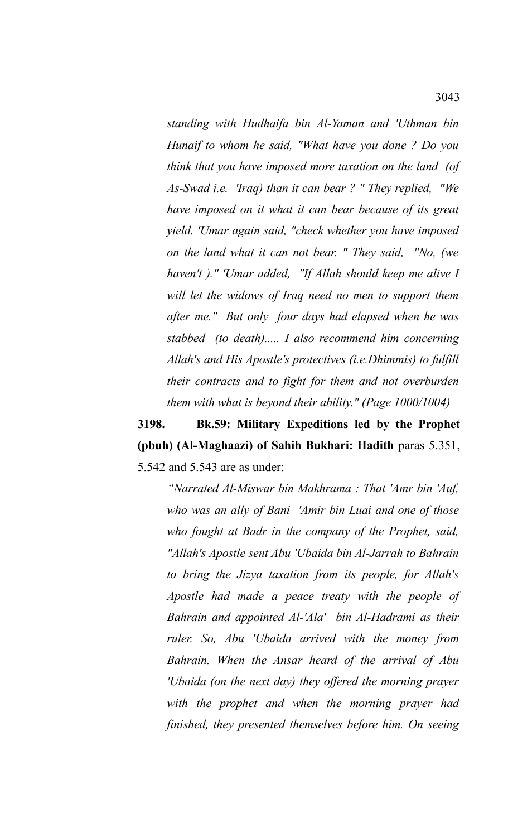*standing with Hudhaifa bin Al-Yaman and 'Uthman bin Hunaif to whom he said, "What have you done ? Do you think that you have imposed more taxation on the land (of As-Swad i.e. 'Iraq) than it can bear ? " They replied, "We have imposed on it what it can bear because of its great yield. 'Umar again said, "check whether you have imposed on the land what it can not bear. " They said, "No, (we haven't )." 'Umar added, "If Allah should keep me alive I will let the widows of Iraq need no men to support them after me." But only four days had elapsed when he was stabbed (to death)..... I also recommend him concerning Allah's and His Apostle's protectives (i.e.Dhimmis) to fulfill their contracts and to fight for them and not overburden them with what is beyond their ability." (Page 1000/1004)*

**3198. Bk.59: Military Expeditions led by the Prophet (pbuh) (Al-Maghaazi) of Sahih Bukhari: Hadith** paras 5.351, 5.542 and 5.543 are as under:

*"Narrated Al-Miswar bin Makhrama : That 'Amr bin 'Auf, who was an ally of Bani 'Amir bin Luai and one of those who fought at Badr in the company of the Prophet, said, "Allah's Apostle sent Abu 'Ubaida bin Al-Jarrah to Bahrain to bring the Jizya taxation from its people, for Allah's Apostle had made a peace treaty with the people of Bahrain and appointed Al-'Ala' bin Al-Hadrami as their ruler. So, Abu 'Ubaida arrived with the money from Bahrain. When the Ansar heard of the arrival of Abu 'Ubaida (on the next day) they offered the morning prayer with the prophet and when the morning prayer had finished, they presented themselves before him. On seeing*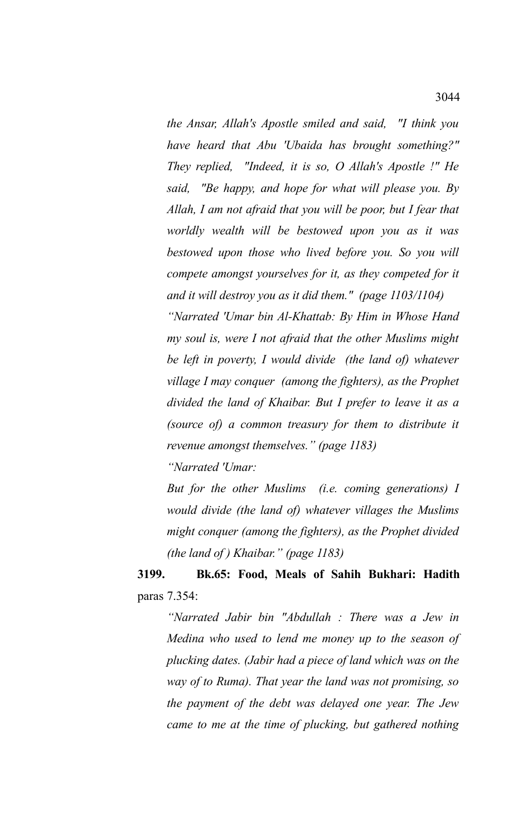*the Ansar, Allah's Apostle smiled and said, "I think you have heard that Abu 'Ubaida has brought something?" They replied, "Indeed, it is so, O Allah's Apostle !" He said, "Be happy, and hope for what will please you. By Allah, I am not afraid that you will be poor, but I fear that worldly wealth will be bestowed upon you as it was bestowed upon those who lived before you. So you will compete amongst yourselves for it, as they competed for it and it will destroy you as it did them." (page 1103/1104)*

*"Narrated 'Umar bin Al-Khattab: By Him in Whose Hand my soul is, were I not afraid that the other Muslims might be left in poverty, I would divide (the land of) whatever village I may conquer (among the fighters), as the Prophet divided the land of Khaibar. But I prefer to leave it as a (source of) a common treasury for them to distribute it revenue amongst themselves." (page 1183) "Narrated 'Umar:*

*But for the other Muslims (i.e. coming generations) I would divide (the land of) whatever villages the Muslims might conquer (among the fighters), as the Prophet divided (the land of ) Khaibar." (page 1183)*

**3199. Bk.65: Food, Meals of Sahih Bukhari: Hadith** paras 7.354:

*"Narrated Jabir bin "Abdullah : There was a Jew in Medina who used to lend me money up to the season of plucking dates. (Jabir had a piece of land which was on the way of to Ruma). That year the land was not promising, so the payment of the debt was delayed one year. The Jew came to me at the time of plucking, but gathered nothing*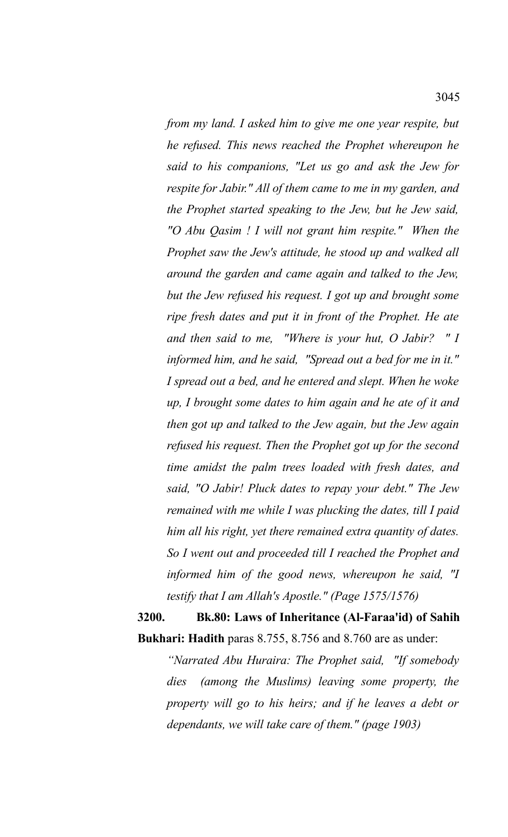*from my land. I asked him to give me one year respite, but he refused. This news reached the Prophet whereupon he*

*said to his companions, "Let us go and ask the Jew for respite for Jabir." All of them came to me in my garden, and the Prophet started speaking to the Jew, but he Jew said, "O Abu Qasim ! I will not grant him respite." When the Prophet saw the Jew's attitude, he stood up and walked all around the garden and came again and talked to the Jew, but the Jew refused his request. I got up and brought some ripe fresh dates and put it in front of the Prophet. He ate and then said to me, "Where is your hut, O Jabir? " I informed him, and he said, "Spread out a bed for me in it." I spread out a bed, and he entered and slept. When he woke up, I brought some dates to him again and he ate of it and then got up and talked to the Jew again, but the Jew again refused his request. Then the Prophet got up for the second time amidst the palm trees loaded with fresh dates, and said, "O Jabir! Pluck dates to repay your debt." The Jew remained with me while I was plucking the dates, till I paid him all his right, yet there remained extra quantity of dates. So I went out and proceeded till I reached the Prophet and informed him of the good news, whereupon he said, "I testify that I am Allah's Apostle." (Page 1575/1576)*

**3200. Bk.80: Laws of Inheritance (Al-Faraa'id) of Sahih Bukhari: Hadith** paras 8.755, 8.756 and 8.760 are as under:

*"Narrated Abu Huraira: The Prophet said, "If somebody dies (among the Muslims) leaving some property, the property will go to his heirs; and if he leaves a debt or dependants, we will take care of them." (page 1903)*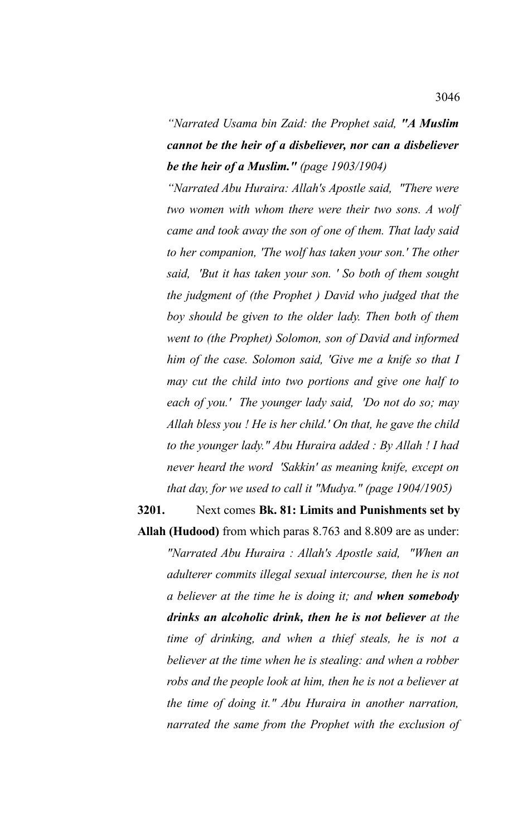*"Narrated Usama bin Zaid: the Prophet said, "A Muslim cannot be the heir of a disbeliever, nor can a disbeliever be the heir of a Muslim." (page 1903/1904)*

*"Narrated Abu Huraira: Allah's Apostle said, "There were two women with whom there were their two sons. A wolf came and took away the son of one of them. That lady said to her companion, 'The wolf has taken your son.' The other said, 'But it has taken your son. ' So both of them sought the judgment of (the Prophet ) David who judged that the boy should be given to the older lady. Then both of them went to (the Prophet) Solomon, son of David and informed him of the case. Solomon said, 'Give me a knife so that I may cut the child into two portions and give one half to each of you.' The younger lady said, 'Do not do so; may Allah bless you ! He is her child.' On that, he gave the child to the younger lady." Abu Huraira added : By Allah ! I had never heard the word 'Sakkin' as meaning knife, except on that day, for we used to call it "Mudya." (page 1904/1905)*

**3201.** Next comes **Bk. 81: Limits and Punishments set by**

**Allah (Hudood)** from which paras 8.763 and 8.809 are as under: *"Narrated Abu Huraira : Allah's Apostle said, "When an adulterer commits illegal sexual intercourse, then he is not a believer at the time he is doing it; and when somebody drinks an alcoholic drink, then he is not believer at the time of drinking, and when a thief steals, he is not a believer at the time when he is stealing: and when a robber robs and the people look at him, then he is not a believer at the time of doing it." Abu Huraira in another narration, narrated the same from the Prophet with the exclusion of*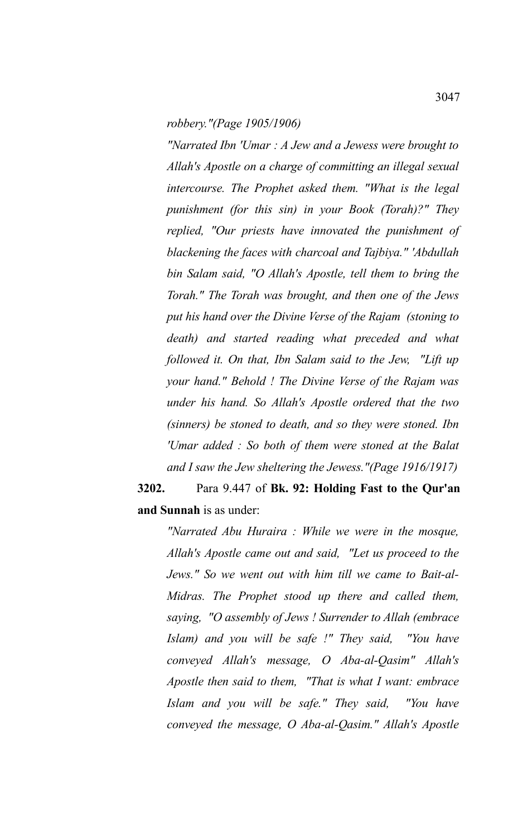*robbery."(Page 1905/1906)*

*"Narrated Ibn 'Umar : A Jew and a Jewess were brought to Allah's Apostle on a charge of committing an illegal sexual intercourse. The Prophet asked them. "What is the legal punishment (for this sin) in your Book (Torah)?" They replied, "Our priests have innovated the punishment of blackening the faces with charcoal and Tajbiya." 'Abdullah bin Salam said, "O Allah's Apostle, tell them to bring the Torah." The Torah was brought, and then one of the Jews put his hand over the Divine Verse of the Rajam (stoning to death) and started reading what preceded and what followed it. On that, Ibn Salam said to the Jew, "Lift up your hand." Behold ! The Divine Verse of the Rajam was under his hand. So Allah's Apostle ordered that the two (sinners) be stoned to death, and so they were stoned. Ibn 'Umar added : So both of them were stoned at the Balat and I saw the Jew sheltering the Jewess."(Page 1916/1917)*

## **3202.** Para 9.447 of **Bk. 92: Holding Fast to the Qur'an and Sunnah** is as under:

*"Narrated Abu Huraira : While we were in the mosque, Allah's Apostle came out and said, "Let us proceed to the Jews." So we went out with him till we came to Bait-al-Midras. The Prophet stood up there and called them, saying, "O assembly of Jews ! Surrender to Allah (embrace Islam) and you will be safe !" They said, "You have conveyed Allah's message, O Aba-al-Qasim" Allah's Apostle then said to them, "That is what I want: embrace Islam and you will be safe." They said, "You have conveyed the message, O Aba-al-Qasim." Allah's Apostle*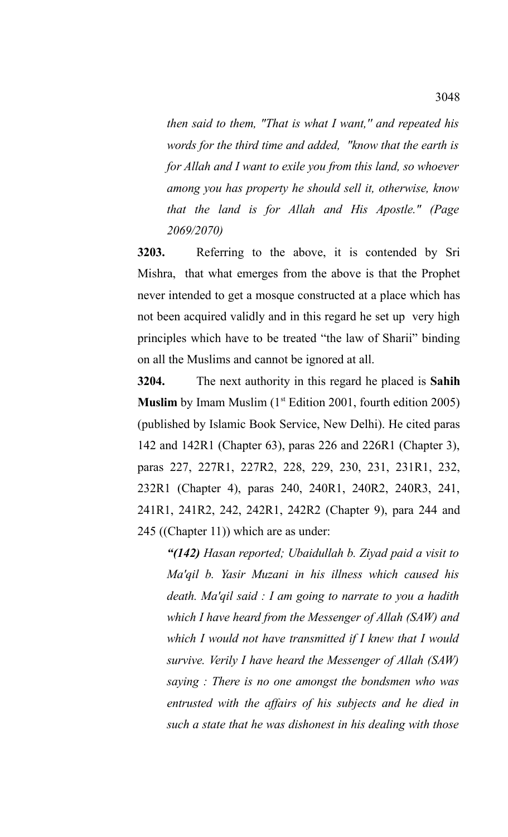*then said to them, "That is what I want,'' and repeated his words for the third time and added, "know that the earth is for Allah and I want to exile you from this land, so whoever among you has property he should sell it, otherwise, know that the land is for Allah and His Apostle." (Page 2069/2070)*

**3203.** Referring to the above, it is contended by Sri Mishra, that what emerges from the above is that the Prophet never intended to get a mosque constructed at a place which has not been acquired validly and in this regard he set up very high principles which have to be treated "the law of Sharii" binding on all the Muslims and cannot be ignored at all.

**3204.** The next authority in this regard he placed is **Sahih Muslim** by Imam Muslim (1<sup>st</sup> Edition 2001, fourth edition 2005) (published by Islamic Book Service, New Delhi). He cited paras 142 and 142R1 (Chapter 63), paras 226 and 226R1 (Chapter 3), paras 227, 227R1, 227R2, 228, 229, 230, 231, 231R1, 232, 232R1 (Chapter 4), paras 240, 240R1, 240R2, 240R3, 241, 241R1, 241R2, 242, 242R1, 242R2 (Chapter 9), para 244 and 245 ((Chapter 11)) which are as under:

*"(142) Hasan reported; Ubaidullah b. Ziyad paid a visit to Ma'qil b. Yasir Muzani in his illness which caused his death. Ma'qil said : I am going to narrate to you a hadith which I have heard from the Messenger of Allah (SAW) and which I would not have transmitted if I knew that I would survive. Verily I have heard the Messenger of Allah (SAW) saying : There is no one amongst the bondsmen who was entrusted with the affairs of his subjects and he died in such a state that he was dishonest in his dealing with those*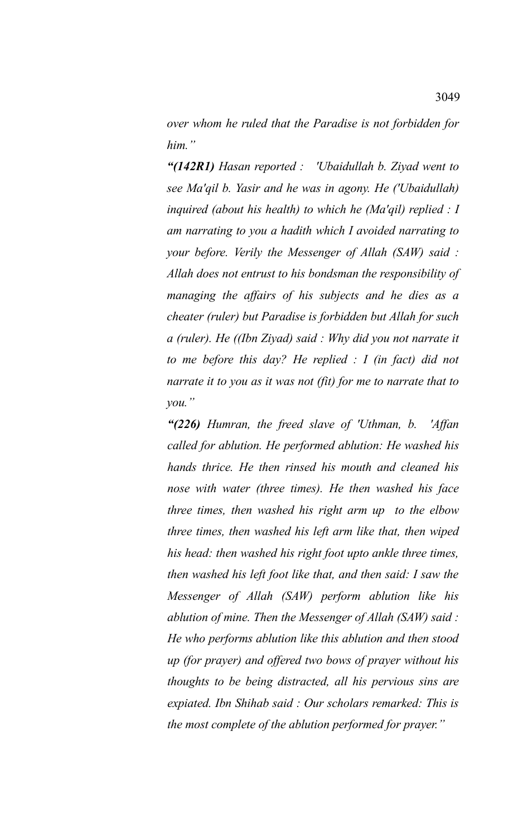*over whom he ruled that the Paradise is not forbidden for him."*

*"(142R1) Hasan reported : 'Ubaidullah b. Ziyad went to see Ma'qil b. Yasir and he was in agony. He ('Ubaidullah) inquired (about his health) to which he (Ma'qil) replied : I am narrating to you a hadith which I avoided narrating to your before. Verily the Messenger of Allah (SAW) said : Allah does not entrust to his bondsman the responsibility of managing the affairs of his subjects and he dies as a cheater (ruler) but Paradise is forbidden but Allah for such a (ruler). He ((Ibn Ziyad) said : Why did you not narrate it to me before this day? He replied : I (in fact) did not narrate it to you as it was not (fit) for me to narrate that to you."*

*"(226) Humran, the freed slave of 'Uthman, b. 'Affan called for ablution. He performed ablution: He washed his hands thrice. He then rinsed his mouth and cleaned his nose with water (three times). He then washed his face three times, then washed his right arm up to the elbow three times, then washed his left arm like that, then wiped his head: then washed his right foot upto ankle three times, then washed his left foot like that, and then said: I saw the Messenger of Allah (SAW) perform ablution like his ablution of mine. Then the Messenger of Allah (SAW) said : He who performs ablution like this ablution and then stood up (for prayer) and offered two bows of prayer without his thoughts to be being distracted, all his pervious sins are expiated. Ibn Shihab said : Our scholars remarked: This is the most complete of the ablution performed for prayer."*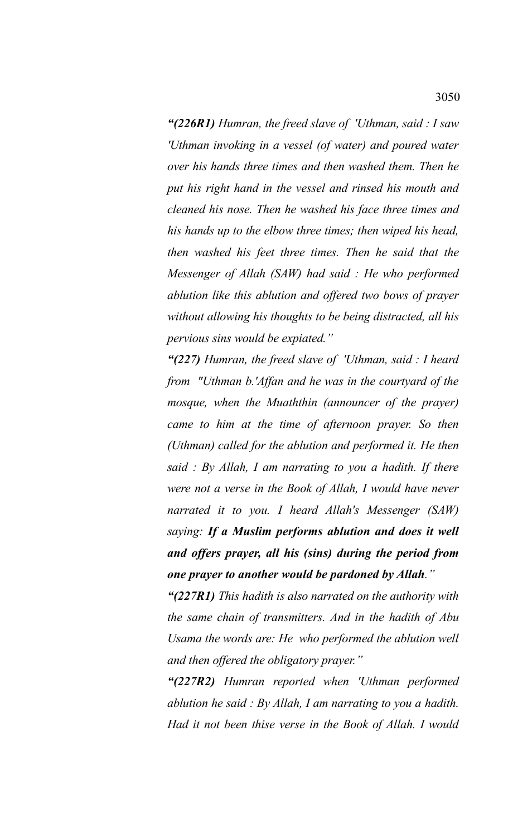*"(226R1) Humran, the freed slave of 'Uthman, said : I saw 'Uthman invoking in a vessel (of water) and poured water over his hands three times and then washed them. Then he put his right hand in the vessel and rinsed his mouth and cleaned his nose. Then he washed his face three times and his hands up to the elbow three times; then wiped his head, then washed his feet three times. Then he said that the Messenger of Allah (SAW) had said : He who performed ablution like this ablution and offered two bows of prayer without allowing his thoughts to be being distracted, all his pervious sins would be expiated."* 

*"(227) Humran, the freed slave of 'Uthman, said : I heard from "Uthman b.'Affan and he was in the courtyard of the mosque, when the Muaththin (announcer of the prayer) came to him at the time of afternoon prayer. So then (Uthman) called for the ablution and performed it. He then said : By Allah, I am narrating to you a hadith. If there were not a verse in the Book of Allah, I would have never narrated it to you. I heard Allah's Messenger (SAW) saying: If a Muslim performs ablution and does it well and offers prayer, all his (sins) during the period from one prayer to another would be pardoned by Allah."*

*"(227R1) This hadith is also narrated on the authority with the same chain of transmitters. And in the hadith of Abu Usama the words are: He who performed the ablution well and then offered the obligatory prayer."*

*"(227R2) Humran reported when 'Uthman performed ablution he said : By Allah, I am narrating to you a hadith. Had it not been thise verse in the Book of Allah. I would*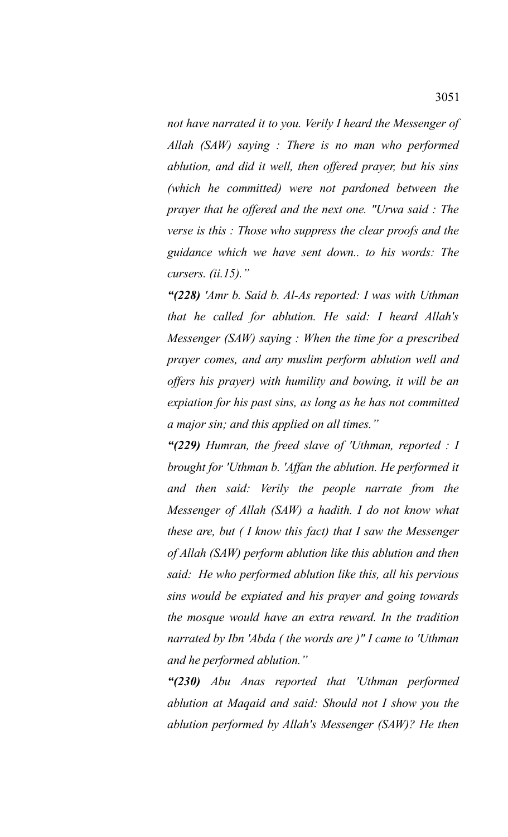*not have narrated it to you. Verily I heard the Messenger of Allah (SAW) saying : There is no man who performed ablution, and did it well, then offered prayer, but his sins (which he committed) were not pardoned between the prayer that he offered and the next one. "Urwa said : The verse is this : Those who suppress the clear proofs and the guidance which we have sent down.. to his words: The cursers. (ii.15)."*

*"(228) 'Amr b. Said b. Al-As reported: I was with Uthman that he called for ablution. He said: I heard Allah's Messenger (SAW) saying : When the time for a prescribed prayer comes, and any muslim perform ablution well and offers his prayer) with humility and bowing, it will be an expiation for his past sins, as long as he has not committed a major sin; and this applied on all times."*

*"(229) Humran, the freed slave of 'Uthman, reported : I brought for 'Uthman b. 'Affan the ablution. He performed it and then said: Verily the people narrate from the Messenger of Allah (SAW) a hadith. I do not know what these are, but ( I know this fact) that I saw the Messenger of Allah (SAW) perform ablution like this ablution and then said: He who performed ablution like this, all his pervious sins would be expiated and his prayer and going towards the mosque would have an extra reward. In the tradition narrated by Ibn 'Abda ( the words are )" I came to 'Uthman and he performed ablution."*

*"(230) Abu Anas reported that 'Uthman performed ablution at Maqaid and said: Should not I show you the ablution performed by Allah's Messenger (SAW)? He then*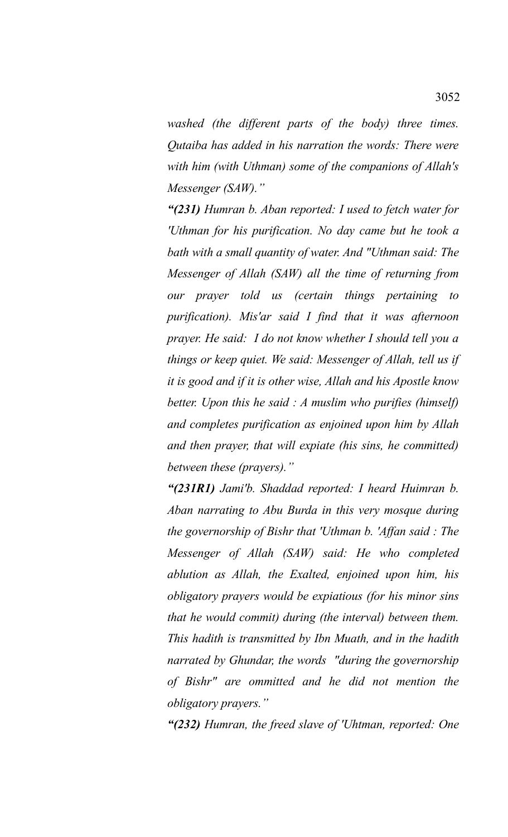*washed (the different parts of the body) three times. Qutaiba has added in his narration the words: There were with him (with Uthman) some of the companions of Allah's Messenger (SAW)."*

*"(231) Humran b. Aban reported: I used to fetch water for 'Uthman for his purification. No day came but he took a bath with a small quantity of water. And "Uthman said: The Messenger of Allah (SAW) all the time of returning from our prayer told us (certain things pertaining to purification). Mis'ar said I find that it was afternoon prayer. He said: I do not know whether I should tell you a things or keep quiet. We said: Messenger of Allah, tell us if it is good and if it is other wise, Allah and his Apostle know better. Upon this he said : A muslim who purifies (himself) and completes purification as enjoined upon him by Allah and then prayer, that will expiate (his sins, he committed) between these (prayers)."*

*"(231R1) Jami'b. Shaddad reported: I heard Huimran b. Aban narrating to Abu Burda in this very mosque during the governorship of Bishr that 'Uthman b. 'Affan said : The Messenger of Allah (SAW) said: He who completed ablution as Allah, the Exalted, enjoined upon him, his obligatory prayers would be expiatious (for his minor sins that he would commit) during (the interval) between them. This hadith is transmitted by Ibn Muath, and in the hadith narrated by Ghundar, the words "during the governorship of Bishr" are ommitted and he did not mention the obligatory prayers."* 

*"(232) Humran, the freed slave of 'Uhtman, reported: One*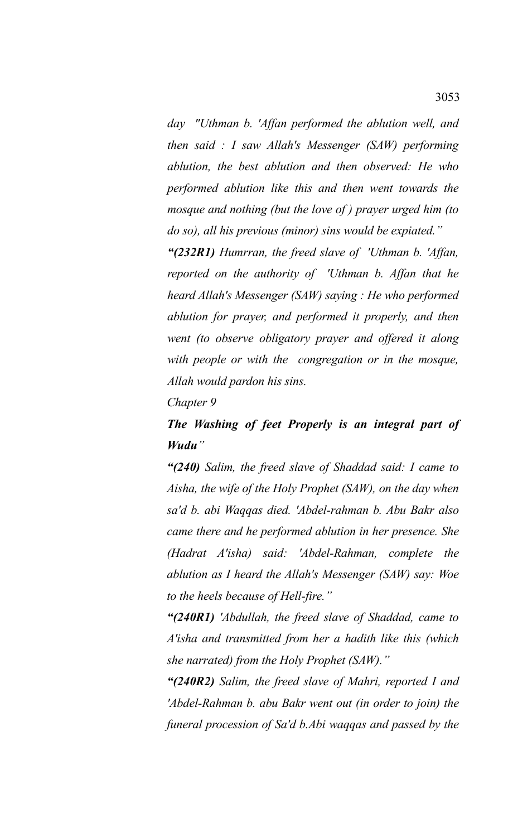*day "Uthman b. 'Affan performed the ablution well, and then said : I saw Allah's Messenger (SAW) performing ablution, the best ablution and then observed: He who performed ablution like this and then went towards the mosque and nothing (but the love of ) prayer urged him (to do so), all his previous (minor) sins would be expiated."*

*"(232R1) Humrran, the freed slave of 'Uthman b. 'Affan, reported on the authority of 'Uthman b. Affan that he heard Allah's Messenger (SAW) saying : He who performed ablution for prayer, and performed it properly, and then went (to observe obligatory prayer and offered it along with people or with the congregation or in the mosque, Allah would pardon his sins.* 

*Chapter 9*

*The Washing of feet Properly is an integral part of Wudu"*

*"(240) Salim, the freed slave of Shaddad said: I came to Aisha, the wife of the Holy Prophet (SAW), on the day when sa'd b. abi Waqqas died. 'Abdel-rahman b. Abu Bakr also came there and he performed ablution in her presence. She (Hadrat A'isha) said: 'Abdel-Rahman, complete the ablution as I heard the Allah's Messenger (SAW) say: Woe to the heels because of Hell-fire."*

*"(240R1) 'Abdullah, the freed slave of Shaddad, came to A'isha and transmitted from her a hadith like this (which she narrated) from the Holy Prophet (SAW)."*

*"(240R2) Salim, the freed slave of Mahri, reported I and 'Abdel-Rahman b. abu Bakr went out (in order to join) the funeral procession of Sa'd b.Abi waqqas and passed by the*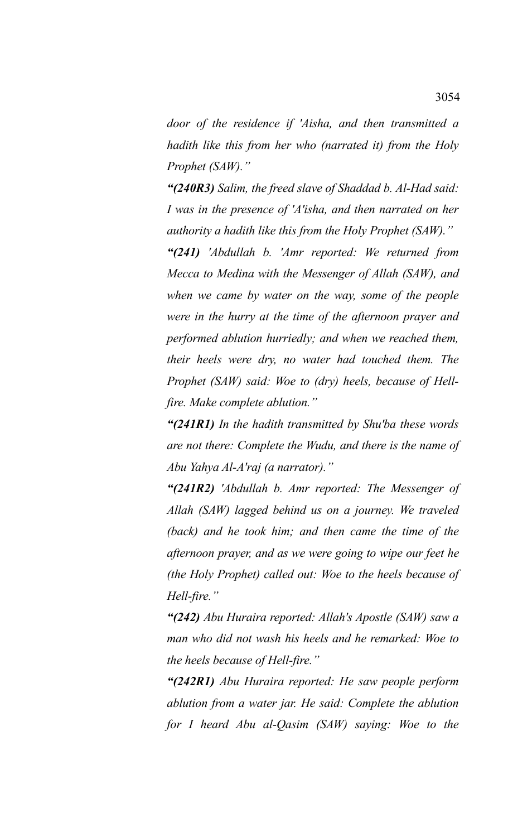*door of the residence if 'Aisha, and then transmitted a hadith like this from her who (narrated it) from the Holy Prophet (SAW)."*

*"(240R3) Salim, the freed slave of Shaddad b. Al-Had said: I was in the presence of 'A'isha, and then narrated on her authority a hadith like this from the Holy Prophet (SAW)."*

*"(241) 'Abdullah b. 'Amr reported: We returned from Mecca to Medina with the Messenger of Allah (SAW), and when we came by water on the way, some of the people were in the hurry at the time of the afternoon prayer and performed ablution hurriedly; and when we reached them, their heels were dry, no water had touched them. The Prophet (SAW) said: Woe to (dry) heels, because of Hellfire. Make complete ablution."*

*"(241R1) In the hadith transmitted by Shu'ba these words are not there: Complete the Wudu, and there is the name of Abu Yahya Al-A'raj (a narrator)."*

*"(241R2) 'Abdullah b. Amr reported: The Messenger of Allah (SAW) lagged behind us on a journey. We traveled (back) and he took him; and then came the time of the afternoon prayer, and as we were going to wipe our feet he (the Holy Prophet) called out: Woe to the heels because of Hell-fire."*

*"(242) Abu Huraira reported: Allah's Apostle (SAW) saw a man who did not wash his heels and he remarked: Woe to the heels because of Hell-fire."*

*"(242R1) Abu Huraira reported: He saw people perform ablution from a water jar. He said: Complete the ablution for I heard Abu al-Qasim (SAW) saying: Woe to the*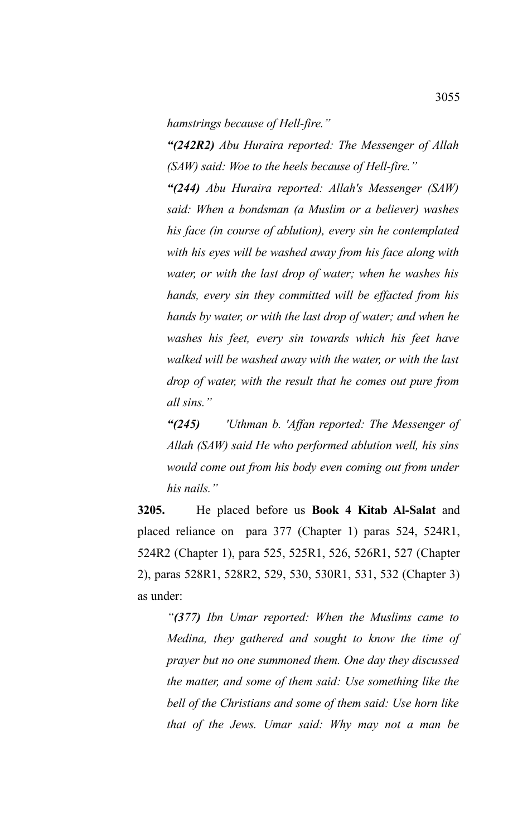*hamstrings because of Hell-fire."*

*"(242R2) Abu Huraira reported: The Messenger of Allah (SAW) said: Woe to the heels because of Hell-fire."*

*"(244) Abu Huraira reported: Allah's Messenger (SAW) said: When a bondsman (a Muslim or a believer) washes his face (in course of ablution), every sin he contemplated with his eyes will be washed away from his face along with water, or with the last drop of water; when he washes his hands, every sin they committed will be effacted from his hands by water, or with the last drop of water; and when he washes his feet, every sin towards which his feet have walked will be washed away with the water, or with the last drop of water, with the result that he comes out pure from all sins."*

*"(245) 'Uthman b. 'Affan reported: The Messenger of Allah (SAW) said He who performed ablution well, his sins would come out from his body even coming out from under his nails."*

**3205.** He placed before us **Book 4 Kitab Al-Salat** and placed reliance on para 377 (Chapter 1) paras 524, 524R1, 524R2 (Chapter 1), para 525, 525R1, 526, 526R1, 527 (Chapter 2), paras 528R1, 528R2, 529, 530, 530R1, 531, 532 (Chapter 3) as under:

*"(377) Ibn Umar reported: When the Muslims came to Medina, they gathered and sought to know the time of prayer but no one summoned them. One day they discussed the matter, and some of them said: Use something like the bell of the Christians and some of them said: Use horn like that of the Jews. Umar said: Why may not a man be*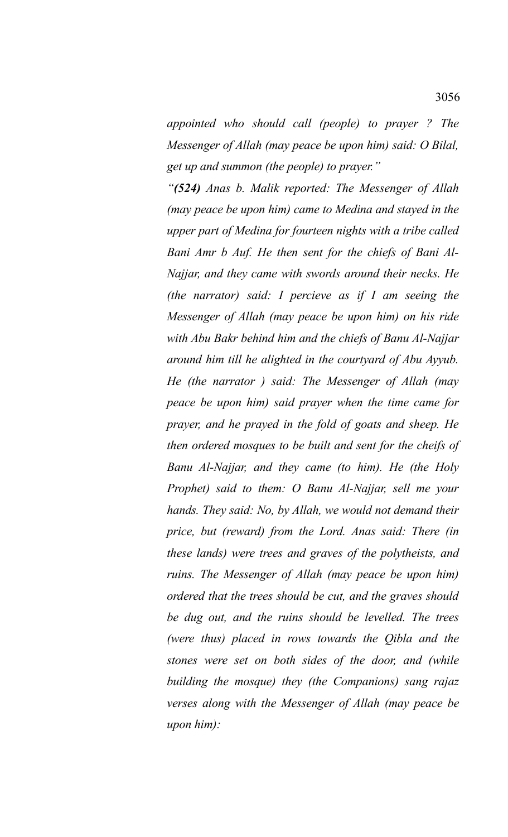*appointed who should call (people) to prayer ? The Messenger of Allah (may peace be upon him) said: O Bilal, get up and summon (the people) to prayer."*

*"(524) Anas b. Malik reported: The Messenger of Allah (may peace be upon him) came to Medina and stayed in the upper part of Medina for fourteen nights with a tribe called Bani Amr b Auf. He then sent for the chiefs of Bani Al-Najjar, and they came with swords around their necks. He (the narrator) said: I percieve as if I am seeing the Messenger of Allah (may peace be upon him) on his ride with Abu Bakr behind him and the chiefs of Banu Al-Najjar around him till he alighted in the courtyard of Abu Ayyub. He (the narrator ) said: The Messenger of Allah (may peace be upon him) said prayer when the time came for prayer, and he prayed in the fold of goats and sheep. He then ordered mosques to be built and sent for the cheifs of Banu Al-Najjar, and they came (to him). He (the Holy Prophet) said to them: O Banu Al-Najjar, sell me your hands. They said: No, by Allah, we would not demand their price, but (reward) from the Lord. Anas said: There (in these lands) were trees and graves of the polytheists, and ruins. The Messenger of Allah (may peace be upon him) ordered that the trees should be cut, and the graves should be dug out, and the ruins should be levelled. The trees (were thus) placed in rows towards the Qibla and the stones were set on both sides of the door, and (while building the mosque) they (the Companions) sang rajaz verses along with the Messenger of Allah (may peace be upon him):*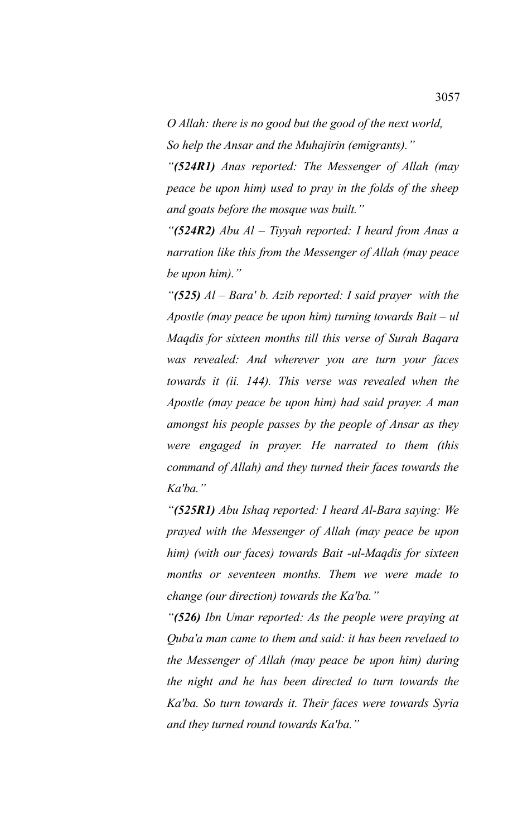*O Allah: there is no good but the good of the next world, So help the Ansar and the Muhajirin (emigrants)."*

*"(524R1) Anas reported: The Messenger of Allah (may peace be upon him) used to pray in the folds of the sheep and goats before the mosque was built."*

*"(524R2) Abu Al – Tiyyah reported: I heard from Anas a narration like this from the Messenger of Allah (may peace be upon him)."*

*"(525) Al – Bara' b. Azib reported: I said prayer with the Apostle (may peace be upon him) turning towards Bait – ul Maqdis for sixteen months till this verse of Surah Baqara was revealed: And wherever you are turn your faces towards it (ii. 144). This verse was revealed when the Apostle (may peace be upon him) had said prayer. A man amongst his people passes by the people of Ansar as they were engaged in prayer. He narrated to them (this command of Allah) and they turned their faces towards the Ka'ba."*

*"(525R1) Abu Ishaq reported: I heard Al-Bara saying: We prayed with the Messenger of Allah (may peace be upon him) (with our faces) towards Bait -ul-Maqdis for sixteen months or seventeen months. Them we were made to change (our direction) towards the Ka'ba."*

*"(526) Ibn Umar reported: As the people were praying at Quba'a man came to them and said: it has been revelaed to the Messenger of Allah (may peace be upon him) during the night and he has been directed to turn towards the Ka'ba. So turn towards it. Their faces were towards Syria and they turned round towards Ka'ba."*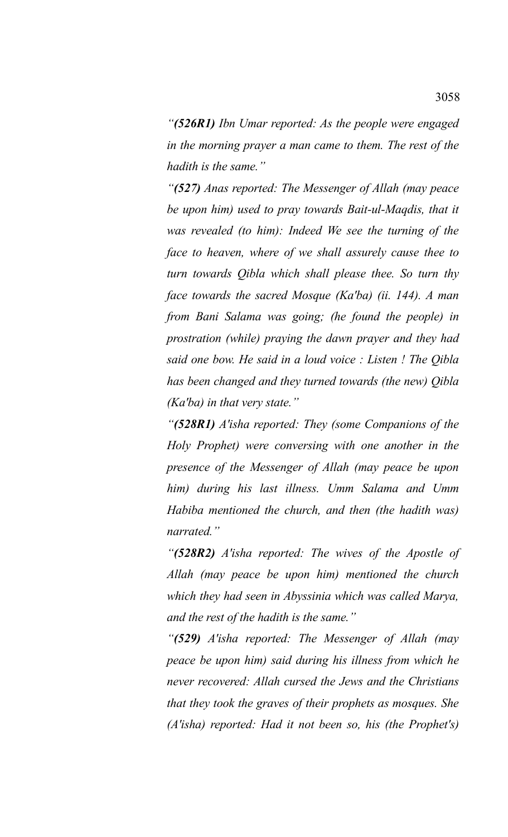*"(526R1) Ibn Umar reported: As the people were engaged in the morning prayer a man came to them. The rest of the hadith is the same."*

*"(527) Anas reported: The Messenger of Allah (may peace be upon him) used to pray towards Bait-ul-Maqdis, that it was revealed (to him): Indeed We see the turning of the face to heaven, where of we shall assurely cause thee to turn towards Qibla which shall please thee. So turn thy face towards the sacred Mosque (Ka'ba) (ii. 144). A man from Bani Salama was going; (he found the people) in prostration (while) praying the dawn prayer and they had said one bow. He said in a loud voice : Listen ! The Qibla has been changed and they turned towards (the new) Qibla (Ka'ba) in that very state."*

*"(528R1) A'isha reported: They (some Companions of the Holy Prophet) were conversing with one another in the presence of the Messenger of Allah (may peace be upon him) during his last illness. Umm Salama and Umm Habiba mentioned the church, and then (the hadith was) narrated."*

*"(528R2) A'isha reported: The wives of the Apostle of Allah (may peace be upon him) mentioned the church which they had seen in Abyssinia which was called Marya, and the rest of the hadith is the same."*

*"(529) A'isha reported: The Messenger of Allah (may peace be upon him) said during his illness from which he never recovered: Allah cursed the Jews and the Christians that they took the graves of their prophets as mosques. She (A'isha) reported: Had it not been so, his (the Prophet's)*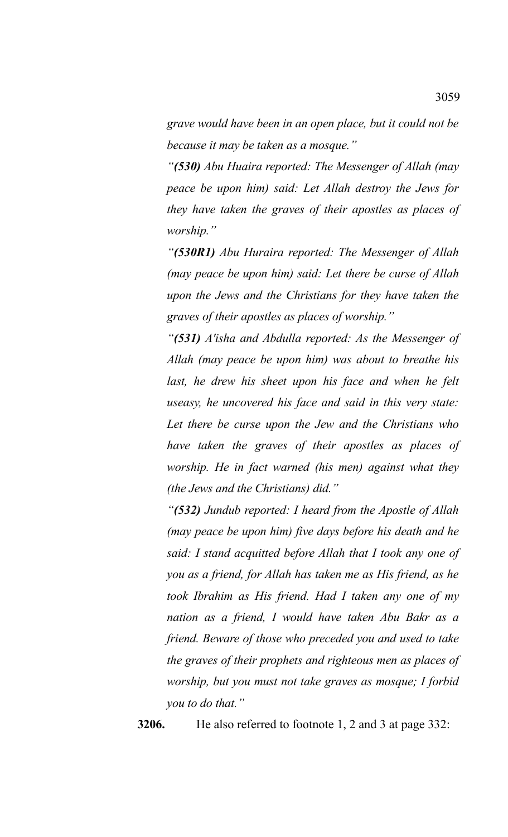*grave would have been in an open place, but it could not be because it may be taken as a mosque."*

*"(530) Abu Huaira reported: The Messenger of Allah (may peace be upon him) said: Let Allah destroy the Jews for they have taken the graves of their apostles as places of worship."*

*"(530R1) Abu Huraira reported: The Messenger of Allah (may peace be upon him) said: Let there be curse of Allah upon the Jews and the Christians for they have taken the graves of their apostles as places of worship."*

*"(531) A'isha and Abdulla reported: As the Messenger of Allah (may peace be upon him) was about to breathe his last, he drew his sheet upon his face and when he felt useasy, he uncovered his face and said in this very state: Let there be curse upon the Jew and the Christians who have taken the graves of their apostles as places of worship. He in fact warned (his men) against what they (the Jews and the Christians) did."*

*"(532) Jundub reported: I heard from the Apostle of Allah (may peace be upon him) five days before his death and he said: I stand acquitted before Allah that I took any one of you as a friend, for Allah has taken me as His friend, as he took Ibrahim as His friend. Had I taken any one of my nation as a friend, I would have taken Abu Bakr as a friend. Beware of those who preceded you and used to take the graves of their prophets and righteous men as places of worship, but you must not take graves as mosque; I forbid you to do that."*

**3206.** He also referred to footnote 1, 2 and 3 at page 332: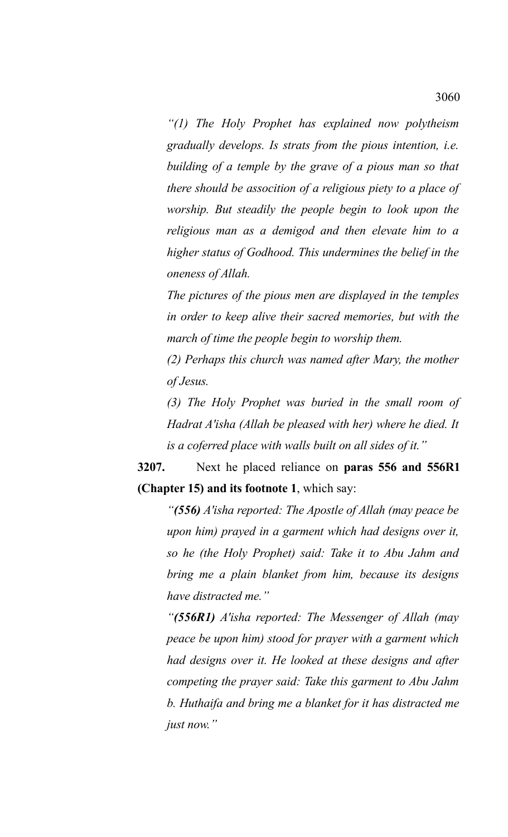*"(1) The Holy Prophet has explained now polytheism gradually develops. Is strats from the pious intention, i.e. building of a temple by the grave of a pious man so that there should be assocition of a religious piety to a place of worship. But steadily the people begin to look upon the religious man as a demigod and then elevate him to a higher status of Godhood. This undermines the belief in the oneness of Allah.*

*The pictures of the pious men are displayed in the temples in order to keep alive their sacred memories, but with the march of time the people begin to worship them.*

*(2) Perhaps this church was named after Mary, the mother of Jesus.*

*(3) The Holy Prophet was buried in the small room of Hadrat A'isha (Allah be pleased with her) where he died. It is a coferred place with walls built on all sides of it."*

**3207.** Next he placed reliance on **paras 556 and 556R1 (Chapter 15) and its footnote 1**, which say:

*"(556) A'isha reported: The Apostle of Allah (may peace be upon him) prayed in a garment which had designs over it, so he (the Holy Prophet) said: Take it to Abu Jahm and bring me a plain blanket from him, because its designs have distracted me."*

*"(556R1) A'isha reported: The Messenger of Allah (may peace be upon him) stood for prayer with a garment which had designs over it. He looked at these designs and after competing the prayer said: Take this garment to Abu Jahm b. Huthaifa and bring me a blanket for it has distracted me just now."*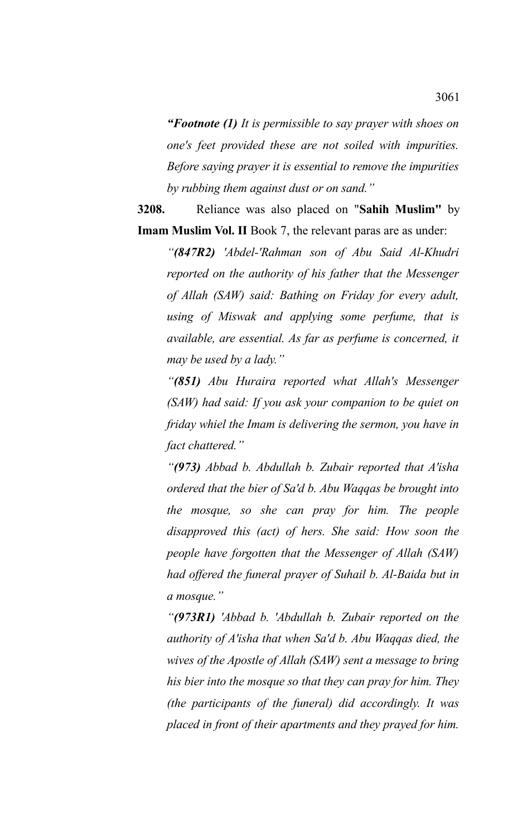*"Footnote (1) It is permissible to say prayer with shoes on one's feet provided these are not soiled with impurities. Before saying prayer it is essential to remove the impurities by rubbing them against dust or on sand."*

**3208.** Reliance was also placed on "**Sahih Muslim"** by **Imam Muslim Vol. II** Book 7, the relevant paras are as under:

*"(847R2) 'Abdel-'Rahman son of Abu Said Al-Khudri reported on the authority of his father that the Messenger of Allah (SAW) said: Bathing on Friday for every adult, using of Miswak and applying some perfume, that is available, are essential. As far as perfume is concerned, it may be used by a lady."*

*"(851) Abu Huraira reported what Allah's Messenger (SAW) had said: If you ask your companion to be quiet on friday whiel the Imam is delivering the sermon, you have in fact chattered."*

*"(973) Abbad b. Abdullah b. Zubair reported that A'isha ordered that the bier of Sa'd b. Abu Waqqas be brought into the mosque, so she can pray for him. The people disapproved this (act) of hers. She said: How soon the people have forgotten that the Messenger of Allah (SAW) had offered the funeral prayer of Suhail b. Al-Baida but in a mosque."*

*"(973R1) 'Abbad b. 'Abdullah b. Zubair reported on the authority of A'isha that when Sa'd b. Abu Waqqas died, the wives of the Apostle of Allah (SAW) sent a message to bring his bier into the mosque so that they can pray for him. They (the participants of the funeral) did accordingly. It was placed in front of their apartments and they prayed for him.*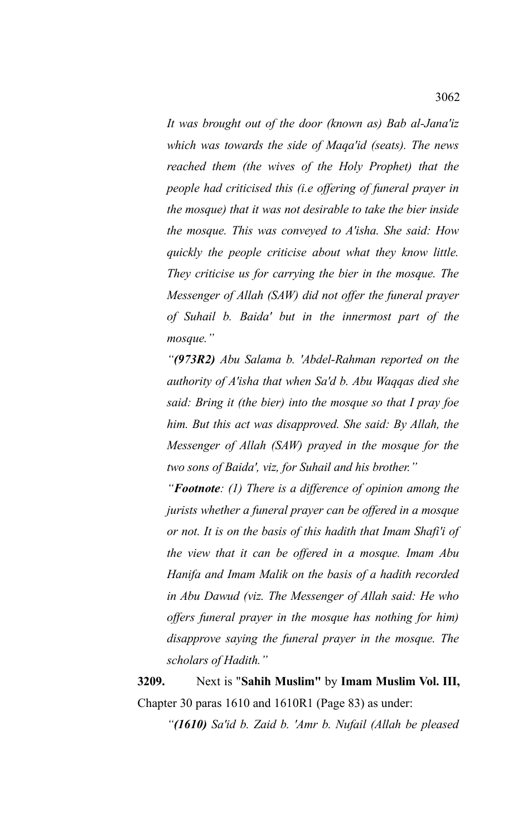*It was brought out of the door (known as) Bab al-Jana'iz which was towards the side of Maqa'id (seats). The news reached them (the wives of the Holy Prophet) that the people had criticised this (i.e offering of funeral prayer in the mosque) that it was not desirable to take the bier inside the mosque. This was conveyed to A'isha. She said: How quickly the people criticise about what they know little. They criticise us for carrying the bier in the mosque. The Messenger of Allah (SAW) did not offer the funeral prayer of Suhail b. Baida' but in the innermost part of the mosque."*

*"(973R2) Abu Salama b. 'Abdel-Rahman reported on the authority of A'isha that when Sa'd b. Abu Waqqas died she said: Bring it (the bier) into the mosque so that I pray foe him. But this act was disapproved. She said: By Allah, the Messenger of Allah (SAW) prayed in the mosque for the two sons of Baida', viz, for Suhail and his brother."*

*"Footnote: (1) There is a difference of opinion among the jurists whether a funeral prayer can be offered in a mosque or not. It is on the basis of this hadith that Imam Shafi'i of the view that it can be offered in a mosque. Imam Abu Hanifa and Imam Malik on the basis of a hadith recorded in Abu Dawud (viz. The Messenger of Allah said: He who offers funeral prayer in the mosque has nothing for him) disapprove saying the funeral prayer in the mosque. The scholars of Hadith."*

**3209.** Next is "**Sahih Muslim"** by **Imam Muslim Vol. III,** Chapter 30 paras 1610 and 1610R1 (Page 83) as under:

*"(1610) Sa'id b. Zaid b. 'Amr b. Nufail (Allah be pleased*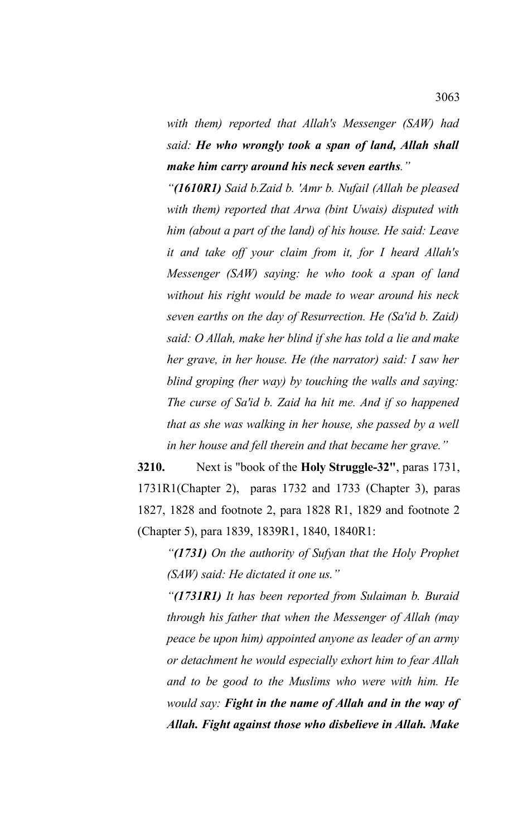*with them) reported that Allah's Messenger (SAW) had said: He who wrongly took a span of land, Allah shall make him carry around his neck seven earths."*

*"(1610R1) Said b.Zaid b. 'Amr b. Nufail (Allah be pleased with them) reported that Arwa (bint Uwais) disputed with him (about a part of the land) of his house. He said: Leave it and take off your claim from it, for I heard Allah's Messenger (SAW) saying: he who took a span of land without his right would be made to wear around his neck seven earths on the day of Resurrection. He (Sa'id b. Zaid) said: O Allah, make her blind if she has told a lie and make her grave, in her house. He (the narrator) said: I saw her blind groping (her way) by touching the walls and saying: The curse of Sa'id b. Zaid ha hit me. And if so happened that as she was walking in her house, she passed by a well in her house and fell therein and that became her grave."*

**3210.** Next is "book of the **Holy Struggle-32"**, paras 1731, 1731R1(Chapter 2), paras 1732 and 1733 (Chapter 3), paras 1827, 1828 and footnote 2, para 1828 R1, 1829 and footnote 2 (Chapter 5), para 1839, 1839R1, 1840, 1840R1:

*"(1731) On the authority of Sufyan that the Holy Prophet (SAW) said: He dictated it one us."*

*"(1731R1) It has been reported from Sulaiman b. Buraid through his father that when the Messenger of Allah (may peace be upon him) appointed anyone as leader of an army or detachment he would especially exhort him to fear Allah and to be good to the Muslims who were with him. He would say: Fight in the name of Allah and in the way of Allah. Fight against those who disbelieve in Allah. Make*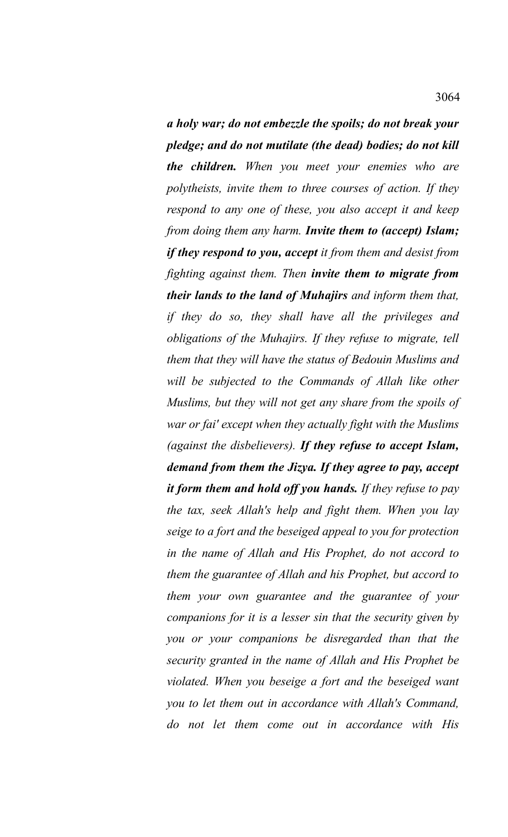*a holy war; do not embezzle the spoils; do not break your pledge; and do not mutilate (the dead) bodies; do not kill the children. When you meet your enemies who are polytheists, invite them to three courses of action. If they respond to any one of these, you also accept it and keep from doing them any harm. Invite them to (accept) Islam; if they respond to you, accept it from them and desist from fighting against them. Then invite them to migrate from their lands to the land of Muhajirs and inform them that, if they do so, they shall have all the privileges and obligations of the Muhajirs. If they refuse to migrate, tell them that they will have the status of Bedouin Muslims and will be subjected to the Commands of Allah like other Muslims, but they will not get any share from the spoils of war or fai' except when they actually fight with the Muslims (against the disbelievers). If they refuse to accept Islam, demand from them the Jizya. If they agree to pay, accept it form them and hold off you hands. If they refuse to pay the tax, seek Allah's help and fight them. When you lay seige to a fort and the beseiged appeal to you for protection in the name of Allah and His Prophet, do not accord to them the guarantee of Allah and his Prophet, but accord to them your own guarantee and the guarantee of your companions for it is a lesser sin that the security given by you or your companions be disregarded than that the security granted in the name of Allah and His Prophet be violated. When you beseige a fort and the beseiged want you to let them out in accordance with Allah's Command,*

*do not let them come out in accordance with His*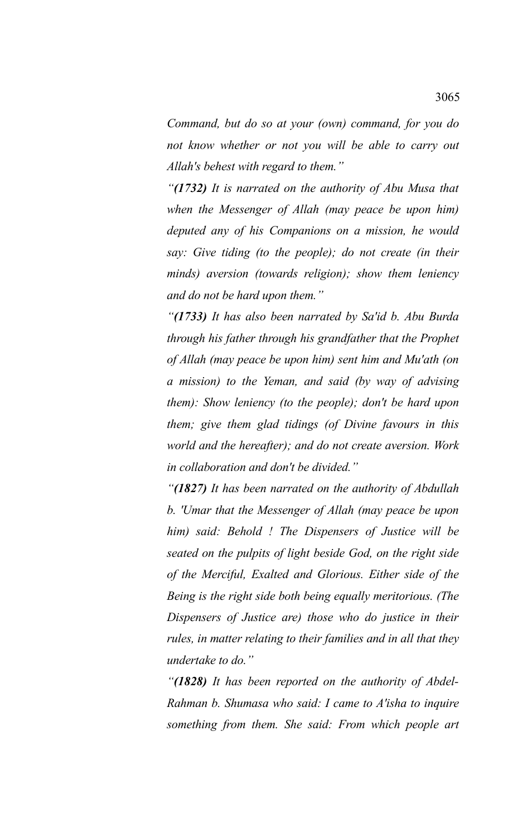*Command, but do so at your (own) command, for you do not know whether or not you will be able to carry out Allah's behest with regard to them."*

*"(1732) It is narrated on the authority of Abu Musa that when the Messenger of Allah (may peace be upon him) deputed any of his Companions on a mission, he would say: Give tiding (to the people); do not create (in their minds) aversion (towards religion); show them leniency and do not be hard upon them."*

*"(1733) It has also been narrated by Sa'id b. Abu Burda through his father through his grandfather that the Prophet of Allah (may peace be upon him) sent him and Mu'ath (on a mission) to the Yeman, and said (by way of advising them): Show leniency (to the people); don't be hard upon them; give them glad tidings (of Divine favours in this world and the hereafter); and do not create aversion. Work in collaboration and don't be divided."*

*"(1827) It has been narrated on the authority of Abdullah b. 'Umar that the Messenger of Allah (may peace be upon him) said: Behold ! The Dispensers of Justice will be seated on the pulpits of light beside God, on the right side of the Merciful, Exalted and Glorious. Either side of the Being is the right side both being equally meritorious. (The Dispensers of Justice are) those who do justice in their rules, in matter relating to their families and in all that they undertake to do."*

*"(1828) It has been reported on the authority of Abdel-Rahman b. Shumasa who said: I came to A'isha to inquire something from them. She said: From which people art*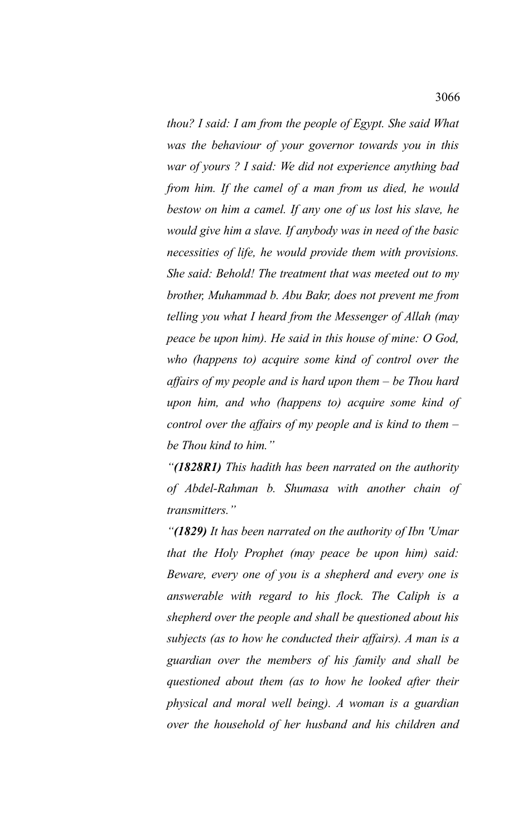*thou? I said: I am from the people of Egypt. She said What was the behaviour of your governor towards you in this war of yours ? I said: We did not experience anything bad from him. If the camel of a man from us died, he would bestow on him a camel. If any one of us lost his slave, he would give him a slave. If anybody was in need of the basic necessities of life, he would provide them with provisions. She said: Behold! The treatment that was meeted out to my brother, Muhammad b. Abu Bakr, does not prevent me from telling you what I heard from the Messenger of Allah (may peace be upon him). He said in this house of mine: O God, who (happens to) acquire some kind of control over the affairs of my people and is hard upon them – be Thou hard upon him, and who (happens to) acquire some kind of control over the affairs of my people and is kind to them – be Thou kind to him."*

*"(1828R1) This hadith has been narrated on the authority of Abdel-Rahman b. Shumasa with another chain of transmitters."*

*"(1829) It has been narrated on the authority of Ibn 'Umar that the Holy Prophet (may peace be upon him) said: Beware, every one of you is a shepherd and every one is answerable with regard to his flock. The Caliph is a shepherd over the people and shall be questioned about his subjects (as to how he conducted their affairs). A man is a guardian over the members of his family and shall be questioned about them (as to how he looked after their physical and moral well being). A woman is a guardian over the household of her husband and his children and*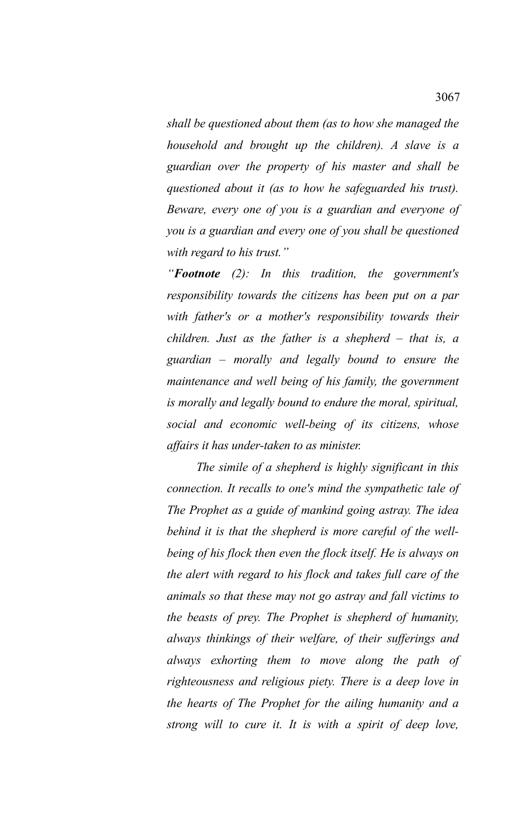*shall be questioned about them (as to how she managed the household and brought up the children). A slave is a guardian over the property of his master and shall be questioned about it (as to how he safeguarded his trust). Beware, every one of you is a guardian and everyone of you is a guardian and every one of you shall be questioned with regard to his trust."*

*"Footnote (2): In this tradition, the government's responsibility towards the citizens has been put on a par with father's or a mother's responsibility towards their children. Just as the father is a shepherd – that is, a guardian – morally and legally bound to ensure the maintenance and well being of his family, the government is morally and legally bound to endure the moral, spiritual, social and economic well-being of its citizens, whose affairs it has under-taken to as minister.*

*The simile of a shepherd is highly significant in this connection. It recalls to one's mind the sympathetic tale of The Prophet as a guide of mankind going astray. The idea behind it is that the shepherd is more careful of the wellbeing of his flock then even the flock itself. He is always on the alert with regard to his flock and takes full care of the animals so that these may not go astray and fall victims to the beasts of prey. The Prophet is shepherd of humanity, always thinkings of their welfare, of their sufferings and always exhorting them to move along the path of righteousness and religious piety. There is a deep love in the hearts of The Prophet for the ailing humanity and a strong will to cure it. It is with a spirit of deep love,*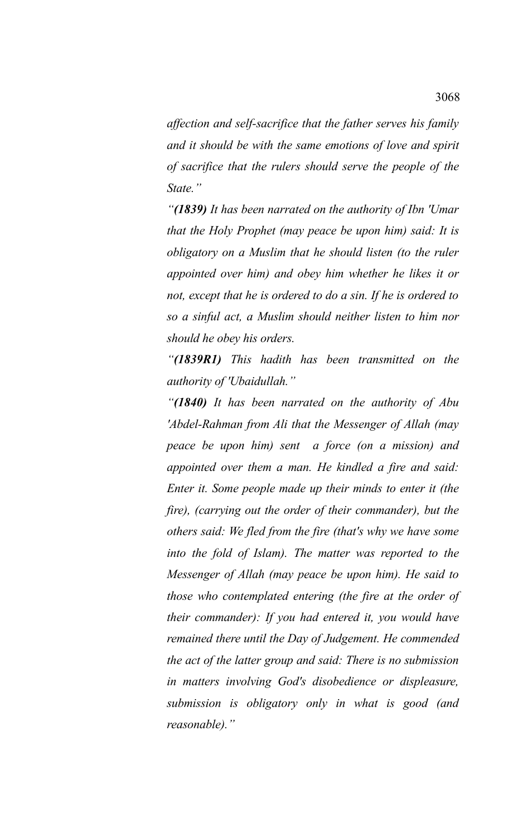*affection and self-sacrifice that the father serves his family and it should be with the same emotions of love and spirit of sacrifice that the rulers should serve the people of the State."*

*"(1839) It has been narrated on the authority of Ibn 'Umar that the Holy Prophet (may peace be upon him) said: It is obligatory on a Muslim that he should listen (to the ruler appointed over him) and obey him whether he likes it or not, except that he is ordered to do a sin. If he is ordered to so a sinful act, a Muslim should neither listen to him nor should he obey his orders.*

*"(1839R1) This hadith has been transmitted on the authority of 'Ubaidullah."*

*"(1840) It has been narrated on the authority of Abu 'Abdel-Rahman from Ali that the Messenger of Allah (may peace be upon him) sent a force (on a mission) and appointed over them a man. He kindled a fire and said: Enter it. Some people made up their minds to enter it (the fire), (carrying out the order of their commander), but the others said: We fled from the fire (that's why we have some into the fold of Islam). The matter was reported to the Messenger of Allah (may peace be upon him). He said to those who contemplated entering (the fire at the order of their commander): If you had entered it, you would have remained there until the Day of Judgement. He commended the act of the latter group and said: There is no submission in matters involving God's disobedience or displeasure, submission is obligatory only in what is good (and reasonable)."*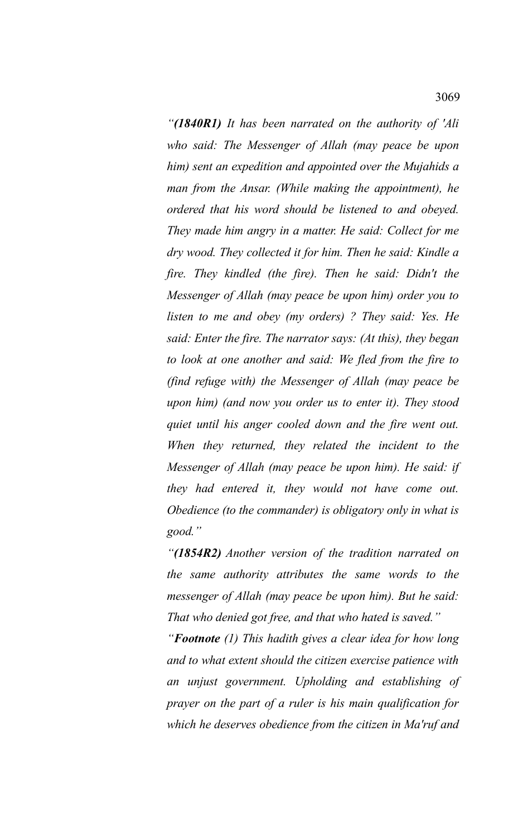*"(1840R1) It has been narrated on the authority of 'Ali who said: The Messenger of Allah (may peace be upon him) sent an expedition and appointed over the Mujahids a man from the Ansar. (While making the appointment), he ordered that his word should be listened to and obeyed. They made him angry in a matter. He said: Collect for me dry wood. They collected it for him. Then he said: Kindle a fire. They kindled (the fire). Then he said: Didn't the Messenger of Allah (may peace be upon him) order you to listen to me and obey (my orders) ? They said: Yes. He said: Enter the fire. The narrator says: (At this), they began to look at one another and said: We fled from the fire to (find refuge with) the Messenger of Allah (may peace be upon him) (and now you order us to enter it). They stood quiet until his anger cooled down and the fire went out. When they returned, they related the incident to the Messenger of Allah (may peace be upon him). He said: if they had entered it, they would not have come out. Obedience (to the commander) is obligatory only in what is good."*

*"(1854R2) Another version of the tradition narrated on the same authority attributes the same words to the messenger of Allah (may peace be upon him). But he said: That who denied got free, and that who hated is saved."*

*"Footnote (1) This hadith gives a clear idea for how long and to what extent should the citizen exercise patience with an unjust government. Upholding and establishing of prayer on the part of a ruler is his main qualification for which he deserves obedience from the citizen in Ma'ruf and*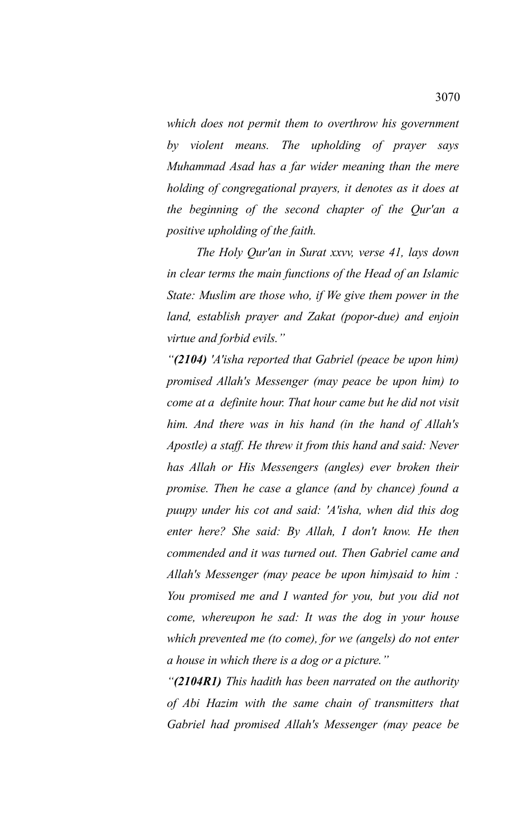*which does not permit them to overthrow his government by violent means. The upholding of prayer says Muhammad Asad has a far wider meaning than the mere holding of congregational prayers, it denotes as it does at the beginning of the second chapter of the Qur'an a positive upholding of the faith.*

*The Holy Qur'an in Surat xxvv, verse 41, lays down in clear terms the main functions of the Head of an Islamic State: Muslim are those who, if We give them power in the land, establish prayer and Zakat (popor-due) and enjoin virtue and forbid evils."*

*"(2104) 'A'isha reported that Gabriel (peace be upon him) promised Allah's Messenger (may peace be upon him) to come at a definite hour. That hour came but he did not visit him. And there was in his hand (in the hand of Allah's Apostle) a staff. He threw it from this hand and said: Never has Allah or His Messengers (angles) ever broken their promise. Then he case a glance (and by chance) found a puupy under his cot and said: 'A'isha, when did this dog enter here? She said: By Allah, I don't know. He then commended and it was turned out. Then Gabriel came and Allah's Messenger (may peace be upon him)said to him : You promised me and I wanted for you, but you did not come, whereupon he sad: It was the dog in your house which prevented me (to come), for we (angels) do not enter a house in which there is a dog or a picture."*

*"(2104R1) This hadith has been narrated on the authority of Abi Hazim with the same chain of transmitters that Gabriel had promised Allah's Messenger (may peace be*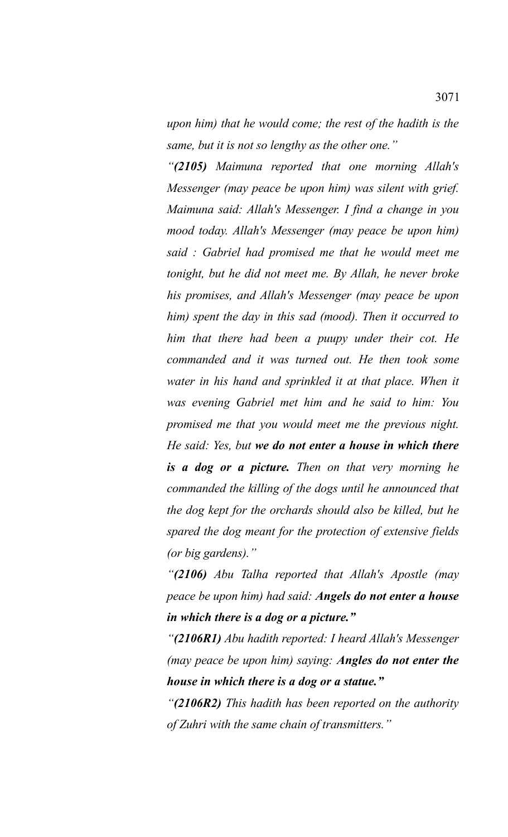*upon him) that he would come; the rest of the hadith is the same, but it is not so lengthy as the other one."*

*"(2105) Maimuna reported that one morning Allah's Messenger (may peace be upon him) was silent with grief. Maimuna said: Allah's Messenger. I find a change in you mood today. Allah's Messenger (may peace be upon him) said : Gabriel had promised me that he would meet me tonight, but he did not meet me. By Allah, he never broke his promises, and Allah's Messenger (may peace be upon him) spent the day in this sad (mood). Then it occurred to him that there had been a puupy under their cot. He commanded and it was turned out. He then took some water in his hand and sprinkled it at that place. When it was evening Gabriel met him and he said to him: You promised me that you would meet me the previous night. He said: Yes, but we do not enter a house in which there is a dog or a picture. Then on that very morning he commanded the killing of the dogs until he announced that the dog kept for the orchards should also be killed, but he spared the dog meant for the protection of extensive fields (or big gardens)."*

*"(2106) Abu Talha reported that Allah's Apostle (may peace be upon him) had said: Angels do not enter a house in which there is a dog or a picture."*

*"(2106R1) Abu hadith reported: I heard Allah's Messenger (may peace be upon him) saying: Angles do not enter the house in which there is a dog or a statue."*

*"(2106R2) This hadith has been reported on the authority of Zuhri with the same chain of transmitters."*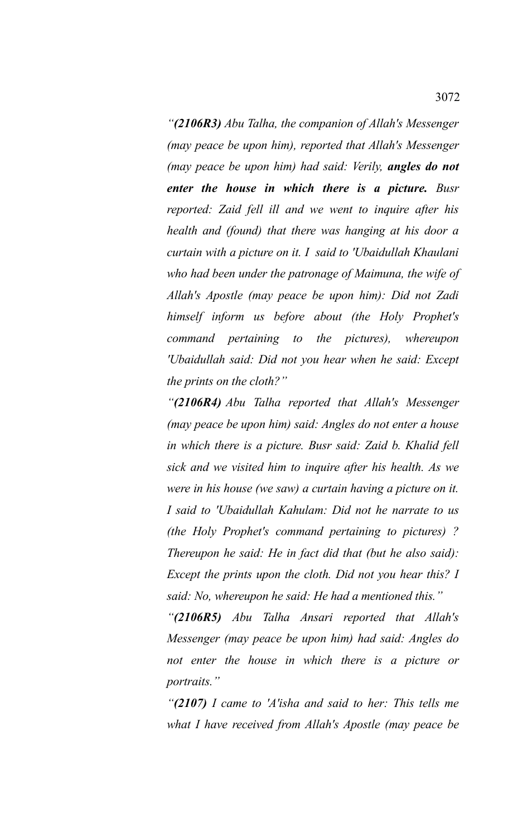*"(2106R3) Abu Talha, the companion of Allah's Messenger (may peace be upon him), reported that Allah's Messenger (may peace be upon him) had said: Verily, angles do not enter the house in which there is a picture. Busr reported: Zaid fell ill and we went to inquire after his health and (found) that there was hanging at his door a curtain with a picture on it. I said to 'Ubaidullah Khaulani who had been under the patronage of Maimuna, the wife of Allah's Apostle (may peace be upon him): Did not Zadi himself inform us before about (the Holy Prophet's command pertaining to the pictures), whereupon 'Ubaidullah said: Did not you hear when he said: Except the prints on the cloth?"*

*"(2106R4) Abu Talha reported that Allah's Messenger (may peace be upon him) said: Angles do not enter a house in which there is a picture. Busr said: Zaid b. Khalid fell sick and we visited him to inquire after his health. As we were in his house (we saw) a curtain having a picture on it. I said to 'Ubaidullah Kahulam: Did not he narrate to us (the Holy Prophet's command pertaining to pictures) ? Thereupon he said: He in fact did that (but he also said): Except the prints upon the cloth. Did not you hear this? I said: No, whereupon he said: He had a mentioned this."*

*"(2106R5) Abu Talha Ansari reported that Allah's Messenger (may peace be upon him) had said: Angles do not enter the house in which there is a picture or portraits."*

*"(2107) I came to 'A'isha and said to her: This tells me what I have received from Allah's Apostle (may peace be*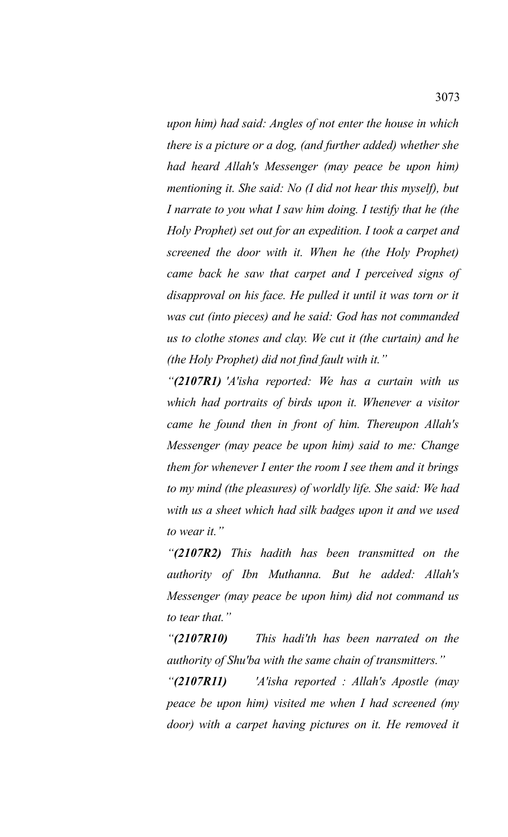*upon him) had said: Angles of not enter the house in which there is a picture or a dog, (and further added) whether she had heard Allah's Messenger (may peace be upon him) mentioning it. She said: No (I did not hear this myself), but I narrate to you what I saw him doing. I testify that he (the Holy Prophet) set out for an expedition. I took a carpet and screened the door with it. When he (the Holy Prophet) came back he saw that carpet and I perceived signs of disapproval on his face. He pulled it until it was torn or it was cut (into pieces) and he said: God has not commanded us to clothe stones and clay. We cut it (the curtain) and he (the Holy Prophet) did not find fault with it."*

*"(2107R1) 'A'isha reported: We has a curtain with us which had portraits of birds upon it. Whenever a visitor came he found then in front of him. Thereupon Allah's Messenger (may peace be upon him) said to me: Change them for whenever I enter the room I see them and it brings to my mind (the pleasures) of worldly life. She said: We had with us a sheet which had silk badges upon it and we used to wear it."*

*"(2107R2) This hadith has been transmitted on the authority of Ibn Muthanna. But he added: Allah's Messenger (may peace be upon him) did not command us to tear that."*

*"(2107R10) This hadi'th has been narrated on the authority of Shu'ba with the same chain of transmitters."*

*"(2107R11) 'A'isha reported : Allah's Apostle (may peace be upon him) visited me when I had screened (my door) with a carpet having pictures on it. He removed it*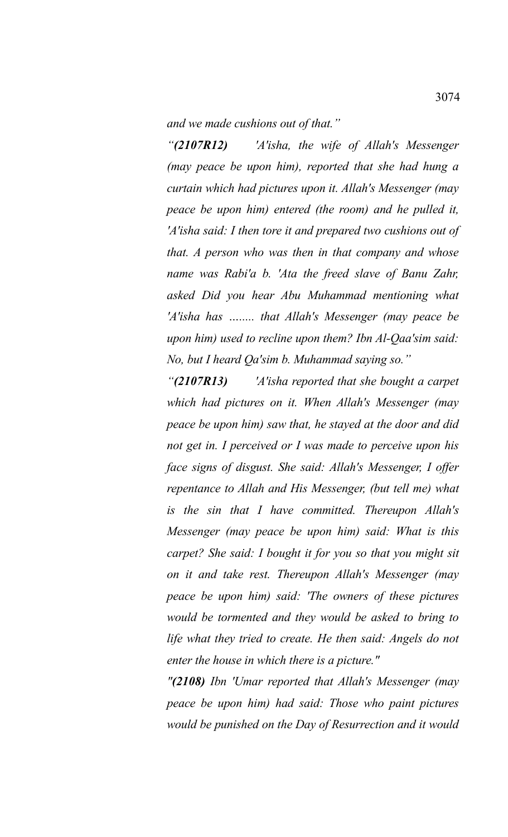*and we made cushions out of that."*

*"(2107R12) 'A'isha, the wife of Allah's Messenger (may peace be upon him), reported that she had hung a curtain which had pictures upon it. Allah's Messenger (may peace be upon him) entered (the room) and he pulled it, 'A'isha said: I then tore it and prepared two cushions out of that. A person who was then in that company and whose name was Rabi'a b. 'Ata the freed slave of Banu Zahr, asked Did you hear Abu Muhammad mentioning what 'A'isha has …..... that Allah's Messenger (may peace be upon him) used to recline upon them? Ibn Al-Qaa'sim said: No, but I heard Qa'sim b. Muhammad saying so."*

*"(2107R13) 'A'isha reported that she bought a carpet which had pictures on it. When Allah's Messenger (may peace be upon him) saw that, he stayed at the door and did not get in. I perceived or I was made to perceive upon his face signs of disgust. She said: Allah's Messenger, I offer repentance to Allah and His Messenger, (but tell me) what is the sin that I have committed. Thereupon Allah's Messenger (may peace be upon him) said: What is this carpet? She said: I bought it for you so that you might sit on it and take rest. Thereupon Allah's Messenger (may peace be upon him) said: 'The owners of these pictures would be tormented and they would be asked to bring to life what they tried to create. He then said: Angels do not enter the house in which there is a picture."*

*"(2108) Ibn 'Umar reported that Allah's Messenger (may peace be upon him) had said: Those who paint pictures would be punished on the Day of Resurrection and it would*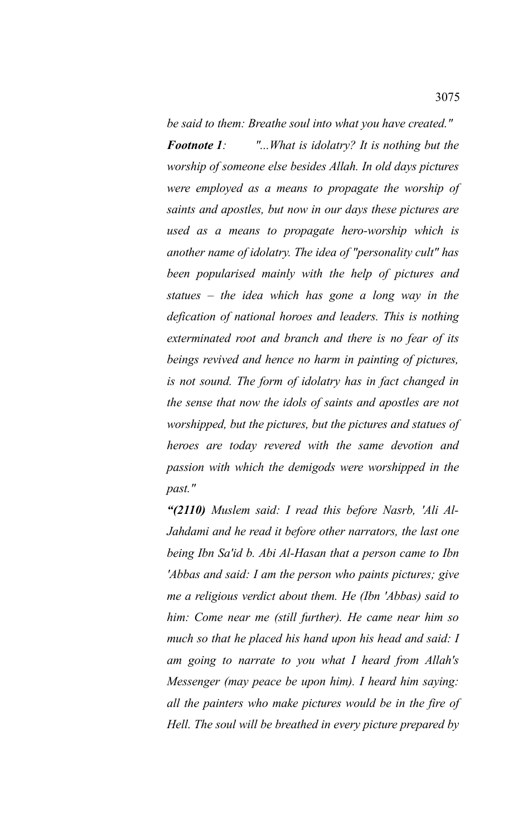*be said to them: Breathe soul into what you have created." Footnote 1: "...What is idolatry? It is nothing but the worship of someone else besides Allah. In old days pictures were employed as a means to propagate the worship of saints and apostles, but now in our days these pictures are used as a means to propagate hero-worship which is another name of idolatry. The idea of "personality cult" has been popularised mainly with the help of pictures and statues – the idea which has gone a long way in the defication of national horoes and leaders. This is nothing exterminated root and branch and there is no fear of its beings revived and hence no harm in painting of pictures, is not sound. The form of idolatry has in fact changed in the sense that now the idols of saints and apostles are not worshipped, but the pictures, but the pictures and statues of heroes are today revered with the same devotion and passion with which the demigods were worshipped in the past."*

*"(2110) Muslem said: I read this before Nasrb, 'Ali Al-Jahdami and he read it before other narrators, the last one being Ibn Sa'id b. Abi Al-Hasan that a person came to Ibn 'Abbas and said: I am the person who paints pictures; give me a religious verdict about them. He (Ibn 'Abbas) said to him: Come near me (still further). He came near him so much so that he placed his hand upon his head and said: I am going to narrate to you what I heard from Allah's Messenger (may peace be upon him). I heard him saying: all the painters who make pictures would be in the fire of Hell. The soul will be breathed in every picture prepared by*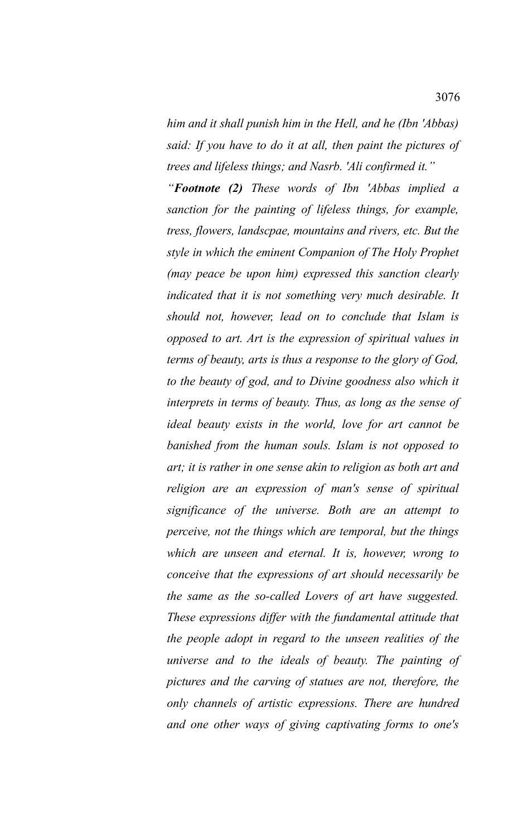*him and it shall punish him in the Hell, and he (Ibn 'Abbas) said: If you have to do it at all, then paint the pictures of trees and lifeless things; and Nasrb. 'Ali confirmed it."*

*"Footnote (2) These words of Ibn 'Abbas implied a sanction for the painting of lifeless things, for example, tress, flowers, landscpae, mountains and rivers, etc. But the style in which the eminent Companion of The Holy Prophet (may peace be upon him) expressed this sanction clearly indicated that it is not something very much desirable. It should not, however, lead on to conclude that Islam is opposed to art. Art is the expression of spiritual values in terms of beauty, arts is thus a response to the glory of God, to the beauty of god, and to Divine goodness also which it interprets in terms of beauty. Thus, as long as the sense of ideal beauty exists in the world, love for art cannot be banished from the human souls. Islam is not opposed to art; it is rather in one sense akin to religion as both art and religion are an expression of man's sense of spiritual significance of the universe. Both are an attempt to perceive, not the things which are temporal, but the things which are unseen and eternal. It is, however, wrong to conceive that the expressions of art should necessarily be the same as the so-called Lovers of art have suggested. These expressions differ with the fundamental attitude that the people adopt in regard to the unseen realities of the universe and to the ideals of beauty. The painting of pictures and the carving of statues are not, therefore, the only channels of artistic expressions. There are hundred and one other ways of giving captivating forms to one's*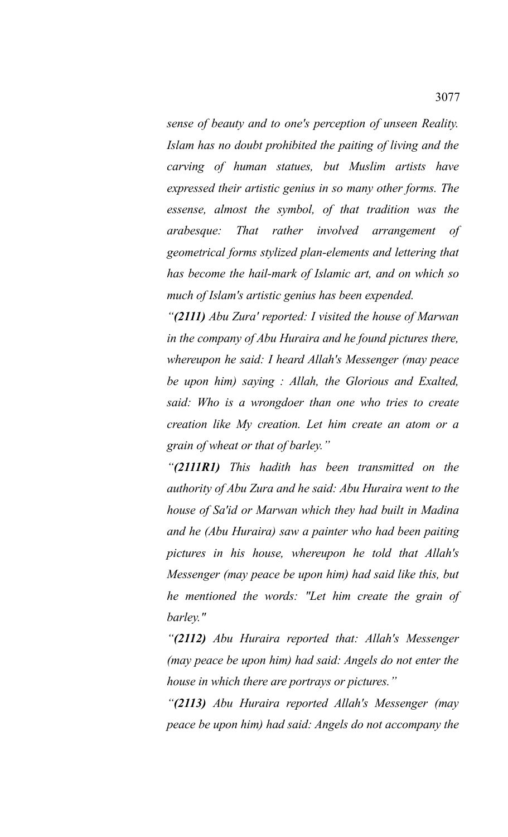*sense of beauty and to one's perception of unseen Reality. Islam has no doubt prohibited the paiting of living and the carving of human statues, but Muslim artists have expressed their artistic genius in so many other forms. The essense, almost the symbol, of that tradition was the arabesque: That rather involved arrangement of geometrical forms stylized plan-elements and lettering that has become the hail-mark of Islamic art, and on which so much of Islam's artistic genius has been expended.*

*"(2111) Abu Zura' reported: I visited the house of Marwan in the company of Abu Huraira and he found pictures there, whereupon he said: I heard Allah's Messenger (may peace be upon him) saying : Allah, the Glorious and Exalted, said: Who is a wrongdoer than one who tries to create creation like My creation. Let him create an atom or a grain of wheat or that of barley."*

*"(2111R1) This hadith has been transmitted on the authority of Abu Zura and he said: Abu Huraira went to the house of Sa'id or Marwan which they had built in Madina and he (Abu Huraira) saw a painter who had been paiting pictures in his house, whereupon he told that Allah's Messenger (may peace be upon him) had said like this, but he mentioned the words: "Let him create the grain of barley."*

*"(2112) Abu Huraira reported that: Allah's Messenger (may peace be upon him) had said: Angels do not enter the house in which there are portrays or pictures."*

*"(2113) Abu Huraira reported Allah's Messenger (may peace be upon him) had said: Angels do not accompany the*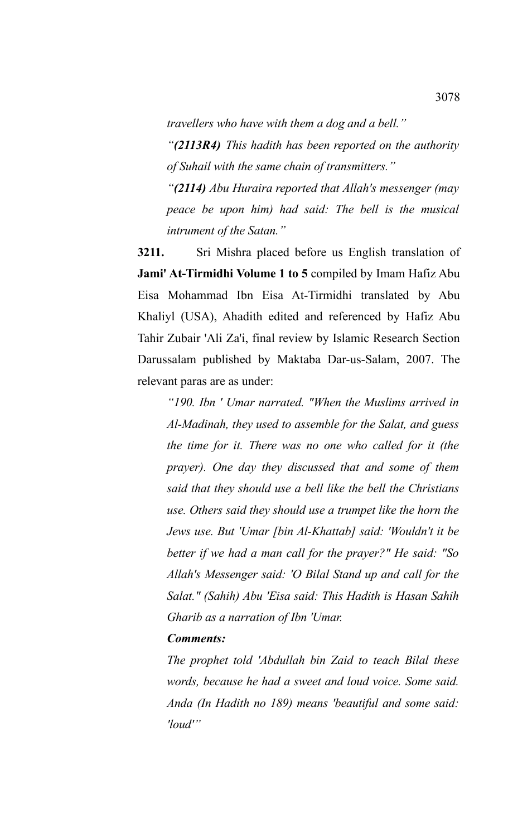*travellers who have with them a dog and a bell."*

*"(2113R4) This hadith has been reported on the authority of Suhail with the same chain of transmitters."*

*"(2114) Abu Huraira reported that Allah's messenger (may peace be upon him) had said: The bell is the musical intrument of the Satan."*

**3211.** Sri Mishra placed before us English translation of **Jami' At-Tirmidhi Volume 1 to 5** compiled by Imam Hafiz Abu Eisa Mohammad Ibn Eisa At-Tirmidhi translated by Abu Khaliyl (USA), Ahadith edited and referenced by Hafiz Abu Tahir Zubair 'Ali Za'i, final review by Islamic Research Section Darussalam published by Maktaba Dar-us-Salam, 2007. The relevant paras are as under:

*"190. Ibn ' Umar narrated. "When the Muslims arrived in Al-Madinah, they used to assemble for the Salat, and guess the time for it. There was no one who called for it (the prayer). One day they discussed that and some of them said that they should use a bell like the bell the Christians use. Others said they should use a trumpet like the horn the Jews use. But 'Umar [bin Al-Khattab] said: 'Wouldn't it be better if we had a man call for the prayer?" He said: "So Allah's Messenger said: 'O Bilal Stand up and call for the Salat." (Sahih) Abu 'Eisa said: This Hadith is Hasan Sahih Gharib as a narration of Ibn 'Umar.*

#### *Comments:*

*The prophet told 'Abdullah bin Zaid to teach Bilal these words, because he had a sweet and loud voice. Some said. Anda (In Hadith no 189) means 'beautiful and some said: 'loud'"*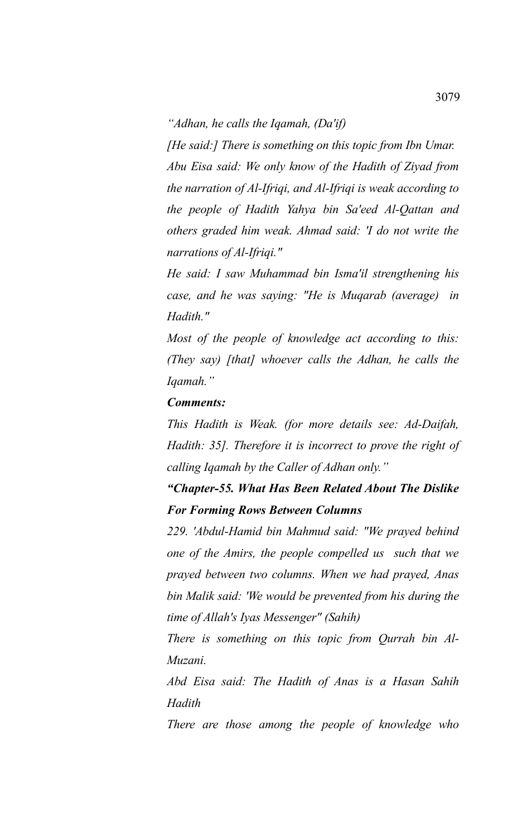### *"Adhan, he calls the Iqamah, (Da'if)*

*[He said:] There is something on this topic from Ibn Umar. Abu Eisa said: We only know of the Hadith of Ziyad from the narration of Al-Ifriqi, and Al-Ifriqi is weak according to the people of Hadith Yahya bin Sa'eed Al-Qattan and others graded him weak. Ahmad said: 'I do not write the narrations of Al-Ifriqi."*

*He said: I saw Muhammad bin Isma'il strengthening his case, and he was saying: "He is Muqarab (average) in Hadith."*

*Most of the people of knowledge act according to this: (They say) [that] whoever calls the Adhan, he calls the Iqamah."*

### *Comments:*

*This Hadith is Weak. (for more details see: Ad-Daifah, Hadith: 35]. Therefore it is incorrect to prove the right of calling Iqamah by the Caller of Adhan only."*

## *"Chapter-55. What Has Been Related About The Dislike For Forming Rows Between Columns*

*229. 'Abdul-Hamid bin Mahmud said: "We prayed behind one of the Amirs, the people compelled us such that we prayed between two columns. When we had prayed, Anas bin Malik said: 'We would be prevented from his during the time of Allah's Iyas Messenger" (Sahih)*

*There is something on this topic from Qurrah bin Al-Muzani.*

*Abd Eisa said: The Hadith of Anas is a Hasan Sahih Hadith*

*There are those among the people of knowledge who*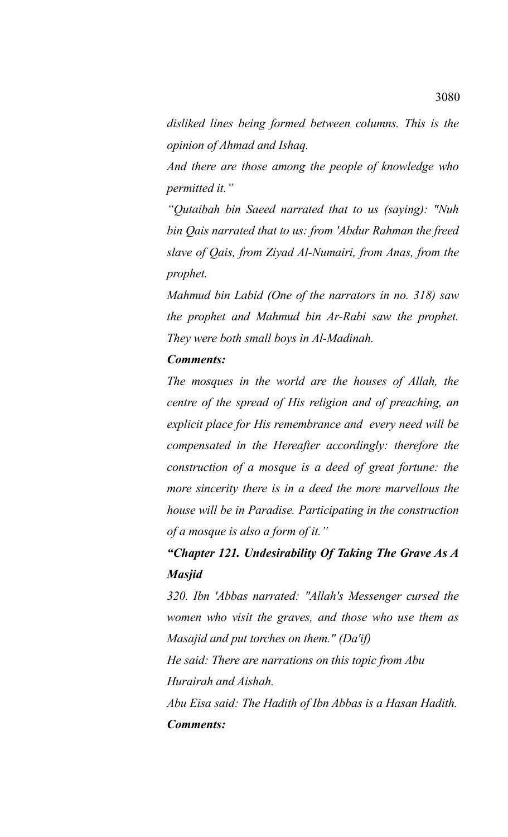*disliked lines being formed between columns. This is the opinion of Ahmad and Ishaq.*

*And there are those among the people of knowledge who permitted it."*

*"Qutaibah bin Saeed narrated that to us (saying): "Nuh bin Qais narrated that to us: from 'Abdur Rahman the freed slave of Qais, from Ziyad Al-Numairi, from Anas, from the prophet.*

*Mahmud bin Labid (One of the narrators in no. 318) saw the prophet and Mahmud bin Ar-Rabi saw the prophet. They were both small boys in Al-Madinah.*

#### *Comments:*

*The mosques in the world are the houses of Allah, the centre of the spread of His religion and of preaching, an explicit place for His remembrance and every need will be compensated in the Hereafter accordingly: therefore the construction of a mosque is a deed of great fortune: the more sincerity there is in a deed the more marvellous the house will be in Paradise. Participating in the construction of a mosque is also a form of it."*

## *"Chapter 121. Undesirability Of Taking The Grave As A Masjid*

*320. Ibn 'Abbas narrated: "Allah's Messenger cursed the women who visit the graves, and those who use them as Masajid and put torches on them." (Da'if)*

*He said: There are narrations on this topic from Abu Hurairah and Aishah.*

*Abu Eisa said: The Hadith of Ibn Abbas is a Hasan Hadith. Comments:*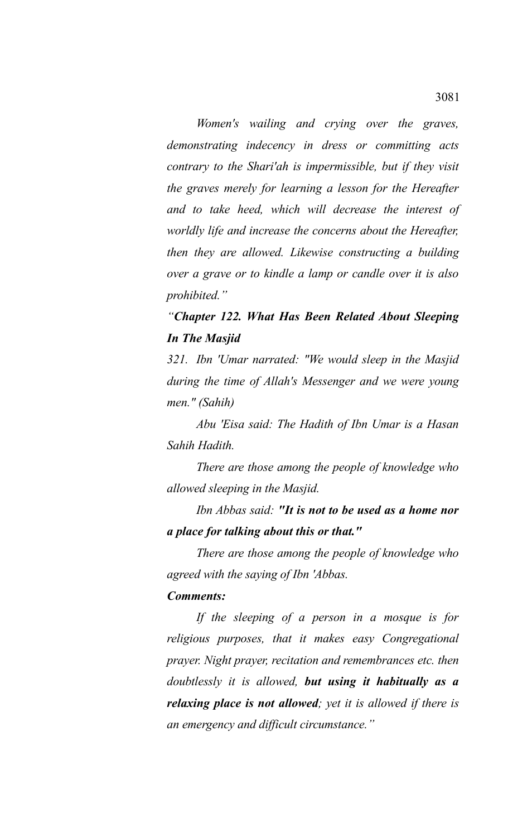*Women's wailing and crying over the graves, demonstrating indecency in dress or committing acts contrary to the Shari'ah is impermissible, but if they visit the graves merely for learning a lesson for the Hereafter and to take heed, which will decrease the interest of worldly life and increase the concerns about the Hereafter, then they are allowed. Likewise constructing a building over a grave or to kindle a lamp or candle over it is also prohibited."*

## *"Chapter 122. What Has Been Related About Sleeping In The Masjid*

*321. Ibn 'Umar narrated: "We would sleep in the Masjid during the time of Allah's Messenger and we were young men." (Sahih)*

*Abu 'Eisa said: The Hadith of Ibn Umar is a Hasan Sahih Hadith.*

*There are those among the people of knowledge who allowed sleeping in the Masjid.*

*Ibn Abbas said: "It is not to be used as a home nor a place for talking about this or that."*

*There are those among the people of knowledge who agreed with the saying of Ibn 'Abbas.*

### *Comments:*

*If the sleeping of a person in a mosque is for religious purposes, that it makes easy Congregational prayer. Night prayer, recitation and remembrances etc. then doubtlessly it is allowed, but using it habitually as a relaxing place is not allowed; yet it is allowed if there is an emergency and difficult circumstance."*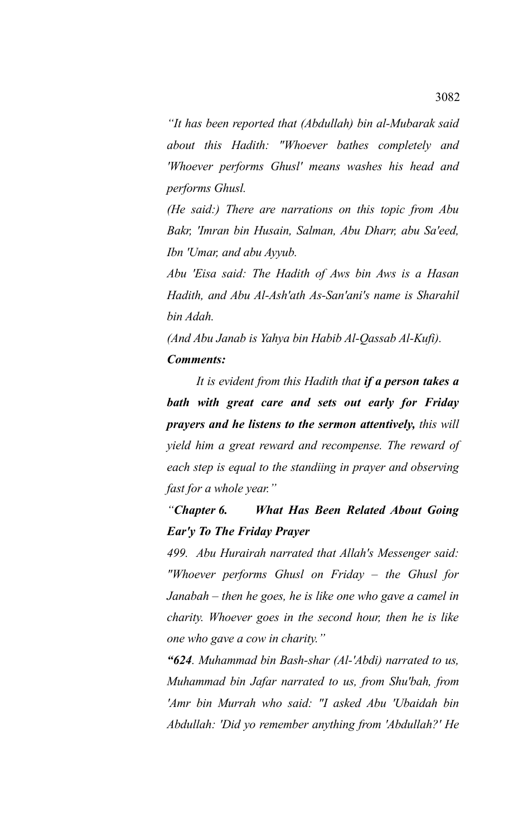*"It has been reported that (Abdullah) bin al-Mubarak said about this Hadith: "Whoever bathes completely and 'Whoever performs Ghusl' means washes his head and performs Ghusl.*

*(He said:) There are narrations on this topic from Abu Bakr, 'Imran bin Husain, Salman, Abu Dharr, abu Sa'eed, Ibn 'Umar, and abu Ayyub.*

*Abu 'Eisa said: The Hadith of Aws bin Aws is a Hasan Hadith, and Abu Al-Ash'ath As-San'ani's name is Sharahil bin Adah.*

*(And Abu Janab is Yahya bin Habib Al-Qassab Al-Kufi). Comments:*

*It is evident from this Hadith that if a person takes a bath with great care and sets out early for Friday prayers and he listens to the sermon attentively, this will yield him a great reward and recompense. The reward of each step is equal to the standiing in prayer and observing fast for a whole year."*

*"Chapter 6. What Has Been Related About Going Ear'y To The Friday Prayer*

*499. Abu Hurairah narrated that Allah's Messenger said: "Whoever performs Ghusl on Friday – the Ghusl for Janabah – then he goes, he is like one who gave a camel in charity. Whoever goes in the second hour, then he is like one who gave a cow in charity."*

*"624. Muhammad bin Bash-shar (Al-'Abdi) narrated to us, Muhammad bin Jafar narrated to us, from Shu'bah, from 'Amr bin Murrah who said: "I asked Abu 'Ubaidah bin Abdullah: 'Did yo remember anything from 'Abdullah?' He*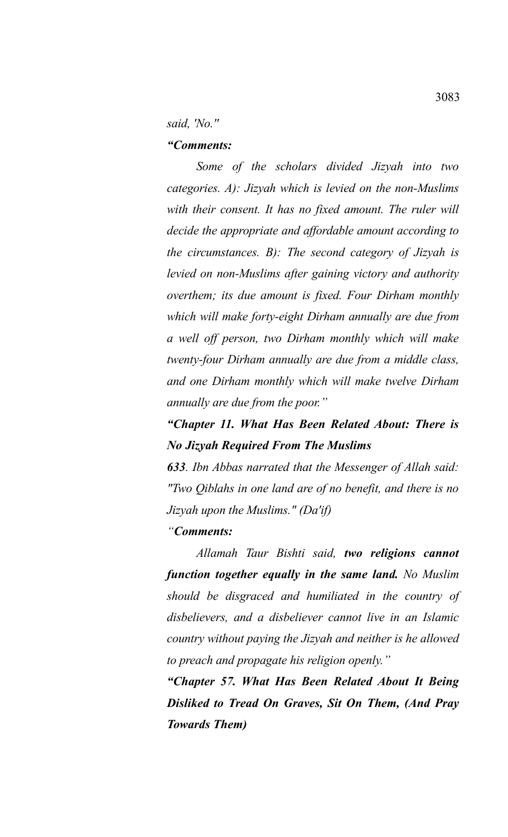## *said, 'No.'' "Comments:*

*Some of the scholars divided Jizyah into two categories. A): Jizyah which is levied on the non-Muslims* with their consent. It has no fixed amount. The ruler will *decide the appropriate and affordable amount according to the circumstances. B): The second category of Jizyah is levied on non-Muslims after gaining victory and authority overthem; its due amount is fixed. Four Dirham monthly which will make forty-eight Dirham annually are due from a well off person, two Dirham monthly which will make twenty-four Dirham annually are due from a middle class, and one Dirham monthly which will make twelve Dirham annually are due from the poor."*

## *"Chapter 11. What Has Been Related About: There is No Jizyah Required From The Muslims*

*633. Ibn Abbas narrated that the Messenger of Allah said: "Two Qiblahs in one land are of no benefit, and there is no Jizyah upon the Muslims." (Da'if)*

### *"Comments:*

*Allamah Taur Bishti said, two religions cannot function together equally in the same land. No Muslim should be disgraced and humiliated in the country of disbelievers, and a disbeliever cannot live in an Islamic country without paying the Jizyah and neither is he allowed to preach and propagate his religion openly."*

*"Chapter 57. What Has Been Related About It Being Disliked to Tread On Graves, Sit On Them, (And Pray Towards Them)*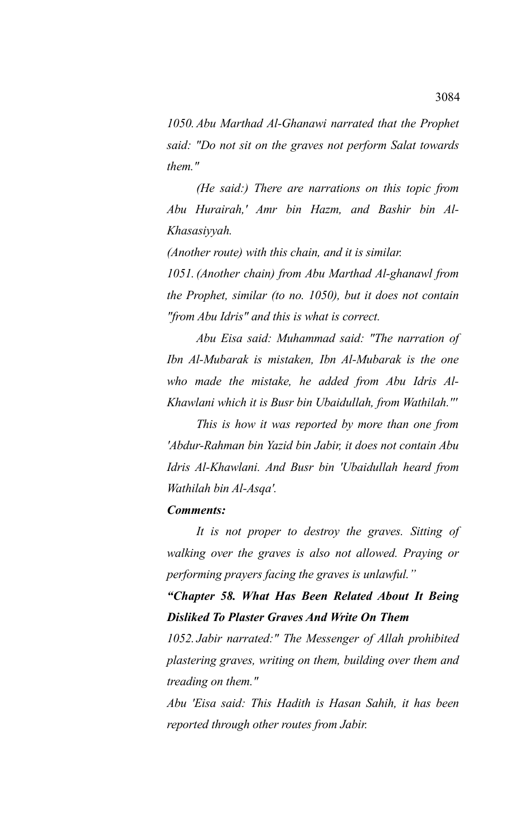*1050.Abu Marthad Al-Ghanawi narrated that the Prophet said: "Do not sit on the graves not perform Salat towards them."*

*(He said:) There are narrations on this topic from Abu Hurairah,' Amr bin Hazm, and Bashir bin Al-Khasasiyyah.*

*(Another route) with this chain, and it is similar.*

*1051.(Another chain) from Abu Marthad Al-ghanawl from the Prophet, similar (to no. 1050), but it does not contain "from Abu Idris" and this is what is correct.*

*Abu Eisa said: Muhammad said: "The narration of Ibn Al-Mubarak is mistaken, Ibn Al-Mubarak is the one who made the mistake, he added from Abu Idris Al-Khawlani which it is Busr bin Ubaidullah, from Wathilah.'''*

*This is how it was reported by more than one from 'Abdur-Rahman bin Yazid bin Jabir, it does not contain Abu Idris Al-Khawlani. And Busr bin 'Ubaidullah heard from Wathilah bin Al-Asqa'.*

#### *Comments:*

*It is not proper to destroy the graves. Sitting of walking over the graves is also not allowed. Praying or performing prayers facing the graves is unlawful."*

## *"Chapter 58. What Has Been Related About It Being Disliked To Plaster Graves And Write On Them*

*1052. Jabir narrated:" The Messenger of Allah prohibited plastering graves, writing on them, building over them and treading on them."*

*Abu 'Eisa said: This Hadith is Hasan Sahih, it has been reported through other routes from Jabir.*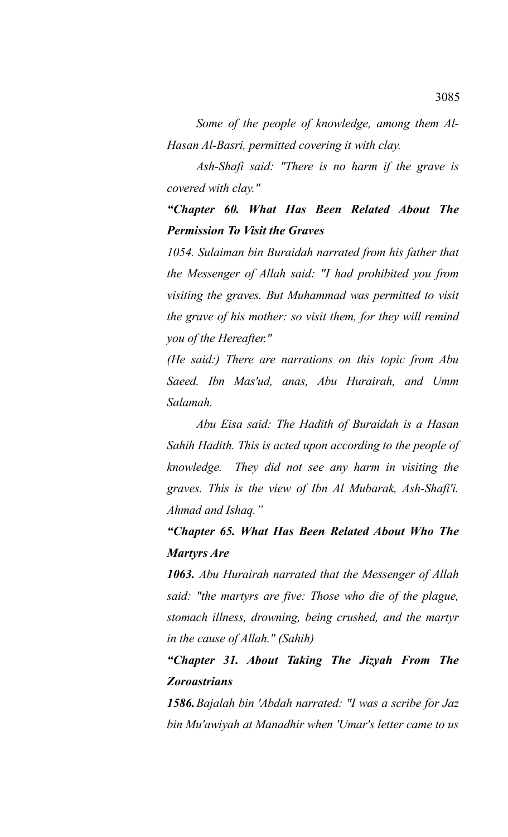*Some of the people of knowledge, among them Al-Hasan Al-Basri, permitted covering it with clay.*

*Ash-Shafi said: "There is no harm if the grave is covered with clay."*

## *"Chapter 60. What Has Been Related About The Permission To Visit the Graves*

*1054. Sulaiman bin Buraidah narrated from his father that the Messenger of Allah said: "I had prohibited you from visiting the graves. But Muhammad was permitted to visit the grave of his mother: so visit them, for they will remind you of the Hereafter."*

*(He said:) There are narrations on this topic from Abu Saeed. Ibn Mas'ud, anas, Abu Hurairah, and Umm Salamah.*

*Abu Eisa said: The Hadith of Buraidah is a Hasan Sahih Hadith. This is acted upon according to the people of knowledge. They did not see any harm in visiting the graves. This is the view of Ibn Al Mubarak, Ash-Shafi'i. Ahmad and Ishaq."*

*"Chapter 65. What Has Been Related About Who The Martyrs Are*

*1063. Abu Hurairah narrated that the Messenger of Allah said: "the martyrs are five: Those who die of the plague, stomach illness, drowning, being crushed, and the martyr in the cause of Allah." (Sahih)*

*"Chapter 31. About Taking The Jizyah From The Zoroastrians*

*1586.Bajalah bin 'Abdah narrated: "I was a scribe for Jaz bin Mu'awiyah at Manadhir when 'Umar's letter came to us*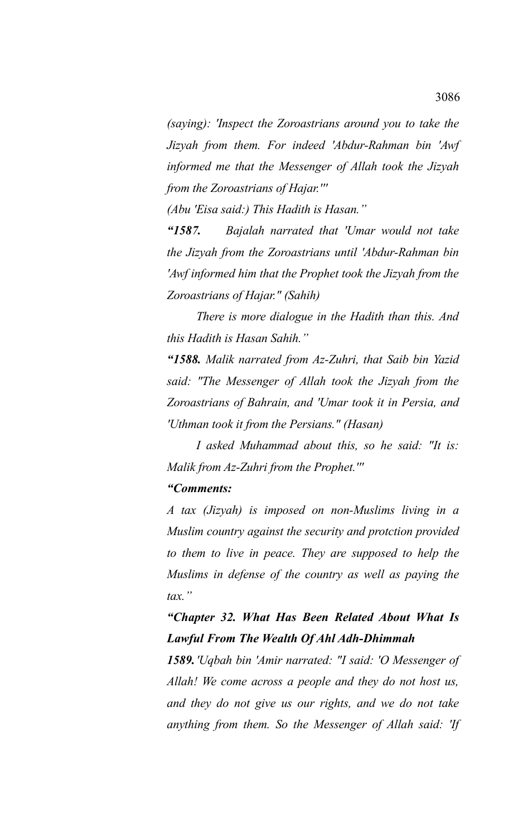*(saying): 'Inspect the Zoroastrians around you to take the Jizyah from them. For indeed 'Abdur-Rahman bin 'Awf informed me that the Messenger of Allah took the Jizyah from the Zoroastrians of Hajar.'''*

*(Abu 'Eisa said:) This Hadith is Hasan."*

*"1587. Bajalah narrated that 'Umar would not take the Jizyah from the Zoroastrians until 'Abdur-Rahman bin 'Awf informed him that the Prophet took the Jizyah from the Zoroastrians of Hajar." (Sahih)* 

*There is more dialogue in the Hadith than this. And this Hadith is Hasan Sahih."*

*"1588. Malik narrated from Az-Zuhri, that Saib bin Yazid said: "The Messenger of Allah took the Jizyah from the Zoroastrians of Bahrain, and 'Umar took it in Persia, and 'Uthman took it from the Persians." (Hasan)*

*I asked Muhammad about this, so he said: "It is: Malik from Az-Zuhri from the Prophet.'''*

## *"Comments:*

*A tax (Jizyah) is imposed on non-Muslims living in a Muslim country against the security and protction provided to them to live in peace. They are supposed to help the Muslims in defense of the country as well as paying the tax."*

## *"Chapter 32. What Has Been Related About What Is Lawful From The Wealth Of Ahl Adh-Dhimmah*

*1589.'Uqbah bin 'Amir narrated: "I said: 'O Messenger of Allah! We come across a people and they do not host us, and they do not give us our rights, and we do not take anything from them. So the Messenger of Allah said: 'If*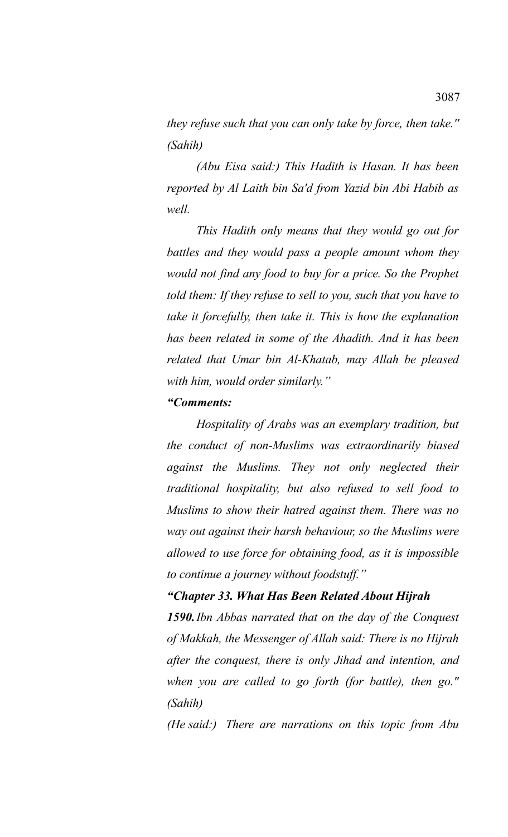*they refuse such that you can only take by force, then take.'' (Sahih)*

*(Abu Eisa said:) This Hadith is Hasan. It has been reported by Al Laith bin Sa'd from Yazid bin Abi Habib as well.*

*This Hadith only means that they would go out for battles and they would pass a people amount whom they would not find any food to buy for a price. So the Prophet told them: If they refuse to sell to you, such that you have to take it forcefully, then take it. This is how the explanation has been related in some of the Ahadith. And it has been related that Umar bin Al-Khatab, may Allah be pleased with him, would order similarly."*

#### *"Comments:*

*Hospitality of Arabs was an exemplary tradition, but the conduct of non-Muslims was extraordinarily biased against the Muslims. They not only neglected their traditional hospitality, but also refused to sell food to Muslims to show their hatred against them. There was no way out against their harsh behaviour, so the Muslims were allowed to use force for obtaining food, as it is impossible to continue a journey without foodstuff."*

#### *"Chapter 33. What Has Been Related About Hijrah*

*1590.Ibn Abbas narrated that on the day of the Conquest of Makkah, the Messenger of Allah said: There is no Hijrah after the conquest, there is only Jihad and intention, and when you are called to go forth (for battle), then go." (Sahih)*

*(He said:) There are narrations on this topic from Abu*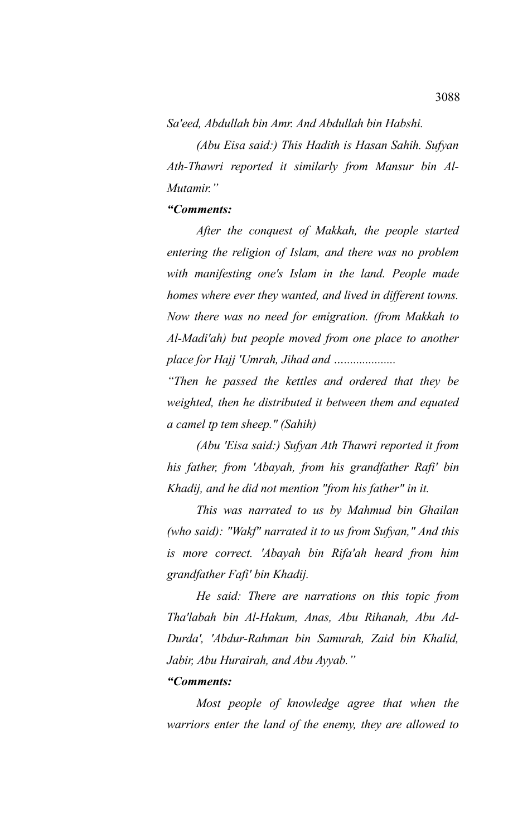*Sa'eed, Abdullah bin Amr. And Abdullah bin Habshi.*

*(Abu Eisa said:) This Hadith is Hasan Sahih. Sufyan Ath-Thawri reported it similarly from Mansur bin Al-Mutamir."*

### *"Comments:*

*After the conquest of Makkah, the people started entering the religion of Islam, and there was no problem with manifesting one's Islam in the land. People made homes where ever they wanted, and lived in different towns. Now there was no need for emigration. (from Makkah to Al-Madi'ah) but people moved from one place to another place for Hajj 'Umrah, Jihad and ….................*

*"Then he passed the kettles and ordered that they be weighted, then he distributed it between them and equated a camel tp tem sheep." (Sahih)*

*(Abu 'Eisa said:) Sufyan Ath Thawri reported it from his father, from 'Abayah, from his grandfather Rafi' bin Khadij, and he did not mention "from his father" in it.*

*This was narrated to us by Mahmud bin Ghailan (who said): "Wakf" narrated it to us from Sufyan," And this is more correct. 'Abayah bin Rifa'ah heard from him grandfather Fafi' bin Khadij.*

*He said: There are narrations on this topic from Tha'labah bin Al-Hakum, Anas, Abu Rihanah, Abu Ad-Durda', 'Abdur-Rahman bin Samurah, Zaid bin Khalid, Jabir, Abu Hurairah, and Abu Ayyab."*

#### *"Comments:*

*Most people of knowledge agree that when the warriors enter the land of the enemy, they are allowed to*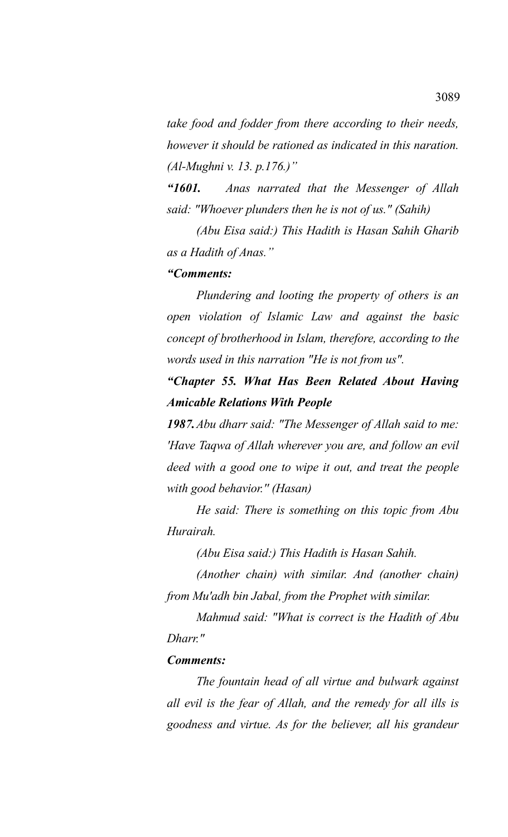*take food and fodder from there according to their needs, however it should be rationed as indicated in this naration. (Al-Mughni v. 13. p.176.)"*

*"1601. Anas narrated that the Messenger of Allah said: "Whoever plunders then he is not of us." (Sahih)*

*(Abu Eisa said:) This Hadith is Hasan Sahih Gharib as a Hadith of Anas."*

#### *"Comments:*

*Plundering and looting the property of others is an open violation of Islamic Law and against the basic concept of brotherhood in Islam, therefore, according to the words used in this narration "He is not from us".* 

## *"Chapter 55. What Has Been Related About Having Amicable Relations With People*

*1987.Abu dharr said: "The Messenger of Allah said to me: 'Have Taqwa of Allah wherever you are, and follow an evil deed with a good one to wipe it out, and treat the people with good behavior.'' (Hasan)*

*He said: There is something on this topic from Abu Hurairah.* 

*(Abu Eisa said:) This Hadith is Hasan Sahih.*

*(Another chain) with similar. And (another chain) from Mu'adh bin Jabal, from the Prophet with similar.*

*Mahmud said: "What is correct is the Hadith of Abu Dharr."*

### *Comments:*

*The fountain head of all virtue and bulwark against all evil is the fear of Allah, and the remedy for all ills is goodness and virtue. As for the believer, all his grandeur*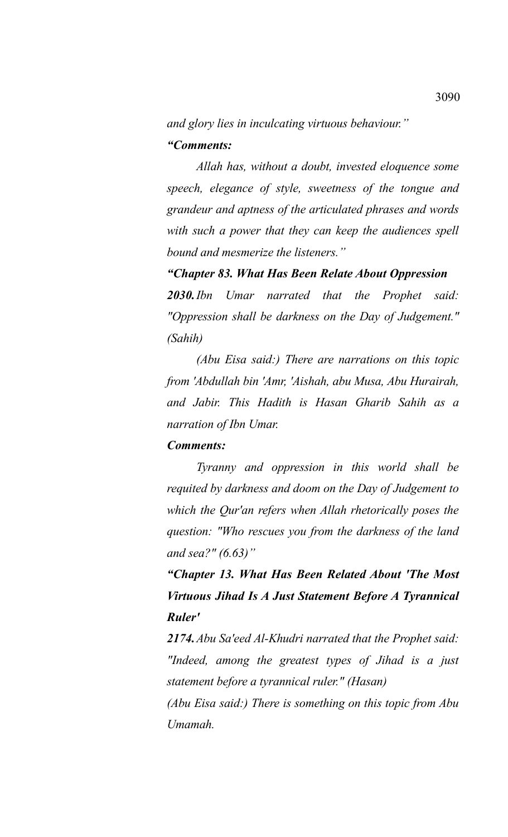*and glory lies in inculcating virtuous behaviour." "Comments:*

*Allah has, without a doubt, invested eloquence some speech, elegance of style, sweetness of the tongue and grandeur and aptness of the articulated phrases and words with such a power that they can keep the audiences spell bound and mesmerize the listeners."*

*"Chapter 83. What Has Been Relate About Oppression 2030.Ibn Umar narrated that the Prophet said: "Oppression shall be darkness on the Day of Judgement." (Sahih)*

*(Abu Eisa said:) There are narrations on this topic from 'Abdullah bin 'Amr, 'Aishah, abu Musa, Abu Hurairah, and Jabir. This Hadith is Hasan Gharib Sahih as a narration of Ibn Umar.*

### *Comments:*

*Tyranny and oppression in this world shall be requited by darkness and doom on the Day of Judgement to which the Qur'an refers when Allah rhetorically poses the question: "Who rescues you from the darkness of the land and sea?" (6.63)"*

*"Chapter 13. What Has Been Related About 'The Most Virtuous Jihad Is A Just Statement Before A Tyrannical Ruler'*

*2174.Abu Sa'eed Al-Khudri narrated that the Prophet said: "Indeed, among the greatest types of Jihad is a just statement before a tyrannical ruler." (Hasan)*

*(Abu Eisa said:) There is something on this topic from Abu Umamah.*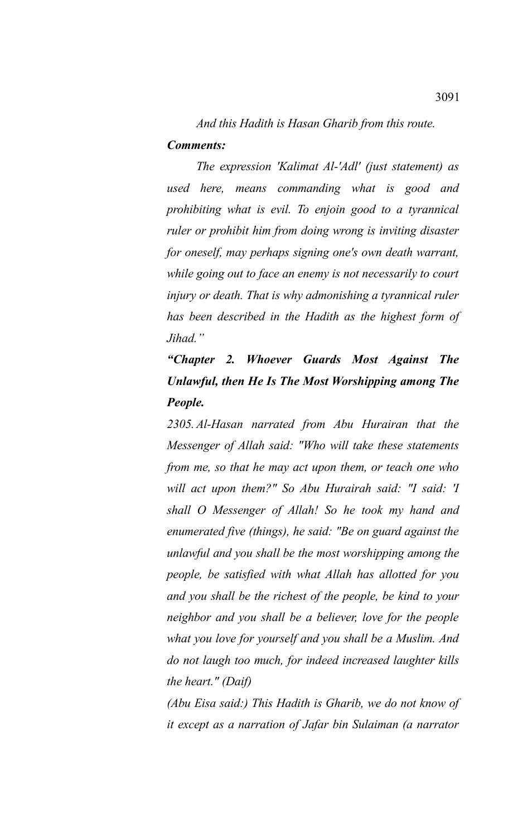*And this Hadith is Hasan Gharib from this route. Comments:*

*The expression 'Kalimat Al-'Adl' (just statement) as used here, means commanding what is good and prohibiting what is evil. To enjoin good to a tyrannical ruler or prohibit him from doing wrong is inviting disaster for oneself, may perhaps signing one's own death warrant, while going out to face an enemy is not necessarily to court injury or death. That is why admonishing a tyrannical ruler has been described in the Hadith as the highest form of Jihad."*

# *"Chapter 2. Whoever Guards Most Against The Unlawful, then He Is The Most Worshipping among The People.*

*2305.Al-Hasan narrated from Abu Hurairan that the Messenger of Allah said: "Who will take these statements from me, so that he may act upon them, or teach one who will act upon them?" So Abu Hurairah said: "I said: 'I shall O Messenger of Allah! So he took my hand and enumerated five (things), he said: "Be on guard against the unlawful and you shall be the most worshipping among the people, be satisfied with what Allah has allotted for you and you shall be the richest of the people, be kind to your neighbor and you shall be a believer, love for the people what you love for yourself and you shall be a Muslim. And do not laugh too much, for indeed increased laughter kills the heart." (Daif)*

*(Abu Eisa said:) This Hadith is Gharib, we do not know of it except as a narration of Jafar bin Sulaiman (a narrator*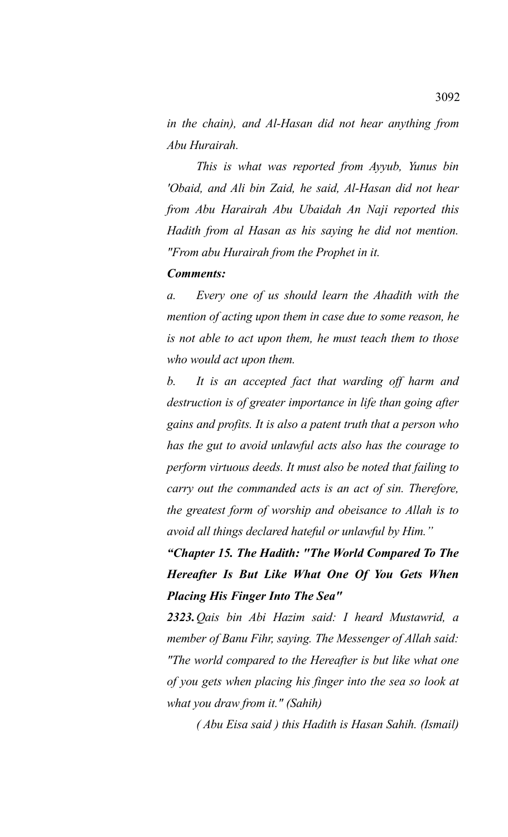*in the chain), and Al-Hasan did not hear anything from Abu Hurairah.*

*This is what was reported from Ayyub, Yunus bin 'Obaid, and Ali bin Zaid, he said, Al-Hasan did not hear from Abu Harairah Abu Ubaidah An Naji reported this Hadith from al Hasan as his saying he did not mention. "From abu Hurairah from the Prophet in it.*

#### *Comments:*

*a. Every one of us should learn the Ahadith with the mention of acting upon them in case due to some reason, he is not able to act upon them, he must teach them to those who would act upon them.*

*b. It is an accepted fact that warding off harm and destruction is of greater importance in life than going after gains and profits. It is also a patent truth that a person who has the gut to avoid unlawful acts also has the courage to perform virtuous deeds. It must also be noted that failing to carry out the commanded acts is an act of sin. Therefore, the greatest form of worship and obeisance to Allah is to avoid all things declared hateful or unlawful by Him."*

*"Chapter 15. The Hadith: "The World Compared To The Hereafter Is But Like What One Of You Gets When Placing His Finger Into The Sea"*

*2323.Qais bin Abi Hazim said: I heard Mustawrid, a member of Banu Fihr, saying. The Messenger of Allah said: "The world compared to the Hereafter is but like what one of you gets when placing his finger into the sea so look at what you draw from it." (Sahih)*

*( Abu Eisa said ) this Hadith is Hasan Sahih. (Ismail)*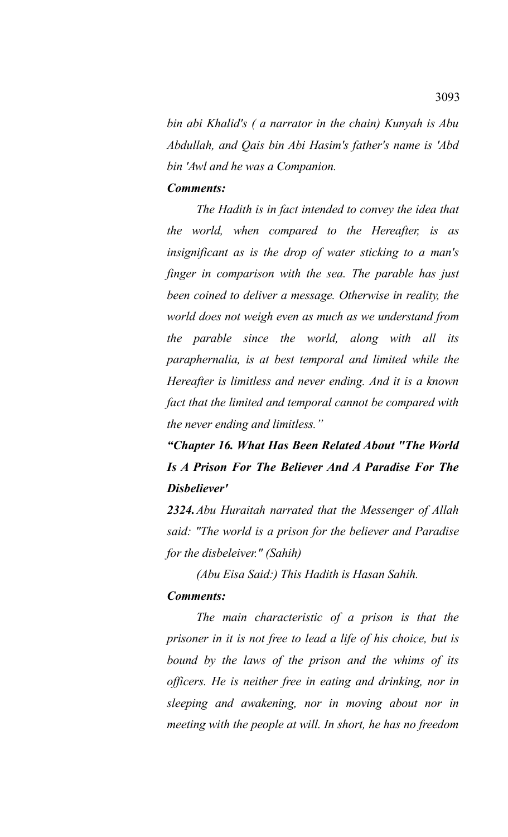*bin abi Khalid's ( a narrator in the chain) Kunyah is Abu Abdullah, and Qais bin Abi Hasim's father's name is 'Abd bin 'Awl and he was a Companion.*

## *Comments:*

*The Hadith is in fact intended to convey the idea that the world, when compared to the Hereafter, is as insignificant as is the drop of water sticking to a man's finger in comparison with the sea. The parable has just been coined to deliver a message. Otherwise in reality, the world does not weigh even as much as we understand from the parable since the world, along with all its paraphernalia, is at best temporal and limited while the Hereafter is limitless and never ending. And it is a known fact that the limited and temporal cannot be compared with the never ending and limitless."*

# *"Chapter 16. What Has Been Related About "The World Is A Prison For The Believer And A Paradise For The Disbeliever'*

*2324.Abu Huraitah narrated that the Messenger of Allah said: "The world is a prison for the believer and Paradise for the disbeleiver." (Sahih)*

*(Abu Eisa Said:) This Hadith is Hasan Sahih.*

### *Comments:*

*The main characteristic of a prison is that the prisoner in it is not free to lead a life of his choice, but is bound by the laws of the prison and the whims of its officers. He is neither free in eating and drinking, nor in sleeping and awakening, nor in moving about nor in meeting with the people at will. In short, he has no freedom*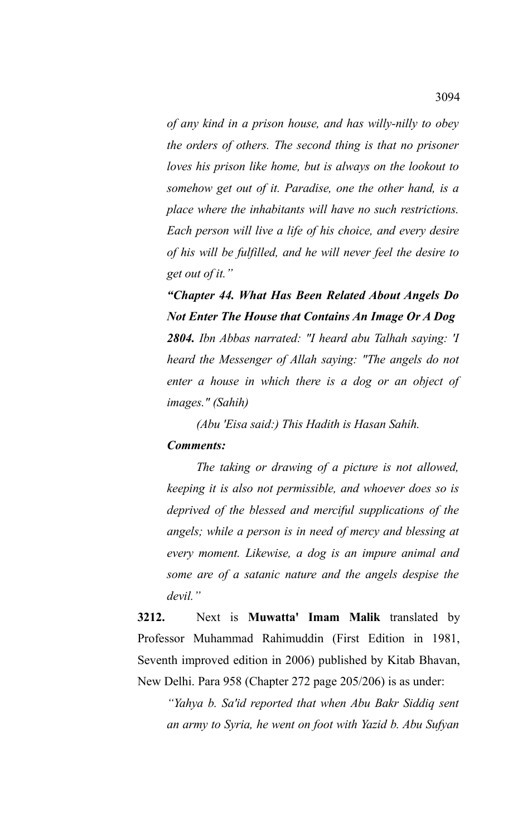*of any kind in a prison house, and has willy-nilly to obey the orders of others. The second thing is that no prisoner loves his prison like home, but is always on the lookout to somehow get out of it. Paradise, one the other hand, is a place where the inhabitants will have no such restrictions. Each person will live a life of his choice, and every desire of his will be fulfilled, and he will never feel the desire to get out of it."*

## *"Chapter 44. What Has Been Related About Angels Do Not Enter The House that Contains An Image Or A Dog*

*2804. Ibn Abbas narrated: "I heard abu Talhah saying: 'I heard the Messenger of Allah saying: "The angels do not enter a house in which there is a dog or an object of images." (Sahih)*

*(Abu 'Eisa said:) This Hadith is Hasan Sahih.*

## *Comments:*

*The taking or drawing of a picture is not allowed, keeping it is also not permissible, and whoever does so is deprived of the blessed and merciful supplications of the angels; while a person is in need of mercy and blessing at every moment. Likewise, a dog is an impure animal and some are of a satanic nature and the angels despise the devil."*

**3212.** Next is **Muwatta' Imam Malik** translated by Professor Muhammad Rahimuddin (First Edition in 1981, Seventh improved edition in 2006) published by Kitab Bhavan, New Delhi. Para 958 (Chapter 272 page 205/206) is as under:

*"Yahya b. Sa'id reported that when Abu Bakr Siddiq sent an army to Syria, he went on foot with Yazid b. Abu Sufyan*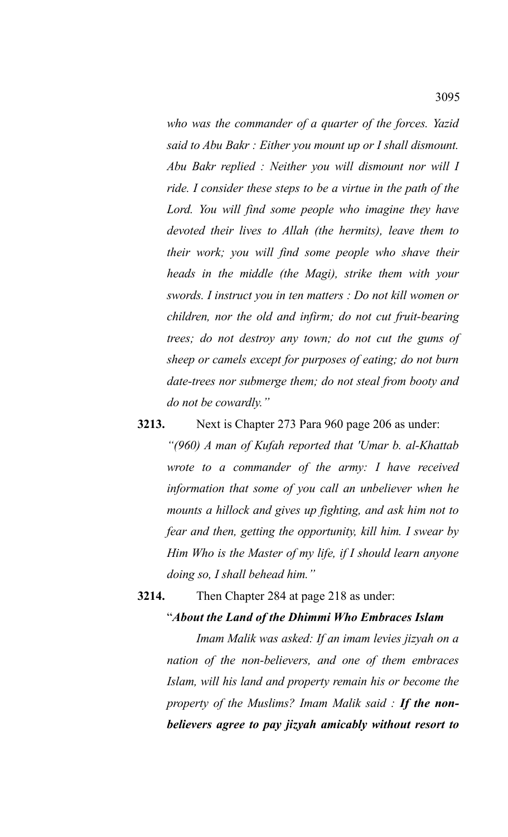*who was the commander of a quarter of the forces. Yazid said to Abu Bakr : Either you mount up or I shall dismount. Abu Bakr replied : Neither you will dismount nor will I ride. I consider these steps to be a virtue in the path of the Lord. You will find some people who imagine they have devoted their lives to Allah (the hermits), leave them to their work; you will find some people who shave their heads in the middle (the Magi), strike them with your swords. I instruct you in ten matters : Do not kill women or children, nor the old and infirm; do not cut fruit-bearing trees; do not destroy any town; do not cut the gums of sheep or camels except for purposes of eating; do not burn date-trees nor submerge them; do not steal from booty and do not be cowardly."*

#### **3213.** Next is Chapter 273 Para 960 page 206 as under:

*"(960) A man of Kufah reported that 'Umar b. al-Khattab wrote to a commander of the army: I have received information that some of you call an unbeliever when he mounts a hillock and gives up fighting, and ask him not to fear and then, getting the opportunity, kill him. I swear by Him Who is the Master of my life, if I should learn anyone doing so, I shall behead him."*

**3214.** Then Chapter 284 at page 218 as under:

### "*About the Land of the Dhimmi Who Embraces Islam*

*Imam Malik was asked: If an imam levies jizyah on a nation of the non-believers, and one of them embraces Islam, will his land and property remain his or become the property of the Muslims? Imam Malik said : If the nonbelievers agree to pay jizyah amicably without resort to*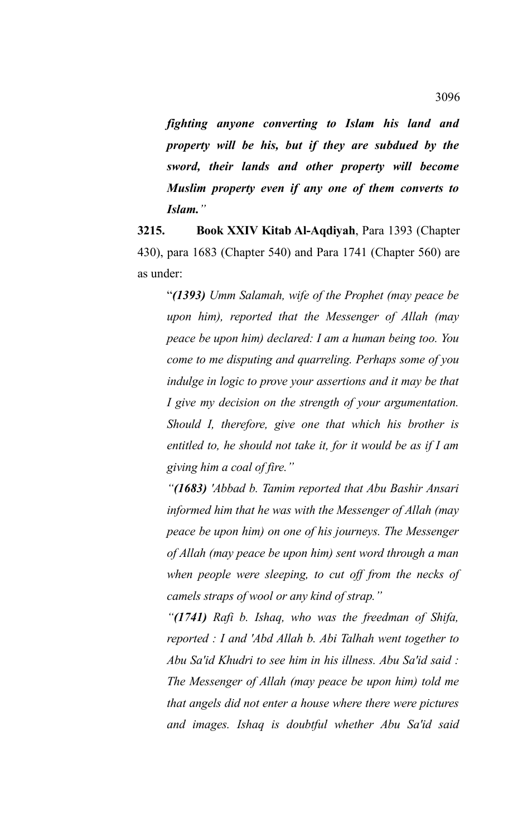*fighting anyone converting to Islam his land and property will be his, but if they are subdued by the sword, their lands and other property will become Muslim property even if any one of them converts to Islam."*

**3215. Book XXIV Kitab Al-Aqdiyah**, Para 1393 (Chapter 430), para 1683 (Chapter 540) and Para 1741 (Chapter 560) are as under:

"*(1393) Umm Salamah, wife of the Prophet (may peace be upon him), reported that the Messenger of Allah (may peace be upon him) declared: I am a human being too. You come to me disputing and quarreling. Perhaps some of you indulge in logic to prove your assertions and it may be that I give my decision on the strength of your argumentation. Should I, therefore, give one that which his brother is entitled to, he should not take it, for it would be as if I am giving him a coal of fire."*

*"(1683) 'Abbad b. Tamim reported that Abu Bashir Ansari informed him that he was with the Messenger of Allah (may peace be upon him) on one of his journeys. The Messenger of Allah (may peace be upon him) sent word through a man when people were sleeping, to cut off from the necks of camels straps of wool or any kind of strap."*

*"(1741) Rafi b. Ishaq, who was the freedman of Shifa, reported : I and 'Abd Allah b. Abi Talhah went together to Abu Sa'id Khudri to see him in his illness. Abu Sa'id said : The Messenger of Allah (may peace be upon him) told me that angels did not enter a house where there were pictures and images. Ishaq is doubtful whether Abu Sa'id said*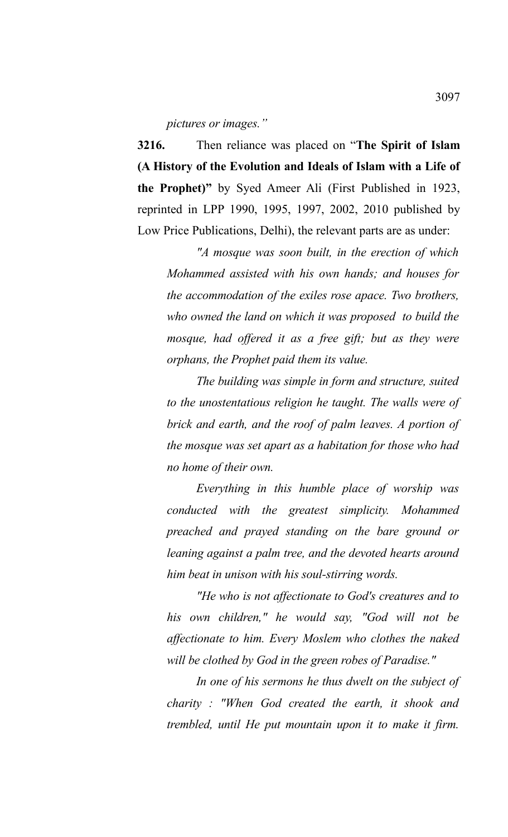#### *pictures or images."*

**3216.** Then reliance was placed on "**The Spirit of Islam (A History of the Evolution and Ideals of Islam with a Life of the Prophet)"** by Syed Ameer Ali (First Published in 1923, reprinted in LPP 1990, 1995, 1997, 2002, 2010 published by Low Price Publications, Delhi), the relevant parts are as under:

*"A mosque was soon built, in the erection of which Mohammed assisted with his own hands; and houses for the accommodation of the exiles rose apace. Two brothers, who owned the land on which it was proposed to build the mosque, had offered it as a free gift; but as they were orphans, the Prophet paid them its value.*

*The building was simple in form and structure, suited to the unostentatious religion he taught. The walls were of brick and earth, and the roof of palm leaves. A portion of the mosque was set apart as a habitation for those who had no home of their own.*

*Everything in this humble place of worship was conducted with the greatest simplicity. Mohammed preached and prayed standing on the bare ground or leaning against a palm tree, and the devoted hearts around him beat in unison with his soul-stirring words.*

*"He who is not affectionate to God's creatures and to his own children," he would say, "God will not be affectionate to him. Every Moslem who clothes the naked will be clothed by God in the green robes of Paradise."*

*In one of his sermons he thus dwelt on the subject of charity : "When God created the earth, it shook and trembled, until He put mountain upon it to make it firm.*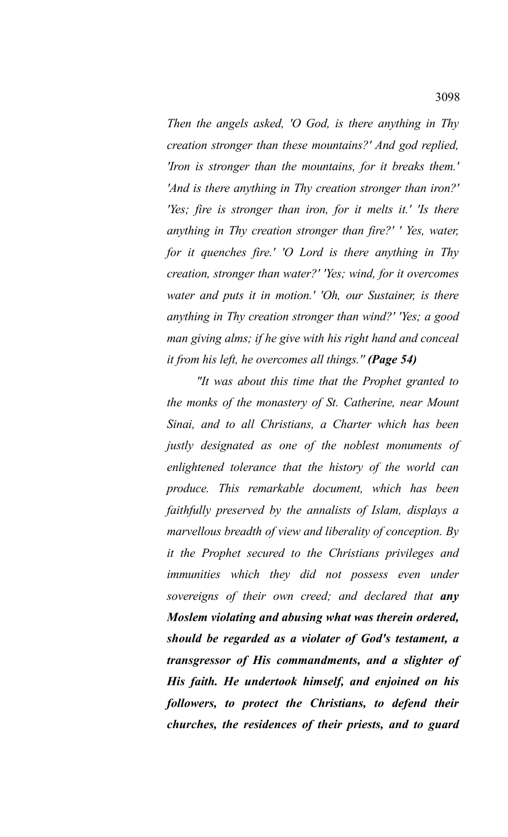*Then the angels asked, 'O God, is there anything in Thy creation stronger than these mountains?' And god replied, 'Iron is stronger than the mountains, for it breaks them.' 'And is there anything in Thy creation stronger than iron?' 'Yes; fire is stronger than iron, for it melts it.' 'Is there anything in Thy creation stronger than fire?' ' Yes, water, for it quenches fire.' 'O Lord is there anything in Thy creation, stronger than water?' 'Yes; wind, for it overcomes water and puts it in motion.' 'Oh, our Sustainer, is there anything in Thy creation stronger than wind?' 'Yes; a good man giving alms; if he give with his right hand and conceal it from his left, he overcomes all things.'' (Page 54)*

*"It was about this time that the Prophet granted to the monks of the monastery of St. Catherine, near Mount Sinai, and to all Christians, a Charter which has been justly designated as one of the noblest monuments of enlightened tolerance that the history of the world can produce. This remarkable document, which has been faithfully preserved by the annalists of Islam, displays a marvellous breadth of view and liberality of conception. By it the Prophet secured to the Christians privileges and immunities which they did not possess even under sovereigns of their own creed; and declared that any Moslem violating and abusing what was therein ordered, should be regarded as a violater of God's testament, a transgressor of His commandments, and a slighter of His faith. He undertook himself, and enjoined on his followers, to protect the Christians, to defend their churches, the residences of their priests, and to guard*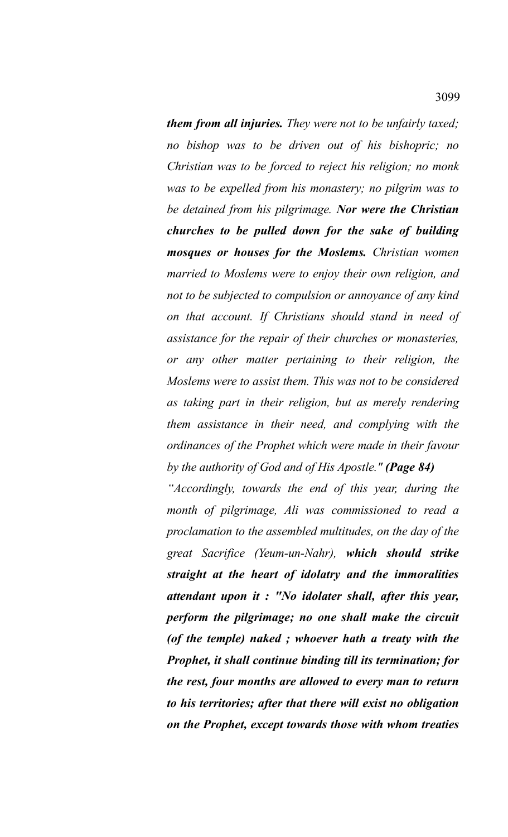*them from all injuries. They were not to be unfairly taxed; no bishop was to be driven out of his bishopric; no Christian was to be forced to reject his religion; no monk was to be expelled from his monastery; no pilgrim was to be detained from his pilgrimage. Nor were the Christian churches to be pulled down for the sake of building mosques or houses for the Moslems. Christian women married to Moslems were to enjoy their own religion, and not to be subjected to compulsion or annoyance of any kind on that account. If Christians should stand in need of assistance for the repair of their churches or monasteries, or any other matter pertaining to their religion, the Moslems were to assist them. This was not to be considered as taking part in their religion, but as merely rendering them assistance in their need, and complying with the ordinances of the Prophet which were made in their favour by the authority of God and of His Apostle." (Page 84)*

*"Accordingly, towards the end of this year, during the month of pilgrimage, Ali was commissioned to read a proclamation to the assembled multitudes, on the day of the great Sacrifice (Yeum-un-Nahr), which should strike straight at the heart of idolatry and the immoralities attendant upon it : "No idolater shall, after this year, perform the pilgrimage; no one shall make the circuit (of the temple) naked ; whoever hath a treaty with the Prophet, it shall continue binding till its termination; for the rest, four months are allowed to every man to return to his territories; after that there will exist no obligation on the Prophet, except towards those with whom treaties*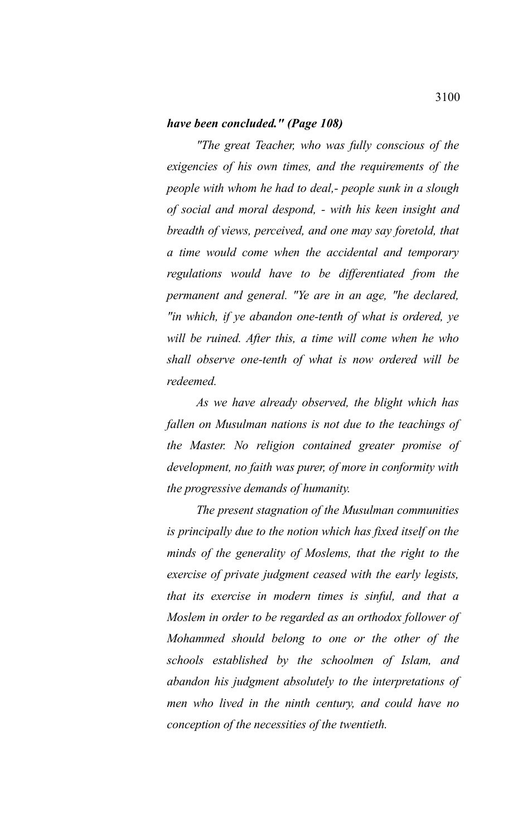#### *have been concluded." (Page 108)*

*"The great Teacher, who was fully conscious of the exigencies of his own times, and the requirements of the people with whom he had to deal,- people sunk in a slough of social and moral despond, - with his keen insight and breadth of views, perceived, and one may say foretold, that a time would come when the accidental and temporary regulations would have to be differentiated from the permanent and general. "Ye are in an age, "he declared, "in which, if ye abandon one-tenth of what is ordered, ye will be ruined. After this, a time will come when he who shall observe one-tenth of what is now ordered will be redeemed.*

*As we have already observed, the blight which has fallen on Musulman nations is not due to the teachings of the Master. No religion contained greater promise of development, no faith was purer, of more in conformity with the progressive demands of humanity.*

*The present stagnation of the Musulman communities is principally due to the notion which has fixed itself on the minds of the generality of Moslems, that the right to the exercise of private judgment ceased with the early legists, that its exercise in modern times is sinful, and that a Moslem in order to be regarded as an orthodox follower of Mohammed should belong to one or the other of the schools established by the schoolmen of Islam, and abandon his judgment absolutely to the interpretations of men who lived in the ninth century, and could have no conception of the necessities of the twentieth.*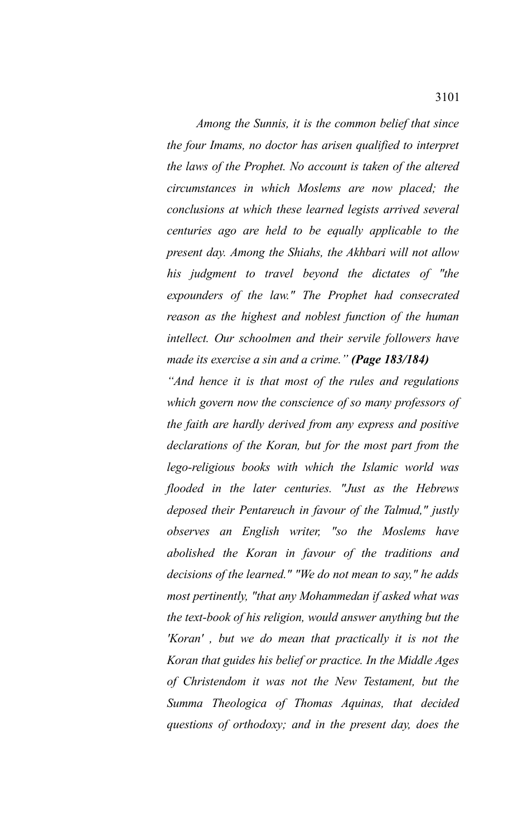*Among the Sunnis, it is the common belief that since the four Imams, no doctor has arisen qualified to interpret the laws of the Prophet. No account is taken of the altered circumstances in which Moslems are now placed; the conclusions at which these learned legists arrived several centuries ago are held to be equally applicable to the present day. Among the Shiahs, the Akhbari will not allow his judgment to travel beyond the dictates of "the expounders of the law." The Prophet had consecrated reason as the highest and noblest function of the human intellect. Our schoolmen and their servile followers have made its exercise a sin and a crime." (Page 183/184)*

*"And hence it is that most of the rules and regulations which govern now the conscience of so many professors of the faith are hardly derived from any express and positive declarations of the Koran, but for the most part from the lego-religious books with which the Islamic world was flooded in the later centuries. "Just as the Hebrews deposed their Pentareuch in favour of the Talmud," justly observes an English writer, "so the Moslems have abolished the Koran in favour of the traditions and decisions of the learned." "We do not mean to say," he adds most pertinently, "that any Mohammedan if asked what was the text-book of his religion, would answer anything but the 'Koran' , but we do mean that practically it is not the Koran that guides his belief or practice. In the Middle Ages of Christendom it was not the New Testament, but the Summa Theologica of Thomas Aquinas, that decided questions of orthodoxy; and in the present day, does the*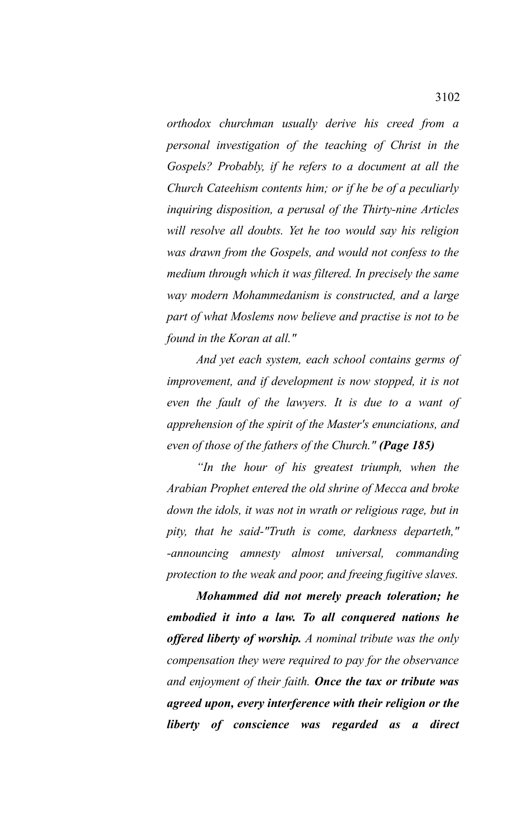*orthodox churchman usually derive his creed from a personal investigation of the teaching of Christ in the Gospels? Probably, if he refers to a document at all the Church Cateehism contents him; or if he be of a peculiarly inquiring disposition, a perusal of the Thirty-nine Articles will resolve all doubts. Yet he too would say his religion was drawn from the Gospels, and would not confess to the medium through which it was filtered. In precisely the same way modern Mohammedanism is constructed, and a large part of what Moslems now believe and practise is not to be found in the Koran at all."*

*And yet each system, each school contains germs of improvement, and if development is now stopped, it is not even the fault of the lawyers. It is due to a want of apprehension of the spirit of the Master's enunciations, and even of those of the fathers of the Church." (Page 185)*

*"In the hour of his greatest triumph, when the Arabian Prophet entered the old shrine of Mecca and broke down the idols, it was not in wrath or religious rage, but in pity, that he said-"Truth is come, darkness departeth," -announcing amnesty almost universal, commanding protection to the weak and poor, and freeing fugitive slaves.*

*Mohammed did not merely preach toleration; he embodied it into a law. To all conquered nations he offered liberty of worship. A nominal tribute was the only compensation they were required to pay for the observance and enjoyment of their faith. Once the tax or tribute was agreed upon, every interference with their religion or the liberty of conscience was regarded as a direct*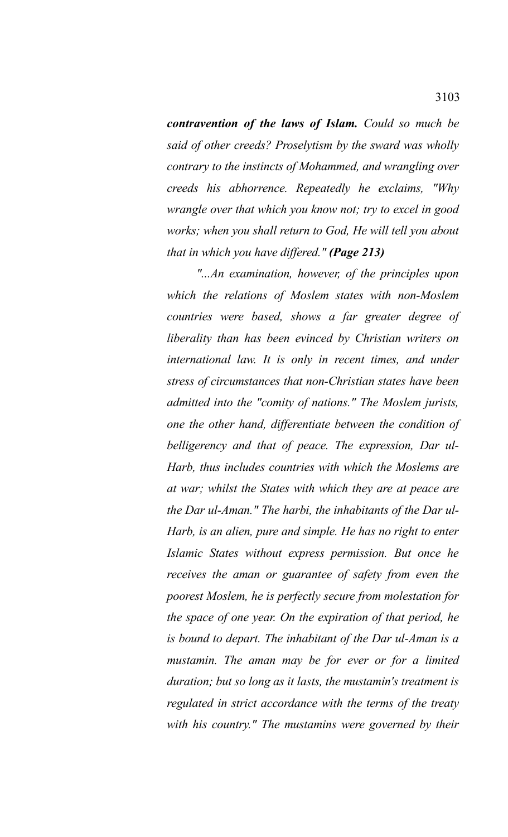*contravention of the laws of Islam. Could so much be said of other creeds? Proselytism by the sward was wholly contrary to the instincts of Mohammed, and wrangling over creeds his abhorrence. Repeatedly he exclaims, "Why wrangle over that which you know not; try to excel in good works; when you shall return to God, He will tell you about that in which you have differed." (Page 213)*

*"...An examination, however, of the principles upon which the relations of Moslem states with non-Moslem countries were based, shows a far greater degree of liberality than has been evinced by Christian writers on international law. It is only in recent times, and under stress of circumstances that non-Christian states have been admitted into the "comity of nations." The Moslem jurists, one the other hand, differentiate between the condition of belligerency and that of peace. The expression, Dar ul-Harb, thus includes countries with which the Moslems are at war; whilst the States with which they are at peace are the Dar ul-Aman." The harbi, the inhabitants of the Dar ul-Harb, is an alien, pure and simple. He has no right to enter Islamic States without express permission. But once he receives the aman or guarantee of safety from even the poorest Moslem, he is perfectly secure from molestation for the space of one year. On the expiration of that period, he is bound to depart. The inhabitant of the Dar ul-Aman is a mustamin. The aman may be for ever or for a limited duration; but so long as it lasts, the mustamin's treatment is regulated in strict accordance with the terms of the treaty with his country." The mustamins were governed by their*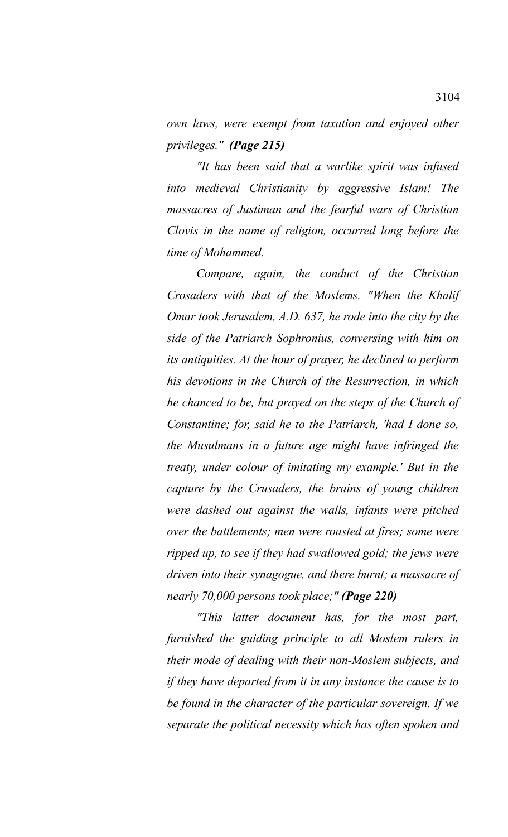*own laws, were exempt from taxation and enjoyed other privileges." (Page 215)*

*"It has been said that a warlike spirit was infused into medieval Christianity by aggressive Islam! The massacres of Justiman and the fearful wars of Christian Clovis in the name of religion, occurred long before the time of Mohammed.*

*Compare, again, the conduct of the Christian Crosaders with that of the Moslems. "When the Khalif Omar took Jerusalem, A.D. 637, he rode into the city by the side of the Patriarch Sophronius, conversing with him on its antiquities. At the hour of prayer, he declined to perform his devotions in the Church of the Resurrection, in which he chanced to be, but prayed on the steps of the Church of Constantine; for, said he to the Patriarch, 'had I done so, the Musulmans in a future age might have infringed the treaty, under colour of imitating my example.' But in the capture by the Crusaders, the brains of young children were dashed out against the walls, infants were pitched over the battlements; men were roasted at fires; some were ripped up, to see if they had swallowed gold; the jews were driven into their synagogue, and there burnt; a massacre of nearly 70,000 persons took place;" (Page 220)*

*"This latter document has, for the most part, furnished the guiding principle to all Moslem rulers in their mode of dealing with their non-Moslem subjects, and if they have departed from it in any instance the cause is to be found in the character of the particular sovereign. If we separate the political necessity which has often spoken and*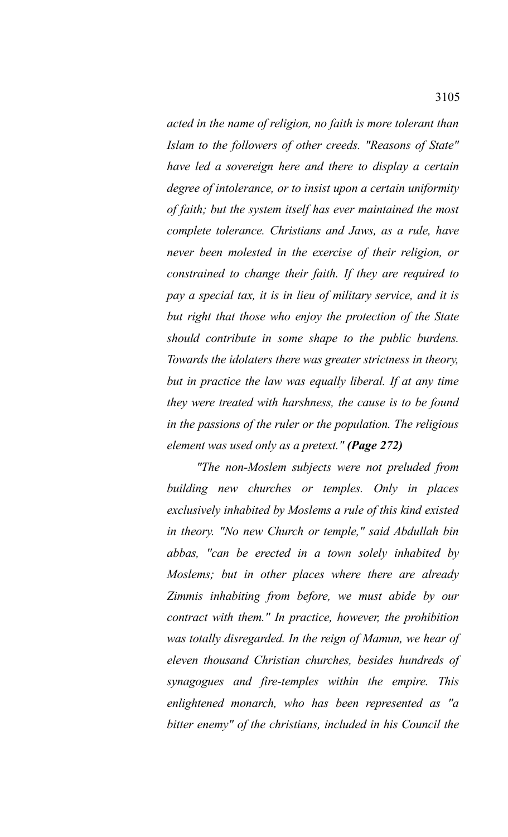*acted in the name of religion, no faith is more tolerant than Islam to the followers of other creeds. "Reasons of State" have led a sovereign here and there to display a certain degree of intolerance, or to insist upon a certain uniformity of faith; but the system itself has ever maintained the most complete tolerance. Christians and Jaws, as a rule, have never been molested in the exercise of their religion, or constrained to change their faith. If they are required to pay a special tax, it is in lieu of military service, and it is but right that those who enjoy the protection of the State should contribute in some shape to the public burdens. Towards the idolaters there was greater strictness in theory, but in practice the law was equally liberal. If at any time they were treated with harshness, the cause is to be found in the passions of the ruler or the population. The religious element was used only as a pretext." (Page 272)*

*"The non-Moslem subjects were not preluded from building new churches or temples. Only in places exclusively inhabited by Moslems a rule of this kind existed in theory. "No new Church or temple," said Abdullah bin abbas, ''can be erected in a town solely inhabited by Moslems; but in other places where there are already Zimmis inhabiting from before, we must abide by our contract with them." In practice, however, the prohibition was totally disregarded. In the reign of Mamun, we hear of eleven thousand Christian churches, besides hundreds of synagogues and fire-temples within the empire. This enlightened monarch, who has been represented as "a bitter enemy" of the christians, included in his Council the*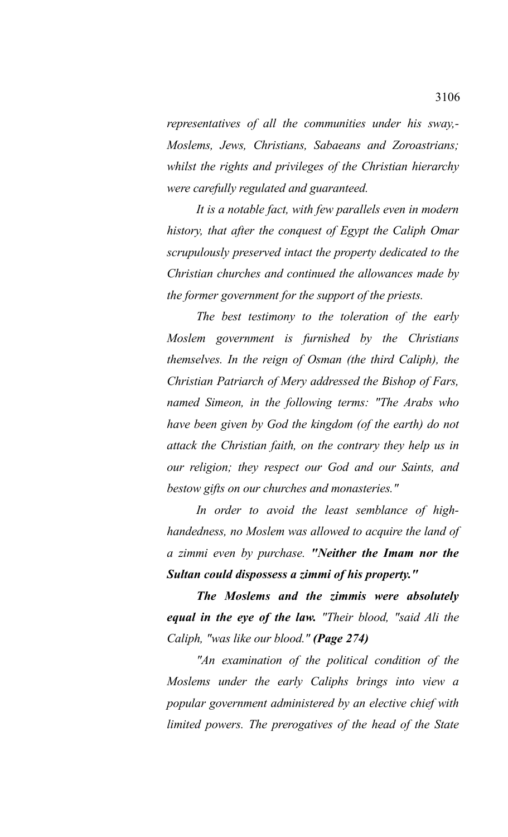*representatives of all the communities under his sway,- Moslems, Jews, Christians, Sabaeans and Zoroastrians; whilst the rights and privileges of the Christian hierarchy were carefully regulated and guaranteed.*

*It is a notable fact, with few parallels even in modern history, that after the conquest of Egypt the Caliph Omar scrupulously preserved intact the property dedicated to the Christian churches and continued the allowances made by the former government for the support of the priests.*

*The best testimony to the toleration of the early Moslem government is furnished by the Christians themselves. In the reign of Osman (the third Caliph), the Christian Patriarch of Mery addressed the Bishop of Fars, named Simeon, in the following terms: "The Arabs who have been given by God the kingdom (of the earth) do not attack the Christian faith, on the contrary they help us in our religion; they respect our God and our Saints, and bestow gifts on our churches and monasteries."*

*In order to avoid the least semblance of highhandedness, no Moslem was allowed to acquire the land of a zimmi even by purchase. "Neither the Imam nor the Sultan could dispossess a zimmi of his property."*

*The Moslems and the zimmis were absolutely equal in the eye of the law. "Their blood, "said Ali the Caliph, "was like our blood." (Page 274)*

*"An examination of the political condition of the Moslems under the early Caliphs brings into view a popular government administered by an elective chief with limited powers. The prerogatives of the head of the State*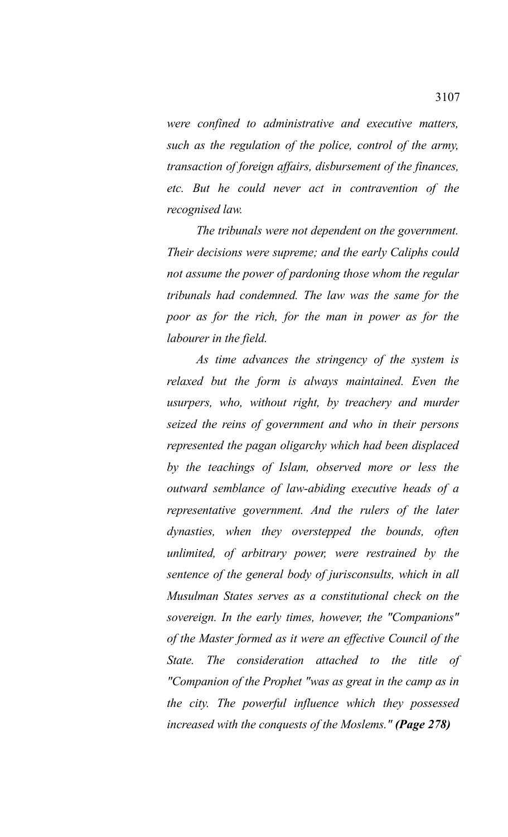*were confined to administrative and executive matters, such as the regulation of the police, control of the army, transaction of foreign affairs, disbursement of the finances, etc. But he could never act in contravention of the recognised law.*

*The tribunals were not dependent on the government. Their decisions were supreme; and the early Caliphs could not assume the power of pardoning those whom the regular tribunals had condemned. The law was the same for the poor as for the rich, for the man in power as for the labourer in the field.*

*As time advances the stringency of the system is relaxed but the form is always maintained. Even the usurpers, who, without right, by treachery and murder seized the reins of government and who in their persons represented the pagan oligarchy which had been displaced by the teachings of Islam, observed more or less the outward semblance of law-abiding executive heads of a representative government. And the rulers of the later dynasties, when they overstepped the bounds, often unlimited, of arbitrary power, were restrained by the sentence of the general body of jurisconsults, which in all Musulman States serves as a constitutional check on the sovereign. In the early times, however, the "Companions" of the Master formed as it were an effective Council of the State. The consideration attached to the title of "Companion of the Prophet "was as great in the camp as in the city. The powerful influence which they possessed increased with the conquests of the Moslems." (Page 278)*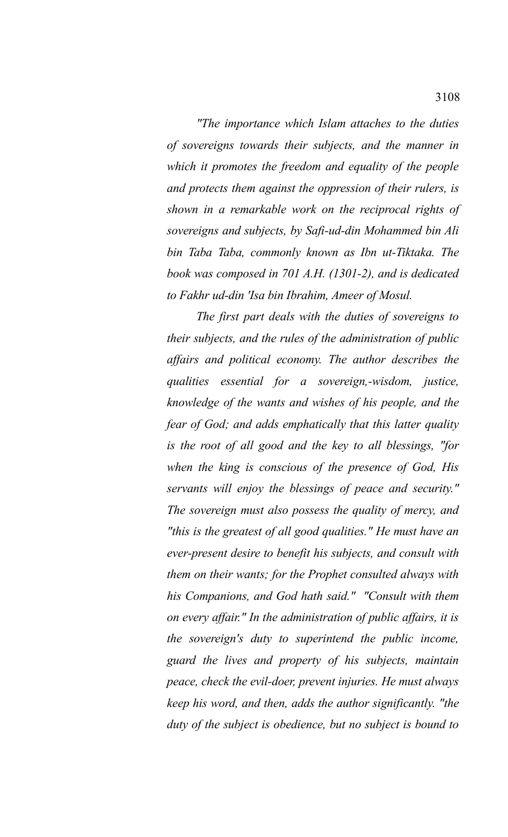*"The importance which Islam attaches to the duties of sovereigns towards their subjects, and the manner in which it promotes the freedom and equality of the people and protects them against the oppression of their rulers, is shown in a remarkable work on the reciprocal rights of sovereigns and subjects, by Safi-ud-din Mohammed bin Ali bin Taba Taba, commonly known as Ibn ut-Tiktaka. The book was composed in 701 A.H. (1301-2), and is dedicated to Fakhr ud-din 'Isa bin Ibrahim, Ameer of Mosul.*

*The first part deals with the duties of sovereigns to their subjects, and the rules of the administration of public affairs and political economy. The author describes the qualities essential for a sovereign,-wisdom, justice, knowledge of the wants and wishes of his people, and the fear of God; and adds emphatically that this latter quality is the root of all good and the key to all blessings, "for when the king is conscious of the presence of God, His servants will enjoy the blessings of peace and security." The sovereign must also possess the quality of mercy, and "this is the greatest of all good qualities." He must have an ever-present desire to benefit his subjects, and consult with them on their wants; for the Prophet consulted always with his Companions, and God hath said." "Consult with them on every affair." In the administration of public affairs, it is the sovereign's duty to superintend the public income, guard the lives and property of his subjects, maintain peace, check the evil-doer, prevent injuries. He must always keep his word, and then, adds the author significantly. "the duty of the subject is obedience, but no subject is bound to*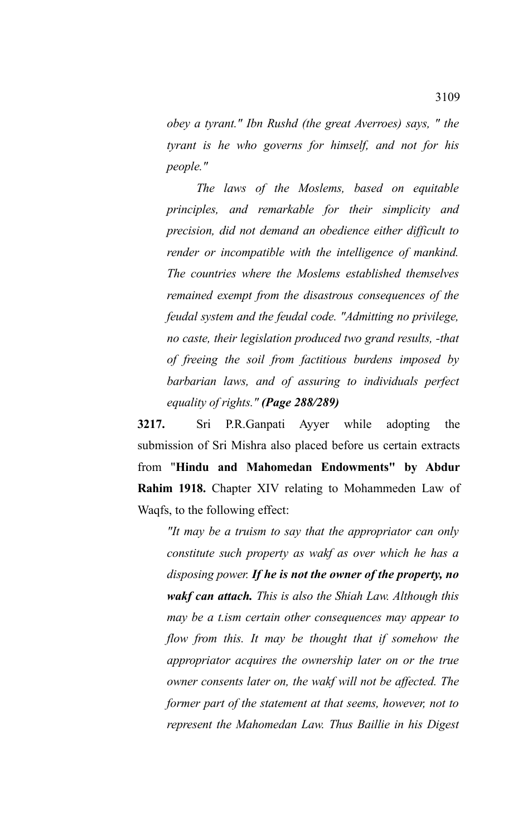*obey a tyrant." Ibn Rushd (the great Averroes) says, " the tyrant is he who governs for himself, and not for his people."*

*The laws of the Moslems, based on equitable principles, and remarkable for their simplicity and precision, did not demand an obedience either difficult to render or incompatible with the intelligence of mankind. The countries where the Moslems established themselves remained exempt from the disastrous consequences of the feudal system and the feudal code. "Admitting no privilege, no caste, their legislation produced two grand results, -that of freeing the soil from factitious burdens imposed by barbarian laws, and of assuring to individuals perfect equality of rights." (Page 288/289)*

**3217.** Sri P.R.Ganpati Ayyer while adopting the submission of Sri Mishra also placed before us certain extracts from "**Hindu and Mahomedan Endowments" by Abdur Rahim 1918.** Chapter XIV relating to Mohammeden Law of Waqfs, to the following effect:

*"It may be a truism to say that the appropriator can only constitute such property as wakf as over which he has a disposing power. If he is not the owner of the property, no wakf can attach. This is also the Shiah Law. Although this may be a t.ism certain other consequences may appear to flow from this. It may be thought that if somehow the appropriator acquires the ownership later on or the true owner consents later on, the wakf will not be affected. The former part of the statement at that seems, however, not to represent the Mahomedan Law. Thus Baillie in his Digest*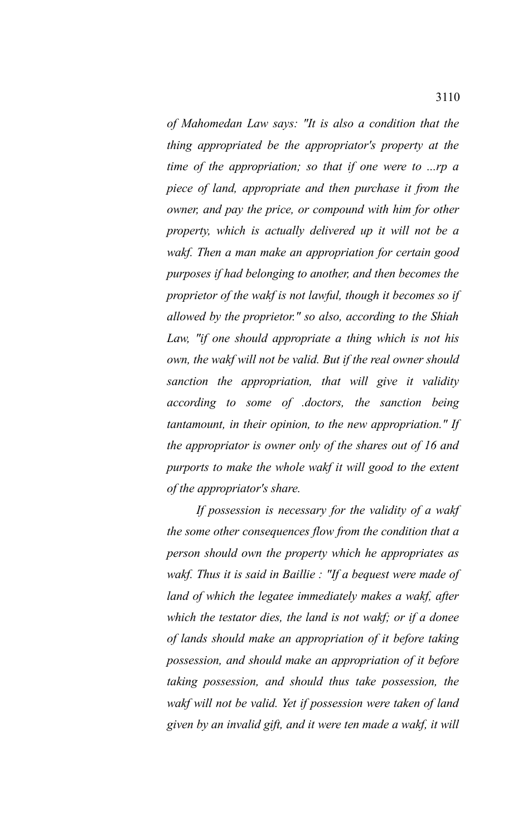*of Mahomedan Law says: "It is also a condition that the thing appropriated be the appropriator's property at the time of the appropriation; so that if one were to ...rp a piece of land, appropriate and then purchase it from the owner, and pay the price, or compound with him for other property, which is actually delivered up it will not be a wakf. Then a man make an appropriation for certain good purposes if had belonging to another, and then becomes the proprietor of the wakf is not lawful, though it becomes so if allowed by the proprietor." so also, according to the Shiah Law, "if one should appropriate a thing which is not his own, the wakf will not be valid. But if the real owner should sanction the appropriation, that will give it validity according to some of .doctors, the sanction being tantamount, in their opinion, to the new appropriation." If the appropriator is owner only of the shares out of 16 and purports to make the whole wakf it will good to the extent of the appropriator's share.*

*If possession is necessary for the validity of a wakf the some other consequences flow from the condition that a person should own the property which he appropriates as wakf. Thus it is said in Baillie : "If a bequest were made of land of which the legatee immediately makes a wakf, after which the testator dies, the land is not wakf; or if a donee of lands should make an appropriation of it before taking possession, and should make an appropriation of it before taking possession, and should thus take possession, the wakf will not be valid. Yet if possession were taken of land given by an invalid gift, and it were ten made a wakf, it will*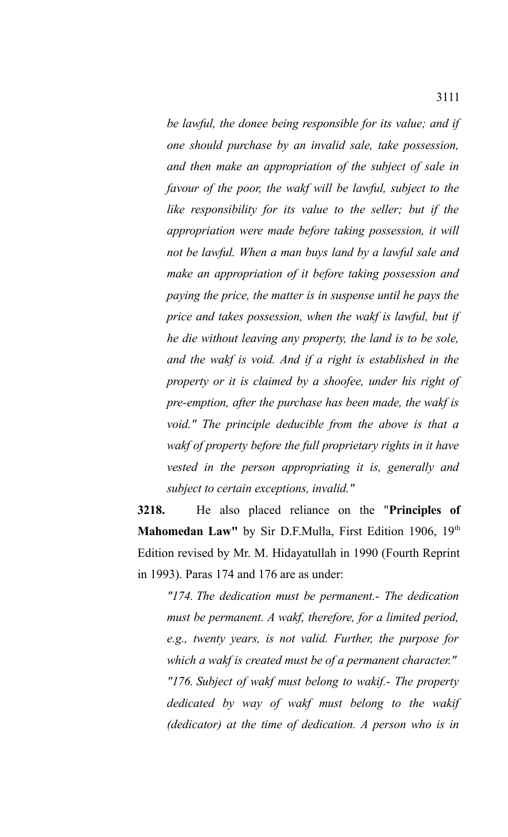*be lawful, the donee being responsible for its value; and if one should purchase by an invalid sale, take possession, and then make an appropriation of the subject of sale in favour of the poor, the wakf will be lawful, subject to the like responsibility for its value to the seller; but if the appropriation were made before taking possession, it will not be lawful. When a man buys land by a lawful sale and make an appropriation of it before taking possession and paying the price, the matter is in suspense until he pays the price and takes possession, when the wakf is lawful, but if he die without leaving any property, the land is to be sole, and the wakf is void. And if a right is established in the property or it is claimed by a shoofee, under his right of pre-emption, after the purchase has been made, the wakf is void." The principle deducible from the above is that a wakf of property before the full proprietary rights in it have vested in the person appropriating it is, generally and subject to certain exceptions, invalid."*

**3218.** He also placed reliance on the "**Principles of** Mahomedan Law" by Sir D.F.Mulla, First Edition 1906, 19<sup>th</sup> Edition revised by Mr. M. Hidayatullah in 1990 (Fourth Reprint in 1993). Paras 174 and 176 are as under:

*"174. The dedication must be permanent.- The dedication must be permanent. A wakf, therefore, for a limited period, e.g., twenty years, is not valid. Further, the purpose for which a wakf is created must be of a permanent character." "176. Subject of wakf must belong to wakif.- The property dedicated by way of wakf must belong to the wakif (dedicator) at the time of dedication. A person who is in*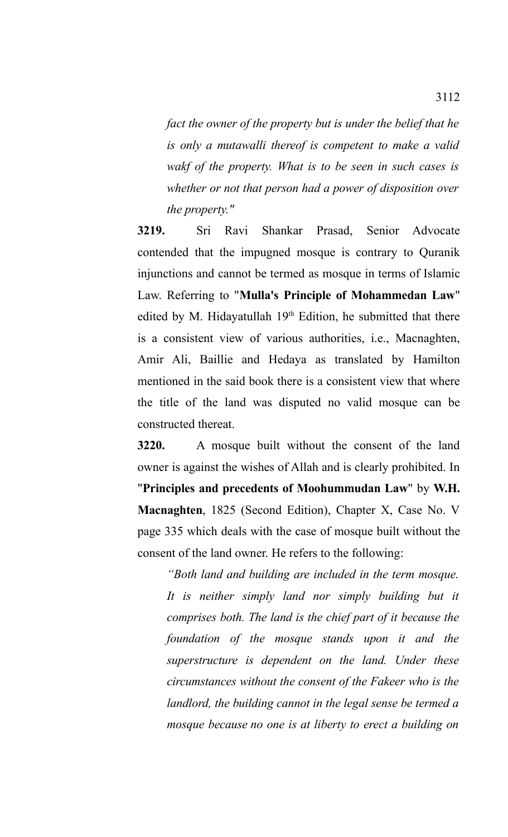*fact the owner of the property but is under the belief that he is only a mutawalli thereof is competent to make a valid wakf of the property. What is to be seen in such cases is whether or not that person had a power of disposition over the property."*

**3219.** Sri Ravi Shankar Prasad, Senior Advocate contended that the impugned mosque is contrary to Quranik injunctions and cannot be termed as mosque in terms of Islamic Law. Referring to "**Mulla's Principle of Mohammedan Law**" edited by M. Hidayatullah 19<sup>th</sup> Edition, he submitted that there is a consistent view of various authorities, i.e., Macnaghten, Amir Ali, Baillie and Hedaya as translated by Hamilton mentioned in the said book there is a consistent view that where the title of the land was disputed no valid mosque can be constructed thereat.

**3220.** A mosque built without the consent of the land owner is against the wishes of Allah and is clearly prohibited. In "**Principles and precedents of Moohummudan Law**" by **W.H. Macnaghten**, 1825 (Second Edition), Chapter X, Case No. V page 335 which deals with the case of mosque built without the consent of the land owner. He refers to the following:

*"Both land and building are included in the term mosque. It is neither simply land nor simply building but it comprises both. The land is the chief part of it because the foundation of the mosque stands upon it and the superstructure is dependent on the land. Under these circumstances without the consent of the Fakeer who is the landlord, the building cannot in the legal sense be termed a mosque because no one is at liberty to erect a building on*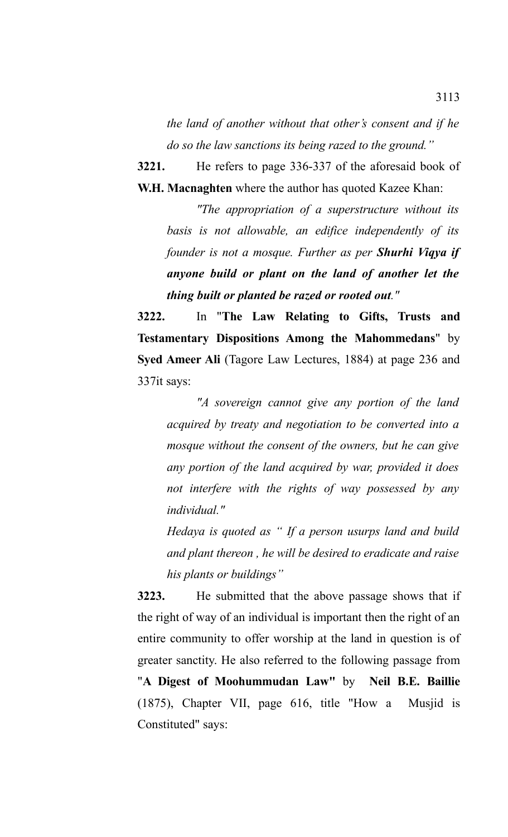*the land of another without that other's consent and if he do so the law sanctions its being razed to the ground."*

**3221.** He refers to page 336-337 of the aforesaid book of **W.H. Macnaghten** where the author has quoted Kazee Khan:

*"The appropriation of a superstructure without its basis is not allowable, an edifice independently of its founder is not a mosque. Further as per Shurhi Viqya if anyone build or plant on the land of another let the thing built or planted be razed or rooted out."*

**3222.** In "**The Law Relating to Gifts, Trusts and Testamentary Dispositions Among the Mahommedans**" by **Syed Ameer Ali** (Tagore Law Lectures, 1884) at page 236 and 337it says:

*"A sovereign cannot give any portion of the land acquired by treaty and negotiation to be converted into a mosque without the consent of the owners, but he can give any portion of the land acquired by war, provided it does not interfere with the rights of way possessed by any individual."*

*Hedaya is quoted as " If a person usurps land and build and plant thereon , he will be desired to eradicate and raise his plants or buildings"*

**3223.** He submitted that the above passage shows that if the right of way of an individual is important then the right of an entire community to offer worship at the land in question is of greater sanctity. He also referred to the following passage from "**A Digest of Moohummudan Law"** by **Neil B.E. Baillie** (1875), Chapter VII, page 616, title "How a Musjid is Constituted" says: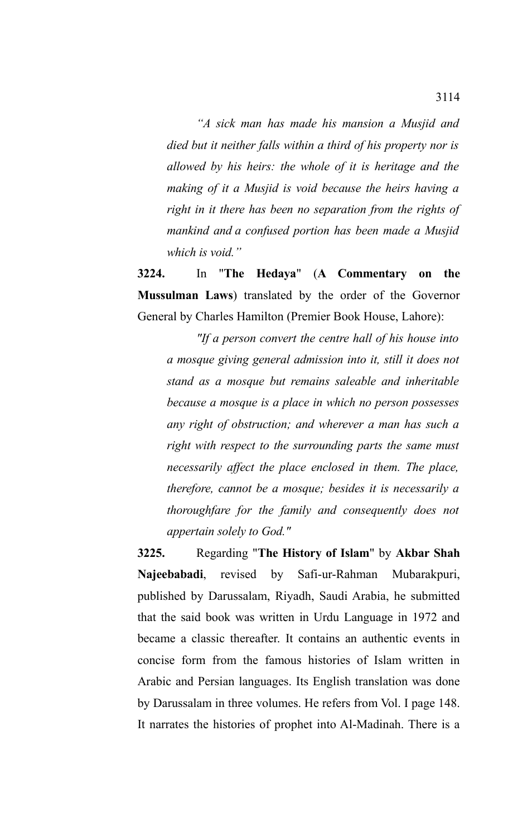*"A sick man has made his mansion a Musjid and died but it neither falls within a third of his property nor is allowed by his heirs: the whole of it is heritage and the making of it a Musjid is void because the heirs having a right in it there has been no separation from the rights of mankind and a confused portion has been made a Musjid which is void."*

**3224.** In "**The Hedaya**" (**A Commentary on the Mussulman Laws**) translated by the order of the Governor General by Charles Hamilton (Premier Book House, Lahore):

*"If a person convert the centre hall of his house into a mosque giving general admission into it, still it does not stand as a mosque but remains saleable and inheritable because a mosque is a place in which no person possesses any right of obstruction; and wherever a man has such a right with respect to the surrounding parts the same must necessarily affect the place enclosed in them. The place, therefore, cannot be a mosque; besides it is necessarily a thoroughfare for the family and consequently does not appertain solely to God."*

**3225.** Regarding "**The History of Islam**" by **Akbar Shah Najeebabadi**, revised by Safi-ur-Rahman Mubarakpuri, published by Darussalam, Riyadh, Saudi Arabia, he submitted that the said book was written in Urdu Language in 1972 and became a classic thereafter. It contains an authentic events in concise form from the famous histories of Islam written in Arabic and Persian languages. Its English translation was done by Darussalam in three volumes. He refers from Vol. I page 148. It narrates the histories of prophet into Al-Madinah. There is a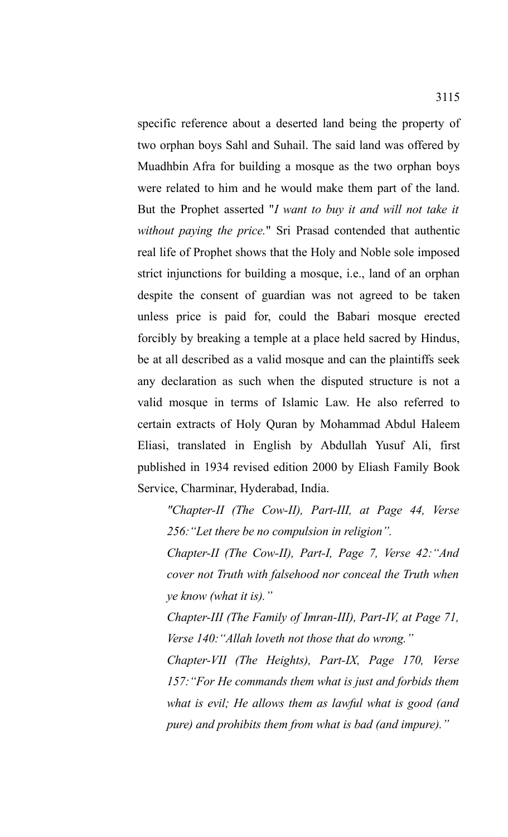specific reference about a deserted land being the property of two orphan boys Sahl and Suhail. The said land was offered by Muadhbin Afra for building a mosque as the two orphan boys were related to him and he would make them part of the land. But the Prophet asserted "*I want to buy it and will not take it without paying the price.*" Sri Prasad contended that authentic real life of Prophet shows that the Holy and Noble sole imposed strict injunctions for building a mosque, i.e., land of an orphan despite the consent of guardian was not agreed to be taken unless price is paid for, could the Babari mosque erected forcibly by breaking a temple at a place held sacred by Hindus, be at all described as a valid mosque and can the plaintiffs seek any declaration as such when the disputed structure is not a valid mosque in terms of Islamic Law. He also referred to certain extracts of Holy Quran by Mohammad Abdul Haleem Eliasi, translated in English by Abdullah Yusuf Ali, first published in 1934 revised edition 2000 by Eliash Family Book Service, Charminar, Hyderabad, India.

*"Chapter-II (The Cow-II), Part-III, at Page 44, Verse 256:"Let there be no compulsion in religion".*

*Chapter-II (The Cow-II), Part-I, Page 7, Verse 42:"And cover not Truth with falsehood nor conceal the Truth when ye know (what it is)."*

*Chapter-III (The Family of Imran-III), Part-IV, at Page 71, Verse 140:"Allah loveth not those that do wrong."*

*Chapter-VII (The Heights), Part-IX, Page 170, Verse 157:"For He commands them what is just and forbids them what is evil; He allows them as lawful what is good (and pure) and prohibits them from what is bad (and impure)."*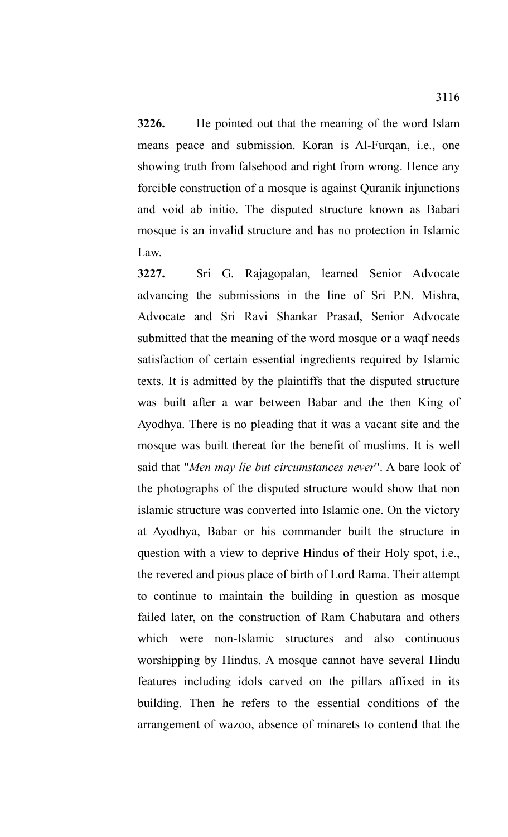**3226.** He pointed out that the meaning of the word Islam means peace and submission. Koran is Al-Furqan, i.e., one showing truth from falsehood and right from wrong. Hence any forcible construction of a mosque is against Quranik injunctions and void ab initio. The disputed structure known as Babari mosque is an invalid structure and has no protection in Islamic Law.

**3227.** Sri G. Rajagopalan, learned Senior Advocate advancing the submissions in the line of Sri P.N. Mishra, Advocate and Sri Ravi Shankar Prasad, Senior Advocate submitted that the meaning of the word mosque or a waqf needs satisfaction of certain essential ingredients required by Islamic texts. It is admitted by the plaintiffs that the disputed structure was built after a war between Babar and the then King of Ayodhya. There is no pleading that it was a vacant site and the mosque was built thereat for the benefit of muslims. It is well said that "*Men may lie but circumstances never*". A bare look of the photographs of the disputed structure would show that non islamic structure was converted into Islamic one. On the victory at Ayodhya, Babar or his commander built the structure in question with a view to deprive Hindus of their Holy spot, i.e., the revered and pious place of birth of Lord Rama. Their attempt to continue to maintain the building in question as mosque failed later, on the construction of Ram Chabutara and others which were non-Islamic structures and also continuous worshipping by Hindus. A mosque cannot have several Hindu features including idols carved on the pillars affixed in its building. Then he refers to the essential conditions of the arrangement of wazoo, absence of minarets to contend that the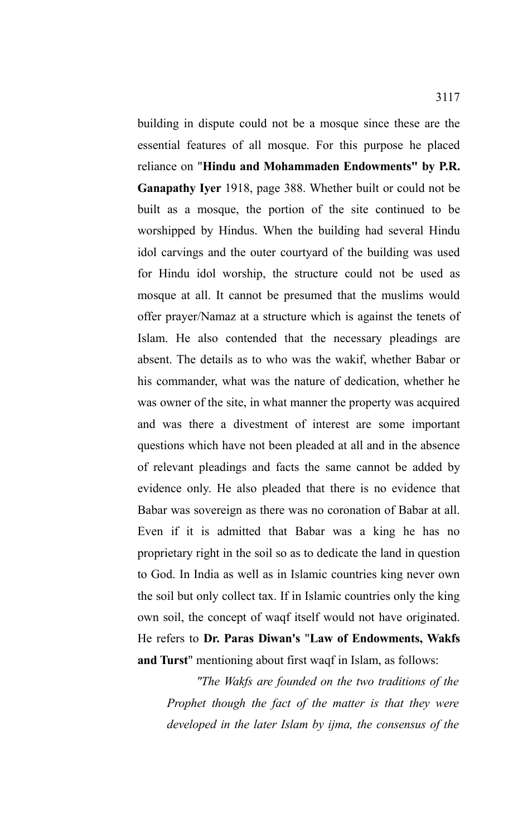building in dispute could not be a mosque since these are the essential features of all mosque. For this purpose he placed reliance on "**Hindu and Mohammaden Endowments" by P.R. Ganapathy Iyer** 1918, page 388. Whether built or could not be built as a mosque, the portion of the site continued to be worshipped by Hindus. When the building had several Hindu idol carvings and the outer courtyard of the building was used for Hindu idol worship, the structure could not be used as mosque at all. It cannot be presumed that the muslims would offer prayer/Namaz at a structure which is against the tenets of Islam. He also contended that the necessary pleadings are absent. The details as to who was the wakif, whether Babar or his commander, what was the nature of dedication, whether he was owner of the site, in what manner the property was acquired and was there a divestment of interest are some important questions which have not been pleaded at all and in the absence of relevant pleadings and facts the same cannot be added by evidence only. He also pleaded that there is no evidence that Babar was sovereign as there was no coronation of Babar at all. Even if it is admitted that Babar was a king he has no proprietary right in the soil so as to dedicate the land in question to God. In India as well as in Islamic countries king never own the soil but only collect tax. If in Islamic countries only the king own soil, the concept of waqf itself would not have originated. He refers to **Dr. Paras Diwan's** "**Law of Endowments, Wakfs and Turst**" mentioning about first waqf in Islam, as follows:

*"The Wakfs are founded on the two traditions of the Prophet though the fact of the matter is that they were developed in the later Islam by ijma, the consensus of the*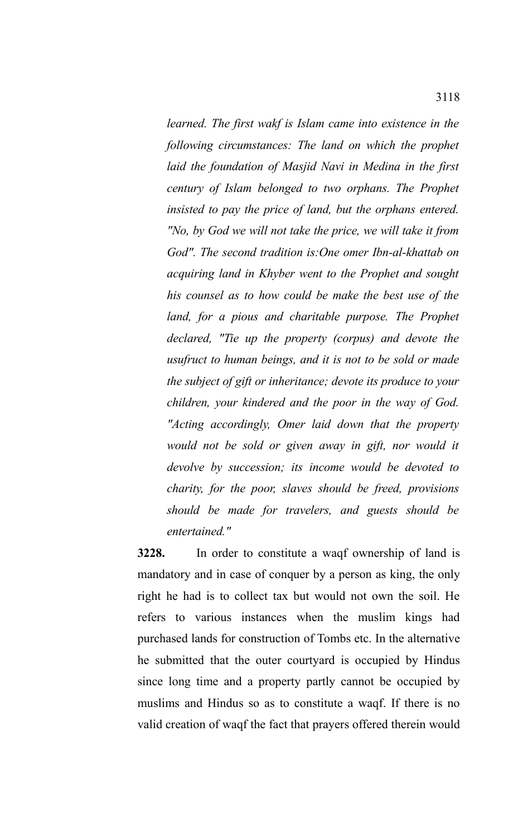*learned. The first wakf is Islam came into existence in the following circumstances: The land on which the prophet laid the foundation of Masjid Navi in Medina in the first century of Islam belonged to two orphans. The Prophet insisted to pay the price of land, but the orphans entered. "No, by God we will not take the price, we will take it from God". The second tradition is:One omer Ibn-al-khattab on acquiring land in Khyber went to the Prophet and sought his counsel as to how could be make the best use of the land, for a pious and charitable purpose. The Prophet declared, "Tie up the property (corpus) and devote the usufruct to human beings, and it is not to be sold or made the subject of gift or inheritance; devote its produce to your children, your kindered and the poor in the way of God. "Acting accordingly, Omer laid down that the property would not be sold or given away in gift, nor would it devolve by succession; its income would be devoted to charity, for the poor, slaves should be freed, provisions should be made for travelers, and guests should be entertained."*

**3228.** In order to constitute a waqf ownership of land is mandatory and in case of conquer by a person as king, the only right he had is to collect tax but would not own the soil. He refers to various instances when the muslim kings had purchased lands for construction of Tombs etc. In the alternative he submitted that the outer courtyard is occupied by Hindus since long time and a property partly cannot be occupied by muslims and Hindus so as to constitute a waqf. If there is no valid creation of waqf the fact that prayers offered therein would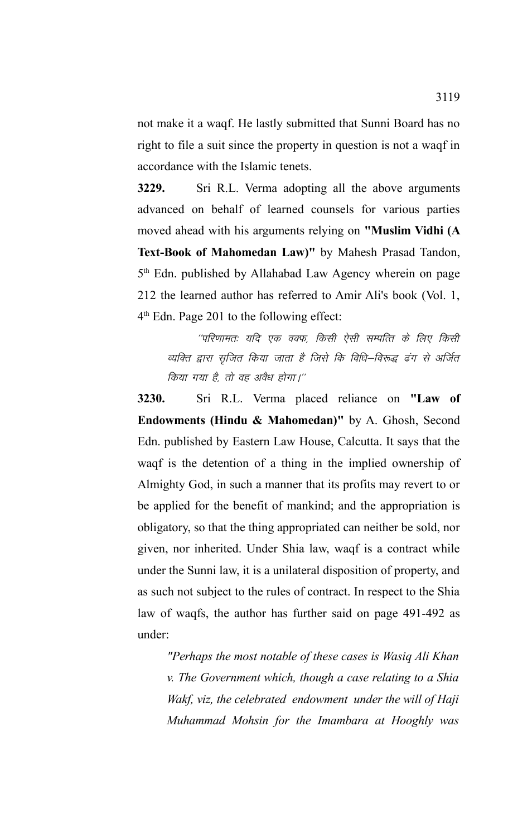not make it a waqf. He lastly submitted that Sunni Board has no right to file a suit since the property in question is not a waqf in accordance with the Islamic tenets.

**3229.** Sri R.L. Verma adopting all the above arguments advanced on behalf of learned counsels for various parties moved ahead with his arguments relying on **"Muslim Vidhi (A Text-Book of Mahomedan Law)"** by Mahesh Prasad Tandon, 5<sup>th</sup> Edn. published by Allahabad Law Agency wherein on page 212 the learned author has referred to Amir Ali's book (Vol. 1, 4<sup>th</sup> Edn. Page 201 to the following effect:

''परिणामतः यदि एक वक्फ, किसी ऐसी सम्पत्ति के लिए किसी व्यक्ति द्वारा सृजित किया जाता है जिसे कि विधि–विरूद्ध ढंग से अर्जित किया गया है, तो वह अवैध होगा।''

**3230.** Sri R.L. Verma placed reliance on **"Law of Endowments (Hindu & Mahomedan)"** by A. Ghosh, Second Edn. published by Eastern Law House, Calcutta. It says that the waqf is the detention of a thing in the implied ownership of Almighty God, in such a manner that its profits may revert to or be applied for the benefit of mankind; and the appropriation is obligatory, so that the thing appropriated can neither be sold, nor given, nor inherited. Under Shia law, waqf is a contract while under the Sunni law, it is a unilateral disposition of property, and as such not subject to the rules of contract. In respect to the Shia law of waqfs, the author has further said on page 491-492 as under:

*"Perhaps the most notable of these cases is Wasiq Ali Khan v. The Government which, though a case relating to a Shia Wakf, viz, the celebrated endowment under the will of Haji Muhammad Mohsin for the Imambara at Hooghly was*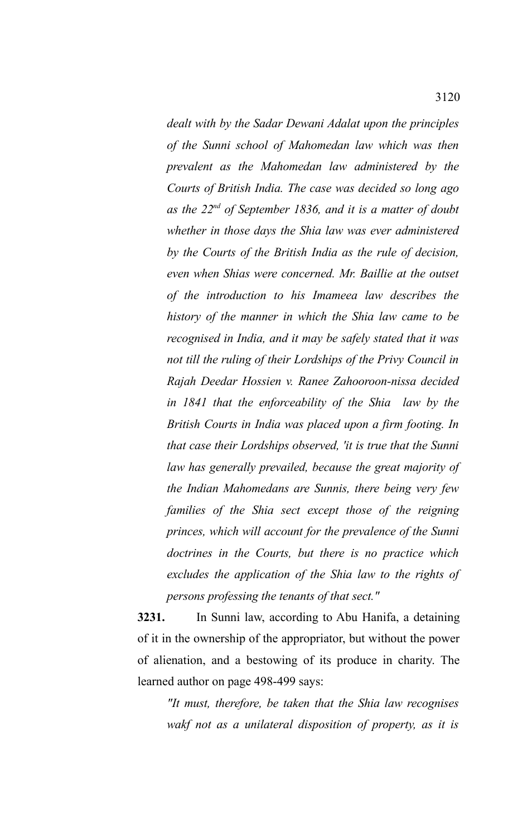*dealt with by the Sadar Dewani Adalat upon the principles of the Sunni school of Mahomedan law which was then prevalent as the Mahomedan law administered by the Courts of British India. The case was decided so long ago as the 22nd of September 1836, and it is a matter of doubt whether in those days the Shia law was ever administered by the Courts of the British India as the rule of decision, even when Shias were concerned. Mr. Baillie at the outset of the introduction to his Imameea law describes the history of the manner in which the Shia law came to be recognised in India, and it may be safely stated that it was not till the ruling of their Lordships of the Privy Council in Rajah Deedar Hossien v. Ranee Zahooroon-nissa decided in 1841 that the enforceability of the Shia law by the British Courts in India was placed upon a firm footing. In that case their Lordships observed, 'it is true that the Sunni law has generally prevailed, because the great majority of the Indian Mahomedans are Sunnis, there being very few families of the Shia sect except those of the reigning princes, which will account for the prevalence of the Sunni doctrines in the Courts, but there is no practice which excludes the application of the Shia law to the rights of persons professing the tenants of that sect."*

**3231.** In Sunni law, according to Abu Hanifa, a detaining of it in the ownership of the appropriator, but without the power of alienation, and a bestowing of its produce in charity. The learned author on page 498-499 says:

*"It must, therefore, be taken that the Shia law recognises wakf not as a unilateral disposition of property, as it is*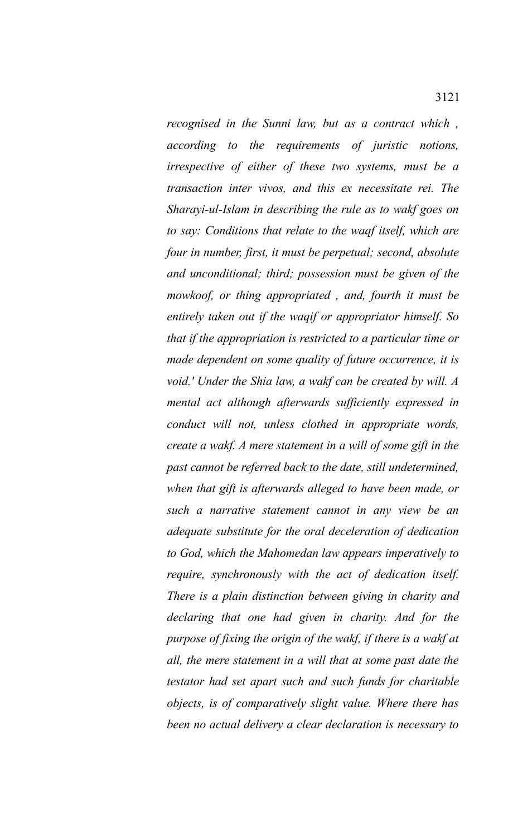*recognised in the Sunni law, but as a contract which , according to the requirements of juristic notions, irrespective of either of these two systems, must be a transaction inter vivos, and this ex necessitate rei. The Sharayi-ul-Islam in describing the rule as to wakf goes on to say: Conditions that relate to the waqf itself, which are four in number, first, it must be perpetual; second, absolute and unconditional; third; possession must be given of the mowkoof, or thing appropriated , and, fourth it must be entirely taken out if the waqif or appropriator himself. So that if the appropriation is restricted to a particular time or made dependent on some quality of future occurrence, it is void.' Under the Shia law, a wakf can be created by will. A mental act although afterwards sufficiently expressed in conduct will not, unless clothed in appropriate words, create a wakf. A mere statement in a will of some gift in the past cannot be referred back to the date, still undetermined, when that gift is afterwards alleged to have been made, or such a narrative statement cannot in any view be an adequate substitute for the oral deceleration of dedication to God, which the Mahomedan law appears imperatively to require, synchronously with the act of dedication itself. There is a plain distinction between giving in charity and declaring that one had given in charity. And for the purpose of fixing the origin of the wakf, if there is a wakf at all, the mere statement in a will that at some past date the testator had set apart such and such funds for charitable objects, is of comparatively slight value. Where there has been no actual delivery a clear declaration is necessary to*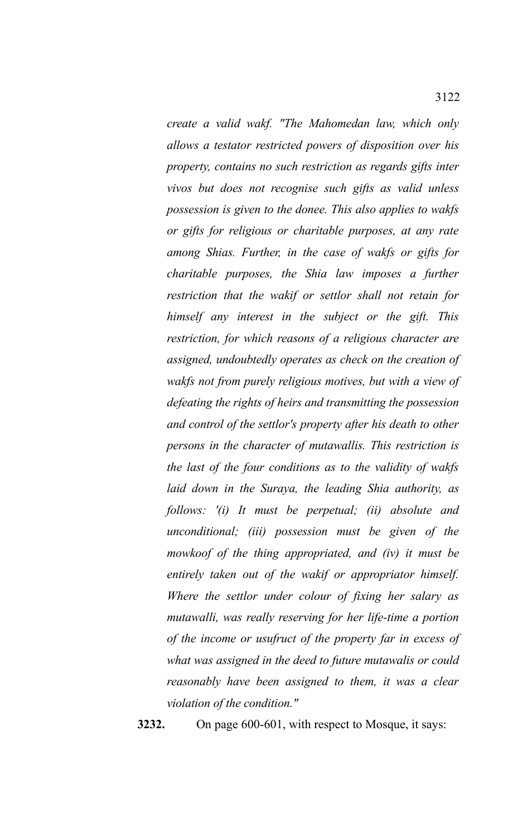*create a valid wakf. "The Mahomedan law, which only allows a testator restricted powers of disposition over his property, contains no such restriction as regards gifts inter vivos but does not recognise such gifts as valid unless possession is given to the donee. This also applies to wakfs or gifts for religious or charitable purposes, at any rate among Shias. Further, in the case of wakfs or gifts for charitable purposes, the Shia law imposes a further restriction that the wakif or settlor shall not retain for himself any interest in the subject or the gift. This restriction, for which reasons of a religious character are assigned, undoubtedly operates as check on the creation of wakfs not from purely religious motives, but with a view of defeating the rights of heirs and transmitting the possession and control of the settlor's property after his death to other persons in the character of mutawallis. This restriction is the last of the four conditions as to the validity of wakfs laid down in the Suraya, the leading Shia authority, as follows: '(i) It must be perpetual; (ii) absolute and unconditional; (iii) possession must be given of the mowkoof of the thing appropriated, and (iv) it must be entirely taken out of the wakif or appropriator himself. Where the settlor under colour of fixing her salary as mutawalli, was really reserving for her life-time a portion of the income or usufruct of the property far in excess of what was assigned in the deed to future mutawalis or could reasonably have been assigned to them, it was a clear violation of the condition."*

**3232.** On page 600-601, with respect to Mosque, it says: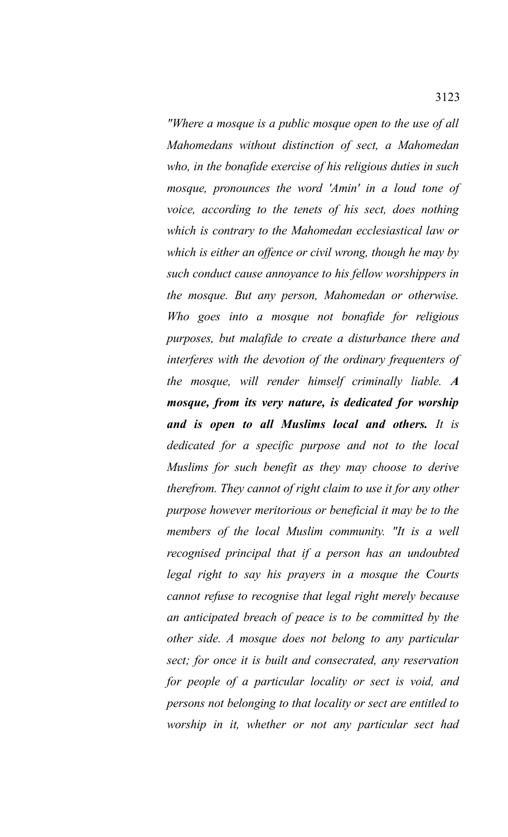*"Where a mosque is a public mosque open to the use of all Mahomedans without distinction of sect, a Mahomedan who, in the bonafide exercise of his religious duties in such mosque, pronounces the word 'Amin' in a loud tone of voice, according to the tenets of his sect, does nothing which is contrary to the Mahomedan ecclesiastical law or which is either an offence or civil wrong, though he may by such conduct cause annoyance to his fellow worshippers in the mosque. But any person, Mahomedan or otherwise. Who goes into a mosque not bonafide for religious purposes, but malafide to create a disturbance there and interferes with the devotion of the ordinary frequenters of the mosque, will render himself criminally liable. A mosque, from its very nature, is dedicated for worship and is open to all Muslims local and others. It is dedicated for a specific purpose and not to the local Muslims for such benefit as they may choose to derive therefrom. They cannot of right claim to use it for any other purpose however meritorious or beneficial it may be to the members of the local Muslim community. "It is a well recognised principal that if a person has an undoubted legal right to say his prayers in a mosque the Courts cannot refuse to recognise that legal right merely because an anticipated breach of peace is to be committed by the other side. A mosque does not belong to any particular sect; for once it is built and consecrated, any reservation for people of a particular locality or sect is void, and persons not belonging to that locality or sect are entitled to worship in it, whether or not any particular sect had*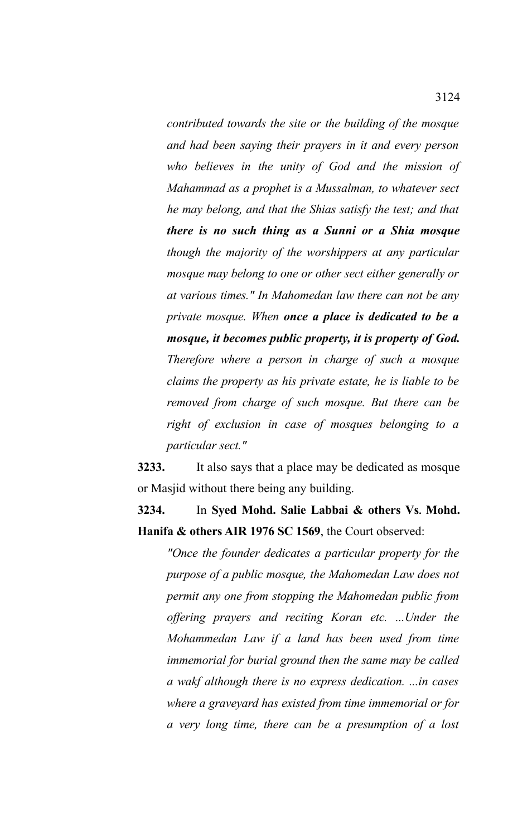*contributed towards the site or the building of the mosque and had been saying their prayers in it and every person who believes in the unity of God and the mission of Mahammad as a prophet is a Mussalman, to whatever sect he may belong, and that the Shias satisfy the test; and that there is no such thing as a Sunni or a Shia mosque though the majority of the worshippers at any particular mosque may belong to one or other sect either generally or at various times." In Mahomedan law there can not be any private mosque. When once a place is dedicated to be a mosque, it becomes public property, it is property of God. Therefore where a person in charge of such a mosque claims the property as his private estate, he is liable to be removed from charge of such mosque. But there can be right of exclusion in case of mosques belonging to a particular sect."*

**3233.** It also says that a place may be dedicated as mosque or Masjid without there being any building.

**3234.** In **Syed Mohd. Salie Labbai & others Vs. Mohd. Hanifa & others AIR 1976 SC 1569**, the Court observed:

*"Once the founder dedicates a particular property for the purpose of a public mosque, the Mahomedan Law does not permit any one from stopping the Mahomedan public from offering prayers and reciting Koran etc. ...Under the Mohammedan Law if a land has been used from time immemorial for burial ground then the same may be called a wakf although there is no express dedication. ...in cases where a graveyard has existed from time immemorial or for a very long time, there can be a presumption of a lost*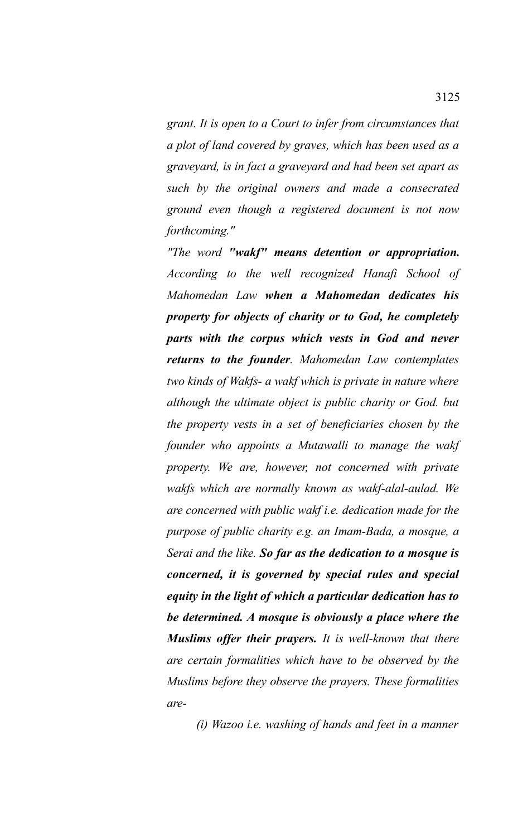*grant. It is open to a Court to infer from circumstances that a plot of land covered by graves, which has been used as a graveyard, is in fact a graveyard and had been set apart as such by the original owners and made a consecrated ground even though a registered document is not now forthcoming."*

*"The word "wakf" means detention or appropriation. According to the well recognized Hanafi School of Mahomedan Law when a Mahomedan dedicates his property for objects of charity or to God, he completely parts with the corpus which vests in God and never returns to the founder. Mahomedan Law contemplates two kinds of Wakfs- a wakf which is private in nature where although the ultimate object is public charity or God. but the property vests in a set of beneficiaries chosen by the founder who appoints a Mutawalli to manage the wakf property. We are, however, not concerned with private wakfs which are normally known as wakf-alal-aulad. We are concerned with public wakf i.e. dedication made for the purpose of public charity e.g. an Imam-Bada, a mosque, a Serai and the like. So far as the dedication to a mosque is concerned, it is governed by special rules and special equity in the light of which a particular dedication has to be determined. A mosque is obviously a place where the Muslims offer their prayers. It is well-known that there are certain formalities which have to be observed by the Muslims before they observe the prayers. These formalities are-*

*(i) Wazoo i.e. washing of hands and feet in a manner*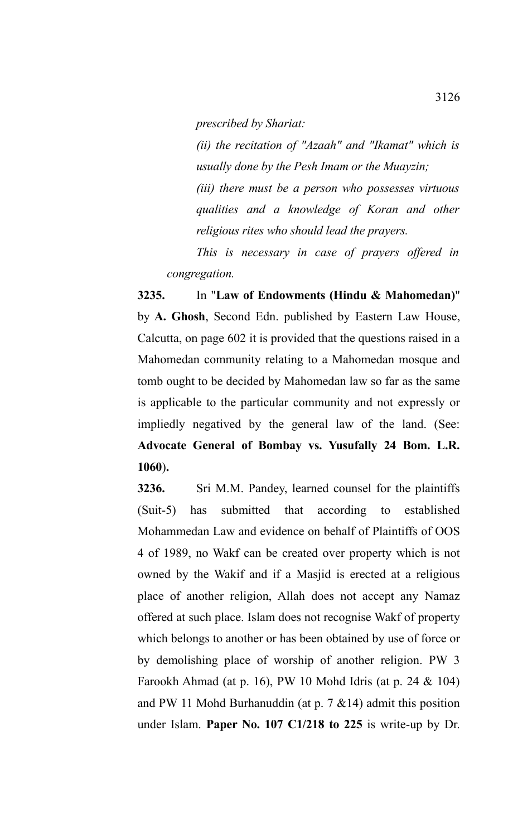*prescribed by Shariat:*

*(ii) the recitation of "Azaah" and "Ikamat" which is usually done by the Pesh Imam or the Muayzin;* 

*(iii) there must be a person who possesses virtuous qualities and a knowledge of Koran and other religious rites who should lead the prayers.*

*This is necessary in case of prayers offered in congregation.* 

**3235.** In "**Law of Endowments (Hindu & Mahomedan)**" by **A. Ghosh**, Second Edn. published by Eastern Law House, Calcutta, on page 602 it is provided that the questions raised in a Mahomedan community relating to a Mahomedan mosque and tomb ought to be decided by Mahomedan law so far as the same is applicable to the particular community and not expressly or impliedly negatived by the general law of the land. (See: **Advocate General of Bombay vs. Yusufally 24 Bom. L.R. 1060**)**.**

**3236.** Sri M.M. Pandey, learned counsel for the plaintiffs (Suit-5) has submitted that according to established Mohammedan Law and evidence on behalf of Plaintiffs of OOS 4 of 1989, no Wakf can be created over property which is not owned by the Wakif and if a Masjid is erected at a religious place of another religion, Allah does not accept any Namaz offered at such place. Islam does not recognise Wakf of property which belongs to another or has been obtained by use of force or by demolishing place of worship of another religion. PW 3 Farookh Ahmad (at p. 16), PW 10 Mohd Idris (at p. 24 & 104) and PW 11 Mohd Burhanuddin (at p.  $7 \& 14$ ) admit this position under Islam. **Paper No. 107 C1/218 to 225** is write-up by Dr.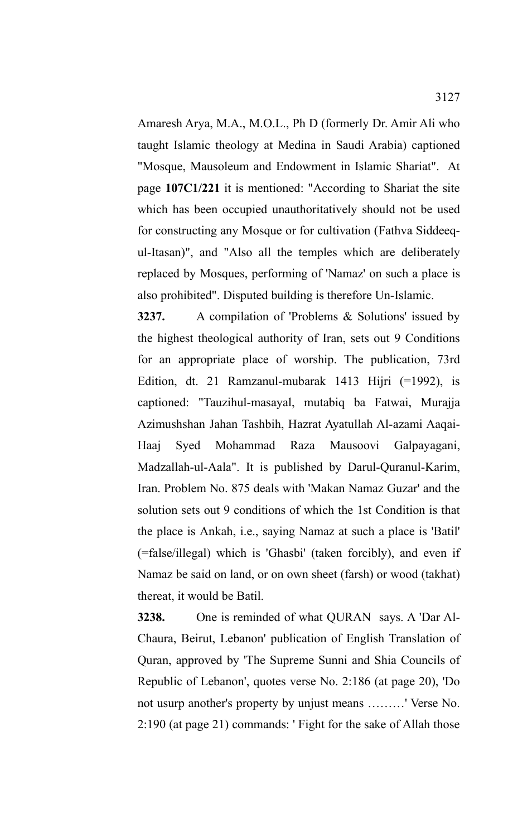Amaresh Arya, M.A., M.O.L., Ph D (formerly Dr. Amir Ali who taught Islamic theology at Medina in Saudi Arabia) captioned "Mosque, Mausoleum and Endowment in Islamic Shariat". At page **107C1/221** it is mentioned: "According to Shariat the site which has been occupied unauthoritatively should not be used for constructing any Mosque or for cultivation (Fathva Siddeequl-Itasan)", and "Also all the temples which are deliberately replaced by Mosques, performing of 'Namaz' on such a place is also prohibited". Disputed building is therefore Un-Islamic.

**3237.** A compilation of 'Problems & Solutions' issued by the highest theological authority of Iran, sets out 9 Conditions for an appropriate place of worship. The publication, 73rd Edition, dt. 21 Ramzanul-mubarak 1413 Hijri (=1992), is captioned: "Tauzihul-masayal, mutabiq ba Fatwai, Murajja Azimushshan Jahan Tashbih, Hazrat Ayatullah Al-azami Aaqai-Haaj Syed Mohammad Raza Mausoovi Galpayagani, Madzallah-ul-Aala". It is published by Darul-Quranul-Karim, Iran. Problem No. 875 deals with 'Makan Namaz Guzar' and the solution sets out 9 conditions of which the 1st Condition is that the place is Ankah, i.e., saying Namaz at such a place is 'Batil' (=false/illegal) which is 'Ghasbi' (taken forcibly), and even if Namaz be said on land, or on own sheet (farsh) or wood (takhat) thereat, it would be Batil.

**3238.** One is reminded of what QURAN says. A 'Dar Al-Chaura, Beirut, Lebanon' publication of English Translation of Quran, approved by 'The Supreme Sunni and Shia Councils of Republic of Lebanon', quotes verse No. 2:186 (at page 20), 'Do not usurp another's property by unjust means ………' Verse No. 2:190 (at page 21) commands: ' Fight for the sake of Allah those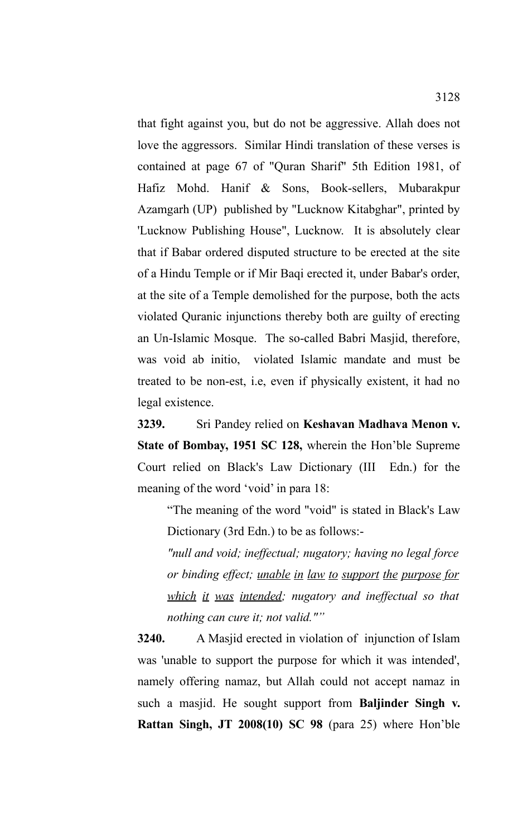that fight against you, but do not be aggressive. Allah does not love the aggressors. Similar Hindi translation of these verses is contained at page 67 of "Quran Sharif" 5th Edition 1981, of Hafiz Mohd. Hanif & Sons, Book-sellers, Mubarakpur Azamgarh (UP) published by "Lucknow Kitabghar", printed by 'Lucknow Publishing House", Lucknow. It is absolutely clear that if Babar ordered disputed structure to be erected at the site of a Hindu Temple or if Mir Baqi erected it, under Babar's order, at the site of a Temple demolished for the purpose, both the acts violated Quranic injunctions thereby both are guilty of erecting an Un-Islamic Mosque. The so-called Babri Masjid, therefore, was void ab initio, violated Islamic mandate and must be treated to be non-est, i.e, even if physically existent, it had no legal existence.

**3239.** Sri Pandey relied on **Keshavan Madhava Menon v. State of Bombay, 1951 SC 128,** wherein the Hon'ble Supreme Court relied on Black's Law Dictionary (III Edn.) for the meaning of the word 'void' in para 18:

"The meaning of the word "void" is stated in Black's Law Dictionary (3rd Edn.) to be as follows:-

*"null and void; ineffectual; nugatory; having no legal force or binding effect; unable in law to support the purpose for which it was intended; nugatory and ineffectual so that nothing can cure it; not valid.""* 

**3240.** A Masjid erected in violation of injunction of Islam was 'unable to support the purpose for which it was intended', namely offering namaz, but Allah could not accept namaz in such a masjid. He sought support from **Baljinder Singh v. Rattan Singh, JT 2008(10) SC 98** (para 25) where Hon'ble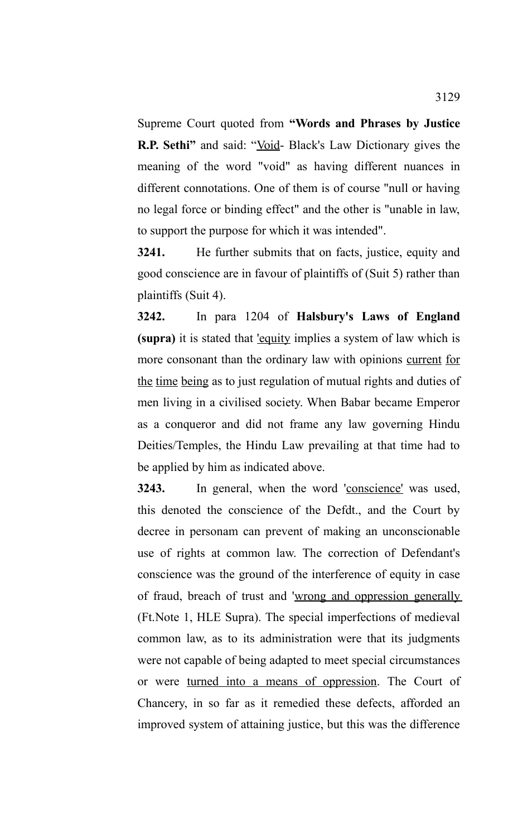Supreme Court quoted from **"Words and Phrases by Justice R.P. Sethi"** and said: "Void- Black's Law Dictionary gives the meaning of the word "void" as having different nuances in different connotations. One of them is of course "null or having no legal force or binding effect" and the other is "unable in law, to support the purpose for which it was intended".

**3241.** He further submits that on facts, justice, equity and good conscience are in favour of plaintiffs of (Suit 5) rather than plaintiffs (Suit 4).

**3242.** In para 1204 of **Halsbury's Laws of England (supra)** it is stated that <u>'equity</u> implies a system of law which is more consonant than the ordinary law with opinions current for the time being as to just regulation of mutual rights and duties of men living in a civilised society. When Babar became Emperor as a conqueror and did not frame any law governing Hindu Deities/Temples, the Hindu Law prevailing at that time had to be applied by him as indicated above.

**3243.** In general, when the word 'conscience' was used, this denoted the conscience of the Defdt., and the Court by decree in personam can prevent of making an unconscionable use of rights at common law. The correction of Defendant's conscience was the ground of the interference of equity in case of fraud, breach of trust and 'wrong and oppression generally (Ft.Note 1, HLE Supra). The special imperfections of medieval common law, as to its administration were that its judgments were not capable of being adapted to meet special circumstances or were turned into a means of oppression. The Court of Chancery, in so far as it remedied these defects, afforded an improved system of attaining justice, but this was the difference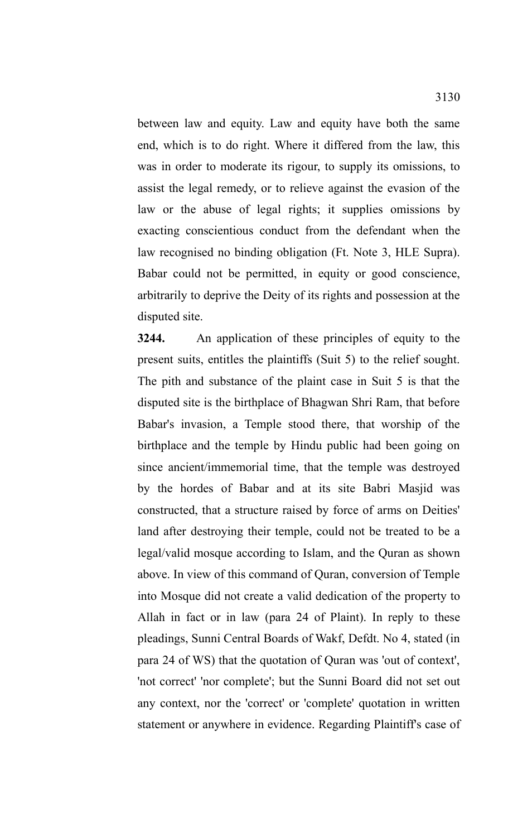between law and equity. Law and equity have both the same end, which is to do right. Where it differed from the law, this was in order to moderate its rigour, to supply its omissions, to assist the legal remedy, or to relieve against the evasion of the law or the abuse of legal rights; it supplies omissions by exacting conscientious conduct from the defendant when the law recognised no binding obligation (Ft. Note 3, HLE Supra). Babar could not be permitted, in equity or good conscience, arbitrarily to deprive the Deity of its rights and possession at the disputed site.

**3244.** An application of these principles of equity to the present suits, entitles the plaintiffs (Suit 5) to the relief sought. The pith and substance of the plaint case in Suit 5 is that the disputed site is the birthplace of Bhagwan Shri Ram, that before Babar's invasion, a Temple stood there, that worship of the birthplace and the temple by Hindu public had been going on since ancient/immemorial time, that the temple was destroyed by the hordes of Babar and at its site Babri Masjid was constructed, that a structure raised by force of arms on Deities' land after destroying their temple, could not be treated to be a legal/valid mosque according to Islam, and the Quran as shown above. In view of this command of Quran, conversion of Temple into Mosque did not create a valid dedication of the property to Allah in fact or in law (para 24 of Plaint). In reply to these pleadings, Sunni Central Boards of Wakf, Defdt. No 4, stated (in para 24 of WS) that the quotation of Quran was 'out of context', 'not correct' 'nor complete'; but the Sunni Board did not set out any context, nor the 'correct' or 'complete' quotation in written statement or anywhere in evidence. Regarding Plaintiff's case of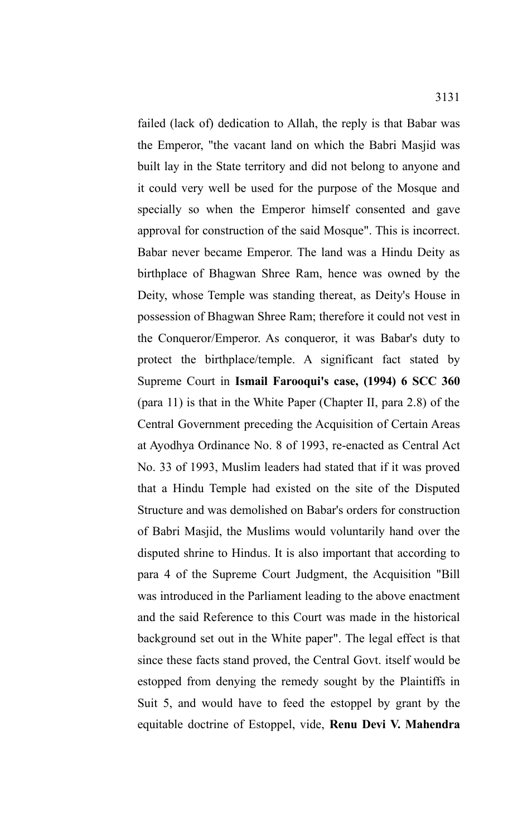failed (lack of) dedication to Allah, the reply is that Babar was the Emperor, "the vacant land on which the Babri Masjid was built lay in the State territory and did not belong to anyone and it could very well be used for the purpose of the Mosque and specially so when the Emperor himself consented and gave approval for construction of the said Mosque". This is incorrect. Babar never became Emperor. The land was a Hindu Deity as birthplace of Bhagwan Shree Ram, hence was owned by the Deity, whose Temple was standing thereat, as Deity's House in possession of Bhagwan Shree Ram; therefore it could not vest in the Conqueror/Emperor. As conqueror, it was Babar's duty to protect the birthplace/temple. A significant fact stated by Supreme Court in **Ismail Farooqui's case, (1994) 6 SCC 360** (para 11) is that in the White Paper (Chapter II, para 2.8) of the Central Government preceding the Acquisition of Certain Areas at Ayodhya Ordinance No. 8 of 1993, re-enacted as Central Act No. 33 of 1993, Muslim leaders had stated that if it was proved that a Hindu Temple had existed on the site of the Disputed Structure and was demolished on Babar's orders for construction of Babri Masjid, the Muslims would voluntarily hand over the disputed shrine to Hindus. It is also important that according to para 4 of the Supreme Court Judgment, the Acquisition "Bill was introduced in the Parliament leading to the above enactment and the said Reference to this Court was made in the historical background set out in the White paper". The legal effect is that since these facts stand proved, the Central Govt. itself would be estopped from denying the remedy sought by the Plaintiffs in Suit 5, and would have to feed the estoppel by grant by the equitable doctrine of Estoppel, vide, **Renu Devi V. Mahendra**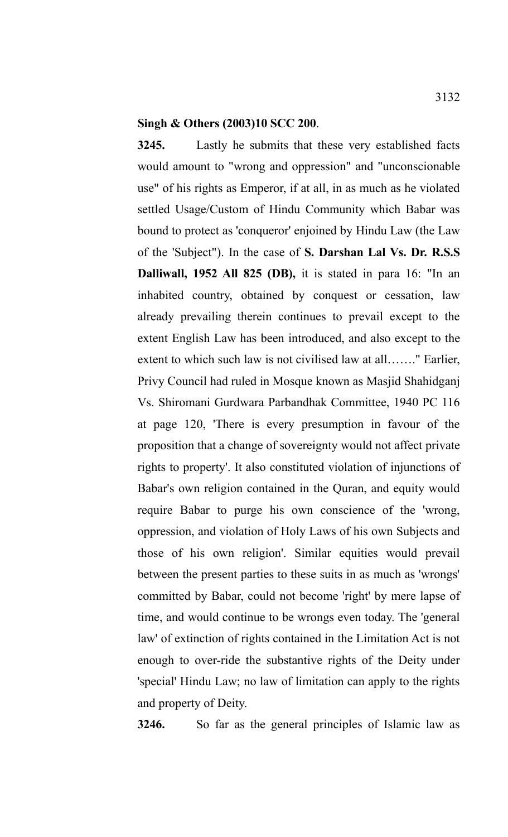## **Singh & Others (2003)10 SCC 200**.

**3245.** Lastly he submits that these very established facts would amount to "wrong and oppression" and "unconscionable use" of his rights as Emperor, if at all, in as much as he violated settled Usage/Custom of Hindu Community which Babar was bound to protect as 'conqueror' enjoined by Hindu Law (the Law of the 'Subject"). In the case of **S. Darshan Lal Vs. Dr. R.S.S Dalliwall, 1952 All 825 (DB),** it is stated in para 16: "In an inhabited country, obtained by conquest or cessation, law already prevailing therein continues to prevail except to the extent English Law has been introduced, and also except to the extent to which such law is not civilised law at all……." Earlier, Privy Council had ruled in Mosque known as Masjid Shahidganj Vs. Shiromani Gurdwara Parbandhak Committee, 1940 PC 116 at page 120, 'There is every presumption in favour of the proposition that a change of sovereignty would not affect private rights to property'. It also constituted violation of injunctions of Babar's own religion contained in the Quran, and equity would require Babar to purge his own conscience of the 'wrong, oppression, and violation of Holy Laws of his own Subjects and those of his own religion'. Similar equities would prevail between the present parties to these suits in as much as 'wrongs' committed by Babar, could not become 'right' by mere lapse of time, and would continue to be wrongs even today. The 'general law' of extinction of rights contained in the Limitation Act is not enough to over-ride the substantive rights of the Deity under 'special' Hindu Law; no law of limitation can apply to the rights and property of Deity.

**3246.** So far as the general principles of Islamic law as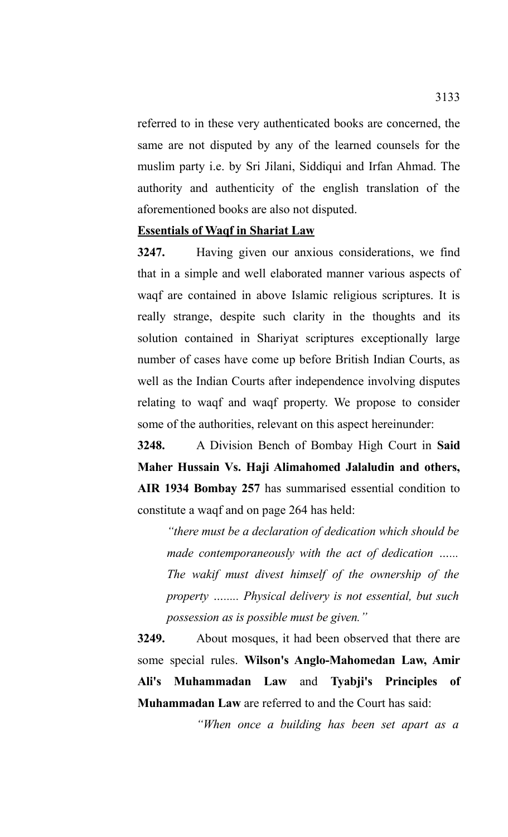referred to in these very authenticated books are concerned, the same are not disputed by any of the learned counsels for the muslim party i.e. by Sri Jilani, Siddiqui and Irfan Ahmad. The authority and authenticity of the english translation of the aforementioned books are also not disputed.

## **Essentials of Waqf in Shariat Law**

**3247.** Having given our anxious considerations, we find that in a simple and well elaborated manner various aspects of waqf are contained in above Islamic religious scriptures. It is really strange, despite such clarity in the thoughts and its solution contained in Shariyat scriptures exceptionally large number of cases have come up before British Indian Courts, as well as the Indian Courts after independence involving disputes relating to waqf and waqf property. We propose to consider some of the authorities, relevant on this aspect hereinunder:

**3248.** A Division Bench of Bombay High Court in **Said Maher Hussain Vs. Haji Alimahomed Jalaludin and others, AIR 1934 Bombay 257** has summarised essential condition to constitute a waqf and on page 264 has held:

*"there must be a declaration of dedication which should be made contemporaneously with the act of dedication …... The wakif must divest himself of the ownership of the property …..... Physical delivery is not essential, but such possession as is possible must be given."* 

**3249.** About mosques, it had been observed that there are some special rules. **Wilson's Anglo-Mahomedan Law, Amir Ali's Muhammadan Law** and **Tyabji's Principles of Muhammadan Law** are referred to and the Court has said:

*"When once a building has been set apart as a*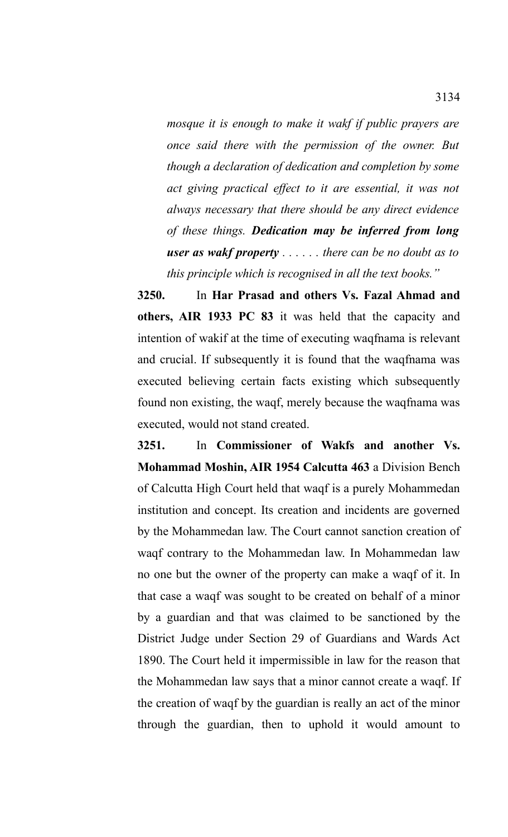*mosque it is enough to make it wakf if public prayers are once said there with the permission of the owner. But though a declaration of dedication and completion by some act giving practical effect to it are essential, it was not always necessary that there should be any direct evidence of these things. Dedication may be inferred from long user as wakf property . . . . . . there can be no doubt as to this principle which is recognised in all the text books."*

**3250.** In **Har Prasad and others Vs. Fazal Ahmad and others, AIR 1933 PC 83** it was held that the capacity and intention of wakif at the time of executing waqfnama is relevant and crucial. If subsequently it is found that the waqfnama was executed believing certain facts existing which subsequently found non existing, the waqf, merely because the waqfnama was executed, would not stand created.

**3251.** In **Commissioner of Wakfs and another Vs. Mohammad Moshin, AIR 1954 Calcutta 463** a Division Bench of Calcutta High Court held that waqf is a purely Mohammedan institution and concept. Its creation and incidents are governed by the Mohammedan law. The Court cannot sanction creation of waqf contrary to the Mohammedan law. In Mohammedan law no one but the owner of the property can make a waqf of it. In that case a waqf was sought to be created on behalf of a minor by a guardian and that was claimed to be sanctioned by the District Judge under Section 29 of Guardians and Wards Act 1890. The Court held it impermissible in law for the reason that the Mohammedan law says that a minor cannot create a waqf. If the creation of waqf by the guardian is really an act of the minor through the guardian, then to uphold it would amount to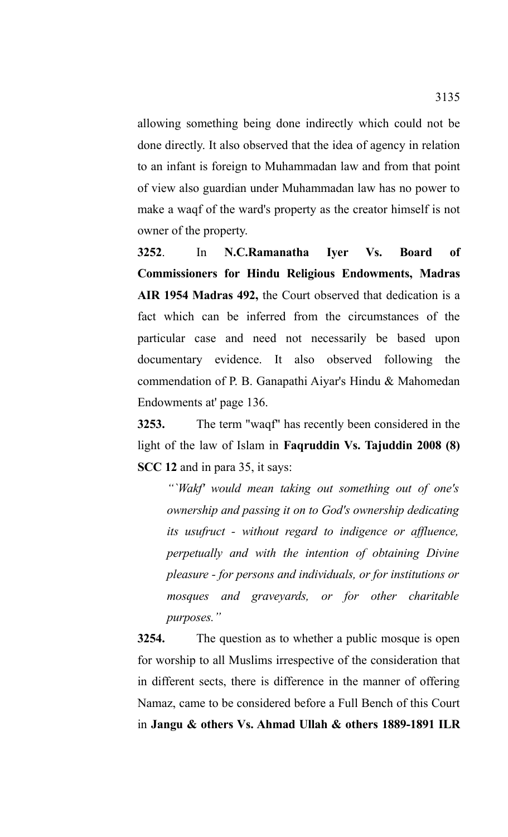allowing something being done indirectly which could not be done directly. It also observed that the idea of agency in relation to an infant is foreign to Muhammadan law and from that point of view also guardian under Muhammadan law has no power to make a waqf of the ward's property as the creator himself is not owner of the property.

**3252**. In **N.C.Ramanatha Iyer Vs. Board of Commissioners for Hindu Religious Endowments, Madras AIR 1954 Madras 492,** the Court observed that dedication is a fact which can be inferred from the circumstances of the particular case and need not necessarily be based upon documentary evidence. It also observed following the commendation of P. B. Ganapathi Aiyar's Hindu & Mahomedan Endowments at' page 136.

**3253.** The term "waqf" has recently been considered in the light of the law of Islam in **Faqruddin Vs. Tajuddin 2008 (8) SCC 12** and in para 35, it says:

*"`Wakf' would mean taking out something out of one's ownership and passing it on to God's ownership dedicating its usufruct - without regard to indigence or affluence, perpetually and with the intention of obtaining Divine pleasure - for persons and individuals, or for institutions or mosques and graveyards, or for other charitable purposes."*

**3254.** The question as to whether a public mosque is open for worship to all Muslims irrespective of the consideration that in different sects, there is difference in the manner of offering Namaz, came to be considered before a Full Bench of this Court in **Jangu & others Vs. Ahmad Ullah & others 1889-1891 ILR**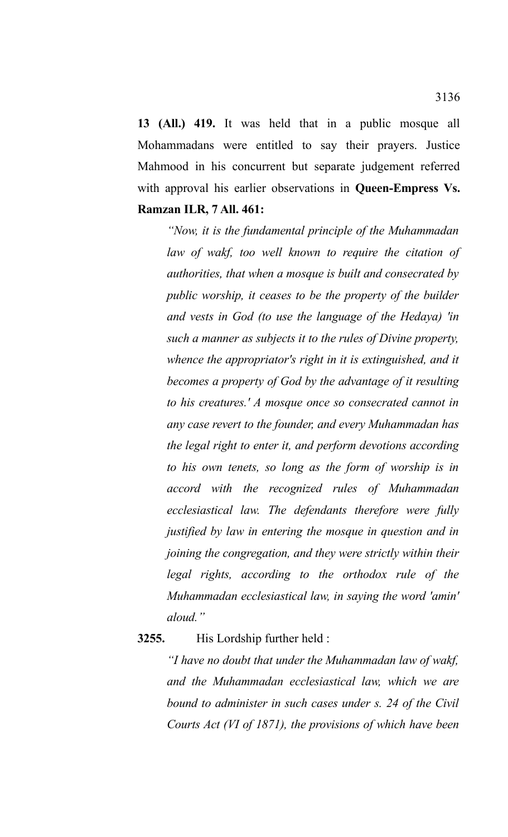**13 (All.) 419.** It was held that in a public mosque all Mohammadans were entitled to say their prayers. Justice Mahmood in his concurrent but separate judgement referred with approval his earlier observations in **Queen-Empress Vs. Ramzan ILR, 7 All. 461:**

*"Now, it is the fundamental principle of the Muhammadan law of wakf, too well known to require the citation of authorities, that when a mosque is built and consecrated by public worship, it ceases to be the property of the builder and vests in God (to use the language of the Hedaya) 'in such a manner as subjects it to the rules of Divine property, whence the appropriator's right in it is extinguished, and it becomes a property of God by the advantage of it resulting to his creatures.' A mosque once so consecrated cannot in any case revert to the founder, and every Muhammadan has the legal right to enter it, and perform devotions according to his own tenets, so long as the form of worship is in accord with the recognized rules of Muhammadan ecclesiastical law. The defendants therefore were fully justified by law in entering the mosque in question and in joining the congregation, and they were strictly within their legal rights, according to the orthodox rule of the Muhammadan ecclesiastical law, in saying the word 'amin' aloud."*

**3255.** His Lordship further held :

*"I have no doubt that under the Muhammadan law of wakf, and the Muhammadan ecclesiastical law, which we are bound to administer in such cases under s. 24 of the Civil Courts Act (VI of 1871), the provisions of which have been*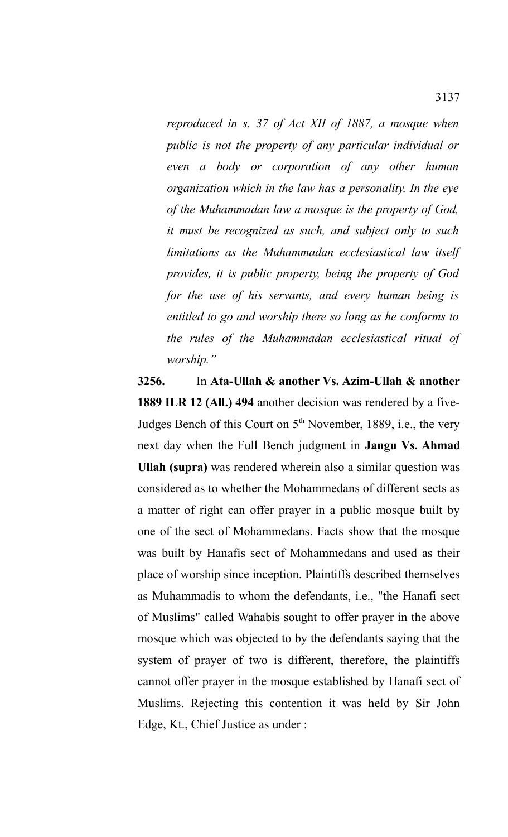*reproduced in s. 37 of Act XII of 1887, a mosque when public is not the property of any particular individual or even a body or corporation of any other human organization which in the law has a personality. In the eye of the Muhammadan law a mosque is the property of God, it must be recognized as such, and subject only to such limitations as the Muhammadan ecclesiastical law itself provides, it is public property, being the property of God for the use of his servants, and every human being is entitled to go and worship there so long as he conforms to the rules of the Muhammadan ecclesiastical ritual of worship."*

**3256.** In **Ata-Ullah & another Vs. Azim-Ullah & another 1889 ILR 12 (All.) 494** another decision was rendered by a five-Judges Bench of this Court on 5<sup>th</sup> November, 1889, i.e., the very next day when the Full Bench judgment in **Jangu Vs. Ahmad Ullah (supra)** was rendered wherein also a similar question was considered as to whether the Mohammedans of different sects as a matter of right can offer prayer in a public mosque built by one of the sect of Mohammedans. Facts show that the mosque was built by Hanafis sect of Mohammedans and used as their place of worship since inception. Plaintiffs described themselves as Muhammadis to whom the defendants, i.e., "the Hanafi sect of Muslims" called Wahabis sought to offer prayer in the above mosque which was objected to by the defendants saying that the system of prayer of two is different, therefore, the plaintiffs cannot offer prayer in the mosque established by Hanafi sect of Muslims. Rejecting this contention it was held by Sir John Edge, Kt., Chief Justice as under :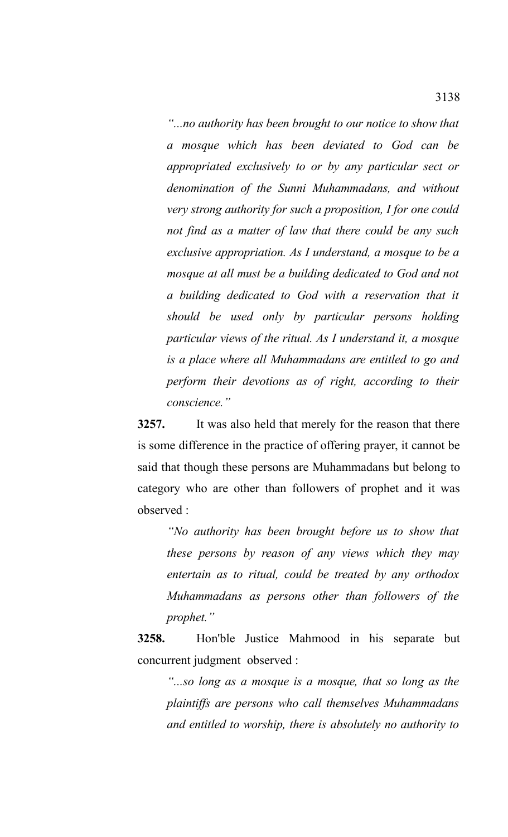*"...no authority has been brought to our notice to show that a mosque which has been deviated to God can be appropriated exclusively to or by any particular sect or denomination of the Sunni Muhammadans, and without very strong authority for such a proposition, I for one could not find as a matter of law that there could be any such exclusive appropriation. As I understand, a mosque to be a mosque at all must be a building dedicated to God and not a building dedicated to God with a reservation that it should be used only by particular persons holding particular views of the ritual. As I understand it, a mosque is a place where all Muhammadans are entitled to go and perform their devotions as of right, according to their conscience."*

**3257.** It was also held that merely for the reason that there is some difference in the practice of offering prayer, it cannot be said that though these persons are Muhammadans but belong to category who are other than followers of prophet and it was observed :

*"No authority has been brought before us to show that these persons by reason of any views which they may entertain as to ritual, could be treated by any orthodox Muhammadans as persons other than followers of the prophet."*

**3258.** Hon'ble Justice Mahmood in his separate but concurrent judgment observed :

*"...so long as a mosque is a mosque, that so long as the plaintiffs are persons who call themselves Muhammadans and entitled to worship, there is absolutely no authority to*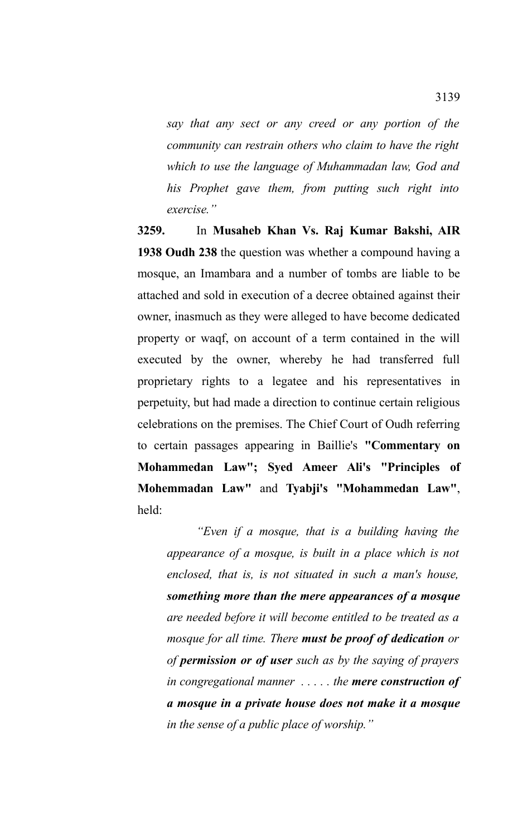*say that any sect or any creed or any portion of the community can restrain others who claim to have the right which to use the language of Muhammadan law, God and his Prophet gave them, from putting such right into exercise."*

**3259.** In **Musaheb Khan Vs. Raj Kumar Bakshi, AIR 1938 Oudh 238** the question was whether a compound having a mosque, an Imambara and a number of tombs are liable to be attached and sold in execution of a decree obtained against their owner, inasmuch as they were alleged to have become dedicated property or waqf, on account of a term contained in the will executed by the owner, whereby he had transferred full proprietary rights to a legatee and his representatives in perpetuity, but had made a direction to continue certain religious celebrations on the premises. The Chief Court of Oudh referring to certain passages appearing in Baillie's **"Commentary on Mohammedan Law"; Syed Ameer Ali's "Principles of Mohemmadan Law"** and **Tyabji's "Mohammedan Law"**, held:

*"Even if a mosque, that is a building having the appearance of a mosque, is built in a place which is not enclosed, that is, is not situated in such a man's house, something more than the mere appearances of a mosque are needed before it will become entitled to be treated as a mosque for all time. There must be proof of dedication or of permission or of user such as by the saying of prayers in congregational manner . . . . . the mere construction of a mosque in a private house does not make it a mosque in the sense of a public place of worship."*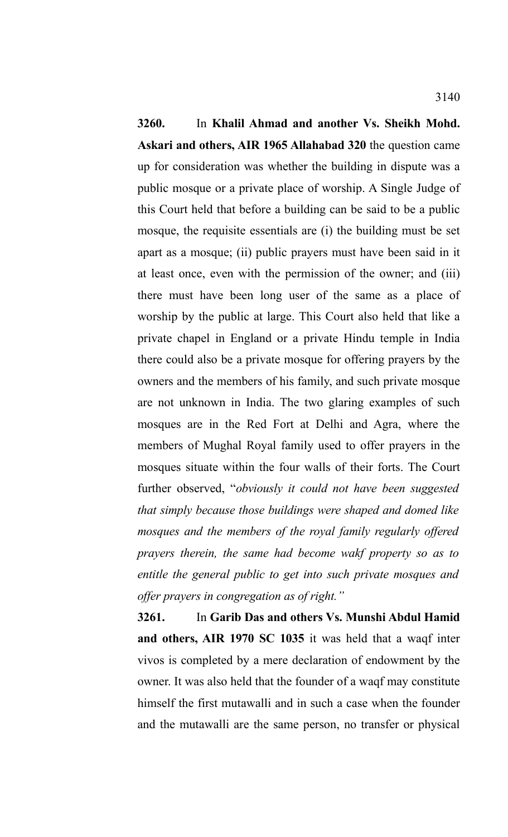**3260.** In **Khalil Ahmad and another Vs. Sheikh Mohd. Askari and others, AIR 1965 Allahabad 320** the question came up for consideration was whether the building in dispute was a public mosque or a private place of worship. A Single Judge of this Court held that before a building can be said to be a public mosque, the requisite essentials are (i) the building must be set apart as a mosque; (ii) public prayers must have been said in it at least once, even with the permission of the owner; and (iii) there must have been long user of the same as a place of worship by the public at large. This Court also held that like a private chapel in England or a private Hindu temple in India there could also be a private mosque for offering prayers by the owners and the members of his family, and such private mosque are not unknown in India. The two glaring examples of such mosques are in the Red Fort at Delhi and Agra, where the members of Mughal Royal family used to offer prayers in the mosques situate within the four walls of their forts. The Court further observed, "*obviously it could not have been suggested that simply because those buildings were shaped and domed like mosques and the members of the royal family regularly offered prayers therein, the same had become wakf property so as to entitle the general public to get into such private mosques and offer prayers in congregation as of right."*

**3261.** In **Garib Das and others Vs. Munshi Abdul Hamid and others, AIR 1970 SC 1035** it was held that a waqf inter vivos is completed by a mere declaration of endowment by the owner. It was also held that the founder of a waqf may constitute himself the first mutawalli and in such a case when the founder and the mutawalli are the same person, no transfer or physical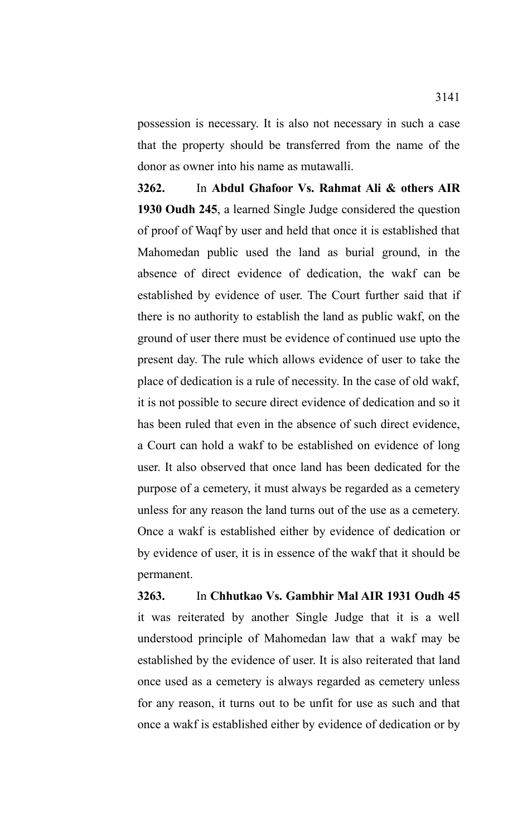possession is necessary. It is also not necessary in such a case that the property should be transferred from the name of the donor as owner into his name as mutawalli.

**3262.** In **Abdul Ghafoor Vs. Rahmat Ali & others AIR 1930 Oudh 245**, a learned Single Judge considered the question of proof of Waqf by user and held that once it is established that Mahomedan public used the land as burial ground, in the absence of direct evidence of dedication, the wakf can be established by evidence of user. The Court further said that if there is no authority to establish the land as public wakf, on the ground of user there must be evidence of continued use upto the present day. The rule which allows evidence of user to take the place of dedication is a rule of necessity. In the case of old wakf, it is not possible to secure direct evidence of dedication and so it has been ruled that even in the absence of such direct evidence, a Court can hold a wakf to be established on evidence of long user. It also observed that once land has been dedicated for the purpose of a cemetery, it must always be regarded as a cemetery unless for any reason the land turns out of the use as a cemetery. Once a wakf is established either by evidence of dedication or by evidence of user, it is in essence of the wakf that it should be permanent.

**3263.** In **Chhutkao Vs. Gambhir Mal AIR 1931 Oudh 45** it was reiterated by another Single Judge that it is a well understood principle of Mahomedan law that a wakf may be established by the evidence of user. It is also reiterated that land once used as a cemetery is always regarded as cemetery unless for any reason, it turns out to be unfit for use as such and that once a wakf is established either by evidence of dedication or by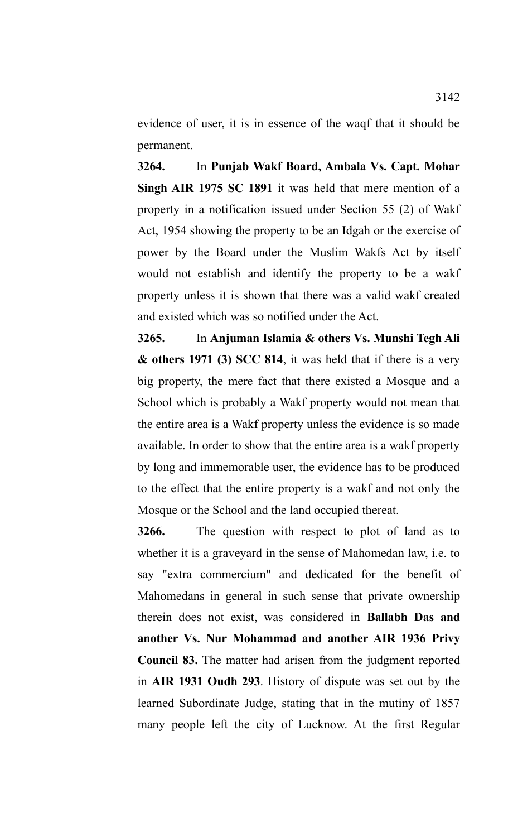evidence of user, it is in essence of the waqf that it should be permanent.

**3264.** In **Punjab Wakf Board, Ambala Vs. Capt. Mohar Singh AIR 1975 SC 1891** it was held that mere mention of a property in a notification issued under Section 55 (2) of Wakf Act, 1954 showing the property to be an Idgah or the exercise of power by the Board under the Muslim Wakfs Act by itself would not establish and identify the property to be a wakf property unless it is shown that there was a valid wakf created and existed which was so notified under the Act.

**3265.** In **Anjuman Islamia & others Vs. Munshi Tegh Ali & others 1971 (3) SCC 814**, it was held that if there is a very big property, the mere fact that there existed a Mosque and a School which is probably a Wakf property would not mean that the entire area is a Wakf property unless the evidence is so made available. In order to show that the entire area is a wakf property by long and immemorable user, the evidence has to be produced to the effect that the entire property is a wakf and not only the Mosque or the School and the land occupied thereat.

**3266.** The question with respect to plot of land as to whether it is a graveyard in the sense of Mahomedan law, i.e. to say "extra commercium" and dedicated for the benefit of Mahomedans in general in such sense that private ownership therein does not exist, was considered in **Ballabh Das and another Vs. Nur Mohammad and another AIR 1936 Privy Council 83.** The matter had arisen from the judgment reported in **AIR 1931 Oudh 293**. History of dispute was set out by the learned Subordinate Judge, stating that in the mutiny of 1857 many people left the city of Lucknow. At the first Regular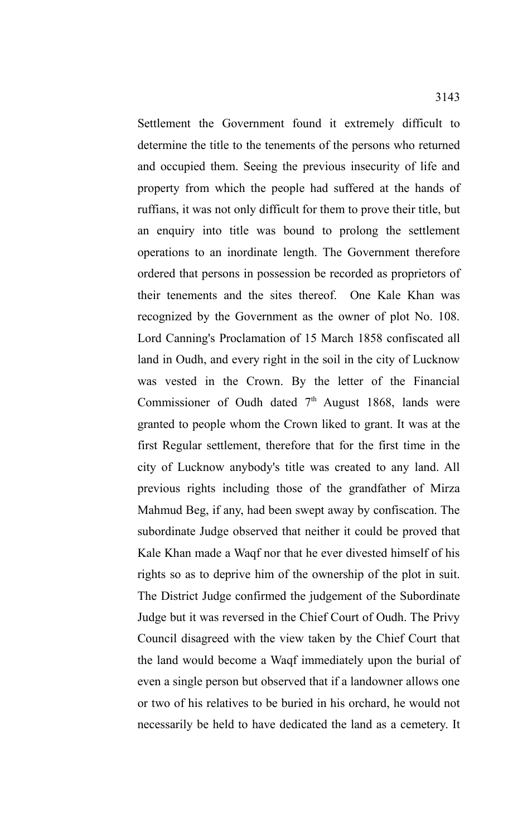Settlement the Government found it extremely difficult to determine the title to the tenements of the persons who returned and occupied them. Seeing the previous insecurity of life and property from which the people had suffered at the hands of ruffians, it was not only difficult for them to prove their title, but an enquiry into title was bound to prolong the settlement operations to an inordinate length. The Government therefore ordered that persons in possession be recorded as proprietors of their tenements and the sites thereof. One Kale Khan was recognized by the Government as the owner of plot No. 108. Lord Canning's Proclamation of 15 March 1858 confiscated all land in Oudh, and every right in the soil in the city of Lucknow was vested in the Crown. By the letter of the Financial Commissioner of Oudh dated  $7<sup>th</sup>$  August 1868, lands were granted to people whom the Crown liked to grant. It was at the first Regular settlement, therefore that for the first time in the city of Lucknow anybody's title was created to any land. All previous rights including those of the grandfather of Mirza Mahmud Beg, if any, had been swept away by confiscation. The subordinate Judge observed that neither it could be proved that Kale Khan made a Waqf nor that he ever divested himself of his rights so as to deprive him of the ownership of the plot in suit. The District Judge confirmed the judgement of the Subordinate Judge but it was reversed in the Chief Court of Oudh. The Privy Council disagreed with the view taken by the Chief Court that the land would become a Waqf immediately upon the burial of even a single person but observed that if a landowner allows one or two of his relatives to be buried in his orchard, he would not necessarily be held to have dedicated the land as a cemetery. It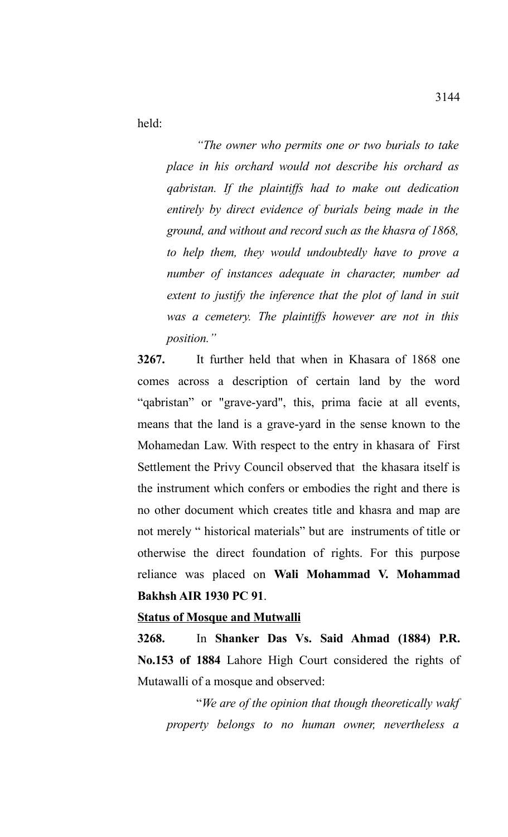held:

*"The owner who permits one or two burials to take place in his orchard would not describe his orchard as qabristan. If the plaintiffs had to make out dedication entirely by direct evidence of burials being made in the ground, and without and record such as the khasra of 1868, to help them, they would undoubtedly have to prove a number of instances adequate in character, number ad extent to justify the inference that the plot of land in suit was a cemetery. The plaintiffs however are not in this position."*

**3267.** It further held that when in Khasara of 1868 one comes across a description of certain land by the word "qabristan" or "grave-yard", this, prima facie at all events, means that the land is a grave-yard in the sense known to the Mohamedan Law. With respect to the entry in khasara of First Settlement the Privy Council observed that the khasara itself is the instrument which confers or embodies the right and there is no other document which creates title and khasra and map are not merely " historical materials" but are instruments of title or otherwise the direct foundation of rights. For this purpose reliance was placed on **Wali Mohammad V. Mohammad Bakhsh AIR 1930 PC 91**.

## **Status of Mosque and Mutwalli**

**3268.** In **Shanker Das Vs. Said Ahmad (1884) P.R. No.153 of 1884** Lahore High Court considered the rights of Mutawalli of a mosque and observed:

"*We are of the opinion that though theoretically wakf property belongs to no human owner, nevertheless a*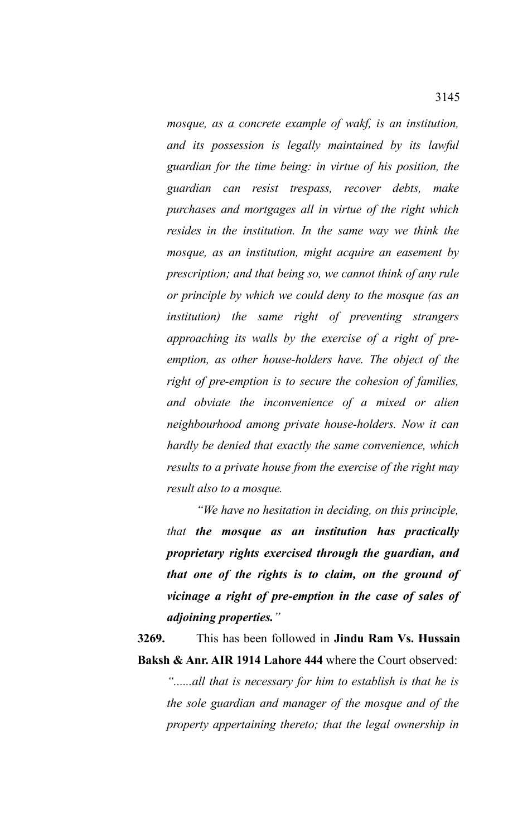*mosque, as a concrete example of wakf, is an institution, and its possession is legally maintained by its lawful guardian for the time being: in virtue of his position, the guardian can resist trespass, recover debts, make purchases and mortgages all in virtue of the right which resides in the institution. In the same way we think the mosque, as an institution, might acquire an easement by prescription; and that being so, we cannot think of any rule or principle by which we could deny to the mosque (as an institution) the same right of preventing strangers approaching its walls by the exercise of a right of preemption, as other house-holders have. The object of the right of pre-emption is to secure the cohesion of families, and obviate the inconvenience of a mixed or alien neighbourhood among private house-holders. Now it can hardly be denied that exactly the same convenience, which results to a private house from the exercise of the right may result also to a mosque.*

*"We have no hesitation in deciding, on this principle, that the mosque as an institution has practically proprietary rights exercised through the guardian, and that one of the rights is to claim, on the ground of vicinage a right of pre-emption in the case of sales of adjoining properties."* 

**3269.** This has been followed in **Jindu Ram Vs. Hussain Baksh & Anr. AIR 1914 Lahore 444** where the Court observed:

*"......all that is necessary for him to establish is that he is the sole guardian and manager of the mosque and of the property appertaining thereto; that the legal ownership in*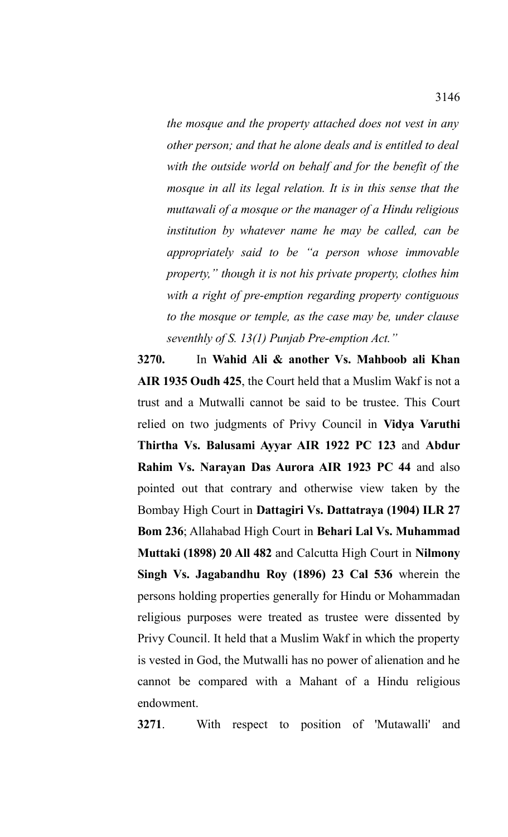*the mosque and the property attached does not vest in any other person; and that he alone deals and is entitled to deal with the outside world on behalf and for the benefit of the mosque in all its legal relation. It is in this sense that the muttawali of a mosque or the manager of a Hindu religious institution by whatever name he may be called, can be appropriately said to be "a person whose immovable property," though it is not his private property, clothes him with a right of pre-emption regarding property contiguous to the mosque or temple, as the case may be, under clause seventhly of S. 13(1) Punjab Pre-emption Act."*

**3270.** In **Wahid Ali & another Vs. Mahboob ali Khan AIR 1935 Oudh 425**, the Court held that a Muslim Wakf is not a trust and a Mutwalli cannot be said to be trustee. This Court relied on two judgments of Privy Council in **Vidya Varuthi Thirtha Vs. Balusami Ayyar AIR 1922 PC 123** and **Abdur Rahim Vs. Narayan Das Aurora AIR 1923 PC 44** and also pointed out that contrary and otherwise view taken by the Bombay High Court in **Dattagiri Vs. Dattatraya (1904) ILR 27 Bom 236**; Allahabad High Court in **Behari Lal Vs. Muhammad Muttaki (1898) 20 All 482** and Calcutta High Court in **Nilmony Singh Vs. Jagabandhu Roy (1896) 23 Cal 536** wherein the persons holding properties generally for Hindu or Mohammadan religious purposes were treated as trustee were dissented by Privy Council. It held that a Muslim Wakf in which the property is vested in God, the Mutwalli has no power of alienation and he cannot be compared with a Mahant of a Hindu religious endowment.

**3271**. With respect to position of 'Mutawalli' and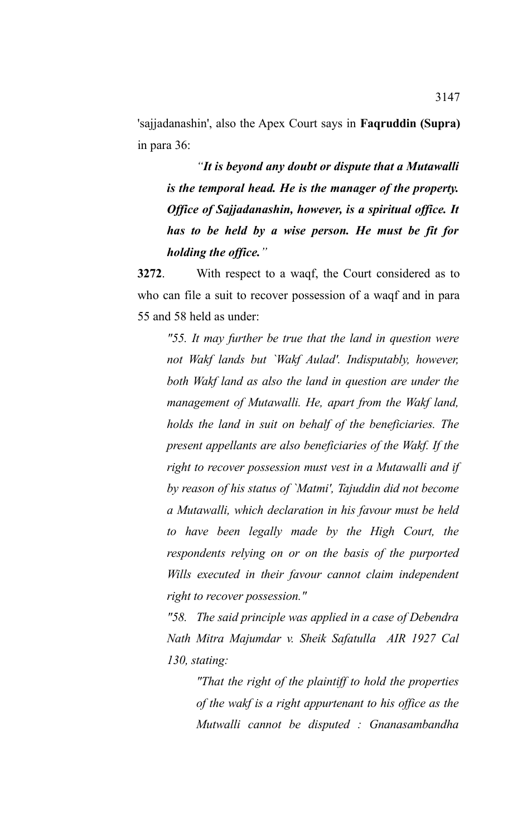'sajjadanashin', also the Apex Court says in **Faqruddin (Supra)** in para 36:

*"It is beyond any doubt or dispute that a Mutawalli is the temporal head. He is the manager of the property. Office of Sajjadanashin, however, is a spiritual office. It has to be held by a wise person. He must be fit for holding the office."*

**3272**. With respect to a waqf, the Court considered as to who can file a suit to recover possession of a waqf and in para 55 and 58 held as under:

*"55. It may further be true that the land in question were not Wakf lands but `Wakf Aulad'. Indisputably, however, both Wakf land as also the land in question are under the management of Mutawalli. He, apart from the Wakf land, holds the land in suit on behalf of the beneficiaries. The present appellants are also beneficiaries of the Wakf. If the right to recover possession must vest in a Mutawalli and if by reason of his status of `Matmi', Tajuddin did not become a Mutawalli, which declaration in his favour must be held to have been legally made by the High Court, the respondents relying on or on the basis of the purported Wills executed in their favour cannot claim independent right to recover possession."*

*"58. The said principle was applied in a case of Debendra Nath Mitra Majumdar v. Sheik Safatulla AIR 1927 Cal 130, stating:*

*"That the right of the plaintiff to hold the properties of the wakf is a right appurtenant to his office as the Mutwalli cannot be disputed : Gnanasambandha*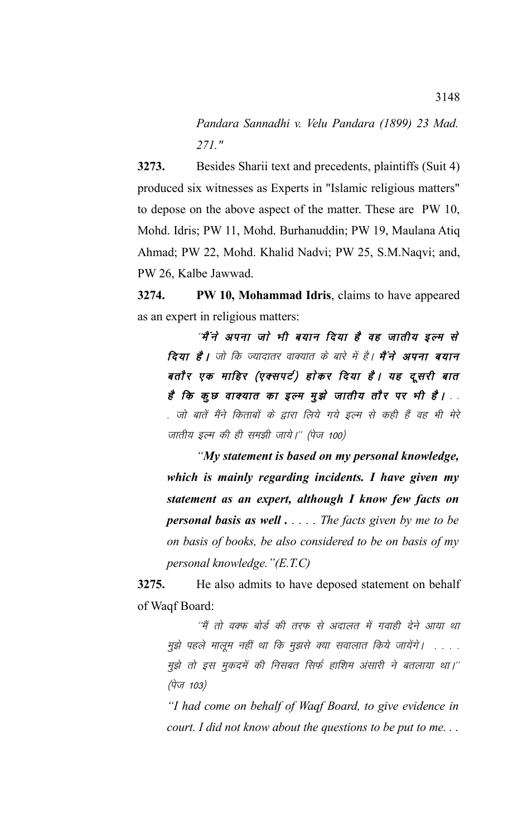*Pandara Sannadhi v. Velu Pandara (1899) 23 Mad. 271."*

**3273.** Besides Sharii text and precedents, plaintiffs (Suit 4) produced six witnesses as Experts in "Islamic religious matters" to depose on the above aspect of the matter. These are PW 10, Mohd. Idris; PW 11, Mohd. Burhanuddin; PW 19, Maulana Atiq Ahmad; PW 22, Mohd. Khalid Nadvi; PW 25, S.M.Naqvi; and, PW 26, Kalbe Jawwad.

**3274. PW 10, Mohammad Idris**, claims to have appeared as an expert in religious matters:

*''*मैं ने अपना जो भी बयान दिया है वह जातीय इल्म से **दिया है।** जो कि ज्यादातर वाक्यात के बारे में है। **मैं ने अपना बयान** बतौर एक माहिर (एक्सपर्ट) होकर दिया है। यह दूसरी बात है कि कुछ वाक्यात का इल्म मुझे जातीय तौर पर भी है। . . . जो बातें मैंने किताबों के द्वारा लिये गये इल्म से कही हैं वह भी मेरे जातीय इल्म की ही समझी जाये।'' (पेज 100)

*"My statement is based on my personal knowledge, which is mainly regarding incidents. I have given my statement as an expert, although I know few facts on personal basis as well . . . . . The facts given by me to be on basis of books, be also considered to be on basis of my personal knowledge."(E.T.C)*

**3275.** He also admits to have deposed statement on behalf of Waqf Board:

 $^{\prime\prime}$ मैं तो वक्फ बोर्ड की तरफ से अदालत में गवाही देने आया था मुझे पहले मालूम नहीं था कि मुझसे क्या सवालात किये जायेंगे। . . . . मुझे तो इस मुकदमें की निसबत सिर्फ हाशिम अंसारी ने बतलाया था।''  $(\dot{q}_{\nabla}$  103)

*"I had come on behalf of Waqf Board, to give evidence in court. I did not know about the questions to be put to me. . .*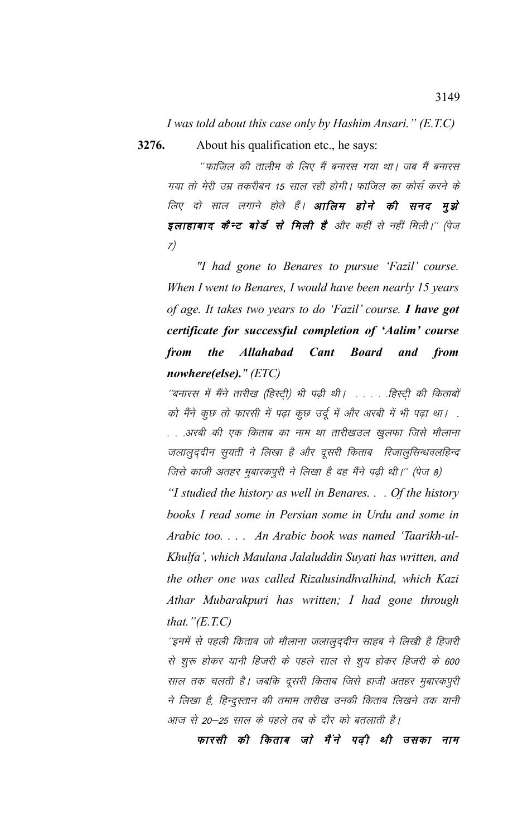*I was told about this case only by Hashim Ansari." (E.T.C)*

**3276.** About his qualification etc., he says:

''फ़ाजिल की तालीम के लिए मैं बनारस गया था। जब मैं बनारस गया तो मेरी उम्र तकरीबन 15 साल रही होगी। फाजिल का कोर्स करने के लिए दो साल लगाने होते हैं। **आलिम होने की सनद मुझे** इलाहाबाद कैन्ट बोर्ड से मिली है और कहीं से नहीं मिली।'' (पेज 7½

*"I had gone to Benares to pursue 'Fazil' course. When I went to Benares, I would have been nearly 15 years of age. It takes two years to do 'Fazil' course. I have got certificate for successful completion of 'Aalim' course from the Allahabad Cant Board and from nowhere(else)." (ETC)*

''बनारस में मैंने तारीख (हिस्टी) भी पढ़ी थी। . . . . .हिस्टी की किताबों को मैंने कुछ तो फारसी में पढ़ा कुछ उर्दू में और अरबी में भी पढ़ा था। . . . .अरबी की एक किताब का नाम था तारीखउल खुलफा जिसे मौलाना जलालुददीन सूयती ने लिखा है और दूसरी किताब रिजालुसिन्धवलहिन्द जिसे काजी अतहर मुबारकपुरी ने लिखा है वह मैंने पढ़ी थी।'' (पेज 8)

*"I studied the history as well in Benares. . . Of the history books I read some in Persian some in Urdu and some in Arabic too. . . . An Arabic book was named 'Taarikh-ul-Khulfa', which Maulana Jalaluddin Suyati has written, and the other one was called Rizalusindhvalhind, which Kazi Athar Mubarakpuri has written; I had gone through that."(E.T.C)*

'इनमें से पहली किताब जो मौलाना जलालुद्दीन साहब ने लिखी है हिजरी से शुरू होकर यानी हिजरी के पहले साल से शुय होकर हिजरी के 600 साल तक चलती है। जबकि दूसरी किताब जिसे हाजी अतहर मुबारकपुरी ने लिखा है, हिन्दुस्तान की तमाम तारीख उनकी किताब लिखने तक यानी आज से 20—25 साल के पहले तब के दौर को बतलाती है।

फारसी की किताब जो मैंने पढ़ी थी उसका नाम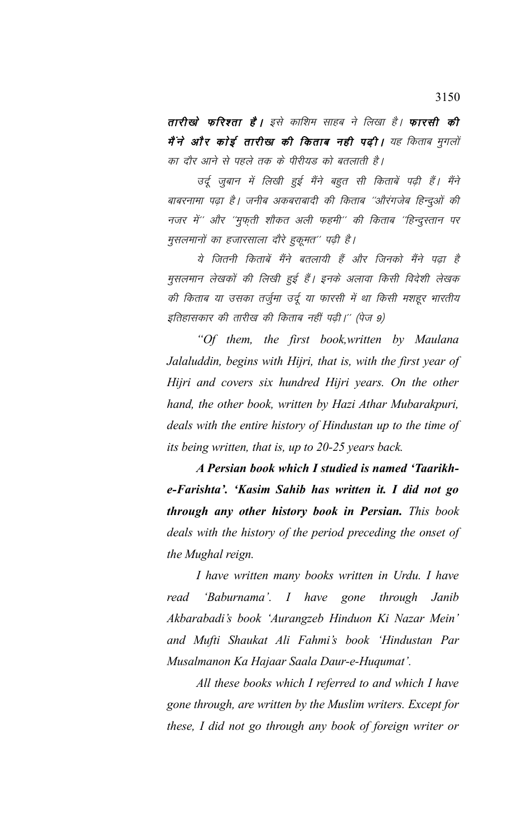तारीखो फरिश्ता है। इसे काशिम साहब ने लिखा है। फारसी की मैं ने और कोई तारीख की किताब नही पढ़ी। यह किताब मुगलों का दौर आने से पहले तक के पीरीयड को बतलाती है।

उर्दू जुबान में लिखी हुई मैंने बहुत सी किताबें पढ़ी हैं। मैंने बाबरनामा पढ़ा है। जनीब अकबराबादी की किताब ''ओरंगजेब हिन्दुओं की नजर में" और "मुफ्ती शौकत अली फहमी" की किताब "हिन्दुस्तान पर मुसलमानों का हजारसाला दौरे हुकूमत′′ पढ़ी है।

ये जितनी किताबें मैंने बतलायी हैं और जिनको मैंने पढ़ा है मुसलमान लेखकों की लिखी हुई हैं। इनके अलावा किसी विदेशी लेखक की किताब या उसका तर्जुमा उर्दू या फारसी में था किसी मशहूर भारतीय इतिहासकार की तारीख की किताब नहीं पढी।'' (पेज 9)

"Of them, the first book, written by Maulana Jalaluddin, begins with Hijri, that is, with the first year of Hijri and covers six hundred Hijri years. On the other hand, the other book, written by Hazi Athar Mubarakpuri, deals with the entire history of Hindustan up to the time of its being written, that is, up to 20-25 years back.

A Persian book which I studied is named 'Taarikhe-Farishta'. 'Kasim Sahib has written it. I did not go through any other history book in Persian. This book deals with the history of the period preceding the onset of the Mughal reign.

I have written many books written in Urdu. I have 'Baburnama'. I have gone read through Janib Akbarabadi's book 'Aurangzeb Hinduon Ki Nazar Mein' and Mufti Shaukat Ali Fahmi's book 'Hindustan Par Musalmanon Ka Hajaar Saala Daur-e-Huqumat'.

All these books which I referred to and which I have gone through, are written by the Muslim writers. Except for these, I did not go through any book of foreign writer or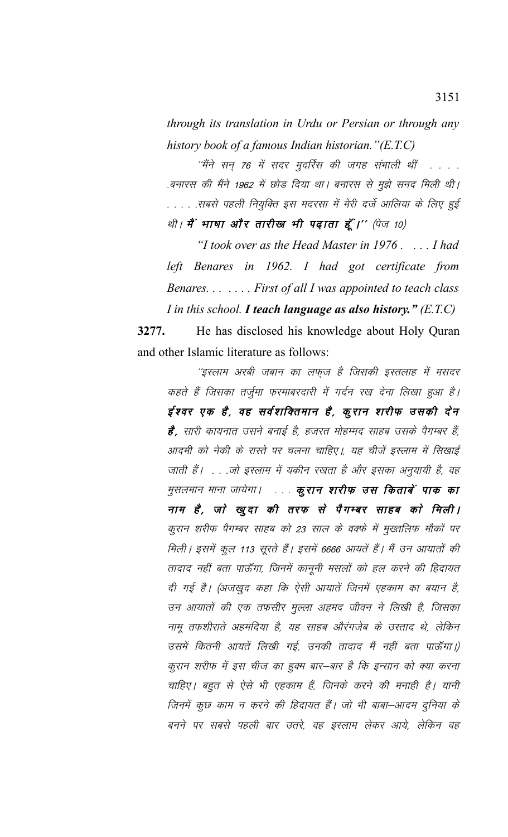through its translation in Urdu or Persian or through any history book of a famous Indian historian." $(E.T.C)$ 

''मैंने सन् 76 में सदर मुदर्रिस की जगह संभाली थीं बनारस की मैंने 1962 में छोड दिया था। बनारस से मुझे सनद मिली थी। . . . . .सबसे पहली नियुक्ति इस मदरसा में मेरी दर्जे आलिया के लिए हुई थी। मैं भाषा और तारीख भी पढ़ाता हूँ।'' (पेज 10)

"I took over as the Head Master in  $1976$ .... I had left Benares in 1962. I had got certificate from Benares.......First of all I was appointed to teach class I in this school. I teach language as also history."  $(E.T.C)$ 

3277. He has disclosed his knowledge about Holy Quran and other Islamic literature as follows:

> ''इस्लाम अरबी जबान का लफ्ज़ है जिसकी इस्तलाह में मसदर कहते हैं जिसका तर्जुमा फरमाबरदारी में गर्दन रख देना लिखा हुआ है। ईश्वर एक है, वह सर्वशक्तिमान है, कुरान शरीफ उसकी देन है, सारी कायनात उसने बनाई है, हजरत मोहम्मद साहब उसके पैगम्बर हैं, आदमी को नेकी के रास्ते पर चलना चाहिए।, यह चीजें इस्लाम में सिखाई जाती हैं। . . .जो इस्लाम में यकीन रखता है और इसका अनुयायी है, वह मुसलमान माना जायेगा। . . . . कु्रान शरीफ उस किताबें पाक का नाम है, जो खूदा की तरफ से पैगम्बर साहब को मिली। कुरान शरीफ पैगम्बर साहब को 23 साल के वक्फे में मुख्तलिफ मौकों पर मिली | इसमें कुल 113 सूरते हैं | इसमें 6666 आयतें हैं | मैं उन आयातों की तादाद नहीं बता पाऊँगा, जिनमें कानूनी मसलों को हल करने की हिदायत दी गई है। (अजखुद कहा कि ऐसी आयातें जिनमें एहकाम का बयान है, उन आयातों की एक तफसीर मुल्ला अहमद जीवन ने लिखी है, जिसका नाम् तफशीराते अहमदिया है, यह साहब औरंगजेब के उस्ताद थे, लेकिन उसमें कितनी आयतें लिखी गई, उनकी तादाद मैं नहीं बता पाऊँगा।) कुरान शरीफ में इस चीज का हुक्म बार–बार है कि इन्सान को क्या करना चाहिए। बहुत से ऐसे भी एहकाम हैं, जिनके करने की मनाही है। यानी जिनमें कुछ काम न करने की हिदायत हैं। जो भी बाबा–आदम दुनिया के बनने पर सबसे पहली बार उतरे, वह इस्लाम लेकर आये, लेकिन वह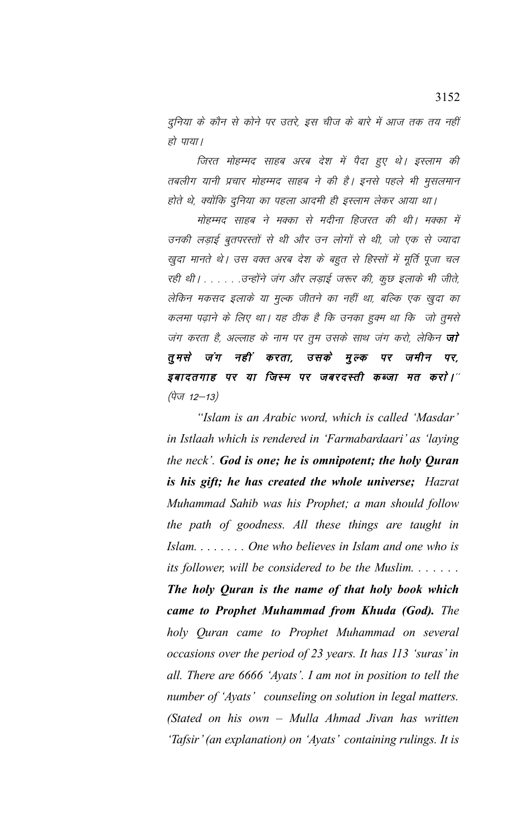दुनिया के कौन से कोने पर उतरे, इस चीज के बारे में आज तक तय नहीं हो पाया।

जिरत मोहम्मद साहब अरब देश में पैदा हुए थे। इस्लाम की तबलीग यानी प्रचार मोहम्मद साहब ने की है। इनसे पहले भी मुसलमान होते थे, क्योंकि दुनिया का पहला आदमी ही इस्लाम लेकर आया था।

मोहम्मद साहब ने मक्का से मदीना हिजरत की थी। मक्का में उनकी लड़ाई बुतपरस्तों से थी और उन लोगों से थी, जो एक से ज्यादा खुदा मानते थे। उस वक्त अरब देश के बहुत से हिस्सों में मूर्ति पूजा चल रही थी। . . . . . उन्होंने जंग और लडाई जरूर की, कुछ इलाके भी जीते, लेकिन मकसद इलाके या मुल्क जीतने का नहीं था, बल्कि एक खुदा का कलमा पढ़ाने के लिए था। यह ठीक है कि उनका हुक्म था कि जो तुमसे जंग करता है, अल्लाह के नाम पर तुम उसके साथ जंग करो, लेकिन **जो** तूमसे जंग नहीं करता, उसके मुल्क पर जमीन पर, इबादतगाह पर या जिस्म पर जबरदस्ती कब्जा मत करो।" *(पेज 12–13)* 

"Islam is an Arabic word, which is called 'Masdar' in Istlaah which is rendered in 'Farmabardaari' as 'laying the neck'. God is one; he is omnipotent; the holy Quran is his gift; he has created the whole universe; Hazrat Muhammad Sahib was his Prophet; a man should follow the path of goodness. All these things are taught in Islam........ One who believes in Islam and one who is its follower, will be considered to be the Muslim. . . . . . .

The holy Quran is the name of that holy book which came to Prophet Muhammad from Khuda (God). The holy Quran came to Prophet Muhammad on several occasions over the period of 23 years. It has 113 'suras' in all. There are 6666 'Ayats'. I am not in position to tell the number of 'Ayats' counseling on solution in legal matters. (Stated on his own - Mulla Ahmad Jivan has written 'Tafsir' (an explanation) on 'Ayats' containing rulings. It is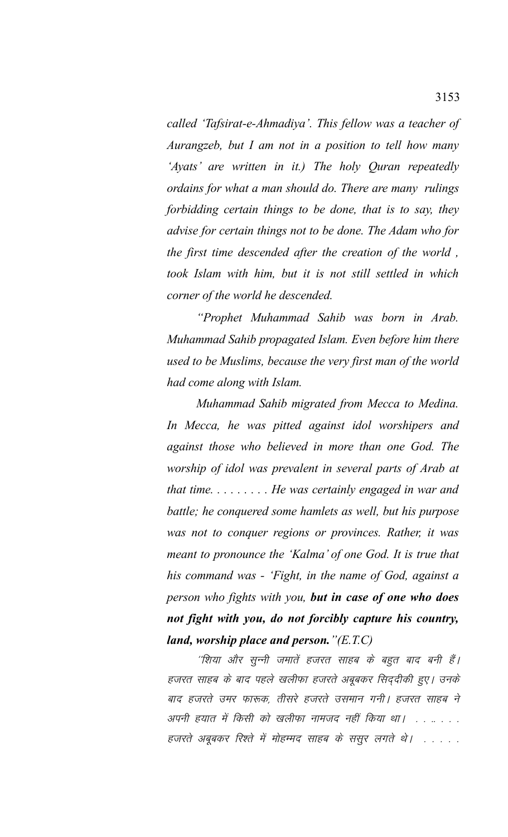called 'Tafsirat-e-Ahmadiya'. This fellow was a teacher of Aurangzeb, but I am not in a position to tell how many 'Ayats' are written in it.) The holy Quran repeatedly ordains for what a man should do. There are many rulings forbidding certain things to be done, that is to say, they advise for certain things not to be done. The Adam who for the first time descended after the creation of the world, took Islam with him, but it is not still settled in which corner of the world he descended.

"Prophet Muhammad Sahib was born in Arab. Muhammad Sahib propagated Islam. Even before him there used to be Muslims, because the very first man of the world had come along with Islam.

Muhammad Sahib migrated from Mecca to Medina. In Mecca, he was pitted against idol worshipers and against those who believed in more than one God. The worship of idol was prevalent in several parts of Arab at that time.  $\dots \dots$  He was certainly engaged in war and battle; he conquered some hamlets as well, but his purpose was not to conquer regions or provinces. Rather, it was meant to pronounce the 'Kalma' of one God. It is true that his command was - 'Fight, in the name of God, against a person who fights with you, but in case of one who does not fight with you, do not forcibly capture his country, land, worship place and person.  $" (E.T.C)$ 

''शिया और सुन्नी जमातें हजरत साहब के बहुत बाद बनी हैं। हजरत साहब के बाद पहले खलीफा हजरते अबूबकर सिद्दीकी हुए। उनके बाद हजरते उमर फारूक, तीसरे हजरते उसमान गनी। हजरत साहब ने अपनी हयात में किसी को खलीफा नामजद नहीं किया था। . . .. . . . हजरते अबूबकर रिश्ते में मोहम्मद साहब के ससूर लगते थे। . . . . .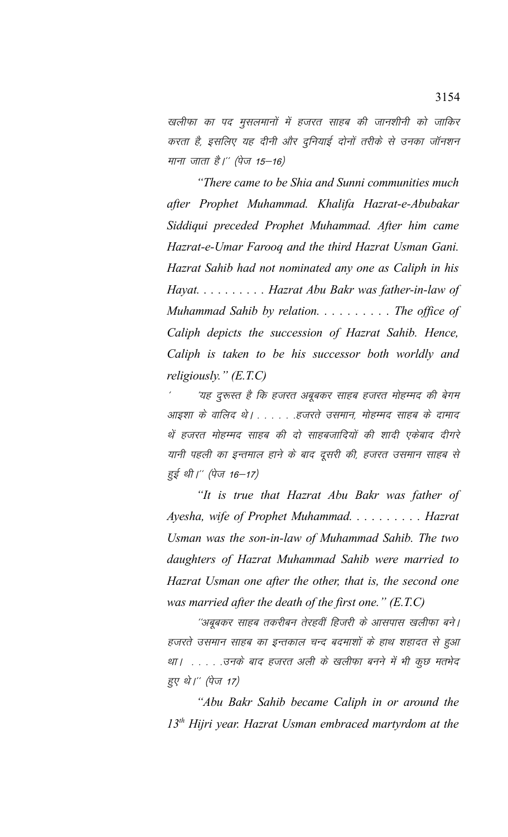खलीफा का पद मुसलमानों में हजरत साहब की जानशीनी को जाकिर करता है, इसलिए यह दीनी और दुनियाई दोनों तरीके से उनका जॉनशन माना जाता है।'' (पेज 15–16)

*"There came to be Shia and Sunni communities much after Prophet Muhammad. Khalifa Hazrat-e-Abubakar Siddiqui preceded Prophet Muhammad. After him came Hazrat-e-Umar Farooq and the third Hazrat Usman Gani. Hazrat Sahib had not nominated any one as Caliph in his Hayat. . . . . . . . . . Hazrat Abu Bakr was father-in-law of Muhammad Sahib by relation. . . . . . . . . . The office of Caliph depicts the succession of Hazrat Sahib. Hence, Caliph is taken to be his successor both worldly and religiously." (E.T.C)*

^'यह दुरूस्त है कि हजरत अबूबकर साहब हजरत मोहम्मद की बेगम आइशा के वालिद थे। . . . . . .हजरते उसमान, मोहम्मद साहब के दामाद थें हजरत मोहम्मद साहब की दो साहबजादियों की शादी एकेबाद दीगरे यानी पहली का इन्तमाल हाने के बाद दूसरी की, हजरत उसमान साहब से हुई थी।" (पेज 16-17)

*"It is true that Hazrat Abu Bakr was father of Ayesha, wife of Prophet Muhammad. . . . . . . . . . Hazrat Usman was the son-in-law of Muhammad Sahib. The two daughters of Hazrat Muhammad Sahib were married to Hazrat Usman one after the other, that is, the second one was married after the death of the first one." (E.T.C)*

''अबूबकर साहब तकरीबन तेरहवीं हिजरी के आसपास खलीफा बने। हजरते उसमान साहब का इन्तकाल चन्द बदमाशों के हाथ शहादत से हुआ था। . . . . .उनके बाद हजरत अली के खलीफा बनने में भी कुछ मतभेद हुए थे।" (पेज 17)

*"Abu Bakr Sahib became Caliph in or around the 13th Hijri year. Hazrat Usman embraced martyrdom at the*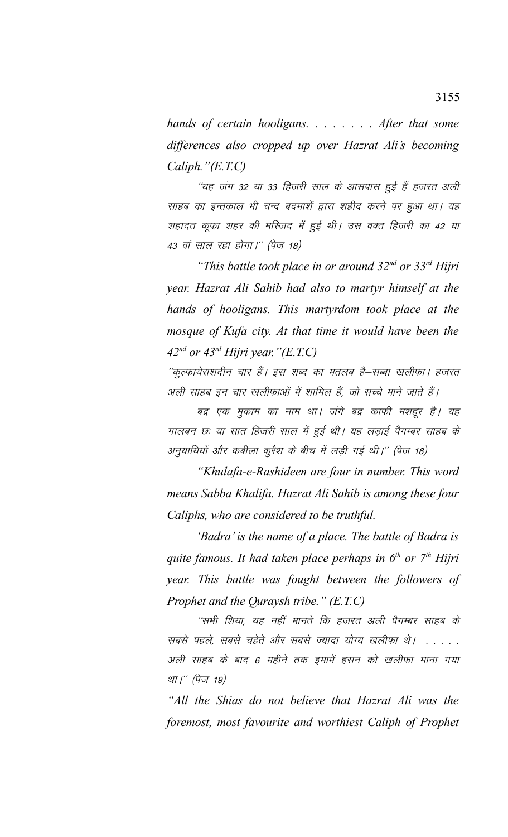*hands of certain hooligans. . . . . . . . After that some differences also cropped up over Hazrat Ali's becoming Caliph."(E.T.C)*

''यह जंग 32 या 33 हिजरी साल के आसपास हुई हैं हजरत अली साहब का इन्तकाल भी चन्द बदमाशें द्वारा शहीद करने पर हुआ था। यह शहादत कूफा शहर की मस्जिद में हुई थी। उस वक्त हिजरी का 42 या 43 वां साल रहा होगा।'' (पेज 18)

*"This battle took place in or around 32nd or 33rd Hijri year. Hazrat Ali Sahib had also to martyr himself at the hands of hooligans. This martyrdom took place at the mosque of Kufa city. At that time it would have been the 42nd or 43rd Hijri year."(E.T.C)*

''कूल्फायेराशदीन चार हैं। इस शब्द का मतलब है–सब्बा खलीफा। हजरत अली साहब इन चार खलीफाओं में शामिल हैं, जो सच्चे माने जाते हैं।

बद्र एक मुकाम का नाम था। जंगे बद्र काफी मशहूर है। यह गालबन छः या सात हिजरी साल में हुई थी। यह लड़ाई पैगम्बर साहब के अनुयायियों और कबीला कुरैश के बीच में लड़ी गई थी।'' (पेज 18)

*"Khulafa-e-Rashideen are four in number. This word means Sabba Khalifa. Hazrat Ali Sahib is among these four Caliphs, who are considered to be truthful.*

*'Badra' is the name of a place. The battle of Badra is quite famous. It had taken place perhaps in 6th or 7th Hijri year. This battle was fought between the followers of Prophet and the Quraysh tribe." (E.T.C)*

''सभी शिया, यह नहीं मानते कि हजरत अली पैगम्बर साहब के सबसे पहले, सबसे चहेते और सबसे ज्यादा योग्य खलीफा थे। . . . . . अली साहब के बाद 6 महीने तक इमामें हसन को खलीफा माना गया था।'' (पेज 19)

*"All the Shias do not believe that Hazrat Ali was the foremost, most favourite and worthiest Caliph of Prophet*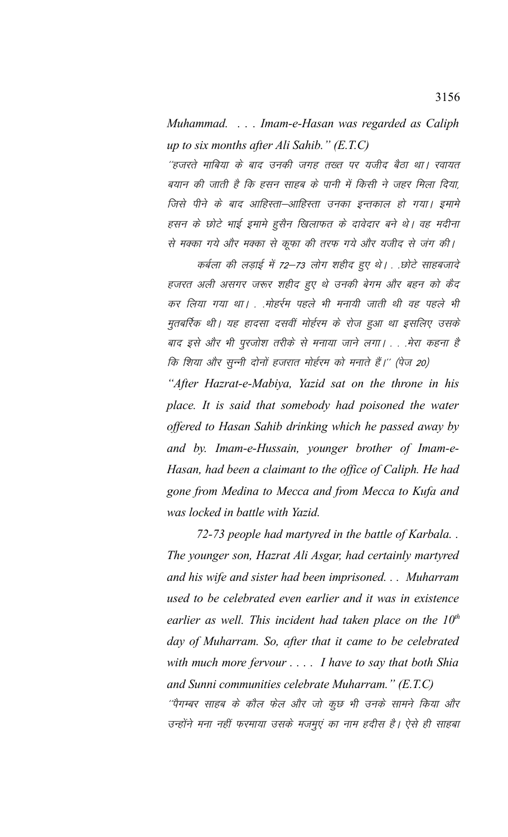*Muhammad. . . . Imam-e-Hasan was regarded as Caliph up to six months after Ali Sahib." (E.T.C)*

´हजरते माबिया के बाद उनकी जगह तख्त पर यजीद बैठा था। रवायत बयान की जाती है कि हसन साहब के पानी में किसी ने जहर मिला दिया, जिसे पीने के बाद आहिस्ता–आहिस्ता उनका इन्तकाल हो गया। इमामे हसन के छोटे भाई इमामे हुसैन खिलाफत के दावेदार बने थे। वह मदीना से मक्का गये और मक्का से कूफा की तरफ गये और यजीद से जंग की।

कर्बला की लड़ाई में 72–73 लोग शहीद हुए थे। . छोटे साहबजादे हजरत अली असगर जरूर शहीद हुए थे उनकी बेगम और बहन को कैद कर लिया गया था। . .मोहर्रम पहले भी मनायी जाती थी वह पहले भी मुतबर्रिक थी। यह हादसा दसवीं मोईरम के रोज हुआ था इसलिए उसके बाद इसे और भी पुरजोश तरीके से मनाया जाने लगा। . . .मेरा कहना है कि शिया और सुन्नी दोनों हजरात मोईरम को मनाते हैं।'' (पेज 20)

*"After Hazrat-e-Mabiya, Yazid sat on the throne in his place. It is said that somebody had poisoned the water offered to Hasan Sahib drinking which he passed away by and by. Imam-e-Hussain, younger brother of Imam-e-Hasan, had been a claimant to the office of Caliph. He had gone from Medina to Mecca and from Mecca to Kufa and was locked in battle with Yazid.*

*72-73 people had martyred in the battle of Karbala. . The younger son, Hazrat Ali Asgar, had certainly martyred and his wife and sister had been imprisoned. . . Muharram used to be celebrated even earlier and it was in existence earlier as well. This incident had taken place on the 10th day of Muharram. So, after that it came to be celebrated with much more fervour . . . . I have to say that both Shia and Sunni communities celebrate Muharram." (E.T.C)*

''पैगम्बर साहब के कौल फेल और जो कुछ भी उनके सामने किया और उन्होंने मना नहीं फरमाया उसके मजमुएं का नाम ह़दीस है। ऐसे ही साहबा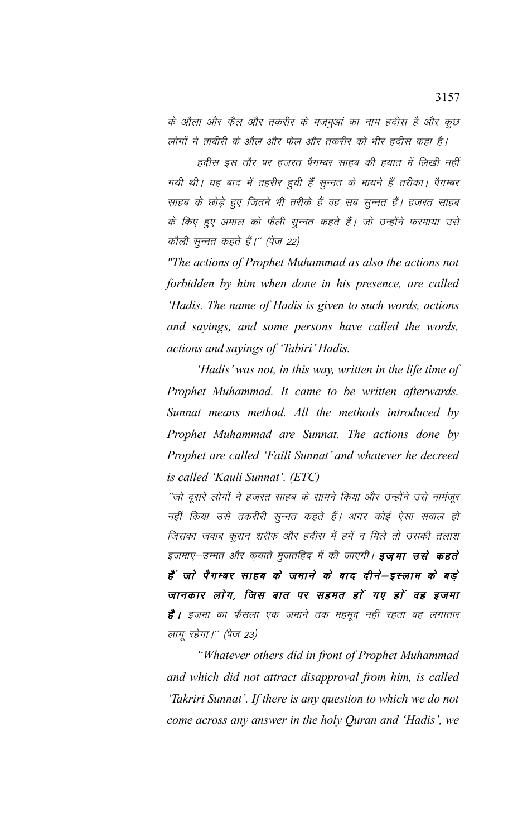के औला और फैल और तकरीर के मजमुआं का नाम ह़दीस है और कुछ लोगों ने ताबीरी के ओल और फेल और तकरीर को भीर हदीस कहा है।

हदीस इस तौर पर हजरत पैगम्बर साहब की हयात में लिखी नहीं गयी थी। यह बाद में तहरीर हुयी हैं सुन्नत के मायने हैं तरीका। पैगम्बर साहब के छोड़े हुए जितने भी तरीके हैं वह सब सुन्नत हैं। हजरत साहब के किए हुए अमाल को फैली सुन्नत कहते हैं। जो उन्होंने फरमाया उसे कौली सुन्नत कहते हैं।'' (पेज 22)

*"The actions of Prophet Muhammad as also the actions not forbidden by him when done in his presence, are called 'Hadis. The name of Hadis is given to such words, actions and sayings, and some persons have called the words, actions and sayings of 'Tabiri' Hadis.* 

*'Hadis' was not, in this way, written in the life time of Prophet Muhammad. It came to be written afterwards. Sunnat means method. All the methods introduced by Prophet Muhammad are Sunnat. The actions done by Prophet are called 'Faili Sunnat' and whatever he decreed is called 'Kauli Sunnat'. (ETC)*

''जो दूसरे लोगों ने हजरत साहब के सामने किया और उन्होंने उसे नामंजूर नहीं किया उसे तकरीरी सुन्नत कहते हैं। अगर कोई ऐसा सवाल हो जिसका जवाब कुरान शरीफ और ह़दीस में हमें न मिले तो उसकी तलाश इजमाए–उम्मत और कृयाते मुजतहिद में की जाएगी। **इज़मा उसे कहते** हैं जो पैगम्बर साहब के जमाने के बाद दीने—इस्लाम के बड़े जानकार लोग, जिस बात पर सहमत हों गए हों वह इजमा **है ।** इजमा का फैसला एक जमाने तक महमूद नहीं रहता वह लगातार लागू रहेगा।'' (पेज 23)

*"Whatever others did in front of Prophet Muhammad and which did not attract disapproval from him, is called 'Takriri Sunnat'. If there is any question to which we do not come across any answer in the holy Quran and 'Hadis', we*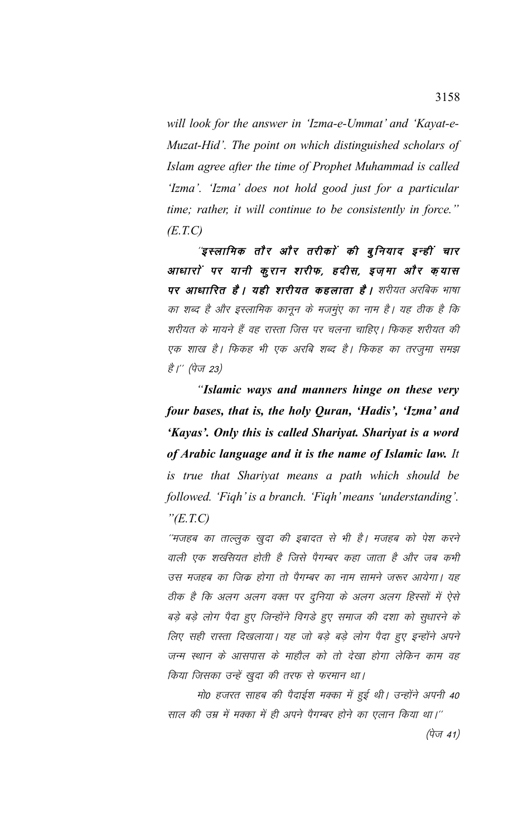*will look for the answer in 'Izma-e-Ummat' and 'Kayat-e-Muzat-Hid'. The point on which distinguished scholars of Islam agree after the time of Prophet Muhammad is called 'Izma'. 'Izma' does not hold good just for a particular time; rather, it will continue to be consistently in force." (E.T.C)*

"इस्लामिक तौर और तरीकों की बुनियाद इन्हीं चार आधारों पर यानी कुरान शरीफ, हदीस, इज़मा और क़यास पर आधारित है। यही शरीयत कहलाता है। शरीयत अरबिक भाषा का शब्द है और इस्लामिक कानून के मजमूंए का नाम है। यह ठीक है कि शरीयत के मायने हैं वह रास्ता जिस पर चलना चाहिए। फिकह शरीयत की एक शाख है। फिकह भी एक अरबि शब्द है। फिकह का तरजुमा समझ है।'' (पेज 23)

*"Islamic ways and manners hinge on these very four bases, that is, the holy Quran, 'Hadis', 'Izma' and 'Kayas'. Only this is called Shariyat. Shariyat is a word of Arabic language and it is the name of Islamic law. It is true that Shariyat means a path which should be followed. 'Fiqh' is a branch. 'Fiqh' means 'understanding'. "(E.T.C)*

´´मजहब का ताल्लुक खुदा की इबादत से भी है। मजहब को पेश करने वाली एक शखंसियत होती है जिसे पैगम्बर कहा जाता है और जब कभी उस मजहब का जिक होगा तो पैगम्बर का नाम सामने जरूर आयेगा। यह ठीक है कि अलग अलग वक्त पर दुनिया के अलग अलग हिस्सों में ऐसे बड़े बड़े लोग पैदा हुए जिन्होंने विगडे हुए समाज की दशा को सुधारने के लिए सही रास्ता दिखलाया। यह जो बड़े बड़े लोग पैदा हुए इन्होंने अपने जन्म स्थान के आसपास के माहौल को तो देखा होगा लेकिन काम वह किया जिसका उन्हें खुदा की तरफ से फरमान था।

मो0 हजरत साहब की पैदाईश मक्का में हुई थी। उन्होंने अपनी 40 साल की उम्र में मक्का में ही अपने पैगम्बर होने का एलान किया था।''

3158

 $(\overline{q}_{\overline{y}}$  41)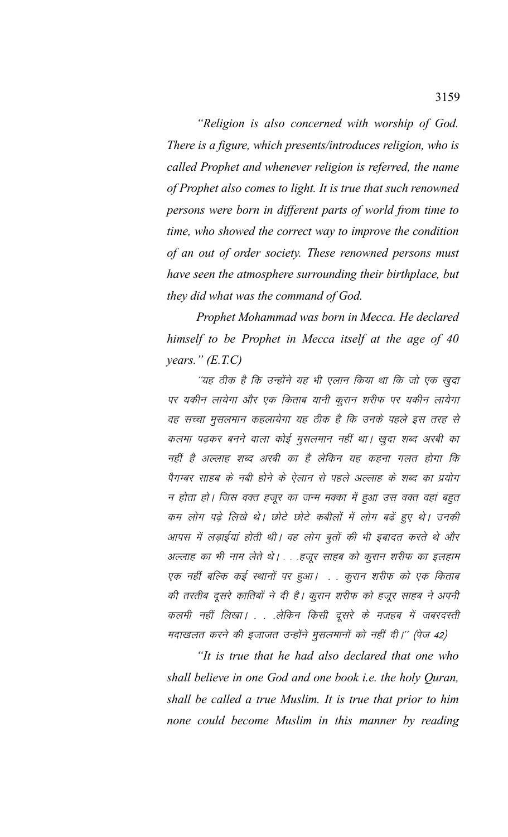"Religion is also concerned with worship of God. There is a figure, which presents/introduces religion, who is called Prophet and whenever religion is referred, the name of Prophet also comes to light. It is true that such renowned persons were born in different parts of world from time to time, who showed the correct way to improve the condition of an out of order society. These renowned persons must have seen the atmosphere surrounding their birthplace, but they did what was the command of God.

Prophet Mohammad was born in Mecca. He declared himself to be Prophet in Mecca itself at the age of 40 years."  $(E.T.C)$ 

''यह ठीक है कि उन्होंने यह भी एलान किया था कि जो एक खुदा पर यकीन लायेगा और एक किताब यानी कुरान शरीफ पर यकीन लायेगा वह सच्चा मुसलमान कहलायेगा यह ठीक है कि उनके पहले इस तरह से कलमा पढ़कर बनने वाला कोई मुसलमान नहीं था। खुदा शब्द अरबी का नहीं है अल्लाह शब्द अरबी का है लेकिन यह कहना गलत होगा कि पैगम्बर साहब के नबी होने के ऐलान से पहले अल्लाह के शब्द का प्रयोग न होता हो। जिस वक्त हजूर का जन्म मक्का में हुआ उस वक्त वहां बहुत कम लोग पढ़े लिखे थे। छोटे छोटे कबीलों में लोग बढ़ें हुए थे। उनकी आपस में लड़ाईयां होती थी। वह लोग बूतों की भी इबादत करते थे और अल्लाह का भी नाम लेते थे। . . .हजूर साहब को कुरान शरीफ का इलहाम एक नहीं बल्कि कई स्थानों पर हुआ। . . कुरान शरीफ को एक किताब की तरतीब दूसरे कातिबों ने दी है। कुरान शरीफ को हजूर साहब ने अपनी कलमी नहीं लिखा। . . .लेकिन किसी दूसरे के मजहब में जबरदस्ती मदाखलत करने की इजाजत उन्होंने मुसलमानों को नहीं दी।'' (पेज 42)

"It is true that he had also declared that one who shall believe in one God and one book *i.e.* the holy Quran, shall be called a true Muslim. It is true that prior to him none could become Muslim in this manner by reading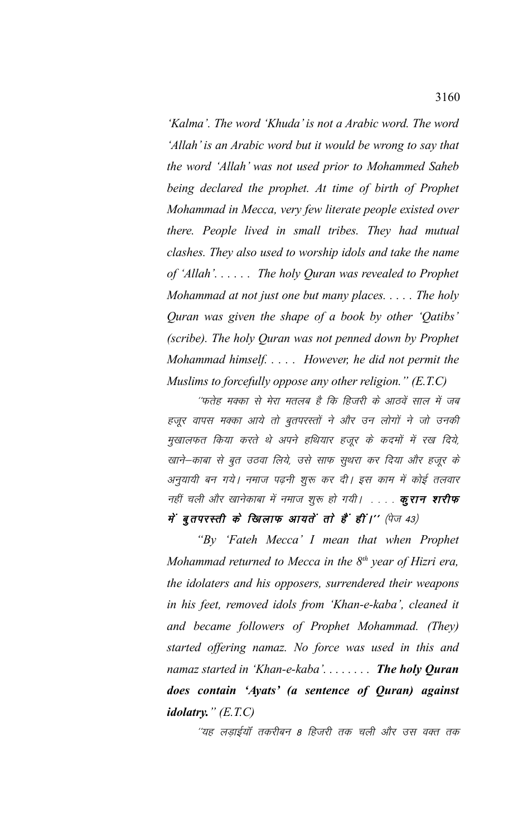*'Kalma'. The word 'Khuda' is not a Arabic word. The word 'Allah' is an Arabic word but it would be wrong to say that the word 'Allah' was not used prior to Mohammed Saheb being declared the prophet. At time of birth of Prophet Mohammad in Mecca, very few literate people existed over there. People lived in small tribes. They had mutual clashes. They also used to worship idols and take the name of 'Allah'. . . . . . The holy Quran was revealed to Prophet Mohammad at not just one but many places. . . . . The holy Quran was given the shape of a book by other 'Qatibs' (scribe). The holy Quran was not penned down by Prophet Mohammad himself. . . . . However, he did not permit the Muslims to forcefully oppose any other religion." (E.T.C)*

''फ़तेह मक्का से मेरा मतलब है कि हिजरी के आठवें साल में जब हजूर वापस मक्का आये तो बुतपरस्तों ने और उन लोगों ने जो उनकी मुखालफत किया करते थे अपने हथियार हजूर के कदमों में रख दिये, खाने–काबा से बुत उठवा लिये, उसे साफ सुथरा कर दिया और हजूर के अनुयायी बन गये। नमाज पढ़नी शुरू कर दी। इस काम में कोई तलवार नहीं चली और खानेकाबा में नमाज शुरू हो गयी। . . . . **कुरान शरीफ** में बुतपरस्ती के खिलाफ आयतें तो हैं हीं।'' (पेज 43)

*"By 'Fateh Mecca' I mean that when Prophet Mohammad returned to Mecca in the 8th year of Hizri era, the idolaters and his opposers, surrendered their weapons in his feet, removed idols from 'Khan-e-kaba', cleaned it and became followers of Prophet Mohammad. (They) started offering namaz. No force was used in this and namaz started in 'Khan-e-kaba'. . . . . . . . The holy Quran does contain 'Ayats' (a sentence of Quran) against idolatry." (E.T.C)*

''यह लडाईयॉ तकरीबन 8 हिजरी तक चली और उस वक्त तक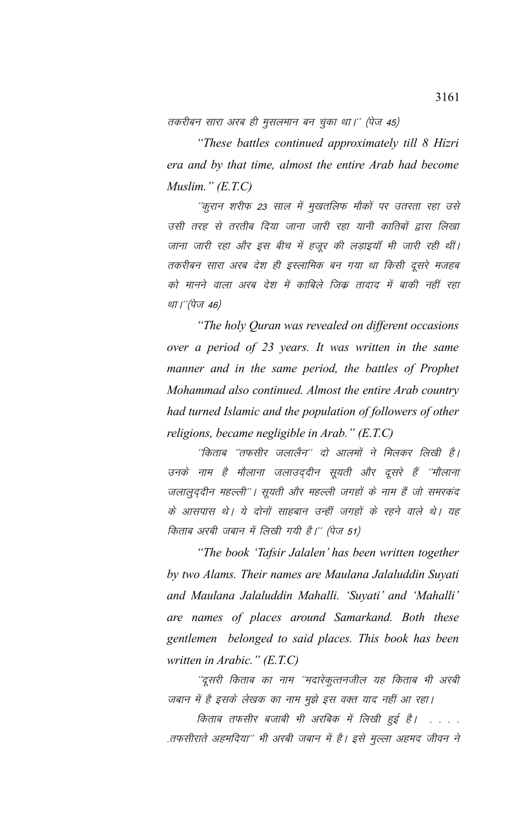तकरीबन सारा अरब ही मुसलमान बन चुका था।'' (पेज 45)

"These battles continued approximately till 8 Hizri era and by that time, almost the entire Arab had become Muslim."  $(E.T.C)$ 

''कुरान शरीफ 23 साल में मुखतलिफ मौकों पर उतरता रहा उसे उसी तरह से तरतीब दिया जाना जारी रहा यानी कातिबों द्वारा लिखा जाना जारी रहा और इस बीच में हजूर की लड़ाइयॉ भी जारी रही थीं। तकरीबन सारा अरब देश ही इस्लामिक बन गया था किसी दूसरे मजहब को मानने वाला अरब देश में काबिले जिक तादाद में बाकी नहीं रहा था।''(पेज 46)

"The holy Quran was revealed on different occasions" over a period of 23 years. It was written in the same manner and in the same period, the battles of Prophet Mohammad also continued. Almost the entire Arab country had turned Islamic and the population of followers of other religions, became negligible in Arab."  $(E.T.C)$ 

''किताब ''तफसीर जलालैन'' दो आलमों ने मिलकर लिखी है। उनके नाम है मौलाना जलाउद्दीन सूयती और दूसरे हैं ''मौलाना जलालुददीन महल्ली''। सूयती और महल्ली जगहों के नाम हैं जो समरकंद के आसपास थे। ये दोनों साहबान उन्हीं जगहों के रहने वाले थे। यह किताब अरबी जबान में लिखी गयी है।'' (पेज 51)

"The book 'Tafsir Jalalen' has been written together by two Alams. Their names are Maulana Jalaluddin Suyati and Maulana Jalaluddin Mahalli. 'Suyati' and 'Mahalli' are names of places around Samarkand. Both these gentlemen belonged to said places. This book has been written in Arabic."  $(E.T.C)$ 

''दूसरी किताब का नाम ''मदारेकुत्तनजील यह किताब भी अरबी जबान में है इसके लेखक का नाम मुझे इस वक्त याद नहीं आ रहा।

किताब तफसीर बजाबी भी अरबिक में लिखी हुई है। . . . . .तफसीराते अहमदिया'' भी अरबी जबान में है। इसे मुल्ला अहमद जीवन ने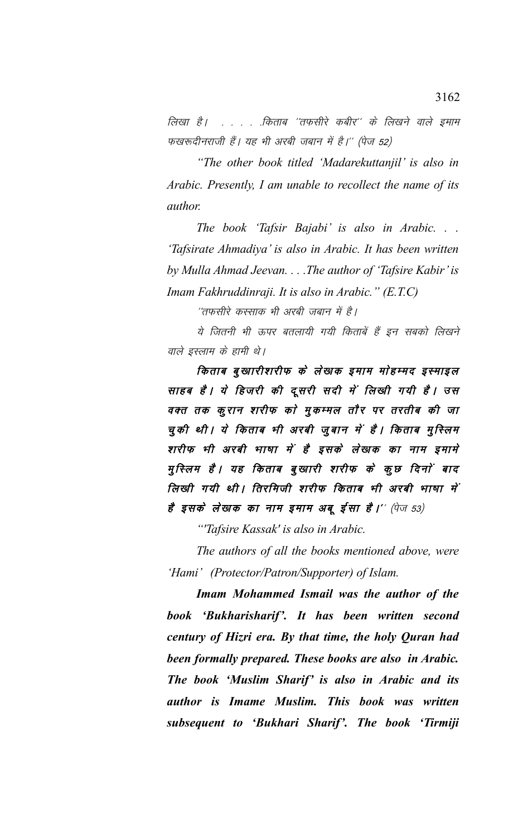लिखा है। . . . . किताब "तफसीरे कबीर" के लिखने वाले इमाम फखरूदीनराजी हैं। यह भी अरबी जबान में है।" (पेज 52)

"The other book titled 'Madarekuttanjil' is also in Arabic. Presently, I am unable to recollect the name of its *author.* 

The book 'Tafsir Bajabi' is also in Arabic... 'Tafsirate Ahmadiya' is also in Arabic. It has been written by Mulla Ahmad Jeevan. . . . The author of 'Tafsire Kabir' is Imam Fakhruddinraji. It is also in Arabic." (E.T.C)

''तफसीरे कस्साक भी अरबी जबान में है।

ये जितनी भी ऊपर बतलायी गयी किताबें हैं इन सबको लिखने वाले इस्लाम के हामी थे।

किताब बुखारीशरीफ के लेखक इमाम मोहम्मद इस्माइल साहब है। ये हिजरी की दूसरी सदी में लिखी गयी है। उस वक्त तक कुरान शरीफ को मुकम्मल तौर पर तरतीब की जा चुकी थी। ये किताब भी अरबी जुबान में है। किताब मुस्लिम शरीफ भी अरबी भाषा में है इसके लेखक का नाम इमामे मुस्लिम है। यह किताब बुखारी शरीफ के कूछ दिनों बाद लिखी गयी थी। तिरमिजी शरीफ किताब भी अरबी भाषा में है इसके लेखक का नाम इमाम अबू ईसा है।'' (पेज 53)

"Tafsire Kassak' is also in Arabic.

The authors of all the books mentioned above, were 'Hami' (Protector/Patron/Supporter) of Islam.

Imam Mohammed Ismail was the author of the book 'Bukharisharif'. It has been written second century of Hizri era. By that time, the holy Quran had been formally prepared. These books are also in Arabic. The book 'Muslim Sharif' is also in Arabic and its author is Imame Muslim. This book was written subsequent to 'Bukhari Sharif'. The book 'Tirmiji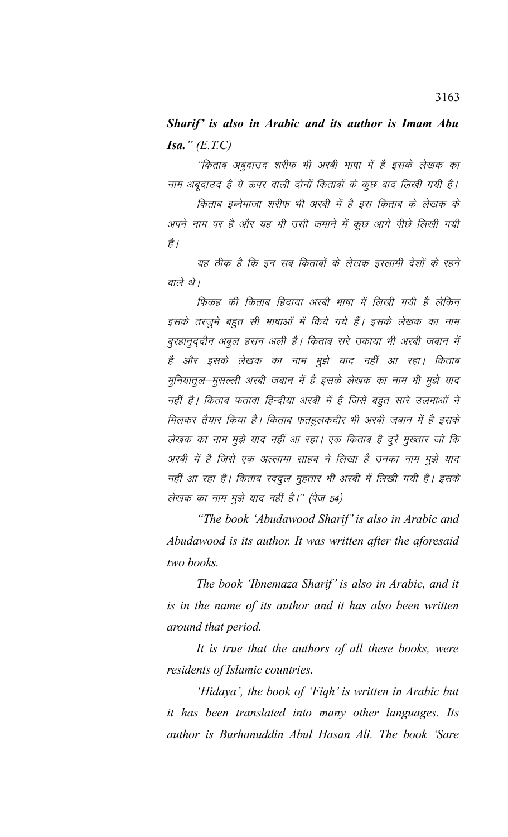## Sharif' is also in Arabic and its author is Imam Abu Isa."  $(E.T.C)$

''किताब अबुदाउद शरीफ भी अरबी भाषा में है इसके लेखक का नाम अबूदाउद है ये ऊपर वाली दोनों किताबों के कुछ बाद लिखी गयी है।

किताब इब्नेमाजा शरीफ भी अरबी में है इस किताब के लेखक के अपने नाम पर है और यह भी उसी जमाने में कुछ आगे पीछे लिखी गयी है।

यह ठीक है कि इन सब किताबों के लेखक इस्लामी देशों के रहने वाले थे।

फिकह की किताब हिदाया अरबी भाषा में लिखी गयी है लेकिन इसके तरजुमे बहुत सी भाषाओं में किये गये हैं। इसके लेखक का नाम बुरहानुददीन अबूल हसन अली है। किताब सरे उकाया भी अरबी जबान में है और इसके लेखक का नाम मुझे याद नहीं आ रहा। किताब मुनियातूल-मुसल्ली अरबी जबान में है इसके लेखक का नाम भी मुझे याद नहीं है। किताब फतावा हिन्दीया अरबी में है जिसे बहुत सारे उलमाओं ने मिलकर तैयार किया है। किताब फतहूलकदीर भी अरबी जबान में है इसके लेखक का नाम मुझे याद नहीं आ रहा। एक किताब है दुर्रे मुख्तार जो कि अरबी में है जिसे एक अल्लामा साहब ने लिखा है उनका नाम मुझे याद नहीं आ रहा है। किताब रददुल मुहतार भी अरबी में लिखी गयी है। इसके लेखक का नाम मुझे याद नहीं है।'' (पेज 54)

"The book 'Abudawood Sharif' is also in Arabic and Abudawood is its author. It was written after the aforesaid two books.

The book 'Ibnemaza Sharif' is also in Arabic, and it is in the name of its author and it has also been written around that period.

It is true that the authors of all these books, were residents of Islamic countries.

'Hidaya', the book of 'Fiqh' is written in Arabic but it has been translated into many other languages. Its author is Burhanuddin Abul Hasan Ali. The book 'Sare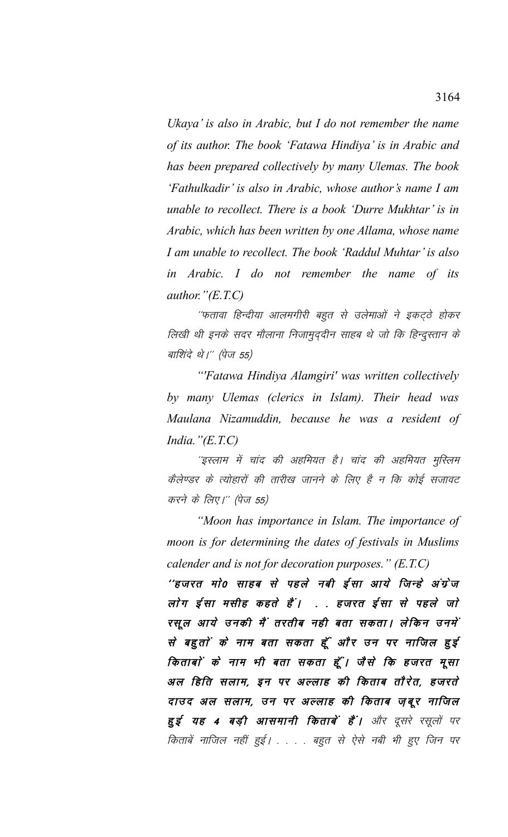Ukaya' is also in Arabic, but I do not remember the name of its author. The book 'Fatawa Hindiya' is in Arabic and has been prepared collectively by many Ulemas. The book 'Fathulkadir' is also in Arabic, whose author's name I am unable to recollect. There is a book 'Durre Mukhtar' is in Arabic, which has been written by one Allama, whose name I am unable to recollect. The book 'Raddul Muhtar' is also in Arabic. I do not remember the name of its author.  $"(E.T.C)$ 

''फतावा हिन्दीया आलमगीरी बहुत से उलेमाओं ने इकट्ठे होकर लिखी थी इनके सदर मौलाना निजामुद्दीन साहब थे जो कि हिन्दुस्तान के बाशिंदे थे।'' (पेज 55)

"'Fatawa Hindiya Alamgiri' was written collectively by many Ulemas (clerics in Islam). Their head was Maulana Nizamuddin, because he was a resident of India." $(E.T.C)$ 

''इस्लाम में चांद की अहमियत है। चांद की अहमियत मुस्लिम कैलेण्डर के त्योहारों की तारीख जानने के लिए है न कि कोई सजावट करने के लिए।'' (पेज 55)

"Moon has importance in Islam. The importance of moon is for determining the dates of festivals in Muslims calender and is not for decoration purposes."  $(E.T.C)$ 

''हजरत मो0 साहब से पहले नबी ईसा आये जिन्हे अंग्रेज लोग ईसा मसीह कहते हैं। . . हजरत ईसा से पहले जो रसूल आये उनकी मैं तरतीब नही बता सकता। लेकिन उनमें से बहुतों के नाम बता सकता हूँ और उन पर नाजिल हुई किताबों के नाम भी बता सकता हूँ। जैसे कि हजरत मूसा अल हिति सलाम, इन पर अल्लाह की किताब तौरेत, हजरते दाउद अल सलाम, उन पर अल्लाह की किताब ज़बूर नाजिल हुई यह 4 बड़ी आसमानी किताबें हैं। और दूसरे रसूलों पर किताबें नाजिल नहीं हुई। . . . बहुत से ऐसे नबी भी हुए जिन पर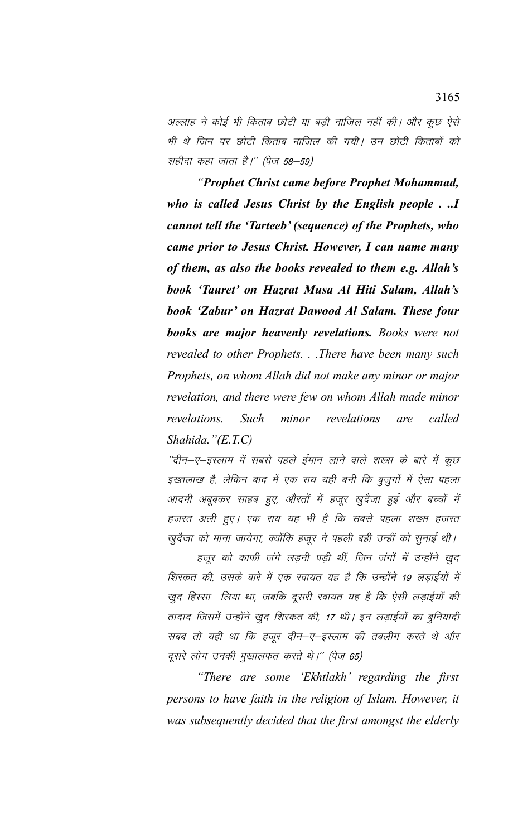अल्लाह ने कोई भी किताब छोटी या बड़ी नाजिल नहीं की। और कुछ ऐसे भी थे जिन पर छोटी किताब नाजिल की गयी। उन छोटी किताबों को शहीदा कहा जाता है।'' (पेज 58–59)

"Prophet Christ came before Prophet Mohammad, who is called Jesus Christ by the English people... cannot tell the 'Tarteeb' (sequence) of the Prophets, who came prior to Jesus Christ. However, I can name many of them, as also the books revealed to them e.g. Allah's book 'Tauret' on Hazrat Musa Al Hiti Salam, Allah's book 'Zabur' on Hazrat Dawood Al Salam. These four **books are major heavenly revelations.** Books were not revealed to other Prophets. . .There have been many such Prophets, on whom Allah did not make any minor or major revelation, and there were few on whom Allah made minor revelations. **Such** minor revelations called are Shahida." $(E.T.C)$ 

''दीन–ए–इस्लाम में सबसे पहले ईमान लाने वाले शख्स के बारे में कुछ इख्तलाख है, लेकिन बाद में एक राय यही बनी कि बृजुर्गो में ऐसा पहला आदमी अबूबकर साहब हुए, औरतों में हजूर खुदैजा हुई और बच्चों में हजरत अली हुए। एक राय यह भी है कि सबसे पहला शख्स हजरत खुदैजा को माना जायेगा, क्योंकि हजूर ने पहली बही उन्हीं को सुनाई थी।

हजूर को काफी जंगे लड़नी पड़ी थीं, जिन जंगों में उन्होंने खुद शिरकत की, उसके बारे में एक रवायत यह है कि उन्होंने 19 लड़ाईयों में खुद हिस्सा लिया था, जबकि दूसरी रवायत यह है कि ऐसी लड़ाईयों की तादाद जिसमें उन्होंने खुद शिरकत की, 17 थी। इन लड़ाईयों का बुनियादी सबब तो यही था कि हजूर दीन–ए–इस्लाम की तबलीग करते थे और दूसरे लोग उनकी मुखालफत करते थे।'' (पेज 65)

"There are some 'Ekhtlakh' regarding the first persons to have faith in the religion of Islam. However, it was subsequently decided that the first amongst the elderly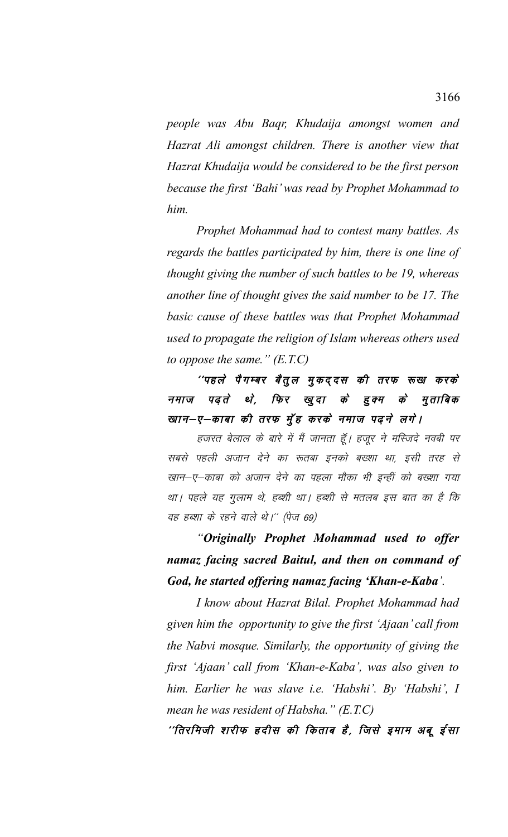*people was Abu Baqr, Khudaija amongst women and Hazrat Ali amongst children. There is another view that Hazrat Khudaija would be considered to be the first person because the first 'Bahi' was read by Prophet Mohammad to him.*

*Prophet Mohammad had to contest many battles. As regards the battles participated by him, there is one line of thought giving the number of such battles to be 19, whereas another line of thought gives the said number to be 17. The basic cause of these battles was that Prophet Mohammad used to propagate the religion of Islam whereas others used to oppose the same." (E.T.C)*

''पहले पैगम्बर बैतुल मुकददस की तरफ रूख करके नमाज पढ़ते थे, फिर खुदा के हुक्म के मुताबिक खान–ए–काबा की तरफ मुँह करके नमाज पढ़ने लगे।

हजरत बेलाल के बारे में मैं जानता हूँ। हजूर ने मस्जिदे नवबी पर सबसे पहली अजान देने का रूतबा इनको बख्शा था, इसी तरह से खान–ए–काबा को अजान देने का पहला मौका भी इन्हीं को बख्शा गया था। पहले यह गुलाम थे, हब्शी था। हब्शी से मतलब इस बात का है कि वह हब्शा के रहने वाले थे।'' (पेज 69)

*"Originally Prophet Mohammad used to offer namaz facing sacred Baitul, and then on command of God, he started offering namaz facing 'Khan-e-Kaba'.*

*I know about Hazrat Bilal. Prophet Mohammad had given him the opportunity to give the first 'Ajaan' call from the Nabvi mosque. Similarly, the opportunity of giving the first 'Ajaan' call from 'Khan-e-Kaba', was also given to him. Earlier he was slave i.e. 'Habshi'. By 'Habshi', I mean he was resident of Habsha." (E.T.C)*

''तिरमिजी शरीफ हदीस की किताब है, जिसे इमाम अबू ईसा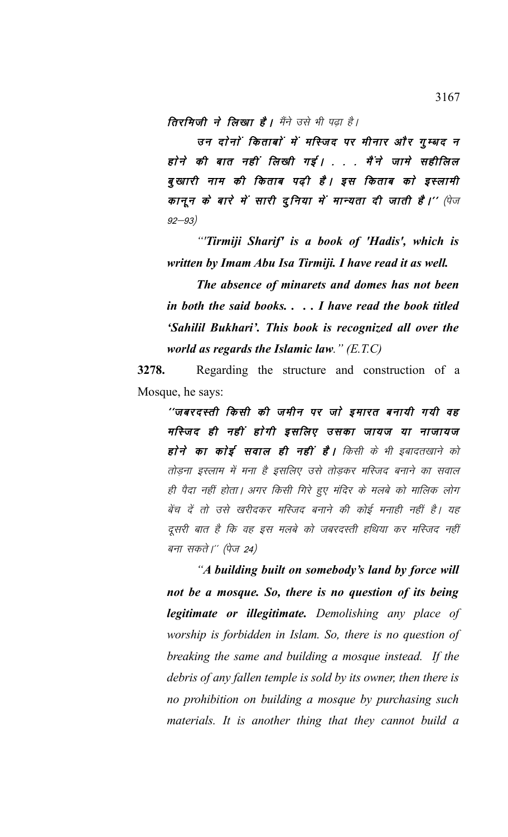तिरमिजी ने लिखा है। मैंने उसे भी पढ़ा है।

उन दोनों किताबों में मस्जिद पर मीनार और गुम्बद न होने की बात नहीं लिखी गई। . . . मैंने जामे सहीलिल बुखारी नाम की किताब पढ़ी है। इस किताब को इस्लामी कानून के बारे में सारी दुनिया में मान्यता दी जाती है।'' (पेज  $92 - 93)$ 

"Tirmiji Sharif' is a book of 'Hadis', which is written by Imam Abu Isa Tirmiji. I have read it as well.

The absence of minarets and domes has not been in both the said books. . . . I have read the book titled 'Sahilil Bukhari'. This book is recognized all over the *world as regards the Islamic law.*"  $(E.T.C)$ 

3278. Regarding the structure and construction of a Mosque, he says:

''जबरदस्ती किसी की जमीन पर जो इमारत बनायी गयी वह मस्जिद ही नहीं होगी इसलिए उसका जायज या नाजायज होंने का कोई सवाल ही नहीं है। किसी के भी इबादतखाने को तोडना इस्लाम में मना है इसलिए उसे तोडकर मस्जिद बनाने का सवाल ही पैदा नहीं होता। अगर किसी गिरे हुए मंदिर के मलबे को मालिक लोग बेंच दें तो उसे खरीदकर मस्जिद बनाने की कोई मनाही नहीं है। यह दुसरी बात है कि वह इस मलबे को जबरदस्ती हथिया कर मस्जिद नहीं बना सकते।'' (पेज 24)

"A building built on somebody's land by force will not be a mosque. So, there is no question of its being legitimate or illegitimate. Demolishing any place of worship is forbidden in Islam. So, there is no question of breaking the same and building a mosque instead. If the debris of any fallen temple is sold by its owner, then there is no prohibition on building a mosque by purchasing such materials. It is another thing that they cannot build a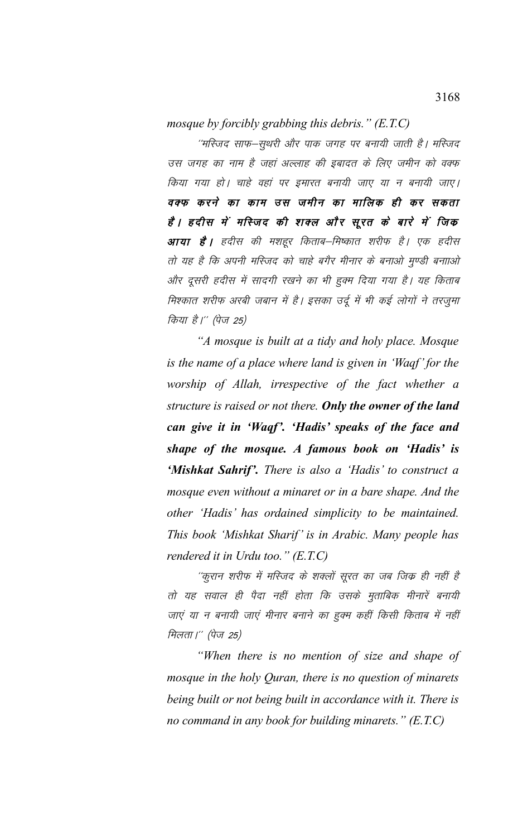*mosque by forcibly grabbing this debris." (E.T.C)*

''मस्जिद साफ–सुथरी और पाक जगह पर बनायी जाती है। मस्जिद उस जगह का नाम है जहां अल्लाह की इबादत के लिए जमीन को वक्फ किया गया हो। चाहे वहां पर इमारत बनायी जाए या न बनायी जाए। वक्फ करने का काम उस जमीन का मालिक ही कर सकता है। हदीस में मस्जिद की शक्ल और सूरत के बारे में जिक **आया है।** हदीस की मशहूर किताब–मिष्कात शरीफ है। एक हदीस तो यह है कि अपनी मस्जिद को चाहे बगैर मीनार के बनाओ मण्डी बनााओ और दूसरी हदीस में सादगी रखने का भी हुक्म दिया गया है। यह किताब मिश्कात शरीफ अरबी जबान में है। इसका उर्दू में भी कई लोगों ने तरजुमा किया है।'' (पेज 25)

*"A mosque is built at a tidy and holy place. Mosque is the name of a place where land is given in 'Waqf' for the worship of Allah, irrespective of the fact whether a structure is raised or not there. Only the owner of the land can give it in 'Waqf'. 'Hadis' speaks of the face and shape of the mosque. A famous book on 'Hadis' is 'Mishkat Sahrif'. There is also a 'Hadis' to construct a mosque even without a minaret or in a bare shape. And the other 'Hadis' has ordained simplicity to be maintained. This book 'Mishkat Sharif' is in Arabic. Many people has rendered it in Urdu too." (E.T.C)*

''कूरान शरीफ में मस्जिद के शक्लों सुरत का जब जिक ही नहीं है तो यह सवाल ही पैदा नहीं होता कि उसके मुताबिक मीनारें बनायी जाएं या न बनायी जाएं मीनार बनाने का हुक्म कहीं किसी किताब में नहीं मिलता।'' (पेज 25)

*"When there is no mention of size and shape of mosque in the holy Quran, there is no question of minarets being built or not being built in accordance with it. There is no command in any book for building minarets." (E.T.C)*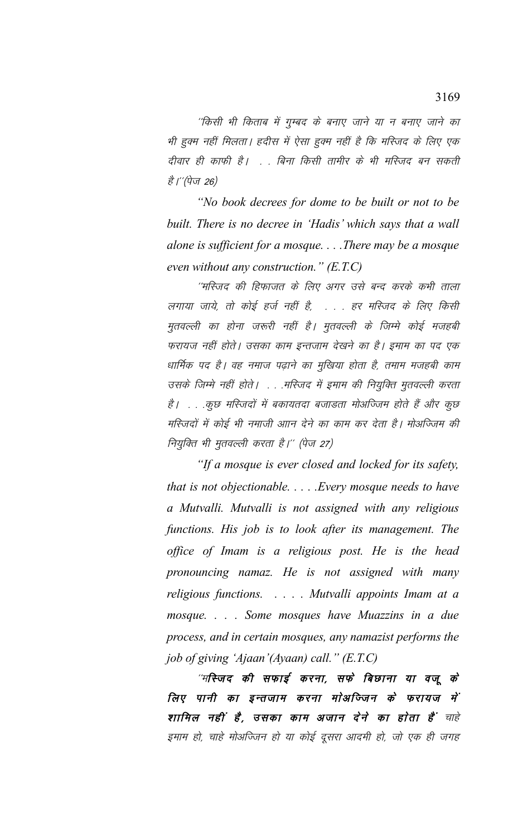''किसी भी किताब में गुम्बद के बनाए जाने या न बनाए जाने का भी हुक्म नहीं मिलता। ह़दीस में ऐसा हुक्म नहीं है कि मस्जिद के लिए एक दीवार ही काफी है। . . बिना किसी तामीर के भी मस्जिद बन सकती है।''(पेज 26)

"No book decrees for dome to be built or not to be built. There is no decree in 'Hadis' which says that a wall alone is sufficient for a mosque.  $\ldots$  There may be a mosque even without any construction."  $(E.T.C)$ 

''मस्जिद की हिफाजत के लिए अगर उसे बन्द करके कभी ताला लगाया जाये, तो कोई हर्ज नहीं है, . . . हर मस्जिद के लिए किसी मुतवल्ली का होना जरूरी नहीं है। मुतवल्ली के जिम्मे कोई मजहबी फरायज नहीं होते। उसका काम इन्तजाम देखने का है। इमाम का पद एक धार्मिक पद है। वह नमाज पढ़ाने का मुखिया होता है, तमाम मजहबी काम उसके जिम्मे नहीं होते। . . .मस्जिद में इमाम की नियुक्ति मृतवल्ली करता है। . . .कुछ मस्जिदों में बकायतदा बजाडता मोअज्जिम होते हैं और कुछ मस्जिदों में कोई भी नमाजी आान देने का काम कर देता है। मोअज्जिम की नियुक्ति भी मृतवल्ली करता है।'' (पेज 27)

"If a mosque is ever closed and locked for its safety, that is not objectionable.  $\ldots$ . Every mosque needs to have a Mutvalli. Mutvalli is not assigned with any religious functions. His job is to look after its management. The office of Imam is a religious post. He is the head pronouncing namaz. He is not assigned with many religious functions. . . . . Mutvalli appoints Imam at a mosque... Some mosques have Muazzins in a due process, and in certain mosques, any namazist performs the job of giving 'Ajaan'(Ayaan) call." (E.T.C)

"मस्जिद की सफाई करना, सफे बिछाना या वजू के लिए पानी का इन्तजाम करना मोअज्जिन के फरायज में शामिल नहीं है, उसका काम अजान देने का होता हैं चाहे इमाम हो, चाहे मोअज्जिन हो या कोई दूसरा आदमी हो, जो एक ही जगह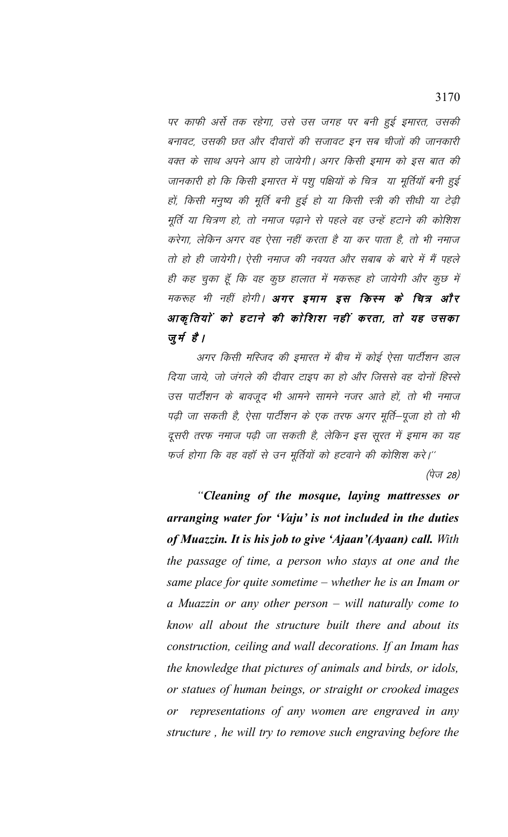पर काफी अर्से तक रहेगा, उसे उस जगह पर बनी हुई इमारत, उसकी बनावट, उसकी छत और दीवारों की सजावट इन सब चीजों की जानकारी वक्त के साथ अपने आप हो जायेगी। अगर किसी इमाम को इस बात की जानकारी हो कि किसी इमारत में पशु पक्षियों के चित्र या मूर्तियाँ बनी हुई हों, किसी मनुष्य की मूर्ति बनी हुई हो या किसी स्त्री की सीधी या टेढ़ी मूर्ति या चित्रण हो, तो नमाज पढ़ाने से पहले वह उन्हें हटाने की कोशिश करेगा, लेकिन अगर वह ऐसा नहीं करता है या कर पाता है, तो भी नमाज तो हो ही जायेगी। ऐसी नमाज की नवयत और सबाब के बारे में मैं पहले ही कह चुका हूँ कि वह कुछ हालात में मकरूह हो जायेगी और कुछ में मकरूह भी नहीं होगी। **अगर इमाम इस किस्म के चित्र और** आकृतियों को हटाने की कोशिश नहीं करता, तो यह उसका जूर्म है।

अगर किसी मस्जिद की इमारत में बीच में कोई ऐसा पार्टीशन डाल दिया जाये, जो जंगले की दीवार टाइप का हो और जिससे वह दोनों हिस्से उस पार्टीशन के बावजूद भी आमने सामने नजर आते हों, तो भी नमाज पढ़ी जा सकती है, ऐसा पार्टीशन के एक तरफ अगर मूर्ति–पूजा हो तो भी दूसरी तरफ नमाज पढ़ी जा सकती है, लेकिन इस सूरत में इमाम का यह फर्ज होगा कि वह वहाँ से उन मूर्तियों को हटवाने की कोशिश करे।''

(पेज 28)

"Cleaning of the mosque, laying mattresses or arranging water for 'Vaju' is not included in the duties of Muazzin. It is his job to give 'Ajaan'(Ayaan) call. With the passage of time, a person who stays at one and the same place for quite sometime  $-$  whether he is an Imam or a Muazzin or any other person  $-$  will naturally come to know all about the structure built there and about its construction, ceiling and wall decorations. If an Imam has the knowledge that pictures of animals and birds, or idols, or statues of human beings, or straight or crooked images or representations of any women are engraved in any structure, he will try to remove such engraving before the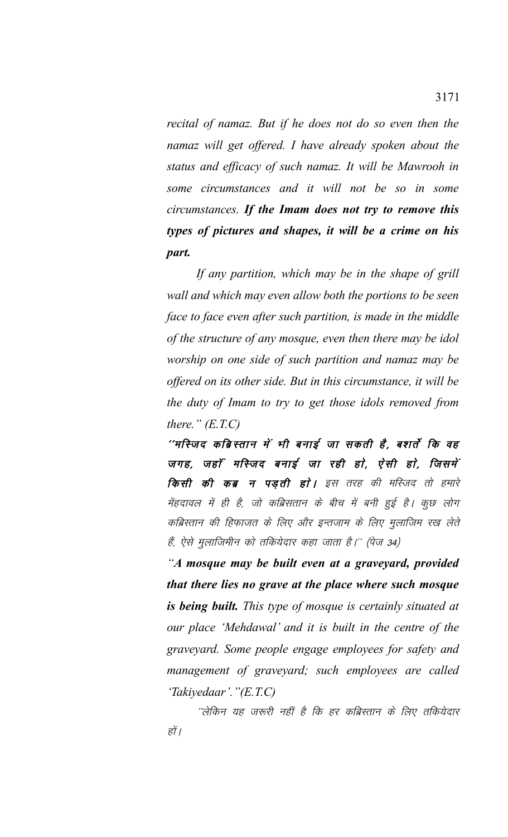*recital of namaz. But if he does not do so even then the namaz will get offered. I have already spoken about the status and efficacy of such namaz. It will be Mawrooh in some circumstances and it will not be so in some circumstances. If the Imam does not try to remove this types of pictures and shapes, it will be a crime on his part.* 

*If any partition, which may be in the shape of grill wall and which may even allow both the portions to be seen face to face even after such partition, is made in the middle of the structure of any mosque, even then there may be idol worship on one side of such partition and namaz may be offered on its other side. But in this circumstance, it will be the duty of Imam to try to get those idols removed from there." (E.T.C)*

''मस्जिद कब्रिस्तान में भी बनाई जा सकती है, बशर्तें कि वह जगह, जहाँ मस्जिद बनाई जा रही हो, ऐसी हो, जिसमें **किसी की कब्र न पड़ती हो |** इस तरह की मस्जिद तो हमारे मेंहदावल में ही है, जो कब्रिसतान के बीच में बनी हुई है। कुछ लोग कब्रिस्तान की हिफाजत के लिए और इन्तजाम के लिए मुलाजिम रख लेते हैं, ऐसे मुलाजिमीन को तकियेदार कहा जाता है।'' (पेज 34)

*"A mosque may be built even at a graveyard, provided that there lies no grave at the place where such mosque is being built. This type of mosque is certainly situated at our place 'Mehdawal' and it is built in the centre of the graveyard. Some people engage employees for safety and management of graveyard; such employees are called 'Takiyedaar'."(E.T.C)*

''लेकिन यह जरूरी नहीं है कि हर कब्रिस्तान के लिए तकियेदार हों ।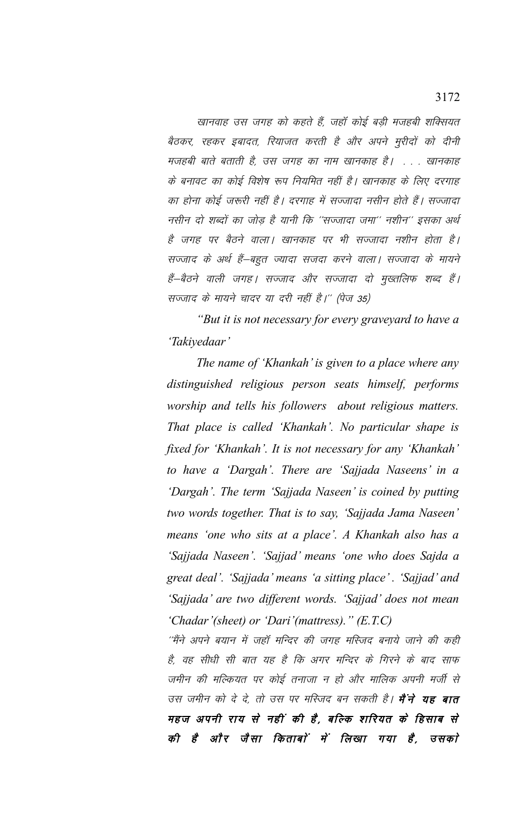खानवाह उस जगह को कहते हैं. जहाँ कोई बड़ी मजहबी शक्सियत बैठकर, रहकर इबादत, रियाजत करती है और अपने मुरीदों को दीनी मजहबी बाते बताती है, उस जगह का नाम खानकाह है। . . . खानकाह के बनावट का कोई विशेष रूप नियमित नहीं है। खानकाह के लिए दरगाह का होना कोई जरूरी नहीं है। दरगाह में सज्जादा नसीन होते हैं। सज्जादा नसीन दो शब्दों का जोड़ है यानी कि ''सज्जादा जमा'' नशीन'' इसका अर्थ है जगह पर बैठने वाला। खानकाह पर भी सज्जादा नशीन होता है। सज्जाद के अर्थ हैं–बहूत ज्यादा सजदा करने वाला। सज्जादा के मायने हैं—बैठने वाली जगह। सज्जाद और सज्जादा दो मुख्तलिफ शब्द हैं। सज्जाद के मायने चादर या दरी नहीं है।" (पेज 35)

"But it is not necessary for every graveyard to have a 'Takiyedaar'

The name of 'Khankah' is given to a place where any distinguished religious person seats himself, performs worship and tells his followers about religious matters. That place is called 'Khankah'. No particular shape is fixed for 'Khankah'. It is not necessary for any 'Khankah' to have a 'Dargah'. There are 'Sajjada Naseens' in a 'Dargah'. The term 'Sajjada Naseen' is coined by putting two words together. That is to say, 'Sajjada Jama Naseen' means 'one who sits at a place'. A Khankah also has a 'Sajjada Naseen'. 'Sajjad' means 'one who does Sajda a great deal'. 'Sajjada' means 'a sitting place'. 'Sajjad' and 'Sajjada' are two different words. 'Sajjad' does not mean 'Chadar'(sheet) or 'Dari'(mattress)."  $(E.T.C)$ 

''मैंने अपने बयान में जहाँ मन्दिर की जगह मस्जिद बनाये जाने की कही है, वह सीधी सी बात यह है कि अगर मन्दिर के गिरने के बाद साफ जमीन की मल्कियत पर कोई तनाजा न हो और मालिक अपनी मर्जी से उस जमीन को दे दे, तो उस पर मस्जिद बन सकती है। **मैंने यह बात** महज अपनी राय से नहीं की है, बल्कि शरियत के हिसाब से की है और जैसा किताबों में लिखा गया है. उसको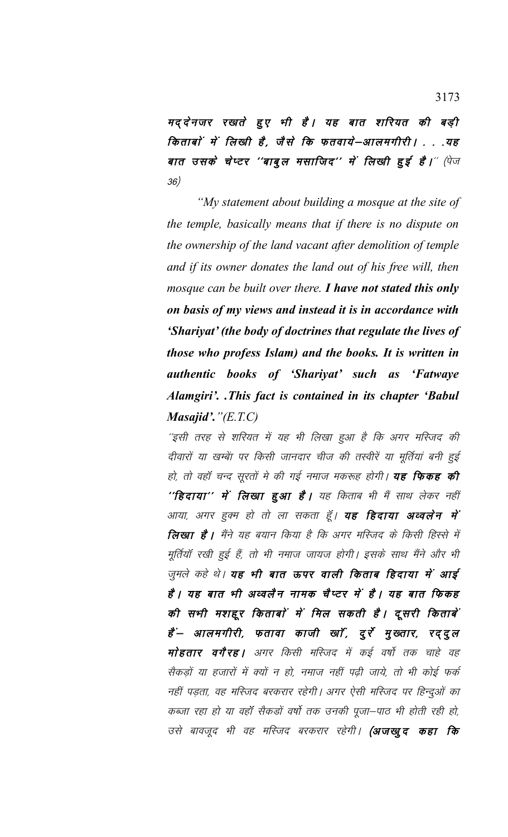मद्देनजर रखते हुए भी है। यह बात शरियत की बड़ी किताबों में लिखी है, जैसे कि फतवाये-आलमगीरी | . . .यह बात उसके चेप्टर ''बाबुल मसाजिद'' में लिखी हुई है।'' (पेज 36)

"My statement about building a mosque at the site of the temple, basically means that if there is no dispute on the ownership of the land vacant after demolition of temple and if its owner donates the land out of his free will, then mosque can be built over there. I have not stated this only on basis of my views and instead it is in accordance with 'Shariyat' (the body of doctrines that regulate the lives of those who profess Islam) and the books. It is written in authentic books of 'Shariyat' such as 'Fatwaye Alamgiri'. .This fact is contained in its chapter 'Babul Masajid'." $(E.T.C)$ 

''इसी तरह से शरियत में यह भी लिखा हुआ है कि अगर मस्जिद की दीवारों या खम्बेंा पर किसी जानदार चीज की तस्वीरें या मूर्तियां बनी हुई हो, तो वहाँ चन्द सूरतों मे की गई नमाज मकरूह होगी। **यह फिकह की** ''हिदाया'' में लिखा हुआ है। यह किताब भी मैं साथ लेकर नहीं आया, अगर हुक्म हो तो ला सकता हूँ। **यह हिदाया अव्वलेन में** लिखा है । मैंने यह बयान किया है कि अगर मस्जिद के किसी हिस्से में मूर्तियॉ रखी हुई हैं, तो भी नमाज जायज होगी। इसके साथ मैंने और भी जुमले कहे थे। यह भी बात ऊपर वाली किताब हिदाया में आई हैं। यह बात भी अव्वलैन नामक चैप्टर में हैं। यह बात फिकह की सभी मशद्दूर किताबों में मिल सकती है। दूसरी किताबें हैं– आलमगीरी, फतावा काजी खाँ, दुर्रे मुख्तार, रददुल मोहतार वगैरह। अगर किसी मस्जिद में कई वर्षो तक चाहे वह सैकड़ों या हजारों में क्यों न हो, नमाज नहीं पढ़ी जाये, तो भी कोई फर्क नहीं पडता, वह मस्जिद बरकरार रहेगी। अगर ऐसी मस्जिद पर हिन्दुओं का कब्जा रहा हो या वहाँ सैकडों वर्षो तक उनकी पूजा–पाठ भी होती रही हो, उसे बावजूद भी वह मस्जिद बरकरार रहेगी। **(अजखूद कहा कि**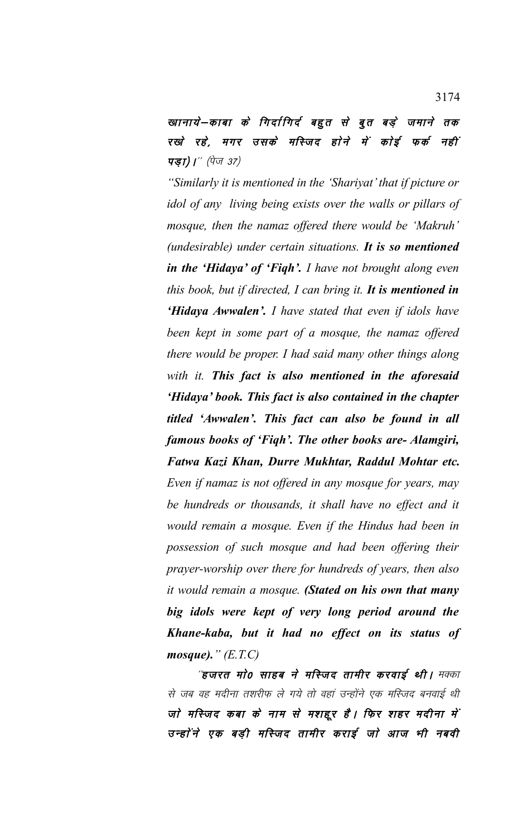खानाये–काबा के गिर्दागिर्द बहुत से बूत बड़े जमाने तक रखो रहे, मगर उसके मस्जिद होने में कोई फर्क नहीं  $\vec{q}$ यड़ा) |" (पेज 37)

*"Similarly it is mentioned in the 'Shariyat' that if picture or idol of any living being exists over the walls or pillars of mosque, then the namaz offered there would be 'Makruh' (undesirable) under certain situations. It is so mentioned in the 'Hidaya' of 'Fiqh'. I have not brought along even this book, but if directed, I can bring it. It is mentioned in 'Hidaya Awwalen'. I have stated that even if idols have been kept in some part of a mosque, the namaz offered there would be proper. I had said many other things along with it. This fact is also mentioned in the aforesaid 'Hidaya' book. This fact is also contained in the chapter titled 'Awwalen'. This fact can also be found in all famous books of 'Fiqh'. The other books are- Alamgiri, Fatwa Kazi Khan, Durre Mukhtar, Raddul Mohtar etc. Even if namaz is not offered in any mosque for years, may be hundreds or thousands, it shall have no effect and it would remain a mosque. Even if the Hindus had been in possession of such mosque and had been offering their prayer-worship over there for hundreds of years, then also it would remain a mosque. (Stated on his own that many big idols were kept of very long period around the Khane-kaba, but it had no effect on its status of mosque)." (E.T.C)*

"हजरत मो0 साहब ने मस्जिद तामीर करवाई थी। <sup>मक्का</sup> से जब वह मदीना तशरीफ ले गये तो वहां उन्होंने एक मस्जिद बनवाई थी जो मस्जिद कबा के नाम से मशहूर है। फिर शहर मदीना में उन्होंने एक बड़ी मस्जिद तामीर कराई जो आज भी नबवी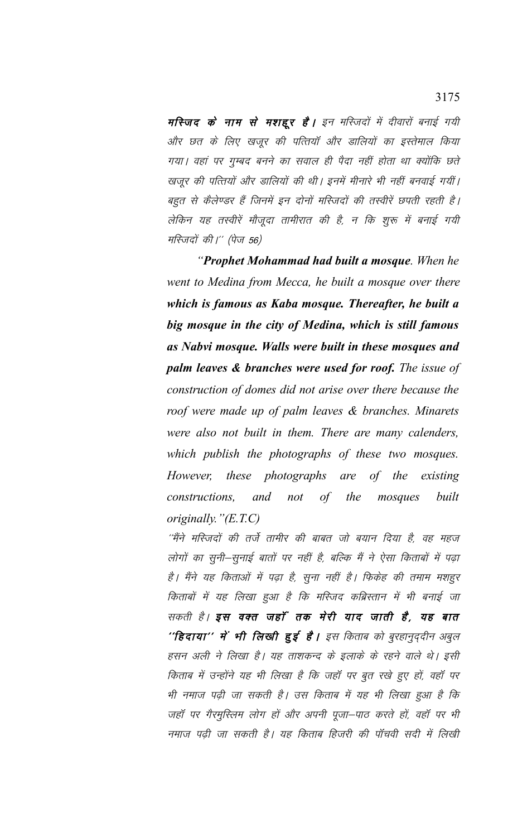मस्जिद के नाम से मशहूर है। इन मस्जिदों में दीवारों बनाई गयी और छत के लिए खजूर की पत्तियाँ और डालियों का इस्तेमाल किया गया। वहां पर गुम्बद बनने का सवाल ही पैदा नहीं होता था क्योंकि छते खजूर की पत्तियों और डालियों की थी। इनमें मीनारे भी नहीं बनवाई गयीं। बहुत से कैलेण्डर हैं जिनमें इन दोनों मस्जिदों की तस्वीरें छपती रहती है। लेकिन यह तस्वीरें मौजूदा तामीरात की है, न कि शुरू में बनाई गयी मस्जिदों की।'' (पेज 56)

"Prophet Mohammad had built a mosque. When he went to Medina from Mecca, he built a mosque over there which is famous as Kaba mosque. Thereafter, he built a big mosque in the city of Medina, which is still famous as Nabvi mosque. Walls were built in these mosques and **palm leaves & branches were used for roof.** The issue of construction of domes did not arise over there because the roof were made up of palm leaves & branches. Minarets were also not built in them. There are many calenders, which publish the photographs of these two mosques. these photographs are of the existing However, and constructions.  $not$ of the mosques built originally.  $C(E.T.C)$ 

''मैंने मस्जिदों की तर्जे तामीर की बाबत जो बयान दिया है, वह महज लोगों का सूनी–सूनाई बातों पर नहीं है, बल्कि मैं ने ऐसा किताबों में पढ़ा है। मैंने यह किताओं में पढ़ा है, सुना नहीं है। फिकेह की तमाम मशहुर किताबों में यह लिखा हुआ है कि मस्जिद कब्रिस्तान में भी बनाई जा सकती है। इस वक्त जहाँ तक मेरी याद जाती है, यह बात ''हिदाया'' में भी लिखी हुई है। इस किताब को बुरहानुद्दीन अबुल हसन अली ने लिखा है। यह ताशकन्द के इलाके के रहने वाले थे। इसी किताब में उन्होंने यह भी लिखा है कि जहाँ पर बुत रखे हुए हों, वहाँ पर भी नमाज पढ़ी जा सकती है। उस किताब में यह भी लिखा हुआ है कि जहाँ पर गैरमुस्लिम लोग हों और अपनी पूजा—पाठ करते हों, वहाँ पर भी नमाज पढी जा सकती है। यह किताब हिजरी की पॉचवी सदी में लिखी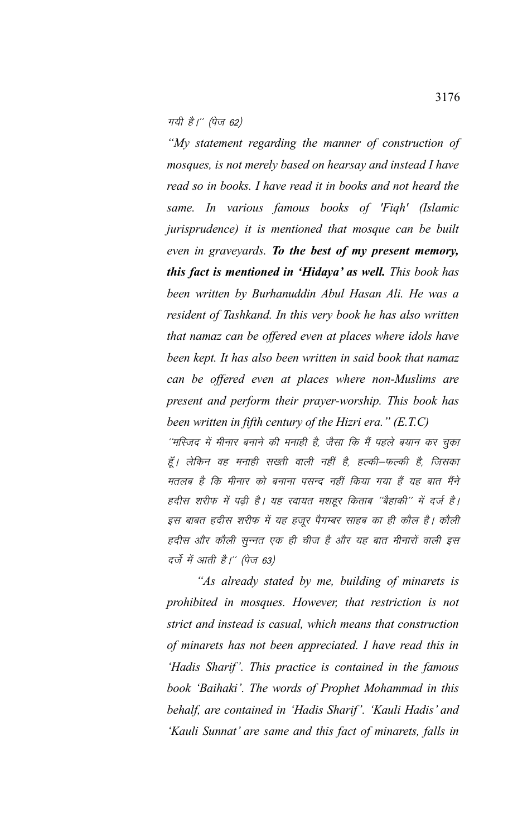गयी है।'' (पेज 62)

*"My statement regarding the manner of construction of mosques, is not merely based on hearsay and instead I have read so in books. I have read it in books and not heard the same. In various famous books of 'Fiqh' (Islamic jurisprudence) it is mentioned that mosque can be built even in graveyards. To the best of my present memory, this fact is mentioned in 'Hidaya' as well. This book has been written by Burhanuddin Abul Hasan Ali. He was a resident of Tashkand. In this very book he has also written that namaz can be offered even at places where idols have been kept. It has also been written in said book that namaz can be offered even at places where non-Muslims are present and perform their prayer-worship. This book has been written in fifth century of the Hizri era." (E.T.C)*

''मस्जिद में मीनार बनाने की मनाही है, जैसा कि मैं पहले बयान कर चुका हूँ। लेकिन वह मनाही सख्ती वाली नहीं है, हल्की–फल्की है, जिसका मतलब है कि मीनार को बनाना पसन्द नहीं किया गया हैं यह बात मैंने हदीस शरीफ में पढ़ी है। यह रवायत मशहूर किताब ''बैहाकी'' में दर्ज है। इस बाबत हदीस शरीफ में यह हजूर पैगम्बर साहब का ही कौल है। कौली हदीस और कौली सुन्नत एक ही चीज है और यह बात मीनारों वाली इस दर्ज में आती है।'' (पेज 63)

*"As already stated by me, building of minarets is prohibited in mosques. However, that restriction is not strict and instead is casual, which means that construction of minarets has not been appreciated. I have read this in 'Hadis Sharif'. This practice is contained in the famous book 'Baihaki'. The words of Prophet Mohammad in this behalf, are contained in 'Hadis Sharif'. 'Kauli Hadis' and 'Kauli Sunnat' are same and this fact of minarets, falls in*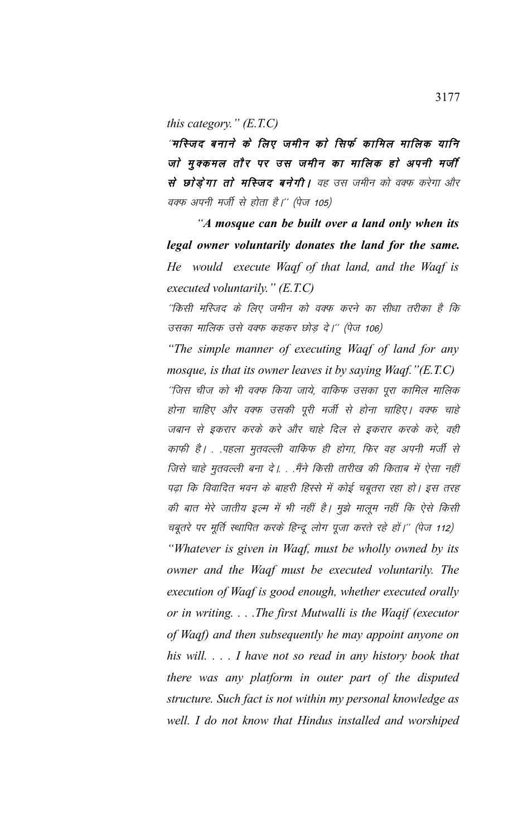*this category.*"  $(E.T.C)$ 

''मस्जिद बनाने के लिए जमीन को सिर्फ कामिल मालिक यानि जो मुक्कमल तौर पर उस जमीन का मालिक हो अपनी मर्जी से छोड़ेगा तो मस्जिद बनेगी। वह उस जमीन को वक्फ करेगा और वक्फ अपनी मर्जी से होता है।'' (पेज 105)

"A mosque can be built over a land only when its legal owner voluntarily donates the land for the same. He would execute Wagf of that land, and the Wagf is executed voluntarily."  $(E.T.C)$ 

''किसी मस्जिद के लिए जमीन को वक्फ करने का सीधा तरीका है कि उसका मालिक उसे वक्फ कहकर छोड़ दे।" (पेज 106)

"The simple manner of executing Waqf of land for any mosque, is that its owner leaves it by saying Waqf." $(E.T.C)$ ''जिस चीज को भी वक्फ किया जाये, वाकिफ उसका पूरा कामिल मालिक होना चाहिए और वक्फ उसकी पूरी मर्जी से होना चाहिए। वक्फ चाहे जबान से इकरार करके करे और चाहे दिल से इकरार करके करे, वही काफी है। . .पहला मृतवल्ली वाकिफ ही होगा, फिर वह अपनी मर्जी से जिसे चाहे मुतवल्ली बना दे। . .मैंने किसी तारीख की किताब में ऐसा नहीं पढा कि विवादित भवन के बाहरी हिस्से में कोई चबुतरा रहा हो। इस तरह की बात मेरे जातीय इल्म में भी नहीं है। मुझे मालूम नहीं कि ऐसे किसी चबूतरे पर मूर्ति स्थापित करके हिन्दू लोग पूजा करते रहे हों।'' (पेज 112) "Whatever is given in Waqf, must be wholly owned by its owner and the Waqf must be executed voluntarily. The execution of Waqf is good enough, whether executed orally or in writing. . . . The first Mutwalli is the Waqif (executor of Waqf) and then subsequently he may appoint anyone on his will.  $\ldots$  I have not so read in any history book that there was any platform in outer part of the disputed structure. Such fact is not within my personal knowledge as well. I do not know that Hindus installed and worshiped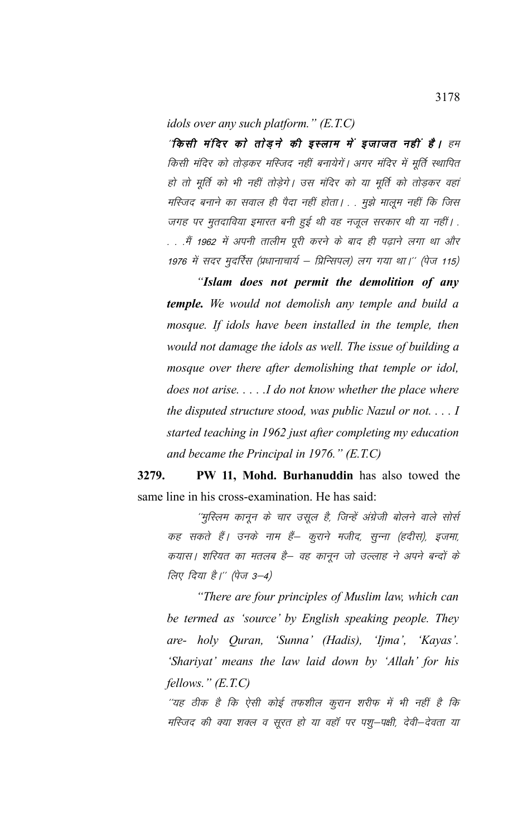*idols over any such platform." (E.T.C)*

'किसी मंदिर को तोड़ने की इस्लाम में इजाजत नहीं है। हम किसी मंदिर को तोड़कर मस्जिद नहीं बनायेगें। अगर मंदिर में मूर्ति स्थापित हो तो मूर्ति को भी नहीं तोड़ेगे। उस मंदिर को या मूर्ति को तोड़कर वहां मस्जिद बनाने का सवाल ही पैदा नहीं होता। . . मुझे मालूम नहीं कि जिस जगह पर मुतदाविया इमारत बनी हुई थी वह नजूल सरकार थी या नहीं। . . . .मैं 1962 में अपनी तालीम पूरी करने के बाद ही पढ़ाने लगा था और 1976 में सदर मुदर्रिस (प्रधानाचार्य – प्रिन्सिपल) लग गया था।'' (पेज 115)

*"Islam does not permit the demolition of any temple. We would not demolish any temple and build a mosque. If idols have been installed in the temple, then would not damage the idols as well. The issue of building a mosque over there after demolishing that temple or idol, does not arise. . . . .I do not know whether the place where the disputed structure stood, was public Nazul or not. . . . I started teaching in 1962 just after completing my education and became the Principal in 1976." (E.T.C)*

**3279. PW 11, Mohd. Burhanuddin** has also towed the same line in his cross-examination. He has said:

''मुस्लिम कानून के चार उसूल है, जिन्हें अंग्रेजी बोलने वाले सोर्स कह सकते हैं। उनके नाम हैं– कुराने मजीद, सुन्ना (हदीस), इजमा, कयास। शरियत का मतलब है– वह कानून जो उल्लाह ने अपने बन्दों के लिए दिया है।'' (पेज 3–4)

*"There are four principles of Muslim law, which can be termed as 'source' by English speaking people. They are- holy Quran, 'Sunna' (Hadis), 'Ijma', 'Kayas'. 'Shariyat' means the law laid down by 'Allah' for his fellows." (E.T.C)*

''यह ठीक है कि ऐसी कोई तफशील कुरान शरीफ में भी नहीं है कि मस्जिद की क्या शक्ल व सूरत हो या वहाँ पर पशु—पक्षी, देवी—देवता या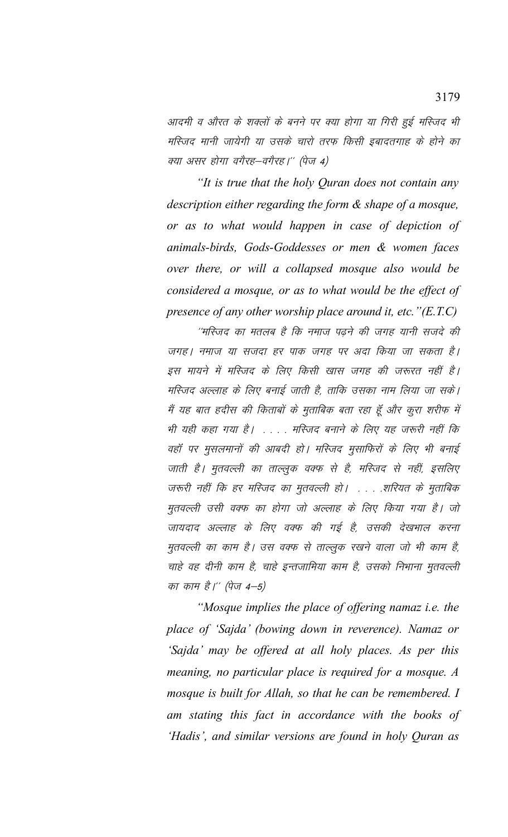आदमी व औरत के शक्लों के बनने पर क्या होगा या गिरी हुई मस्जिद भी मस्जिद मानी जायेगी या उसके चारो तरफ किसी इबादतगाह के होने का क्या असर होगा वगैरह-वगैरह।'' (पेज 4)

"It is true that the holy Quran does not contain any description either regarding the form & shape of a mosque, or as to what would happen in case of depiction of animals-birds, Gods-Goddesses or men & women faces over there, or will a collapsed mosque also would be considered a mosque, or as to what would be the effect of presence of any other worship place around it, etc.  $"(\text{E.T.C})$ 

''मस्जिद का मतलब है कि नमाज पढने की जगह यानी सजदे की जगह। नमाज या सजदा हर पाक जगह पर अदा किया जा सकता है। इस मायने में मस्जिद के लिए किसी खास जगह की जरूरत नहीं है। मस्जिद अल्लाह के लिए बनाई जाती है, ताकि उसका नाम लिया जा सके। मैं यह बात हदीस की किताबों के मुताबिक बता रहा हूँ और कूरा शरीफ में भी यही कहा गया है। . . . . मस्जिद बनाने के लिए यह जरूरी नहीं कि वहाँ पर मुसलमानों की आबदी हो। मस्जिद मुसाफिरों के लिए भी बनाई जाती है। मृतवल्ली का ताल्लुक वक्फ से है, मस्जिद से नहीं, इसलिए जरूरी नहीं कि हर मस्जिद का मुतवल्ली हो | . . . . शरियत के मुताबिक मुतवल्ली उसी वक्फ का होगा जो अल्लाह के लिए किया गया है। जो जायदाद अल्लाह के लिए वक्फ की गई है, उसकी देखभाल करना मुतवल्ली का काम है। उस वक्फ से ताल्लुक रखने वाला जो भी काम है, चाहे वह दीनी काम है, चाहे इन्तजामिया काम है, उसको निभाना मुतवल्ली का काम है।'' (पेज 4–5)

"Mosque implies the place of offering namaz i.e. the place of 'Sajda' (bowing down in reverence). Namaz or 'Sajda' may be offered at all holy places. As per this meaning, no particular place is required for a mosque. A mosque is built for Allah, so that he can be remembered. I am stating this fact in accordance with the books of 'Hadis', and similar versions are found in holy Quran as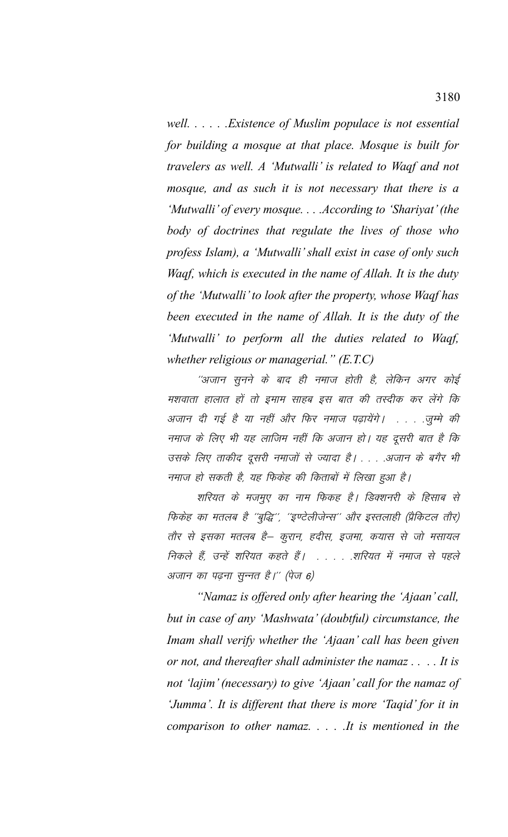well.  $\dots$  . Existence of Muslim populace is not essential for building a mosque at that place. Mosque is built for travelers as well. A 'Mutwalli' is related to Waqf and not mosque, and as such it is not necessary that there is a 'Mutwalli' of every mosque... .According to 'Shariyat' (the body of doctrines that regulate the lives of those who profess Islam), a 'Mutwalli' shall exist in case of only such Waqf, which is executed in the name of Allah. It is the duty of the 'Mutwalli' to look after the property, whose Waqf has been executed in the name of Allah. It is the duty of the 'Mutwalli' to perform all the duties related to Waqf, whether religious or managerial."  $(E.T.C)$ 

''अजान सुनने के बाद ही नमाज होती है, लेकिन अगर कोई मशवाता हालात हों तो इमाम साहब इस बात की तस्दीक कर लेंगे कि अजान दी गई है या नहीं और फिर नमाज पढायेंगे। . . . .जुम्मे की नमाज के लिए भी यह लाजिम नहीं कि अजान हो। यह दूसरी बात है कि उसके लिए ताकीद दूसरी नमाजों से ज्यादा है। . . . .अजान के बगैर भी नमाज हो सकती है, यह फिकेह की किताबों में लिखा हुआ है।

शरियत के मजमुए का नाम फिकह है। डिक्शनरी के हिसाब से फिकेह का मतलब है ''बुद्धि'', ''इण्टेलीजेन्स'' और इस्तलाही (प्रैकिटल तौर) तौर से इसका मतलब है– कुरान, हदीस, इजमा, कयास से जो मसायल निकले हैं, उन्हें शरियत कहते हैं। . . . . .शरियत में नमाज से पहले अजान का पढ़ना सुन्नत है।'' (पेज 6)

"Namaz is offered only after hearing the 'Ajaan' call, but in case of any 'Mashwata' (doubtful) circumstance, the Imam shall verify whether the 'Ajaan' call has been given or not, and thereafter shall administer the namaz.... It is not 'lajim' (necessary) to give 'Ajaan' call for the namaz of 'Jumma'. It is different that there is more 'Taqid' for it in comparison to other namaz.  $\ldots$  . It is mentioned in the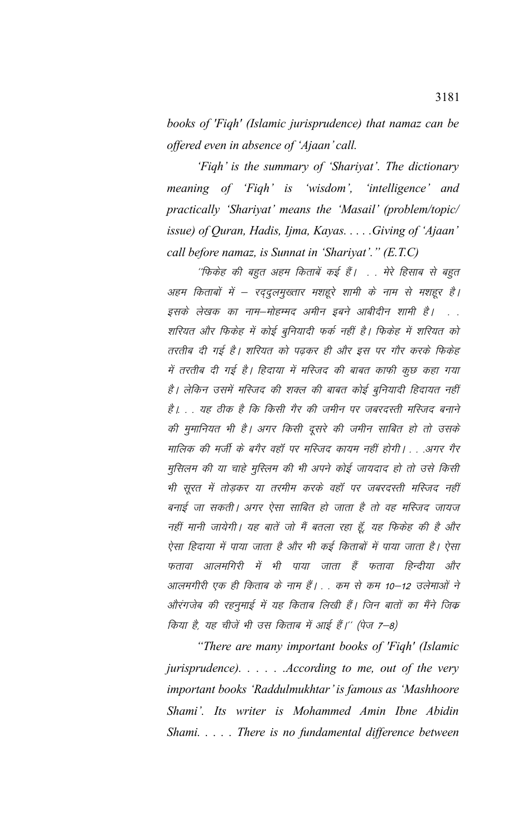books of 'Fiqh' (Islamic jurisprudence) that namaz can be offered even in absence of 'Ajaan' call.

'Figh' is the summary of 'Shariyat'. The dictionary meaning of 'Figh' is 'wisdom', 'intelligence' and practically 'Shariyat' means the 'Masail' (problem/topic/ issue) of Quran, Hadis, Ijma, Kayas.....Giving of 'Ajaan' call before namaz, is Sunnat in 'Shariyat'." (E.T.C)

''फिकेह की बहुत अहम किताबें कई हैं। . . मेरे हिसाब से बहुत अहम किताबों में – रद्दुलमुख्तार मशहूरे शामी के नाम से मशहूर है। इसके लेखक का नाम–मोहम्मद अमीन इबने आबीदीन शामी है। . . शरियत और फिकेह में कोई बुनियादी फर्क नहीं है। फिकेह में शरियत को तरतीब दी गई है। शरियत को पढ़कर ही और इस पर गौर करके फिकेह में तरतीब दी गई है। हिदाया में मस्जिद की बाबत काफी कुछ कहा गया है। लेकिन उसमें मस्जिद की शक्ल की बाबत कोई बुनियादी हिदायत नहीं है। . . यह ठीक है कि किसी गैर की जमीन पर जबरदस्ती मस्जिद बनाने की मुमानियत भी है। अगर किसी दूसरे की जमीन साबित हो तो उसके मालिक की मर्जी के बगैर वहाँ पर मस्जिद कायम नहीं होगी। . . अगर गैर मुसिलम की या चाहे मुस्लिम की भी अपने कोई जायदाद हो तो उसे किसी भी सूरत में तोड़कर या तरमीम करके वहाँ पर जबरदस्ती मस्जिद नहीं बनाई जा सकती। अगर ऐसा साबित हो जाता है तो वह मस्जिद जायज नहीं मानी जायेगी। यह बातें जो मैं बतला रहा हूँ, यह फिकेह की है और ऐसा हिदाया में पाया जाता है और भी कई किताबों में पाया जाता है। ऐसा फतावा आलमगिरी में भी पाया जाता हैं फतावा हिन्दीया और आलमगीरी एक ही किताब के नाम हैं। . . कम से कम 10–12 उलेमाओं ने औरंगजेब की रहनुमाई में यह किताब लिखी हैं। जिन बातों का मैंने जिक किया है, यह चीजें भी उस किताब में आई हैं।'' (पेज 7–8)

"There are many important books of 'Figh' (Islamic jurisprudence). . . . . . . According to me, out of the very important books 'Raddulmukhtar' is famous as 'Mashhoore Shami'. Its writer is Mohammed Amin Ibne Abidin Shami.  $\ldots$  There is no fundamental difference between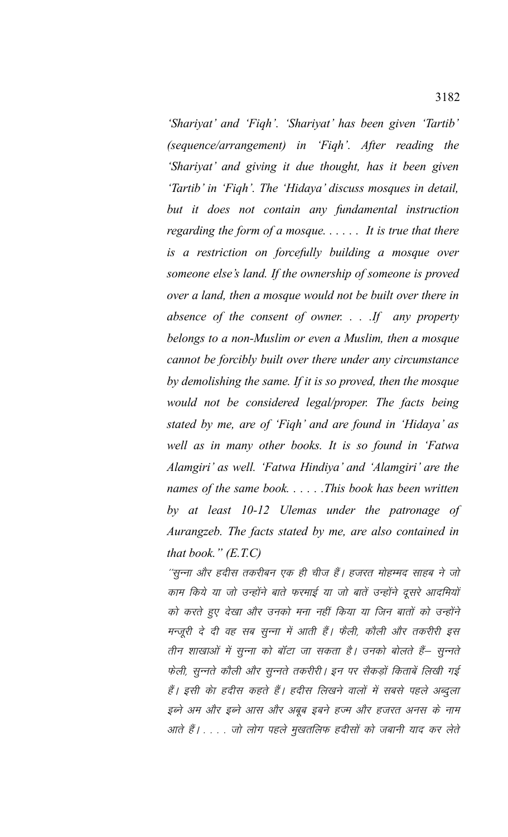*'Shariyat' and 'Fiqh'. 'Shariyat' has been given 'Tartib' (sequence/arrangement) in 'Fiqh'. After reading the 'Shariyat' and giving it due thought, has it been given 'Tartib' in 'Fiqh'. The 'Hidaya' discuss mosques in detail, but it does not contain any fundamental instruction regarding the form of a mosque. . . . . . It is true that there is a restriction on forcefully building a mosque over someone else's land. If the ownership of someone is proved over a land, then a mosque would not be built over there in absence of the consent of owner. . . .If any property belongs to a non-Muslim or even a Muslim, then a mosque cannot be forcibly built over there under any circumstance by demolishing the same. If it is so proved, then the mosque would not be considered legal/proper. The facts being stated by me, are of 'Fiqh' and are found in 'Hidaya' as well as in many other books. It is so found in 'Fatwa Alamgiri' as well. 'Fatwa Hindiya' and 'Alamgiri' are the names of the same book. . . . . .This book has been written by at least 10-12 Ulemas under the patronage of Aurangzeb. The facts stated by me, are also contained in that book." (E.T.C)*

''सुन्ना और हदीस तकरीबन एक ही चीज हैं। हजरत मोहम्मद साहब ने जो काम किये या जो उन्होंने बाते फरमाई या जो बातें उन्होंने दूसरे आदमियों को करते हुए देखा और उनको मना नहीं किया या जिन बातों को उन्होंने मन्जूरी दे दी वह सब सून्ना में आती हैं। फैली, कौली और तकरीरी इस तीन शाखाओं में सून्ना को बॉटा जा सकता है। उनको बोलते हैं— सुन्नते फेली, सुन्नते कौली और सुन्नते तकरीरी। इन पर सैकड़ों किताबें लिखी गई हैं। इसी काे हदीस कहते हैं। हदीस लिखने वालों में सबसे पहले अब्दुला इब्ने अम और इब्ने आस और अबूब इबने हज्म और हजरत अनस के नाम आते हैं। . . . जो लोग पहले मुखतलिफ हदीसों को जबानी याद कर लेते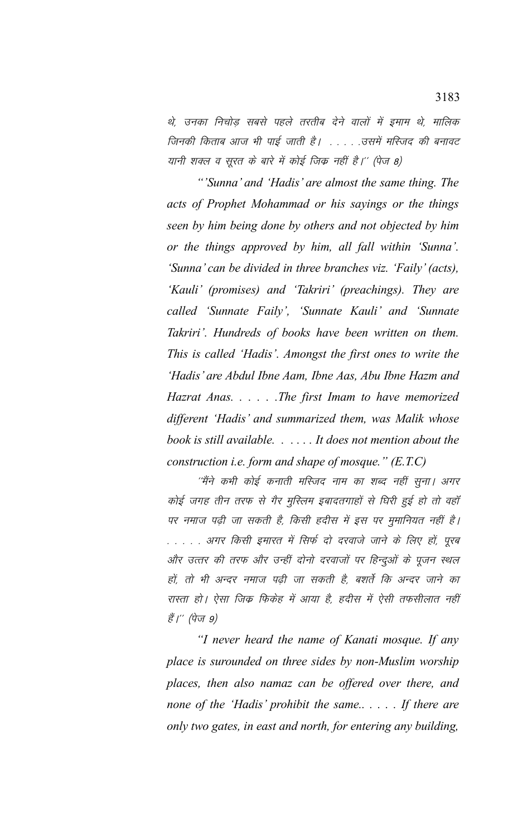थे, उनका निचोड सबसे पहले तरतीब देने वालों में इमाम थे, मालिक जिनकी किताब आज भी पाई जाती है। . . . . .उसमें मस्जिद की बनावट यानी शक्ल व सूरत के बारे में कोई जिक नहीं है।'' (पेज 8)

"'Sunna' and 'Hadis' are almost the same thing. The acts of Prophet Mohammad or his sayings or the things seen by him being done by others and not objected by him or the things approved by him, all fall within 'Sunna'. 'Sunna' can be divided in three branches viz. 'Faily' (acts), 'Kauli' (promises) and 'Takriri' (preachings). They are called 'Sunnate Faily', 'Sunnate Kauli' and 'Sunnate Takriri'. Hundreds of books have been written on them. This is called 'Hadis'. Amongst the first ones to write the 'Hadis' are Abdul Ibne Aam, Ibne Aas, Abu Ibne Hazm and Hazrat Anas. . . . . . The first Imam to have memorized different 'Hadis' and summarized them, was Malik whose book is still available.  $\ldots$ . It does not mention about the construction *i.e.* form and shape of mosque."  $(E.T.C)$ 

''मैंने कभी कोई कनाती मस्जिद नाम का शब्द नहीं सूना। अगर कोई जगह तीन तरफ से गैर मुस्लिम इबादतगाहों से घिरी हुई हो तो वहाँ पर नमाज पढ़ी जा सकती है, किसी ह़दीस में इस पर मुमानियत नहीं है। . . . . . अगर किसी इमारत में सिर्फ दो दरवाजे जाने के लिए हों, पूरब और उत्तर की तरफ और उन्हीं दोनो दरवाजों पर हिन्दुओं के पूजन स्थल हों, तो भी अन्दर नमाज पढ़ी जा सकती है, बशर्ते कि अन्दर जाने का रास्ता हो। ऐसा जिक फिकेह में आया है, ह़दीस में ऐसी तफसीलात नहीं हैं।'' (पेज 9)

"I never heard the name of Kanati mosque. If any place is surounded on three sides by non-Muslim worship places, then also namaz can be offered over there, and none of the 'Hadis' prohibit the same...... If there are only two gates, in east and north, for entering any building,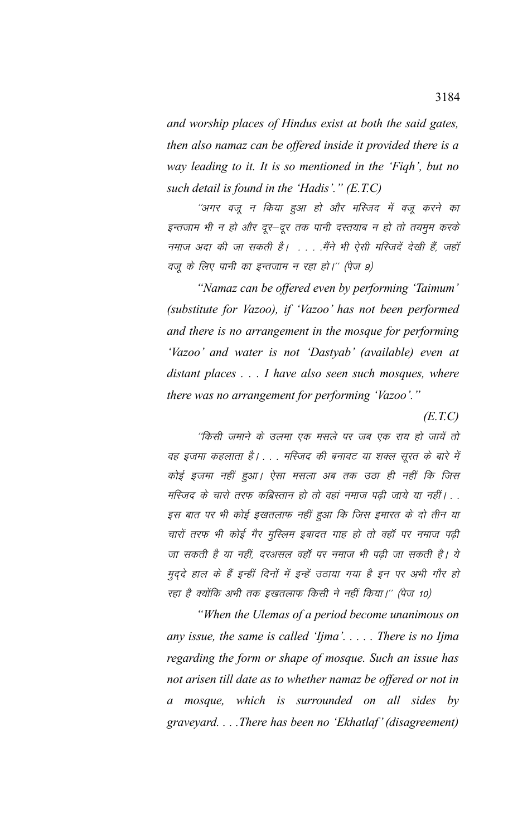and worship places of Hindus exist at both the said gates, then also namaz can be offered inside it provided there is a way leading to it. It is so mentioned in the 'Figh', but no such detail is found in the 'Hadis'."  $(E.T.C)$ 

''अगर वजू न किया हुआ हो और मस्जिद में वजू करने का इन्तजाम भी न हो और दूर–दूर तक पानी दस्तयाब न हो तो तयमुम करके नमाज अदा की जा सकती है। . . . . मैंने भी ऐसी मस्जिदें देखी हैं, जहाँ वजू के लिए पानी का इन्तजाम न रहा हो।" (पेज 9)

"Namaz can be offered even by performing 'Taimum' (substitute for Vazoo), if 'Vazoo' has not been performed and there is no arrangement in the mosque for performing 'Vazoo' and water is not 'Dastyab' (available) even at distant places  $\ldots$  I have also seen such mosques, where there was no arrangement for performing 'Vazoo'."

 $(E.T.C)$ 

''किसी जमाने के उलमा एक मसले पर जब एक राय हो जायें तो वह इ़जमा कहलाता है।... मस्जिद की बनावट या शक्ल सूरत के बारे में कोई इजमा नहीं हुआ। ऐसा मसला अब तक उठा ही नहीं कि जिस मस्जिद के चारो तरफ कब्रिस्तान हो तो वहां नमाज पढ़ी जाये या नहीं। . . इस बात पर भी कोई इखतलाफ नहीं हुआ कि जिस इमारत के दो तीन या चारों तरफ भी कोई गैर मुस्लिम इबादत गाह हो तो वहाँ पर नमाज पढ़ी जा सकती है या नहीं, दरअसल वहाँ पर नमाज भी पढ़ी जा सकती है। ये मुदुदे हाल के हैं इन्हीं दिनों में इन्हें उठाया गया है इन पर अभी गौर हो रहा है क्योंकि अभी तक इखतलाफ किसी ने नहीं किया।'' (पेज 10)

"When the Ulemas of a period become unanimous on any issue, the same is called ' $ljma$ '..... There is no  $ljma$ regarding the form or shape of mosque. Such an issue has not arisen till date as to whether namaz be offered or not in a mosque, which is surrounded on all sides by graveyard. . . . There has been no 'Ekhatlaf' (disagreement)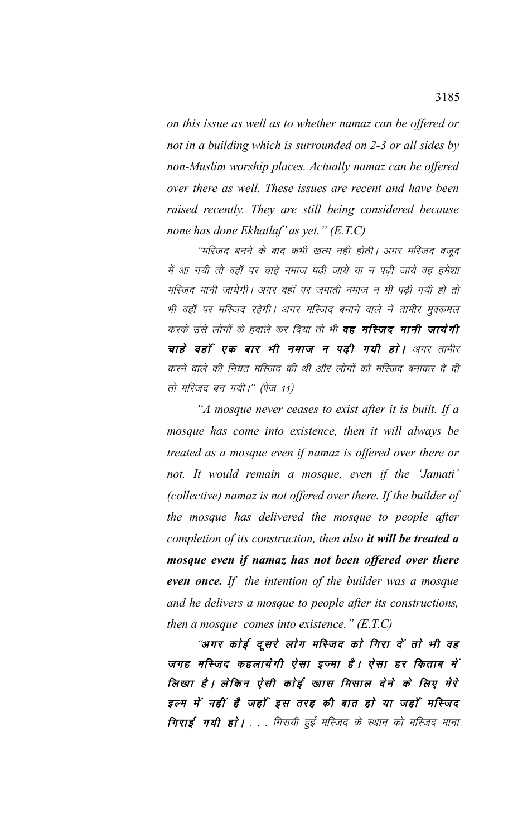*on this issue as well as to whether namaz can be offered or not in a building which is surrounded on 2-3 or all sides by non-Muslim worship places. Actually namaz can be offered over there as well. These issues are recent and have been raised recently. They are still being considered because none has done Ekhatlaf' as yet." (E.T.C)*

''मस्जिद बनने के बाद कभी खत्म नही होती। अगर मस्जिद वजूद में आ गयी तो वहाँ पर चाहे नमाज पढ़ी जाये या न पढ़ी जाये वह हमेशा मस्जिद मानी जायेगी। अगर वहाँ पर जमाती नमाज न भी पढी गयी हो तो भी वहाँ पर मस्जिद रहेगी। अगर मस्जिद बनाने वाले ने तामीर मुक्कमल करके उसे लोगों के हवाले कर दिया तो भी **वह मस्जिद मानी जायेगी** चाहे वहाँ एक बार भी नमाज न पढी गयी हो। अगर तामीर करने वाले की नियत मस्जिद की थी और लोगों को मस्जिद बनाकर दे दी तो मस्जिद बन गयी।" (पेज 11)

*"A mosque never ceases to exist after it is built. If a mosque has come into existence, then it will always be treated as a mosque even if namaz is offered over there or not. It would remain a mosque, even if the 'Jamati' (collective) namaz is not offered over there. If the builder of the mosque has delivered the mosque to people after completion of its construction, then also it will be treated a mosque even if namaz has not been offered over there even once. If the intention of the builder was a mosque and he delivers a mosque to people after its constructions, then a mosque comes into existence." (E.T.C)*

"अगर कोई दूसरे लोग मस्जिद को गिरा दें तो भी वह जगह मस्जिद कहलायेगी ऐसा इज्मा है। ऐसा हर किताब में लिखा है। लेकिन ऐसी कोई खास मिसाल देने के लिए मेरे इल्म में नहीं है जहाँ इस तरह की बात हो या जहाँ मस्जिद **गिराई गयी हो |** . . . गिरायी हुई मस्जिद के स्थान को मस्जिद माना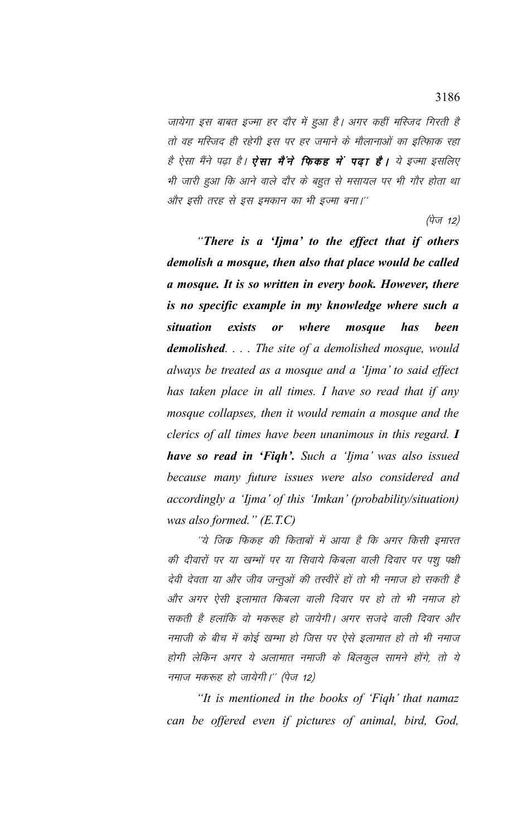जायेगा इस बाबत इज्मा हर दौर में हुआ है। अगर कहीं मस्जिद गिरती है तो वह मस्जिद ही रहेगी इस पर हर जमाने के मौलानाओं का इत्फिाक रहा है ऐसा मैंने पढ़ा है। **ऐसा मैंने फिकह में पढ़ा है।** ये इज्मा इसलिए भी जारी हुआ कि आने वाले दौर के बहुत से मसायल पर भी गौर होता था और इसी तरह से इस इमकान का भी इज्मा बना।''

(पेज 12)

"There is a 'Ijma' to the effect that if others demolish a mosque, then also that place would be called a mosque. It is so written in every book. However, there is no specific example in my knowledge where such a where mosque *situation* exists  $or$ *has* been **demolished.** . . . The site of a demolished mosque, would always be treated as a mosque and a 'lima' to said effect has taken place in all times. I have so read that if any mosque collapses, then it would remain a mosque and the clerics of all times have been unanimous in this regard. I have so read in 'Figh'. Such a 'Ijma' was also issued because many future issues were also considered and accordingly a 'Ijma' of this 'Imkan' (probability/situation) was also formed."  $(E.T.C)$ 

''ये जिक फिकह की किताबों में आया है कि अगर किसी इमारत की दीवारों पर या खम्भों पर या सिवाये किबला वाली दिवार पर पशु पक्षी देवी देवता या और जीव जन्तुओं की तस्वीरें हों तो भी नमाज हो सकती है और अगर ऐसी इलामात किबला वाली दिवार पर हो तो भी नमाज हो सकती है हलांकि वो मकरूह हो जायेगी। अगर सजदे वाली दिवार और नमाजी के बीच में कोई खम्भा हो जिस पर ऐसे इलामात हो तो भी नमाज होगी लेकिन अगर ये अलामात नमाजी के बिलकूल सामने होंगे, तो ये नमाज मकरूह हो जायेगी।" (पेज 12)

"It is mentioned in the books of 'Figh' that namaz can be offered even if pictures of animal, bird, God,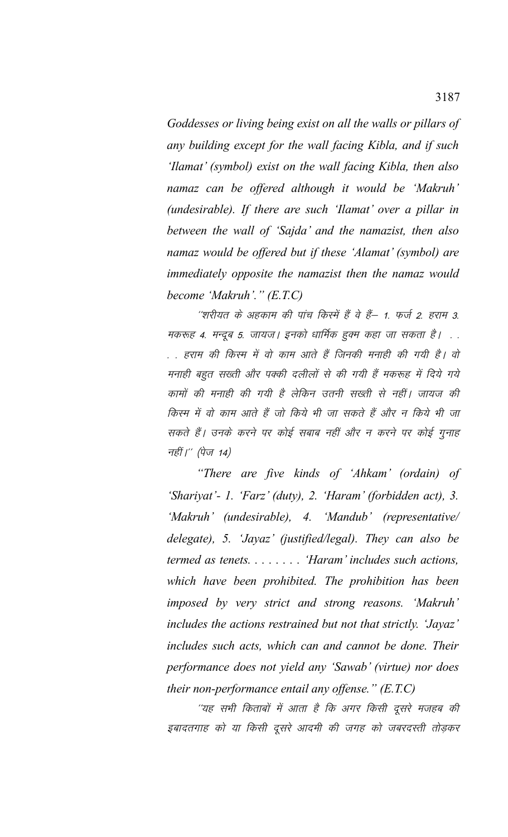*Goddesses or living being exist on all the walls or pillars of any building except for the wall facing Kibla, and if such 'Ilamat' (symbol) exist on the wall facing Kibla, then also namaz can be offered although it would be 'Makruh' (undesirable). If there are such 'Ilamat' over a pillar in between the wall of 'Sajda' and the namazist, then also namaz would be offered but if these 'Alamat' (symbol) are immediately opposite the namazist then the namaz would become 'Makruh'." (E.T.C)*

''शरीयत के अहकाम की पांच किस्में हैं वे हैं— 1. फर्ज 2. हराम 3. मकरूह 4. मन्दूब 5. जायज। इनको धार्मिक हक्म कहा जा सकता है। . . . . हराम की किस्म में वो काम आते हैं जिनकी मनाही की गयी है। वो मनाही बहुत सख्ती और पक्की दलीलों से की गयी हैं मकरूह में दिये गये कामों की मनाही की गयी है लेकिन उतनी सख्ती से नहीं। जायज की किस्म में वो काम आते हैं जो किये भी जा सकते हैं और न किये भी जा सकते हैं। उनके करने पर कोई सबाब नहीं और न करने पर कोई गुनाह नहीं।'' (पेज 14)

*"There are five kinds of 'Ahkam' (ordain) of 'Shariyat'- 1. 'Farz' (duty), 2. 'Haram' (forbidden act), 3. 'Makruh' (undesirable), 4. 'Mandub' (representative/ delegate), 5. 'Jayaz' (justified/legal). They can also be termed as tenets. . . . . . . . 'Haram' includes such actions, which have been prohibited. The prohibition has been imposed by very strict and strong reasons. 'Makruh' includes the actions restrained but not that strictly. 'Jayaz' includes such acts, which can and cannot be done. Their performance does not yield any 'Sawab' (virtue) nor does their non-performance entail any offense." (E.T.C)*

''यह सभी किताबों में आता है कि अगर किसी दूसरे मजहब की इबादतगाह को या किसी दूसरे आदमी की जगह को जबरदस्ती तोड़कर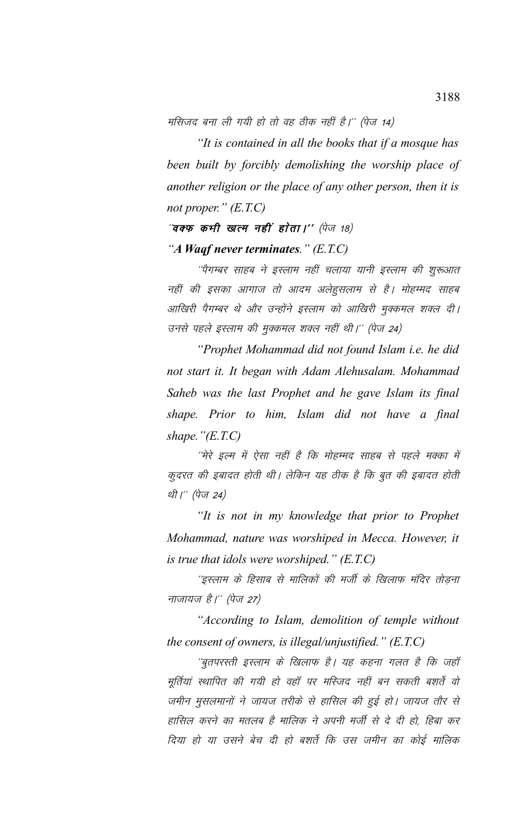मसिजद बना ली गयी हो तो वह ठीक नहीं है।'' (पेज 14)

"It is contained in all the books that if a mosque has been built by forcibly demolishing the worship place of another religion or the place of any other person, then it is not proper."  $(E.T.C)$ 

"वक्फ कभी खत्म नहीं होता।" (पेज 18)

"A Waqf never terminates."  $(E.T.C)$ 

''पैगम्बर साहब ने इस्लाम नहीं चलाया यानी इस्लाम की शुरूआत नहीं की इसका आगाज तो आदम अलेहुसलाम से है। मोहम्मद साहब आखिरी पैगम्बर थे और उन्होंने इस्लाम को आखिरी मुक्कमल शक्ल दी। उनसे पहले इस्लाम की मुक्कमल शक्ल नहीं थी।" (पेज 24)

"Prophet Mohammad did not found Islam i.e. he did not start it. It began with Adam Alehusalam. Mohammad Saheb was the last Prophet and he gave Islam its final shape. Prior to him, Islam did not have a final shape." $(E.T.C)$ 

''मेरे इल्म में ऐसा नहीं है कि मोहम्मद साहब से पहले मक्का में कुदरत की इबादत होती थी। लेकिन यह ठीक है कि बूत की इबादत होती थी।'' (पेज 24)

"It is not in my knowledge that prior to Prophet Mohammad, nature was worshiped in Mecca. However, it is true that idols were worshiped."  $(E.T.C)$ 

''इस्लाम के हिसाब से मालिकों की मर्जी के खिलाफ मंदिर तोड़ना नाजायज है।'' (पेज 27)

"According to Islam, demolition of temple without the consent of owners, is illegal/unjustified."  $(E.T.C)$ 

''बृतपरस्ती इस्लाम के खिलाफ है। यह कहना गलत है कि जहाँ मूर्तियां स्थापित की गयी हो वहाँ पर मस्जिद नहीं बन सकती बशर्ते वो जमीन मुसलमानों ने जायज तरीके से हासिल की हुई हो। जायज तौर से हासिल करने का मतलब है मालिक ने अपनी मर्जी से दे दी हो, हिबा कर दिया हो या उसने बेच दी हो बशर्ते कि उस जमीन का कोई मालिक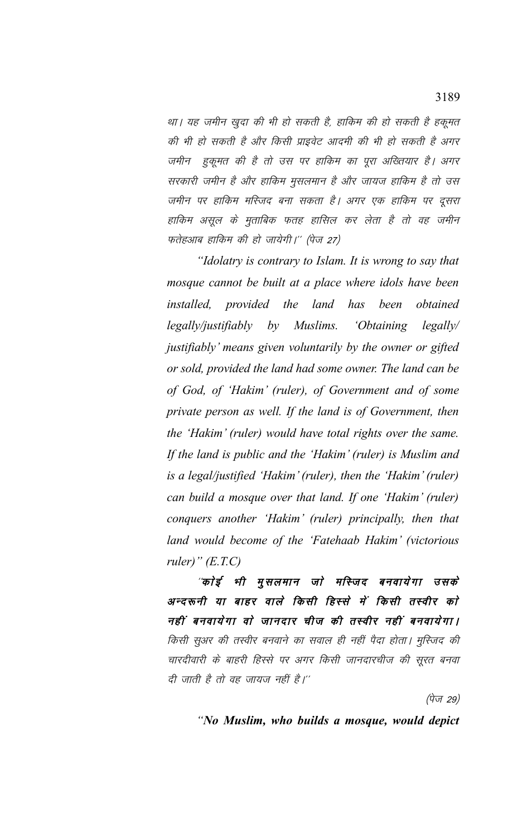था। यह जमीन खुदा की भी हो सकती है, हाकिम की हो सकती है हकूमत की भी हो सकती है और किसी प्राइवेट आदमी की भी हो सकती है अगर जमीन हुकूमत की है तो उस पर हाकिम का पूरा अख्तियार है। अगर सरकारी जमीन है और हाकिम मुसलमान है और जायज हाकिम है तो उस जमीन पर हाकिम मस्जिद बना सकता है। अगर एक हाकिम पर दूसरा हाकिम असूल के मुताबिक फतह हासिल कर लेता है तो वह जमीन फतेहआब हाकिम की हो जायेगी।'' (पेज 27)

*"Idolatry is contrary to Islam. It is wrong to say that mosque cannot be built at a place where idols have been installed, provided the land has been obtained legally/justifiably by Muslims. 'Obtaining legally/ justifiably' means given voluntarily by the owner or gifted or sold, provided the land had some owner. The land can be of God, of 'Hakim' (ruler), of Government and of some private person as well. If the land is of Government, then the 'Hakim' (ruler) would have total rights over the same. If the land is public and the 'Hakim' (ruler) is Muslim and is a legal/justified 'Hakim' (ruler), then the 'Hakim' (ruler) can build a mosque over that land. If one 'Hakim' (ruler) conquers another 'Hakim' (ruler) principally, then that land would become of the 'Fatehaab Hakim' (victorious ruler)" (E.T.C)*

"कोई भी मुसलमान जो मस्जिद बनवायेगा उसके अन्दरूनी या बाहर वाले किसी हिस्से में किसी तस्वीर को नहीं बनवायेगा वो जानदार चीज की तस्वीर नहीं बनवायेगा। किसी सुअर की तस्वीर बनवाने का सवाल ही नहीं पैदा होता। मुस्जिद की चारदीवारी के बाहरी हिस्से पर अगर किसी जानदारचीज की सूरत बनवा दी जाती है तो वह जायज नहीं है।''

(पेज 29)

*"No Muslim, who builds a mosque, would depict*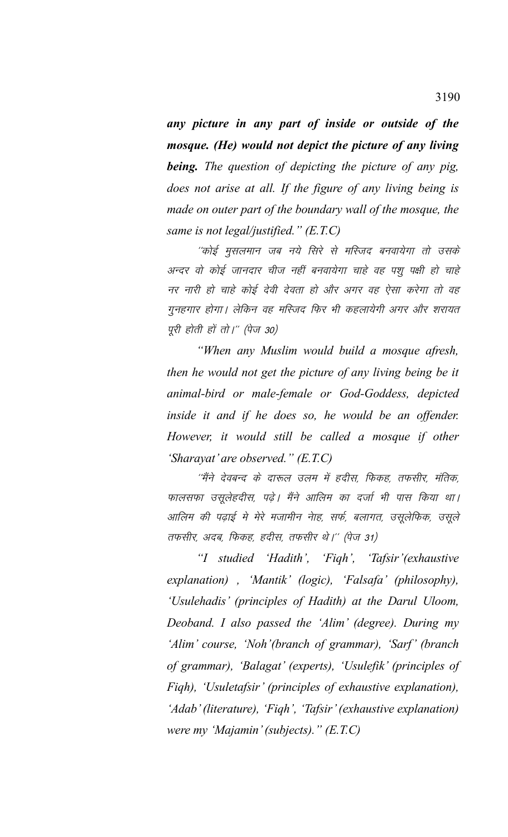*any picture in any part of inside or outside of the mosque. (He) would not depict the picture of any living being. The question of depicting the picture of any pig, does not arise at all. If the figure of any living being is made on outer part of the boundary wall of the mosque, the same is not legal/justified." (E.T.C)*

''कोई मुसलमान जब नये सिरे से मस्जिद बनवायेगा तो उसके अन्दर वो कोई जानदार चीज नहीं बनवायेगा चाहे वह पशु पक्षी हो चाहे नर नारी हो चाहे कोई देवी देवता हो और अगर वह ऐसा करेगा तो वह गुनहगार होगा। लेकिन वह मस्जिद फिर भी कहलायेगी अगर और शरायत पूरी होती हों तो।" (पेज 30)

*"When any Muslim would build a mosque afresh, then he would not get the picture of any living being be it animal-bird or male-female or God-Goddess, depicted inside it and if he does so, he would be an offender. However, it would still be called a mosque if other 'Sharayat' are observed." (E.T.C)*

''मैंने देवबन्द के दारूल उलम में हदीस, फिकह, तफसीर, मंतिक, फालसफा उसूलेहदीस, पढ़े। मैंने आलिम का दर्जा भी पास किया था। आलिम की पढाई मे मेरे मजामीन नेाह, सर्फ, बलागत, उसुलेफिक, उसुले तफसीर, अदब, फिकह, हदीस, तफसीर थे।'' (पेज 31)

*"I studied 'Hadith', 'Fiqh', 'Tafsir'(exhaustive explanation) , 'Mantik' (logic), 'Falsafa' (philosophy), 'Usulehadis' (principles of Hadith) at the Darul Uloom, Deoband. I also passed the 'Alim' (degree). During my 'Alim' course, 'Noh'(branch of grammar), 'Sarf' (branch of grammar), 'Balagat' (experts), 'Usulefik' (principles of Fiqh), 'Usuletafsir' (principles of exhaustive explanation), 'Adab' (literature), 'Fiqh', 'Tafsir' (exhaustive explanation) were my 'Majamin' (subjects)." (E.T.C)*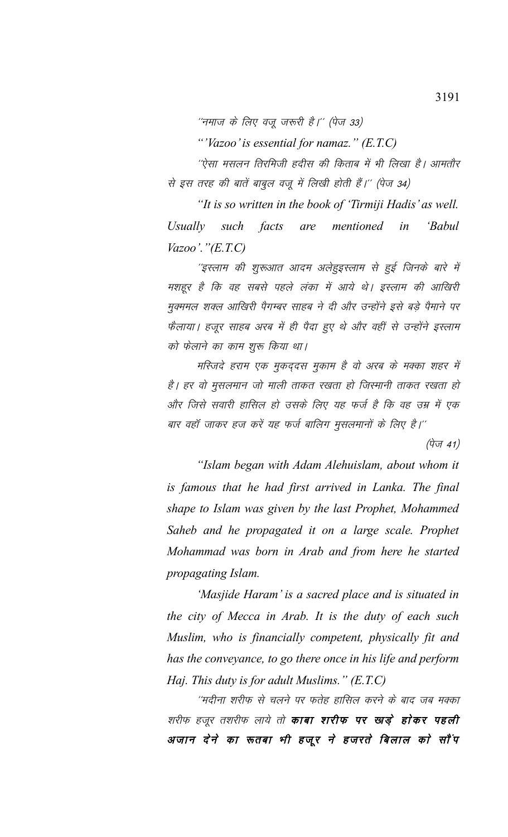''नमाज के लिए वज् जरूरी है।'' (पेज 33)

"'Vazoo' is essential for namaz."  $(E.T.C)$ 

''ऐसा मसलन तिरमिजी हदीस की किताब में भी लिखा है। आमतौर से इस तरह की बातें बाबुल वजू में लिखी होती हैं।'' (पेज 34)

"It is so written in the book of 'Tirmiji Hadis' as well. *Usually* such facts are mentioned  $in$ 'Babul  $Vazoo$ ." $(E.T.C)$ 

''इस्लाम की शुरूआत आदम अलेहुइस्लाम से हुई जिनके बारे में मशहूर है कि वह सबसे पहले लंका में आये थे। इस्लाम की आखिरी मुक्ममल शक्ल आखिरी पैगम्बर साहब ने दी और उन्होंने इसे बड़े पैमाने पर फैलाया। हजूर साहब अरब में ही पैदा हुए थे और वहीं से उन्होंने इस्लाम को फेलाने का काम शुरू किया था।

मस्जिदे हराम एक मुकददस मुकाम है वो अरब के मक्का शहर में है। हर वो मुसलमान जो माली ताकत रखता हो जिस्मानी ताकत रखता हो और जिसे सवारी हासिल हो उसके लिए यह फर्ज है कि वह उम्र में एक बार वहाँ जाकर हज करें यह फर्ज बालिग मुसलमानों के लिए है।''

 $(\overline{q}_{\overline{y}}$  41)

"Islam began with Adam Alehuislam, about whom it is famous that he had first arrived in Lanka. The final shape to Islam was given by the last Prophet, Mohammed Saheb and he propagated it on a large scale. Prophet Mohammad was born in Arab and from here he started propagating Islam.

'Masjide Haram' is a sacred place and is situated in the city of Mecca in Arab. It is the duty of each such Muslim, who is financially competent, physically fit and has the conveyance, to go there once in his life and perform Haj. This duty is for adult Muslims."  $(E.T.C)$ 

''मदीना शरीफ से चलने पर फतेह हासिल करने के बाद जब मक्का शरीफ हजूर तशरीफ लाये तो **काबा शरीफ पर खाड़े होकर पहली** अजान देने का रूतबा भी हजूर ने हजरते बिलाल को सौंप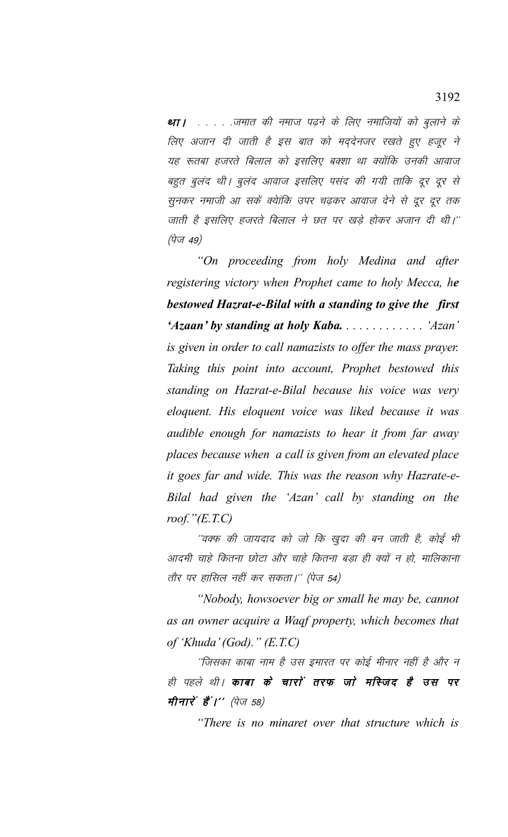था। . . . . . जमात की नमाज पढने के लिए नमाजियों को बलाने के लिए अजान दी जाती है इस बात को मद्देनजर रखते हुए हजूर ने यह रूतबा हजरते बिलाल को इसलिए बक्शा था क्योंकि उनकी आवाज बहुत बुलंद थी। बुलंद आवाज इसलिए पसंद की गयी ताकि दूर दूर से सुनकर नमाजी आ सकें क्येांकि उपर चढ़कर आवाज देने से दूर दूर तक जाती है इसलिए हजरते बिलाल ने छत पर खड़े होकर अजान दी थी।'' (पेज 49)

*"On proceeding from holy Medina and after registering victory when Prophet came to holy Mecca, he bestowed Hazrat-e-Bilal with a standing to give the first 'Azaan' by standing at holy Kaba. . . . . . . . . . . . . 'Azan' is given in order to call namazists to offer the mass prayer. Taking this point into account, Prophet bestowed this standing on Hazrat-e-Bilal because his voice was very eloquent. His eloquent voice was liked because it was audible enough for namazists to hear it from far away places because when a call is given from an elevated place it goes far and wide. This was the reason why Hazrate-e-Bilal had given the 'Azan' call by standing on the roof."(E.T.C)*

''वक्फ की जायदाद को जो कि खुदा की बन जाती है, कोई भी आदमी चाहे कितना छोटा और चाहे कितना बड़ा ही क्यों न हो, मालिकाना तौर पर हासिल नहीं कर सकता।'' (पेज 54)

*"Nobody, howsoever big or small he may be, cannot as an owner acquire a Waqf property, which becomes that of 'Khuda' (God)." (E.T.C)*

''जिसका काबा नाम है उस इमारत पर कोई मीनार नहीं है और न ही पहले थी। **काबा के चारों तरफ जो मस्जिद है उस पर** मीनारें हैं।'' (पेज 58)

*"There is no minaret over that structure which is*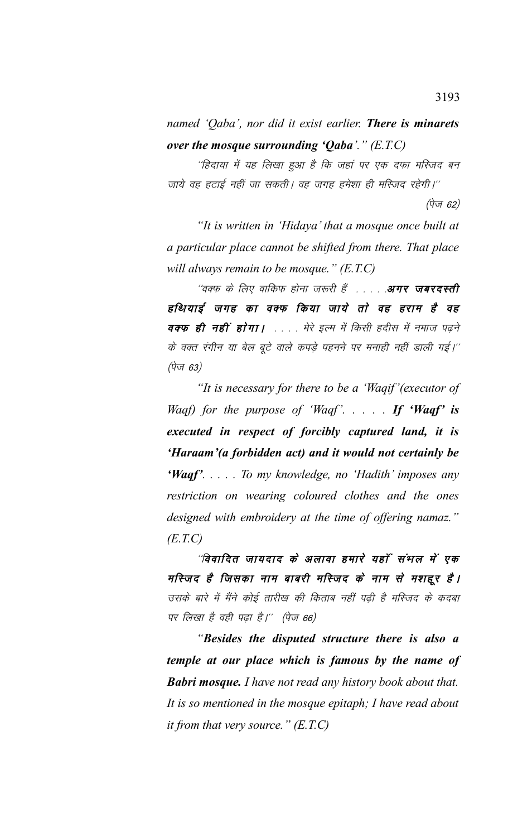*named 'Qaba', nor did it exist earlier. There is minarets over the mosque surrounding 'Qaba'." (E.T.C)*

''हिदाया में यह लिखा हुआ है कि जहां पर एक दफा मस्जिद बन जाये वह हटाई नहीं जा सकती। वह जगह हमेशा ही मस्जिद रहेगी।'' (पेज 62)

*"It is written in 'Hidaya' that a mosque once built at a particular place cannot be shifted from there. That place will always remain to be mosque." (E.T.C)*

''वक्फ के लिए वाकिफ होना जरूरी हैं . . . . .**अगर जबरदस्ती** हथियाई जगह का वक्फ किया जाये तो वह हराम है वह **वक्फ ही नहीं होगा।** . . . . मेरे इल्म में किसी ह़दीस में नमाज पढ़ने के वक्त रंगीन या बेल बूटे वाले कपड़े पहनने पर मनाही नहीं डाली गई।'' (पेज $63)$ 

*"It is necessary for there to be a 'Waqif'(executor of Waqf) for the purpose of 'Waqf'. . . . . If 'Waqf' is executed in respect of forcibly captured land, it is 'Haraam'(a forbidden act) and it would not certainly be 'Waqf'. . . . . To my knowledge, no 'Hadith' imposes any restriction on wearing coloured clothes and the ones designed with embroidery at the time of offering namaz." (E.T.C)*

"विवादित जायदाद के अलावा हमारे यहाँ संभल में एक मस्जिद है जिसका नाम बाबरी मस्जिद के नाम से मशहूर है। उसके बारे में मैंने कोई तारीख की किताब नहीं पढी है मस्जिद के कदबा पर लिखा है वही पढ़ा है।'' (पेज 66)

*"Besides the disputed structure there is also a temple at our place which is famous by the name of Babri mosque. I have not read any history book about that. It is so mentioned in the mosque epitaph; I have read about it from that very source." (E.T.C)*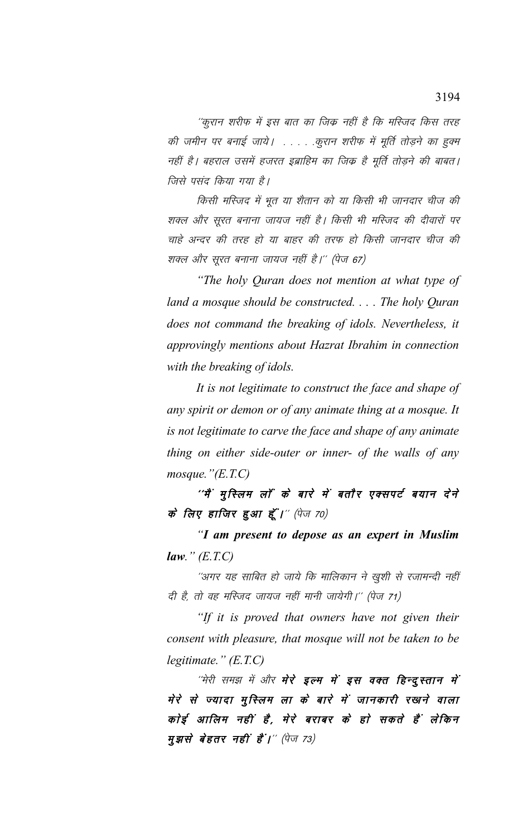''करान शरीफ में इस बात का जिक नहीं है कि मस्जिद किस तरह की जमीन पर बनाई जाये। . . . . .कुरान शरीफ में मूर्ति तोड़ने का हुक्म नहीं है। बहराल उसमें हजरत इब्राहिम का जिक है मूर्ति तोड़ने की बाबत। जिसे पसंद किया गया है।

किसी मस्जिद में भूत या शैतान को या किसी भी जानदार चीज की शक्ल और सूरत बनाना जायज नहीं है। किसी भी मस्जिद की दीवारों पर चाहे अन्दर की तरह हो या बाहर की तरफ हो किसी जानदार चीज की शक्ल और सूरत बनाना जायज नहीं है।'' (पेज 67)

*"The holy Quran does not mention at what type of land a mosque should be constructed. . . . The holy Quran does not command the breaking of idols. Nevertheless, it approvingly mentions about Hazrat Ibrahim in connection with the breaking of idols.*

*It is not legitimate to construct the face and shape of any spirit or demon or of any animate thing at a mosque. It is not legitimate to carve the face and shape of any animate thing on either side-outer or inner- of the walls of any mosque."(E.T.C)*

''मैं मूस्लिम लॉं के बारे में बतौर एक्सपर्ट बयान देने के लिए हाजिर हुआ हूँ।"  $(\dot{q}\sigma$  70)

*"I am present to depose as an expert in Muslim law." (E.T.C)*

''अगर यह साबित हो जाये कि मालिकान ने खुशी से रजामन्दी नहीं दी है, तो वह मस्जिद जायज नहीं मानी जायेगी।" (पेज 71)

*"If it is proved that owners have not given their consent with pleasure, that mosque will not be taken to be legitimate." (E.T.C)*

*"मेरी समझ में और मेरे इल्म में इस वक्त हिन्दुस्तान में* मेरे से ज्यादा मुस्लिम ला के बारे में जानकारी रखने वाला कोई आलिम नहीं है, मेरे बराबर के हो सकते हैं लेकिन **मुझसे बेहतर नहीं हैं।** "(पेज 73)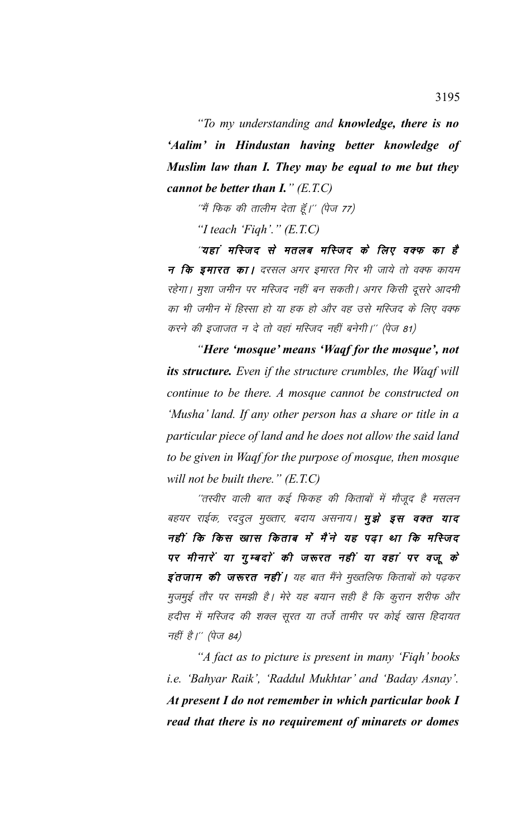"To my understanding and knowledge, there is no 'Aalim' in Hindustan having better knowledge of Muslim law than I. They may be equal to me but they cannot be better than I."  $(E.T.C)$ 

''मैं फिक की तालीम देता हूँ।'' (पेज 77)

"I teach 'Figh'."  $(E.T.C)$ 

''यहां मस्जिद से मतलब मस्जिद के लिए वक्फ का है **न कि इमारत का।** दरसल अगर इमारत गिर भी जाये तो वक्फ कायम रहेगा । मुशा जमीन पर मस्जिद नहीं बन सकती । अगर किसी दूसरे आदमी का भी जमीन में हिस्सा हो या हक हो और वह उसे मस्जिद के लिए वक्फ करने की इजाजत न दे तो वहां मस्जिद नहीं बनेगी।'' (पेज 81)

"Here 'mosque' means 'Waqf for the mosque', not **its structure.** Even if the structure crumbles, the Wagf will continue to be there. A mosque cannot be constructed on 'Musha' land. If any other person has a share or title in a particular piece of land and he does not allow the said land to be given in Waqf for the purpose of mosque, then mosque will not be built there."  $(E.T.C)$ 

''तस्वीर वाली बात कई फिकह की किताबों में मौजूद है मसलन बहयर राईक, रददुल मुख्तार, बदाय असनाय। **मुझे इस वक्त याद** नहीं कि किस खास किताब में मैंने यह पढ़ा था कि मस्जिद पर मीनारें या गूम्बदों की जरूरत नहीं या वहां पर वजू के इंतजाम की जरूरत नहीं। यह बात मैंने मुख्तलिफ किताबों को पढ़कर मुजमूई तौर पर समझी है। मेरे यह बयान सही है कि कूरान शरीफ और हदीस में मस्जिद की शक्ल सूरत या तर्जे तामीर पर कोई खास हिदायत नहीं है।'' (पेज 84)

"A fact as to picture is present in many 'Fiqh' books i.e. 'Bahyar Raik', 'Raddul Mukhtar' and 'Baday Asnay'. At present I do not remember in which particular book I read that there is no requirement of minarets or domes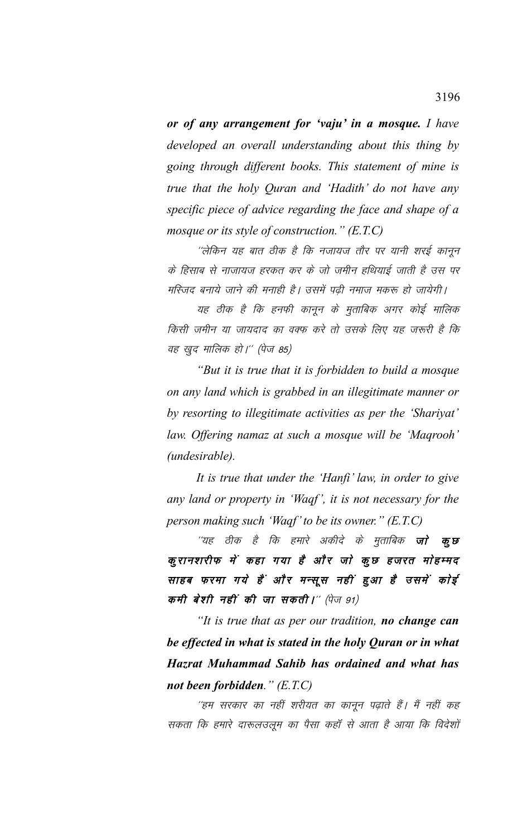*or of any arrangement for 'vaju' in a mosque. I have developed an overall understanding about this thing by going through different books. This statement of mine is true that the holy Quran and 'Hadith' do not have any specific piece of advice regarding the face and shape of a mosque or its style of construction." (E.T.C)*

''लेकिन यह बात ठीक है कि नजायज तौर पर यानी शरई कानून के हिसाब से नाजायज हरकत कर के जो जमीन हथियाई जाती है उस पर मस्जिद बनाये जाने की मनाही है। उसमें पढी नमाज मकरू हो जायेगी।

यह ठीक है कि हनफी कानून के मुताबिक अगर कोई मालिक किसी जमीन या जायदाद का वक्फ करे तो उसके लिए यह जरूरी है कि वह खुद मालिक हो।'' (पेज 85)

*"But it is true that it is forbidden to build a mosque on any land which is grabbed in an illegitimate manner or by resorting to illegitimate activities as per the 'Shariyat' law. Offering namaz at such a mosque will be 'Maqrooh' (undesirable).*

*It is true that under the 'Hanfi' law, in order to give any land or property in 'Waqf', it is not necessary for the person making such 'Waqf' to be its owner." (E.T.C)*

''यह ठीक है कि हमारे अकीदे के मुताबिक **जो कूछ** कुरानशरीफ में कहा गया है और जो कुछ हजरत मोहम्मद साहब फरमा गये हैं और मन्सूस नहीं हुआ है उसमें कोई कमी बेशी नहीं की जा सकती।" (पेज 91)

*"It is true that as per our tradition, no change can be effected in what is stated in the holy Quran or in what Hazrat Muhammad Sahib has ordained and what has not been forbidden." (E.T.C)*

''हम सरकार का नहीं शरीयत का कानून पढ़ाते हैं। मैं नहीं कह सकता कि हमारे दारूलउलूम का पैसा कहाँ से आता है आया कि विदेशों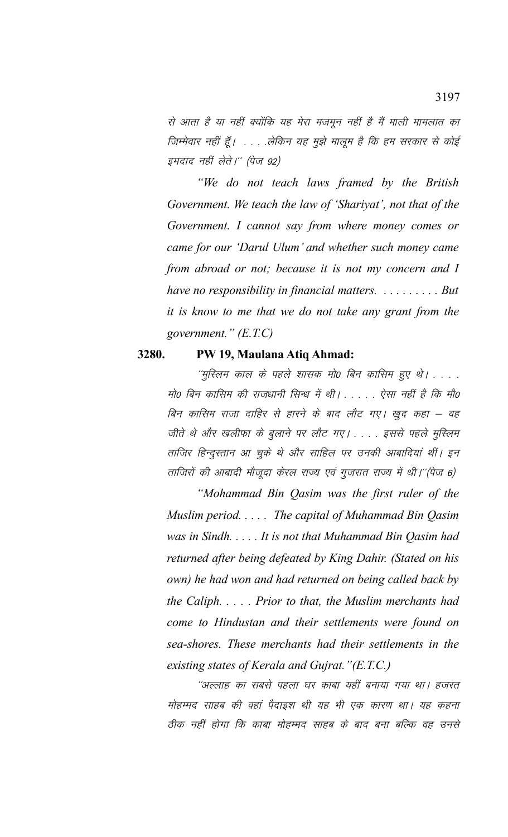से आता है या नहीं क्योंकि यह मेरा मजमून नहीं है मैं माली मामलात का जिम्मेवार नहीं हूँ। . . . .लेकिन यह मुझे मालूम है कि हम सरकार से कोई इमदाद नहीं लेते।'' (पेज 92)

*"We do not teach laws framed by the British Government. We teach the law of 'Shariyat', not that of the Government. I cannot say from where money comes or came for our 'Darul Ulum' and whether such money came from abroad or not; because it is not my concern and I have no responsibility in financial matters. . . . . . . . . . But it is know to me that we do not take any grant from the government." (E.T.C)*

## **3280. PW 19, Maulana Atiq Ahmad:**

''मुस्लिम काल के पहले शासक मो0 बिन कासिम हुए थे। . . . . मो0 बिन कासिम की राजधानी सिन्ध में थी। . . . . . ऐसा नहीं है कि मौ0 बिन कासिम राजा दाहिर से हारने के बाद लौट गए। खुद कहा – वह जीते थे और खलीफा के बुलाने पर लौट गए। . . . . इससे पहले मुस्लिम ताजिर हिन्दुस्तान आ चुके थे और साहिल पर उनकी आबादियां थीं। इन ताजिरों की आबादी मौजूदा केरल राज्य एवं गुजरात राज्य में थी।''(पेज 6)

*"Mohammad Bin Qasim was the first ruler of the Muslim period. . . . . The capital of Muhammad Bin Qasim was in Sindh. . . . . It is not that Muhammad Bin Qasim had returned after being defeated by King Dahir. (Stated on his own) he had won and had returned on being called back by the Caliph. . . . . Prior to that, the Muslim merchants had come to Hindustan and their settlements were found on sea-shores. These merchants had their settlements in the existing states of Kerala and Gujrat."(E.T.C.)*

''अल्लाह का सबसे पहला घर काबा यहीं बनाया गया था। हजरत मोहम्मद साहब की वहां पैदाइश थी यह भी एक कारण था। यह कहना ठीक नहीं होगा कि काबा मोहम्मद साहब के बाद बना बल्कि वह उनसे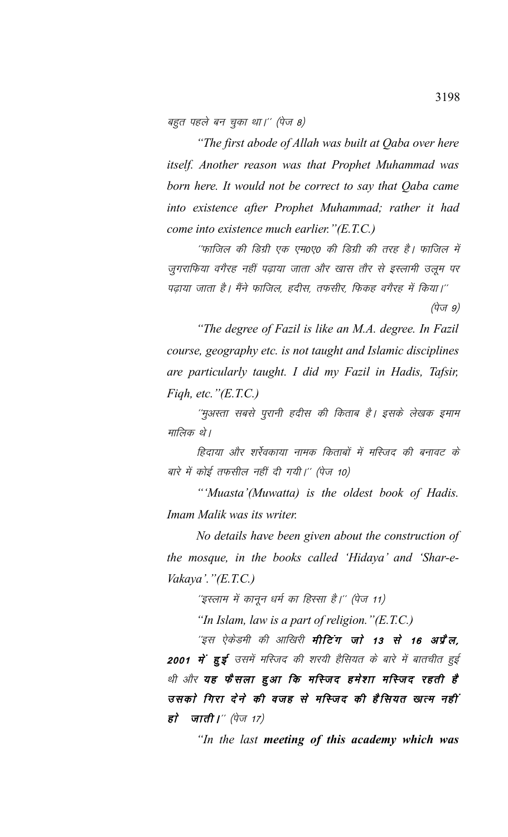बहुत पहले बन चुका था।'' (पेज 8)

*"The first abode of Allah was built at Qaba over here itself. Another reason was that Prophet Muhammad was born here. It would not be correct to say that Qaba came into existence after Prophet Muhammad; rather it had come into existence much earlier."(E.T.C.)*

''फाजिल की डिग्री एक एम0ए0 की डिग्री की तरह है। फाजिल में जुगराफिया वगैरह नहीं पढ़ाया जाता और खास तौर से इस्लामी उलूम पर पढाया जाता है। मैंने फाजिल, हदीस, तफसीर, फिकह वगैरह में किया।''

(पेज़  $g$ )

*"The degree of Fazil is like an M.A. degree. In Fazil course, geography etc. is not taught and Islamic disciplines are particularly taught. I did my Fazil in Hadis, Tafsir, Fiqh, etc."(E.T.C.)*

"मुअस्ता सबसे पुरानी हदीस की किताब है। इसके लेखक इमाम मालिक थे।

हिदाया और शर्रवकाया नामक किताबों में मस्जिद की बनावट के बारे में कोई तफसील नहीं दी गयी।'' (पेज 10)

*"'Muasta'(Muwatta) is the oldest book of Hadis. Imam Malik was its writer.*

*No details have been given about the construction of the mosque, in the books called 'Hidaya' and 'Shar-e-Vakaya'."(E.T.C.)*

''इस्लाम में कानून धर्म का हिस्सा है।'' (पेज 11)

*"In Islam, law is a part of religion."(E.T.C.)*

''इस ऐकेडमी की आखिरी **मीटिंग जो 13 से 16 अप्रैल,** 2001 में दूई उसमें मस्जिद की शरयी हैसियत के बारे में बातचीत हुई थी और यह **फैसला हुआ कि मस्जिद हमेशा मस्जिद रहती है** उसको गिरा देने की वजह से मस्जिद की हैसियत खत्म नहीं हो जाती।" (पेज 17)

*"In the last meeting of this academy which was*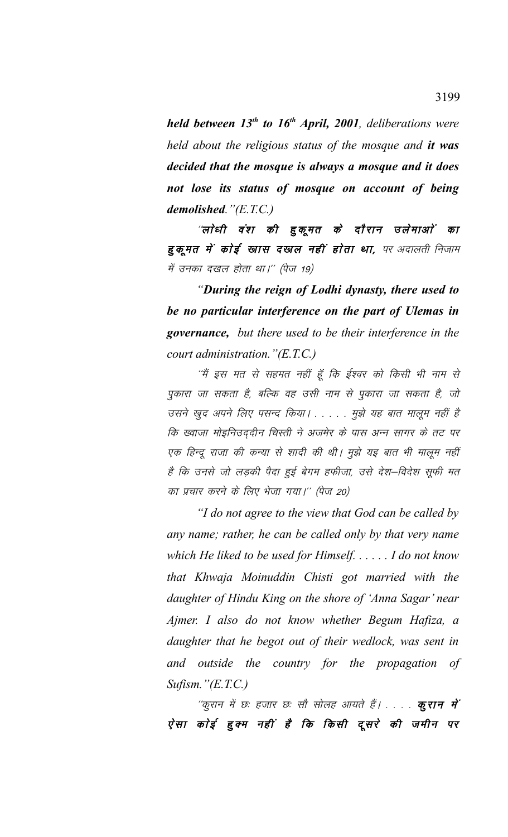*held between 13th to 16th April, 2001, deliberations were held about the religious status of the mosque and it was decided that the mosque is always a mosque and it does not lose its status of mosque on account of being demolished."(E.T.C.)*

"लोधी वंश की हुकूमत के दौरान उलेमाओं का हुकूमत में कोई खास दखल नहीं होता था, पर अदालती निजाम में उनका दखल होता था।'' (पेज 19)

*"During the reign of Lodhi dynasty, there used to be no particular interference on the part of Ulemas in governance, but there used to be their interference in the court administration."(E.T.C.)*

''मैं इस मत से सहमत नहीं हूँ कि ईश्वर को किसी भी नाम से पुकारा जा सकता है, बल्कि वह उसी नाम से पुकारा जा सकता है, जो उसने खुद अपने लिए पसन्द किया। . . . . मुझे यह बात मालूम नहीं है कि ख्वाजा मोइनिउद्दीन चिस्ती ने अजमेर के पास अन्न सागर के तट पर एक हिन्दू राजा की कन्या से शादी की थी। मुझे यइ बात भी मालूम नहीं है कि उनसे जो लड़की पैदा हुई बेगम हफीजा, उसे देश–विदेश सूफी मत का प्रचार करने के लिए भेजा गया।'' (पेज 20)

*"I do not agree to the view that God can be called by any name; rather, he can be called only by that very name which He liked to be used for Himself. . . . . . I do not know that Khwaja Moinuddin Chisti got married with the daughter of Hindu King on the shore of 'Anna Sagar' near Ajmer. I also do not know whether Begum Hafiza, a daughter that he begot out of their wedlock, was sent in and outside the country for the propagation of Sufism."(E.T.C.)*

''कुरान में छः हजार छः सौ सोलह आयते हैं। . . . . **कृरान में** ऐसा कोई हुक्म नहीं है कि किसी दूसरे की जमीन पर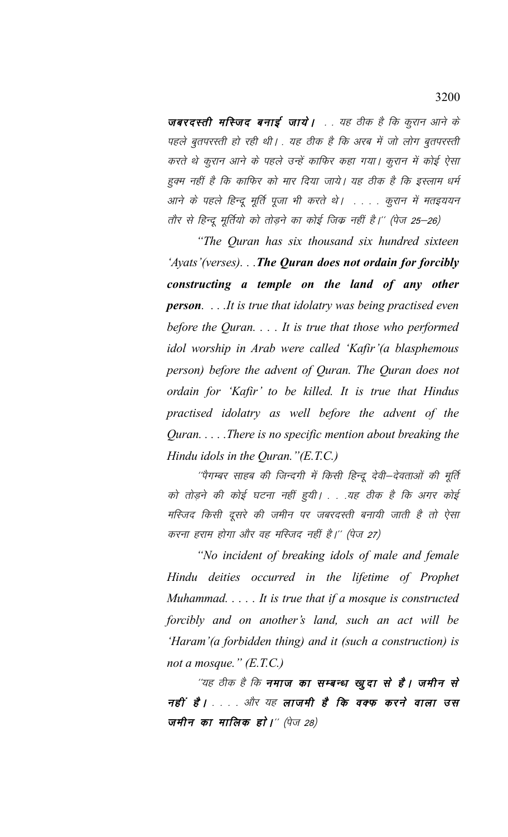जबरदस्ती मस्जिद बनाई जाये। .. यह ठीक है कि कुरान आने के पहले बुतपरस्ती हो रही थी। यह ठीक है कि अरब में जो लोग बुतपरस्ती करते थे कुरान आने के पहले उन्हें काफिर कहा गया। कुरान में कोई ऐसा हुक्म नहीं है कि काफिर को मार दिया जाये। यह ठीक है कि इस्लाम धर्म आने के पहले हिन्दू मूर्ति पूजा भी करते थे। . . . . कुरान में मतइययन तौर से हिन्दू मूर्तियो को तोड़ने का कोई जिंक नहीं है।'' (पेज 25–26)

*"The Quran has six thousand six hundred sixteen 'Ayats'(verses). . .The Quran does not ordain for forcibly constructing a temple on the land of any other person. . . .It is true that idolatry was being practised even before the Quran. . . . It is true that those who performed idol worship in Arab were called 'Kafir'(a blasphemous person) before the advent of Quran. The Quran does not ordain for 'Kafir' to be killed. It is true that Hindus practised idolatry as well before the advent of the Quran. . . . .There is no specific mention about breaking the Hindu idols in the Quran."(E.T.C.)*

''पैगम्बर साहब की जिन्दगी में किसी हिन्दू देवी–देवताओं की मूर्ति को तोड़ने की कोई घटना नहीं हुयी। . . .यह ठीक है कि अगर कोई मस्जिद किसी दूसरे की जमीन पर जबरदस्ती बनायी जाती है तो ऐसा करना हराम होगा और वह मस्जिद नहीं है।'' (पेज 27)

*"No incident of breaking idols of male and female Hindu deities occurred in the lifetime of Prophet Muhammad. . . . . It is true that if a mosque is constructed forcibly and on another's land, such an act will be 'Haram'(a forbidden thing) and it (such a construction) is not a mosque." (E.T.C.)*

''यह ठीक है कि **नमाज का सम्बन्ध खुदा से है। जमीन से** नहीं है। . . . और यह लाजमी है कि वक्फ करने वाला उस जमीन का मालिक हो।" (पेज 28)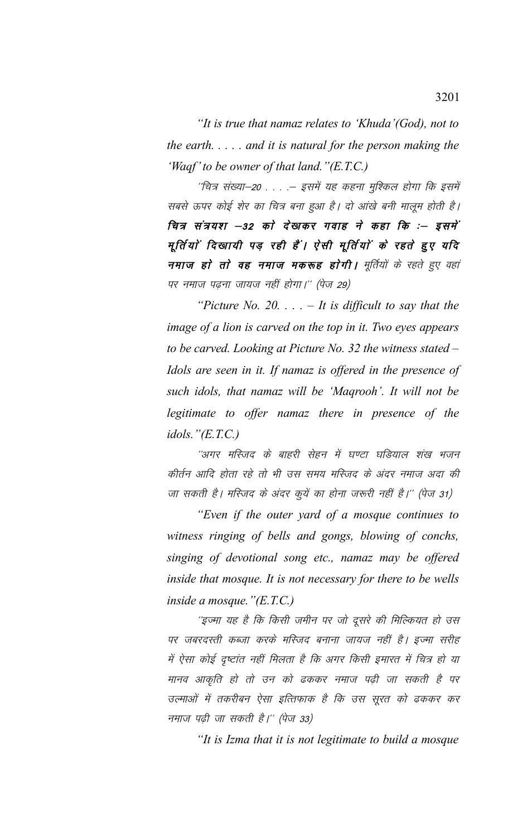*"It is true that namaz relates to 'Khuda'(God), not to the earth. . . . . and it is natural for the person making the 'Waqf' to be owner of that land."(E.T.C.)*

^'चित्र संख्या–20 . . . .– इसमें यह कहना मुश्किल होगा कि इसमें सबसे ऊपर कोई शेर का चित्र बना हुआ है। दो आंखे बनी मालूम होती है। चित्र संत्रयश –32 को देखकर गवाह ने कहा कि :– इसमें मूर्तियों दिखायी पड़ रही हैं। ऐसी मूर्तियों के रहते हुए यदि नमाज हो तो वह नमाज मकरूह होगी। मूर्तियों के रहते हुए वहां पर नमाज पढना जायज नहीं होगा।'' (पेज 29)

*"Picture No. 20. . . . – It is difficult to say that the image of a lion is carved on the top in it. Two eyes appears to be carved. Looking at Picture No. 32 the witness stated – Idols are seen in it. If namaz is offered in the presence of such idols, that namaz will be 'Maqrooh'. It will not be legitimate to offer namaz there in presence of the idols."(E.T.C.)*

''अगर मस्जिद के बाहरी सेहन में घण्टा घडियाल शंख भजन कीर्तन आदि होता रहे तो भी उस समय मस्जिद के अंदर नमाज अदा की जा सकती है। मस्जिद के अंदर कुयें का होना जरूरी नहीं है।'' (पेज 31)

*"Even if the outer yard of a mosque continues to witness ringing of bells and gongs, blowing of conchs, singing of devotional song etc., namaz may be offered inside that mosque. It is not necessary for there to be wells inside a mosque."(E.T.C.)*

''इज्मा यह है कि किसी जमीन पर जो दूसरे की मिल्कियत हो उस पर जबरदस्ती कब्जा करके मस्जिद बनाना जायज नहीं है। इज्मा सरीह में ऐसा कोई दृष्टांत नहीं मिलता है कि अगर किसी इमारत में चित्र हो या मानव आकृति हो तो उन को ढककर नमाज पढी जा सकती है पर उल्माओं में तकरीबन ऐसा इत्तिफाक है कि उस सूरत को ढककर कर नमाज पढ़ी जा सकती है।'' (पेज 33)

*"It is Izma that it is not legitimate to build a mosque*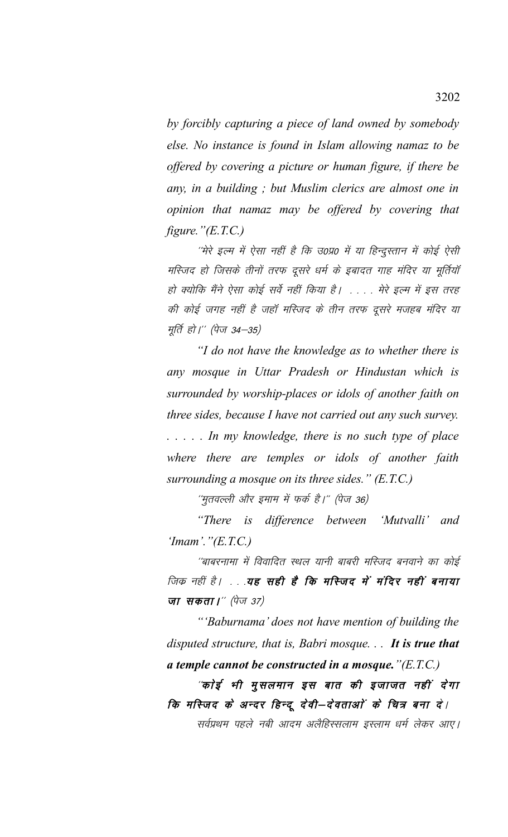*by forcibly capturing a piece of land owned by somebody else. No instance is found in Islam allowing namaz to be offered by covering a picture or human figure, if there be any, in a building ; but Muslim clerics are almost one in opinion that namaz may be offered by covering that figure."(E.T.C.)*

''मेरे इल्म में ऐसा नहीं है कि उ0प्र0 में या हिन्दुस्तान में कोई ऐसी मस्जिद हो जिसके तीनों तरफ दूसरे धर्म के इबादत गाह मंदिर या मूर्तियॉ हो क्योकि मैंने ऐसा कोई सर्वे नहीं किया है। . . . . मेरे इल्म में इस तरह की कोई जगह नहीं है जहाँ मस्जिद के तीन तरफ दूसरे मजहब मंदिर या मूर्ति हो।'' (पेज 34–35)

*"I do not have the knowledge as to whether there is any mosque in Uttar Pradesh or Hindustan which is surrounded by worship-places or idols of another faith on three sides, because I have not carried out any such survey. . . . . . In my knowledge, there is no such type of place where there are temples or idols of another faith surrounding a mosque on its three sides." (E.T.C.)*

''मुतवल्ली और इमाम में फर्क है।'' (पेज 36)

*"There is difference between 'Mutvalli' and 'Imam'."(E.T.C.)*

''बाबरनामा में विवादित स्थल यानी बाबरी मस्जिद बनवाने का कोई जिक नहीं है। . . .यह सही है कि मस्जिद में मंदिर नहीं बनाया **जा सकता।**'' (पेज 37)

*"'Baburnama' does not have mention of building the disputed structure, that is, Babri mosque. . . It is true that a temple cannot be constructed in a mosque."(E.T.C.)*

"कोई भी मुसलमान इस बात की इजाजत नहीं देगा कि मस्जिद के अन्दर हिन्दू देवी—देवताओं के चित्र बना दे।

सर्वप्रथम पहले नबी आदम अलैहिस्सलाम इस्लाम धर्म लेकर आए।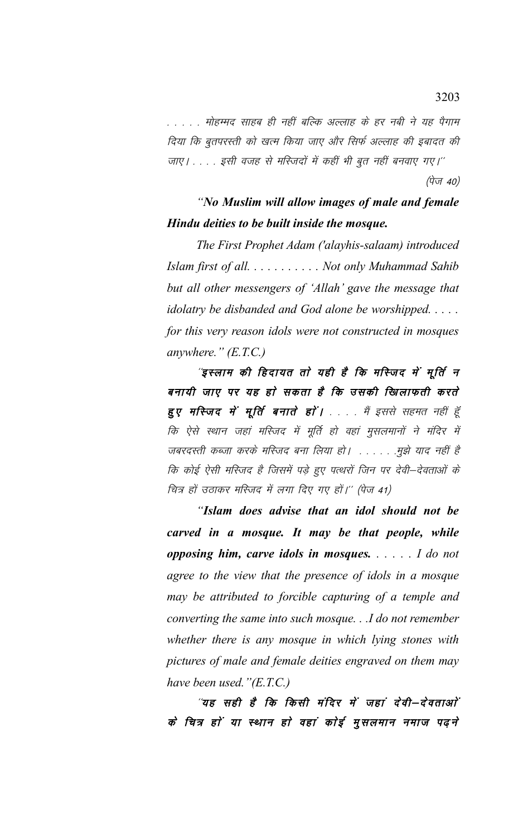मोहम्मद साहब ही नहीं बल्कि अल्लाह के हर नबी ने यह पैगाम दिया कि बुतपरस्ती को खत्म किया जाए और सिर्फ अल्लाह की इबादत की जाए।.... इसी वजह से मस्जिदों में कहीं भी बूत नहीं बनवाए गए।''

"No Muslim will allow images of male and female Hindu deities to be built inside the mosque.

The First Prophet Adam ('alayhis-salaam) introduced Islam first of all. . . . . . . . . . . Not only Muhammad Sahib but all other messengers of 'Allah' gave the message that idolatry be disbanded and God alone be worshipped. . . . . for this very reason idols were not constructed in mosques anywhere."  $(E.T.C.)$ 

"इस्लाम की हिदायत तो यही है कि मस्जिद में मूर्ति न बनायी जाए पर यह हो सकता है कि उसकी खिलाफती करते **हुए मस्जिद में मूर्ति बनाते हों।** . . . मैं इससे सहमत नहीं हूँ कि ऐसे स्थान जहां मस्जिद में मूर्ति हो वहां मुसलमानों ने मंदिर में जबरदस्ती कब्जा करके मस्जिद बना लिया हो। . . . . . . .मुझे याद नहीं है कि कोई ऐसी मस्जिद है जिसमें पड़े हुए पत्थरों जिन पर देवी–देवताओं के चित्र हों उठाकर मस्जिद में लगा दिए गए हों।'' (पेज 41)

"Islam does advise that an idol should not be carved in a mosque. It may be that people, while opposing him, carve idols in mosques.  $\ldots$  . I do not agree to the view that the presence of idols in a mosque may be attributed to forcible capturing of a temple and converting the same into such mosque. . .I do not remember whether there is any mosque in which lying stones with pictures of male and female deities engraved on them may have been used.  $" (E.T.C.)$ 

''यह सही है कि किसी मंदिर में जहां देवी—देवताओं के चित्र हों या स्थान हो वहां कोई मुसलमान नमाज पढ़ने

(पेज 40)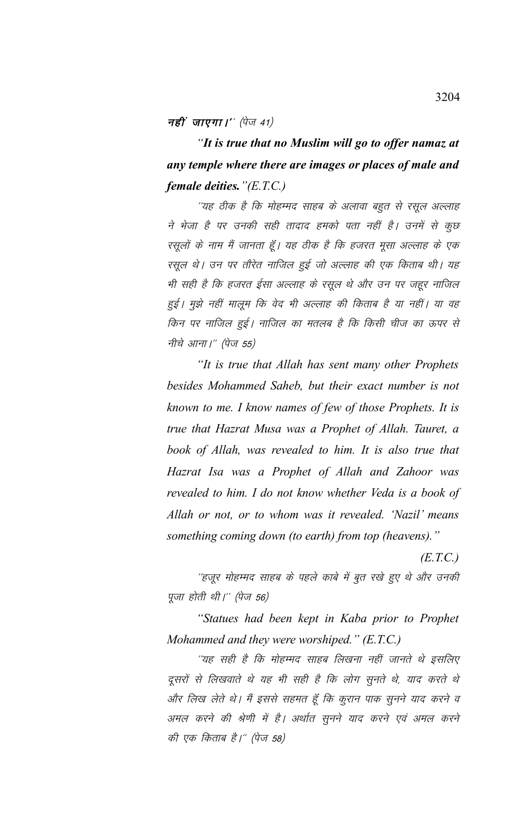नहीं जाएगा।'' (पेज 41)

*"It is true that no Muslim will go to offer namaz at any temple where there are images or places of male and female deities."(E.T.C.)*

''यह ठीक है कि मोहम्मद साहब के अलावा बहुत से रसूल अल्लाह ने भेजा है पर उनकी सही तादाद हमको पता नहीं है। उनमें से कुछ रसूलों के नाम मैं जानता हूँ। यह ठीक है कि हजरत मूसा अल्लाह के एक रसूल थे। उन पर तौरेत नाजिल हुई जो अल्लाह की एक किताब थी। यह भी सही है कि हजरत ईसा अल्लाह के रसूल थे और उन पर जहर नाजिल हुई। मुझे नहीं मालूम कि वेद भी अल्लाह की किताब है या नहीं। या वह किन पर नाजिल हुई। नाजिल का मतलब है कि किसी चीज का ऊपर से नीचे आना।" (पेज 55)

*"It is true that Allah has sent many other Prophets besides Mohammed Saheb, but their exact number is not known to me. I know names of few of those Prophets. It is true that Hazrat Musa was a Prophet of Allah. Tauret, a book of Allah, was revealed to him. It is also true that Hazrat Isa was a Prophet of Allah and Zahoor was revealed to him. I do not know whether Veda is a book of Allah or not, or to whom was it revealed. 'Nazil' means something coming down (to earth) from top (heavens)."*

 *(E.T.C.)*

''हजूर मोहम्मद साहब के पहले काबे में बुत रखे हुए थे और उनकी पूजा होती थी।" (पेज 56)

*"Statues had been kept in Kaba prior to Prophet Mohammed and they were worshiped." (E.T.C.)*

''यह सही है कि मोहम्मद साहब लिखना नहीं जानते थे इसलिए दूसरों से लिखवाते थे यह भी सही है कि लोग सूनते थे, याद करते थे ओर लिख लेते थे। मैं इससे सहमत हूँ कि कुरान पाक सुनने याद करने व अमल करने की श्रेणी में है। अर्थात सुनने याद करने एवं अमल करने की एक किताब है।'' (पेज 58)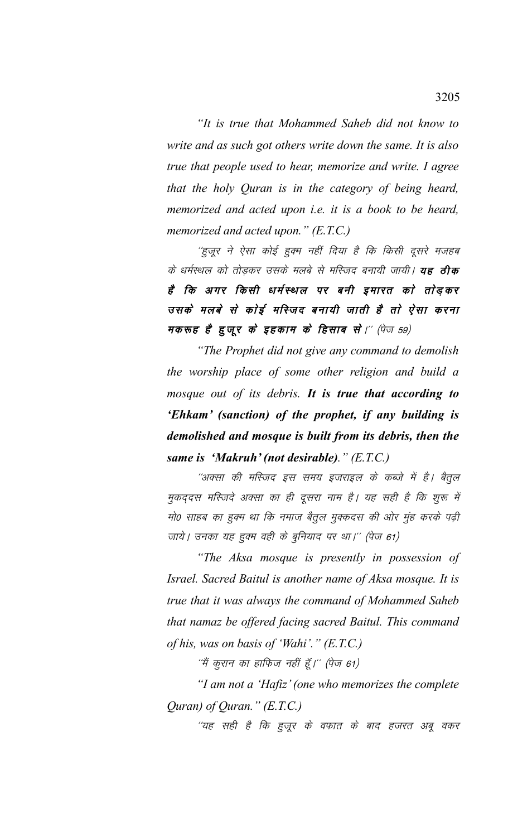*"It is true that Mohammed Saheb did not know to write and as such got others write down the same. It is also true that people used to hear, memorize and write. I agree that the holy Quran is in the category of being heard, memorized and acted upon i.e. it is a book to be heard, memorized and acted upon." (E.T.C.)*

 $\zeta$ दुजूर ने ऐसा कोई हुक्म नहीं दिया है कि किसी दूसरे मजहब के धर्मस्थल को तोड़कर उसके मलबे से मस्जिद बनायी जायी। **यह ठीक** है कि अगर किसी धर्मस्थल पर बनी इमारत को तोड़कर उसके मलबे से कोई मस्जिद बनायी जाती है तो ऐसा करना मकरूह है हुजूर के इहकाम के हिसाब से  $l''$  (पेज 59)

*"The Prophet did not give any command to demolish the worship place of some other religion and build a mosque out of its debris. It is true that according to 'Ehkam' (sanction) of the prophet, if any building is demolished and mosque is built from its debris, then the same is 'Makruh' (not desirable)." (E.T.C.)*

''अक्सा की मस्जिद इस समय इजराइल के कब्जे में है। बैतूल मुकद्दस मस्जिदे अक्सा का ही दूसरा नाम है। यह सही है कि शुरू में मो0 साहब का हुक्म था कि नमाज बैतूल मुक्कदस की ओर मुंह करके पढ़ी जाये। उनका यह हुक्म वही के बुनियाद पर था।'' (पेज 61)

*"The Aksa mosque is presently in possession of Israel. Sacred Baitul is another name of Aksa mosque. It is true that it was always the command of Mohammed Saheb that namaz be offered facing sacred Baitul. This command of his, was on basis of 'Wahi'." (E.T.C.)*

 $^{\prime\prime}$ मैं कुरान का हाफिज नहीं हूँ।'' (पेज 61)

*"I am not a 'Hafiz' (one who memorizes the complete Quran) of Quran." (E.T.C.)*

''यह सही है कि हुजूर के वफात के बाद हजरत अबू वकर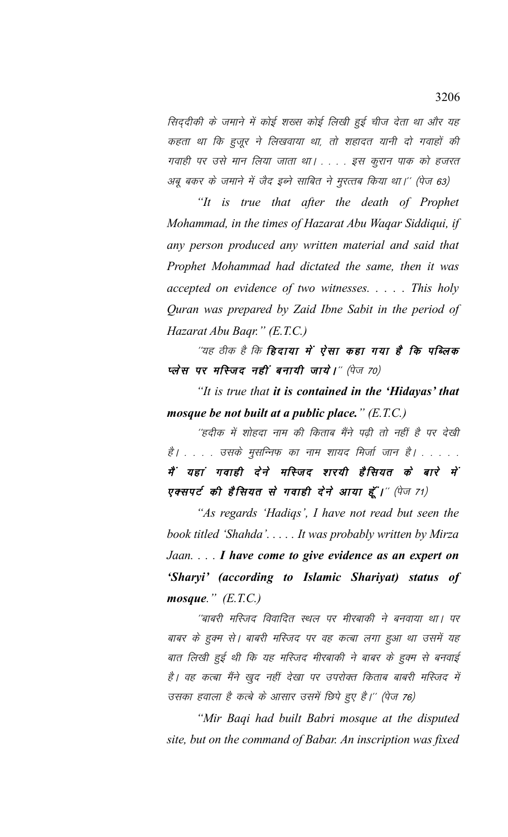सिददीकी के जमाने में कोई शख्स कोई लिखी हुई चीज देता था और यह कहता था कि हुजूर ने लिखवाया था, तो शहादत यानी दो गवाहों की गवाही पर उसे मान लिया जाता था। . . . . इस कुरान पाक को हजरत अबू बकर के जमाने में जैद इब्ने साबित ने मुरत्तब किया था।'' (पेज 63)

"It is true that after the death of Prophet Mohammad, in the times of Hazarat Abu Waqar Siddiqui, if any person produced any written material and said that Prophet Mohammad had dictated the same, then it was accepted on evidence of two witnesses. . . . . This holy Quran was prepared by Zaid Ibne Sabit in the period of Hazarat Abu Baqr."  $(E.T.C.)$ 

''यह ठीक है कि **हिदाया में ऐसा कहा गया है कि पब्लिक** प्लेस पर मस्जिद नहीं बनायी जाये।" (पेज 70)

"It is true that it is contained in the 'Hidayas' that mosque be not built at a public place."  $(E.T.C.)$ 

''ह़दीक में शोह़दा नाम की किताब मैंने पढ़ी तो नहीं है पर देखी है। . . . . उसके मुसन्निफ का नाम शायद मिर्जा जान है। . . . . . मैं यहां गवाही देने मस्जिद शरयी हैसियत के बारे में एक्सपर्ट की हैसियत से गवाही देने आया हूँ।" (पेज 71)

"As regards 'Hadiqs', I have not read but seen the book titled 'Shahda'..... It was probably written by Mirza Jaan... I have come to give evidence as an expert on 'Sharyi' (according to Islamic Shariyat) status of  $mosque.'$   $(E.T.C.)$ 

''बाबरी मस्जिद विवादित स्थल पर मीरबाकी ने बनवाया था। पर बाबर के हुक्म से। बाबरी मरिजद पर वह कत्बा लगा हुआ था उसमें यह बात लिखी हुई थी कि यह मस्जिद मीरबाकी ने बाबर के हुक्म से बनवाई है। वह कत्बा मैंने खुद नहीं देखा पर उपरोक्त किताब बाबरी मस्जिद में उसका हवाला है कत्बे के आसार उसमें छिपे हुए है।'' (पेज 76)

"Mir Baqi had built Babri mosque at the disputed site, but on the command of Babar. An inscription was fixed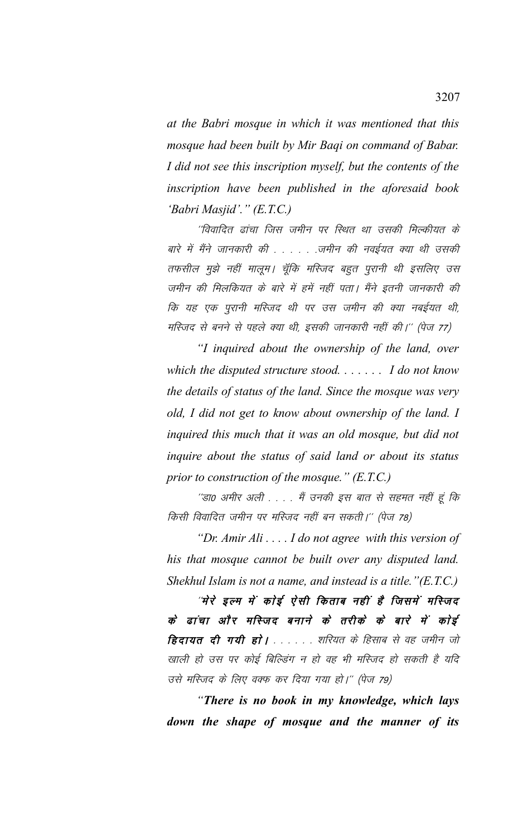*at the Babri mosque in which it was mentioned that this mosque had been built by Mir Baqi on command of Babar. I did not see this inscription myself, but the contents of the inscription have been published in the aforesaid book 'Babri Masjid'." (E.T.C.)*

''विवादित ढांचा जिस जमीन पर स्थित था उसकी मिल्कीयत के बारे में मैंने जानकारी की . . . . . .जमीन की नवई़यत क्या थी उसकी तफसील मुझे नहीं मालूम। चूँकि मस्जिद बहुत पुरानी थी इसलिए उस जमीन की मिलकियत के बारे में हमें नहीं पता। मैंने इतनी जानकारी की कि यह एक पुरानी मस्जिद थी पर उस जमीन की क्या नबईयत थी, मस्जिद से बनने से पहले क्या थी, इसकी जानकारी नहीं की।'' (पेज 77)

*"I inquired about the ownership of the land, over which the disputed structure stood. . . . . . . I do not know the details of status of the land. Since the mosque was very old, I did not get to know about ownership of the land. I inquired this much that it was an old mosque, but did not inquire about the status of said land or about its status prior to construction of the mosque." (E.T.C.)*

''डा0 अमीर अली . . . . मैं उनकी इस बात से सहमत नहीं हूं कि किसी विवादित जमीन पर मस्जिद नहीं बन सकती।'' (पेज 78)

*"Dr. Amir Ali . . . . I do not agree with this version of his that mosque cannot be built over any disputed land. Shekhul Islam is not a name, and instead is a title."(E.T.C.)*

"मेरे इल्म में कोई ऐसी किताब नहीं है जिसमें मस्जिद के ढांचा और मस्जिद बनाने के तरीके के बारे में कोई **हिदायत दी गयी हो |** . . . . . . शरियत के हिसाब से वह जमीन जो खाली हो उस पर कोई बिल्डिंग न हो वह भी मस्जिद हो सकती है यदि उसे मस्जिद के लिए वक्फ कर दिया गया हो।" (पेज 79)

*"There is no book in my knowledge, which lays down the shape of mosque and the manner of its*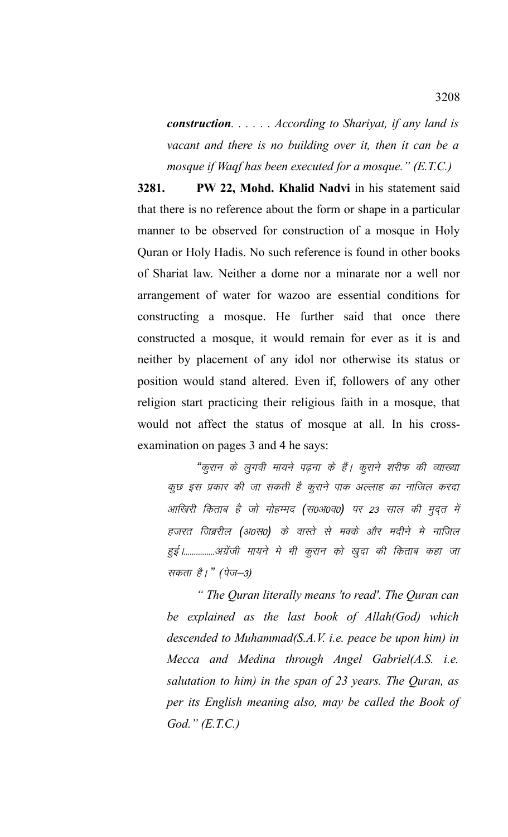*construction. . . . . . According to Shariyat, if any land is vacant and there is no building over it, then it can be a mosque if Waqf has been executed for a mosque." (E.T.C.)*

**3281. PW 22, Mohd. Khalid Nadvi** in his statement said that there is no reference about the form or shape in a particular manner to be observed for construction of a mosque in Holy Quran or Holy Hadis. No such reference is found in other books of Shariat law. Neither a dome nor a minarate nor a well nor arrangement of water for wazoo are essential conditions for constructing a mosque. He further said that once there constructed a mosque, it would remain for ever as it is and neither by placement of any idol nor otherwise its status or position would stand altered. Even if, followers of any other religion start practicing their religious faith in a mosque, that would not affect the status of mosque at all. In his crossexamination on pages 3 and 4 he says:

"कुरान के लुगवी मायने पढ़ना के हैं। कुराने शरीफ की व्याख्या कुछ इस प्रकार की जा सकती है कुराने पाक अल्लाह का नाजिल करदा आखिरी किताब है जो मोहम्मद (स0अ0व0) पर 23 साल की मुद्**त** में हजरत जिब्ररील (अ0स0) के वास्ते से मक्के और मदीने मे नाजिल हुई।..............अग्रेंजी मायने मे भी कुरान को खुदा की किताब कहा जा सकता है।" (पेज–3)

*" The Quran literally means 'to read'. The Quran can be explained as the last book of Allah(God) which descended to Muhammad(S.A.V. i.e. peace be upon him) in Mecca and Medina through Angel Gabriel(A.S. i.e. salutation to him) in the span of 23 years. The Quran, as per its English meaning also, may be called the Book of God." (E.T.C.)*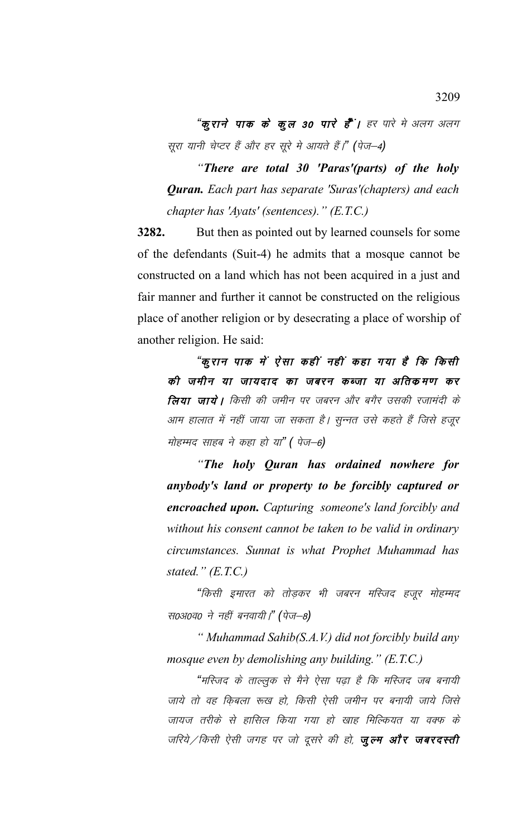"क़ूराने पाक के क़ुल 30 पारे हैं । हर पारे में अलग अलग सूरा यानी चेप्टर हैं और हर सूरे मे आयते हैं।" (पेज–4)

*"There are total 30 'Paras'(parts) of the holy Quran. Each part has separate 'Suras'(chapters) and each chapter has 'Ayats' (sentences)." (E.T.C.)*

**3282.** But then as pointed out by learned counsels for some of the defendants (Suit-4) he admits that a mosque cannot be constructed on a land which has not been acquired in a just and fair manner and further it cannot be constructed on the religious place of another religion or by desecrating a place of worship of another religion. He said:

"क़ूरान पाक में ऐसा कहीं नहीं कहा गया है कि किसी की जमीन या जायदाद का जबरन कब्जा या अतिकमण कर **लिया जाये।** किसी की जमीन पर जबरन और बगैर उसकी रजामंदी के आम हालात में नहीं जाया जा सकता है। सून्नत उसे कहते हैं जिसे हजूर *मोहम्मद साहब ने कहा हो या*" ( पेज–6)

*"The holy Quran has ordained nowhere for anybody's land or property to be forcibly captured or encroached upon. Capturing someone's land forcibly and without his consent cannot be taken to be valid in ordinary circumstances. Sunnat is what Prophet Muhammad has stated." (E.T.C.)*

*"किसी इमारत को तोडकर भी जबरन मस्जिद हजुर मोहम्मद* स0अ0व0 ने नहीं बनवायी*।*" (पेज–8)

*" Muhammad Sahib(S.A.V.) did not forcibly build any mosque even by demolishing any building." (E.T.C.)*

"मस्जिद के ताल्लुक से मैने ऐसा पढा है कि मस्जिद जब बनायी जाये तो वह किबला रूख हो, किसी ऐसी जमीन पर बनायी जाये जिसे जायज तरीके से हासिल किया गया हो खाह मिल्कियत या वक्फ के जरिये / किसी ऐसी जगह पर जो दूसरे की हो, **जुल्म और जबरदस्ती**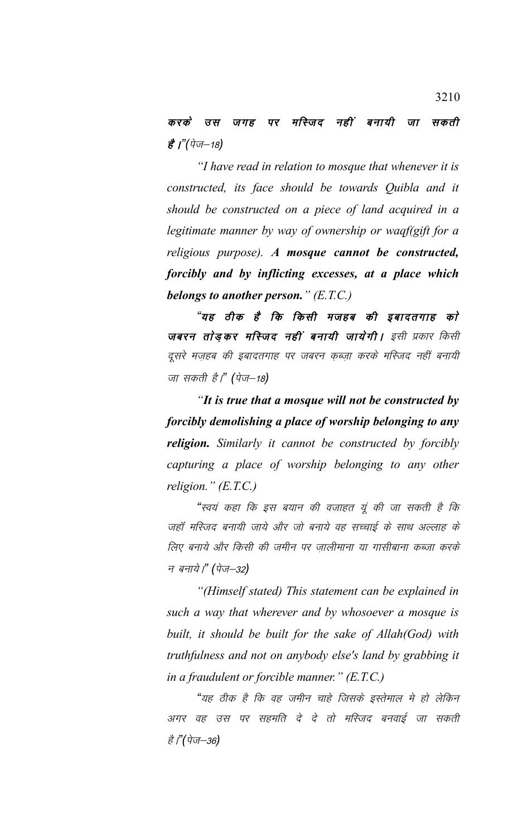करके उस जगह पर मस्जिद नहीं बनायी जा सकती  $\vec{g}$  |"( $\vec{q}$ <sub> $\vec{q}$ </sub> $-18$ )

*"I have read in relation to mosque that whenever it is constructed, its face should be towards Quibla and it should be constructed on a piece of land acquired in a legitimate manner by way of ownership or waqf(gift for a religious purpose). A mosque cannot be constructed, forcibly and by inflicting excesses, at a place which belongs to another person." (E.T.C.)*

"यह ठीक है कि किसी मजहब की इबादतगाह को जबरन तोडकर मस्जिद नहीं बनायी जायेगी। इसी प्रकार किसी दूसरे मज़हब की इबादतगाह पर जबरन क़ब्ज़ा करके मस्जिद नहीं बनायी जा सकती है*।*" (पेज—18)

*"It is true that a mosque will not be constructed by forcibly demolishing a place of worship belonging to any religion. Similarly it cannot be constructed by forcibly capturing a place of worship belonging to any other religion." (E.T.C.)*

"स्वयं कहा कि इस बयान की वजाहत यूं की जा सकती है कि जहॉ मस्जिद बनायी जाये और जो बनाये वह सच्चाई के साथ अल्लाह के लिए बनाये और किसी की जमीन पर जालीमाना या गासीबाना कब्जा करके न बनाये*।*" (पेज–32)

*"(Himself stated) This statement can be explained in such a way that wherever and by whosoever a mosque is built, it should be built for the sake of Allah(God) with truthfulness and not on anybody else's land by grabbing it in a fraudulent or forcible manner." (E.T.C.)*

"यह ठीक है कि वह जमीन चाहे जिसके इस्तेमाल मे हो लेकिन अगर वह उस पर सहमति दे दे तो मस्जिद बनवाई जा सकती <u></u>*है |*"(*पेज—36*)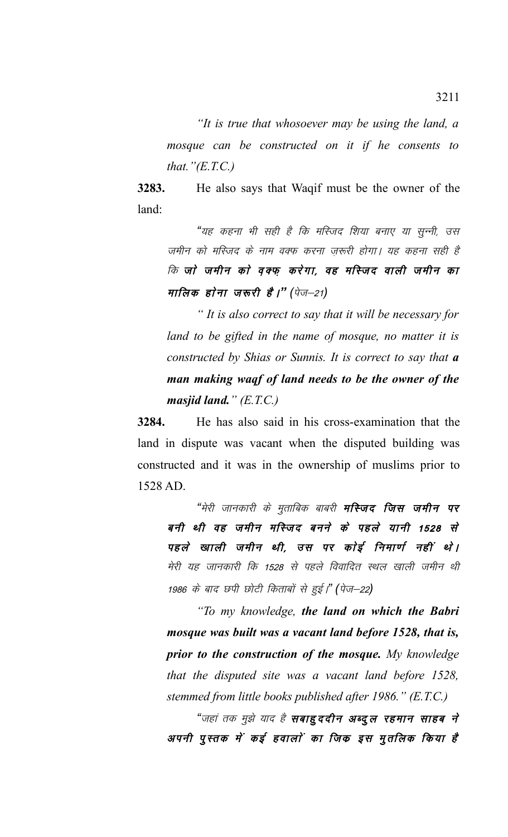*"It is true that whosoever may be using the land, a mosque can be constructed on it if he consents to that."(E.T.C.)*

**3283.** He also says that Waqif must be the owner of the land:

"यह कहना भी सही है कि मस्जिद शिया बनाए या सन्नी, उस जमीन को मस्जिद के नाम वक्फ करना जरूरी होगा। यह कहना सही है कि जो जमीन को वृक्फ करेगा, वह मस्जिद वाली जमीन का **मालिक होना जरूरी है।" (पेज-21)** 

*" It is also correct to say that it will be necessary for land to be gifted in the name of mosque, no matter it is constructed by Shias or Sunnis. It is correct to say that a man making waqf of land needs to be the owner of the masjid land." (E.T.C.)*

**3284.** He has also said in his cross-examination that the land in dispute was vacant when the disputed building was constructed and it was in the ownership of muslims prior to 1528 AD.

<sup>"मेरी जानकारी के मुताबिक बाबरी **मस्जिद जिस जमीन पर**</sup> बनी थी वह जमीन मस्जिद बनने के पहले यानी 1528 से पहले खाली जमीन थी, उस पर कोई निमार्ण नहीं थे। मेरी यह जानकारी कि 1528 से पहले विवादित स्थल खाली जमीन थी 1986 के बाद छपी छोटी किताबों से हुई*।*" (पेज-22)

*"To my knowledge, the land on which the Babri mosque was built was a vacant land before 1528, that is, prior to the construction of the mosque. My knowledge that the disputed site was a vacant land before 1528, stemmed from little books published after 1986." (E.T.C.)*

"जहां तक मुझे याद है **सबाह़ू ददीन अब्दुल रहमान साहब ने** अपनी पुस्तक में कई हवालों का जिक इस मुतलिक किया है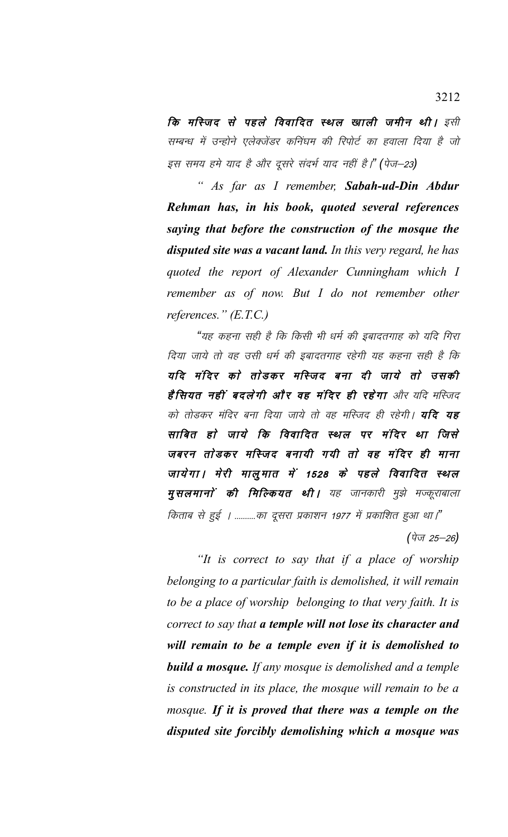कि मस्जिद से पहले विवादित स्थल खाली जमीन थी। इसी सम्बन्ध में उन्होने एलेक्जेंडर कनिंघम की रिपोर्ट का हवाला दिया है जो इस समय हमे याद है और दूसरे संदर्भ याद नहीं है।" (पेज-23)

" As far as I remember, Sabah-ud-Din Abdur Rehman has, in his book, quoted several references saying that before the construction of the mosque the disputed site was a vacant land. In this very regard, he has quoted the report of Alexander Cunningham which I remember as of now. But I do not remember other references."  $(E.T.C.)$ 

"यह कहना सही है कि किसी भी धर्म की इबादतगाह को यदि गिरा दिया जाये तो वह उसी धर्म की इबादतगाह रहेगी यह कहना सही है कि यदि मंदिर को तोडकर मस्जिद बना दी जाये तो उसकी हैं सियत नहीं बदलेंगी और वह मंदिर ही रहेंगा और यदि मस्जिद को तोडकर मंदिर बना दिया जाये तो वह मस्जिद ही रहेगी। **यदि यह** साबित हो जाये कि विवादित स्थल पर मंदिर था जिसे जबरन तोडकर मस्जिद बनायी गयी तो वह मंदिर ही माना जायेगा । मेरी मालुमात में 1528 के पहले विवादित स्थल मुसलमानों की मिल्कियत थी। यह जानकारी मुझे मज्कूराबाला किताब से हुई । ..........का दूसरा प्रकाशन 1977 में प्रकाशित हुआ था।"

*(पेज 25–26)* 

"It is correct to say that if a place of worship belonging to a particular faith is demolished, it will remain to be a place of worship belonging to that very faith. It is correct to say that a temple will not lose its character and will remain to be a temple even if it is demolished to **build a mosque.** If any mosque is demolished and a temple is constructed in its place, the mosque will remain to be a mosque. If it is proved that there was a temple on the disputed site forcibly demolishing which a mosque was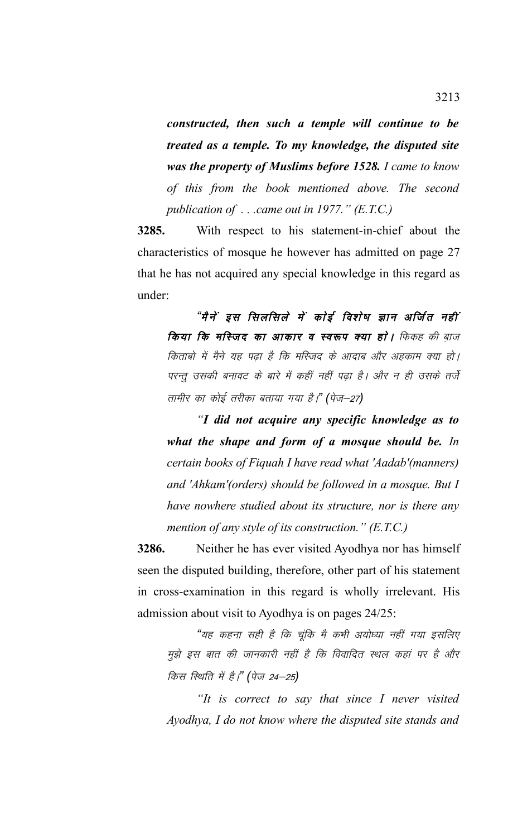*constructed, then such a temple will continue to be treated as a temple. To my knowledge, the disputed site was the property of Muslims before 1528. I came to know of this from the book mentioned above. The second publication of . . .came out in 1977." (E.T.C.)*

**3285.** With respect to his statement-in-chief about the characteristics of mosque he however has admitted on page 27 that he has not acquired any special knowledge in this regard as under:

"मैने इस सिलसिले में कोई विशेष ज्ञान अर्जित नहीं किया कि मस्जिद का आकार व स्वरूप क्या हो । फिकह की बाज किताबो में मैने यह पढा है कि मस्जिद के आदाब और अहकाम क्या हो। परन्तू उसकी बनावट के बारे में कहीं नहीं पढ़ा है। और न ही उसके तर्जे तामीर का कोई तरीका बताया गया है।" (पेज–27)

*"I did not acquire any specific knowledge as to what the shape and form of a mosque should be. In certain books of Fiquah I have read what 'Aadab'(manners) and 'Ahkam'(orders) should be followed in a mosque. But I have nowhere studied about its structure, nor is there any mention of any style of its construction." (E.T.C.)*

**3286.** Neither he has ever visited Ayodhya nor has himself seen the disputed building, therefore, other part of his statement in cross-examination in this regard is wholly irrelevant. His admission about visit to Ayodhya is on pages 24/25:

"यह कहना सही है कि चूंकि मै कभी अयोध्या नहीं गया इसलिए मुझे इस बात की जानकारी नहीं है कि विवादित स्थल कहां पर है और *किस स्थिति में है।*" (पेज 24–25)

*"It is correct to say that since I never visited Ayodhya, I do not know where the disputed site stands and*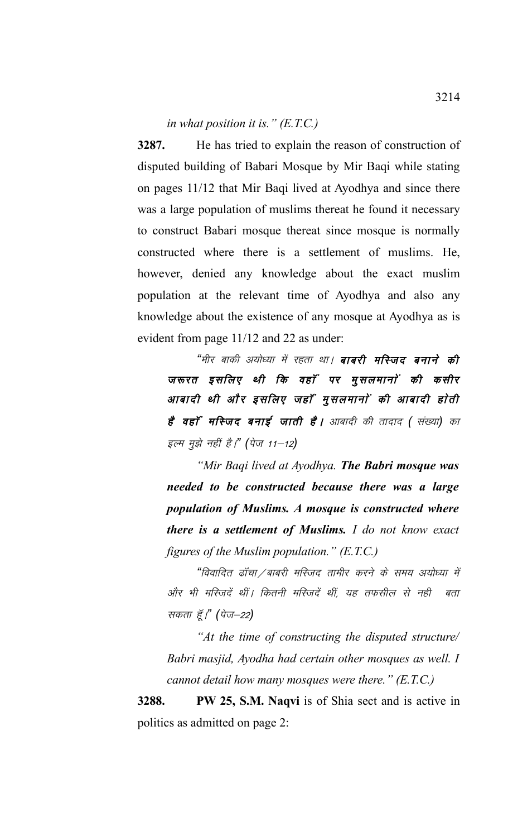## *in what position it is." (E.T.C.)*

**3287.** He has tried to explain the reason of construction of disputed building of Babari Mosque by Mir Baqi while stating on pages 11/12 that Mir Baqi lived at Ayodhya and since there was a large population of muslims thereat he found it necessary to construct Babari mosque thereat since mosque is normally constructed where there is a settlement of muslims. He, however, denied any knowledge about the exact muslim population at the relevant time of Ayodhya and also any knowledge about the existence of any mosque at Ayodhya as is evident from page 11/12 and 22 as under:

"मीर बाकी अयोध्या में रहता था। **बाबरी मस्जिद बनाने की** जरूरत इसलिए थी कि वहाँ पर मुसलमानों की कसीर आबादी थी और इसलिए जहाँ मुसलमानों की आबादी होती **है वहाँ मस्जिद बनाई जाती है।** आबादी की तादाद ( संख्या) का इल्म मुझे नहीं है*।*" (पेज 11–12)

*"Mir Baqi lived at Ayodhya. The Babri mosque was needed to be constructed because there was a large population of Muslims. A mosque is constructed where there is a settlement of Muslims. I do not know exact figures of the Muslim population." (E.T.C.)*

"विवादित ढॉचा ⁄ बाबरी मस्जिद तामीर करने के समय अयोध्या में ओर भी मस्जिदें थीं। कितनी मस्जिदें थीं, यह तफसील से नही बता सकता हूँ*।*" (पेज–22)

*"At the time of constructing the disputed structure/ Babri masjid, Ayodha had certain other mosques as well. I cannot detail how many mosques were there." (E.T.C.)*

**3288. PW 25, S.M. Naqvi** is of Shia sect and is active in politics as admitted on page 2: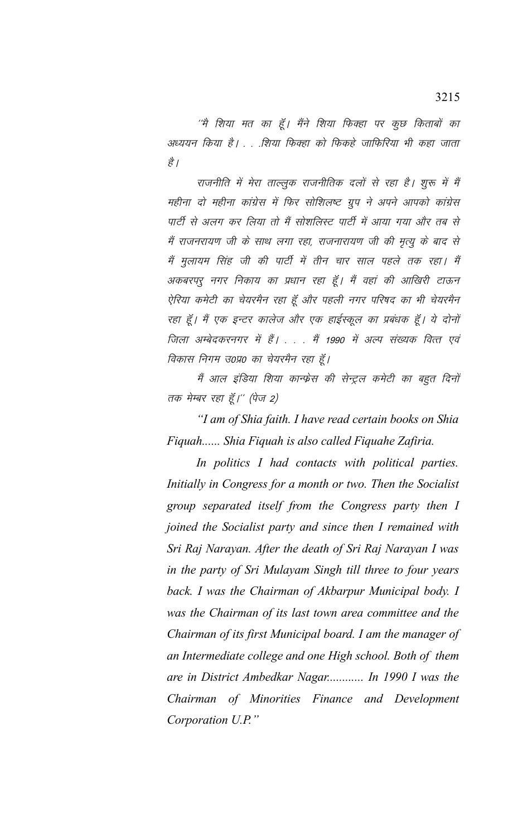''मै शिया मत का हूँ। मैंने शिया फिक्हा पर कुछ किताबों का अध्ययन किया है। . . .शिया फिक्हा को फिकहे जाफिरिया भी कहा जाता है ।

राजनीति में मेरा ताल्लुक राजनीतिक दलों से रहा है। शुरू में मैं महीना दो महीना कांग्रेस में फिर सोशिलष्ट ग्रुप ने अपने आपको कांग्रेस पार्टी से अलग कर लिया तो मैं सोशलिस्ट पार्टी में आया गया और तब से मैं राजनरायण जी के साथ लगा रहा, राजनारायण जी की मृत्यु के बाद से मैं मुलायम सिंह जी की पार्टी में तीन चार साल पहले तक रहा। मैं अकबरपरु नगर निकाय का प्रधान रहा हूँ। मैं वहां की आखिरी टाऊन ऐरिया कमेटी का चेयरमैन रहा हूँ और पहली नगर परिषद का भी चेयरमैन रहा हूँ। मैं एक इन्टर कालेज और एक हाईस्कूल का प्रबंधक हूँ। ये दोनों जिला अम्बेदकरनगर में हैं। . . . मैं 1990 में अल्प संख्यक वित्त एवं विकास निगम उ०प्र० का चेयरमैन रहा हूँ।

मैं आल इंडिया शिया कान्फ्रेस की सेन्ट्रल कमेटी का बहुत दिनों तक मेम्बर रहा हूँ।'' (पेज 2)

"I am of Shia faith. I have read certain books on Shia Fiquah...... Shia Fiquah is also called Fiquahe Zafiria.

In politics I had contacts with political parties. Initially in Congress for a month or two. Then the Socialist group separated itself from the Congress party then I joined the Socialist party and since then I remained with Sri Raj Narayan. After the death of Sri Raj Narayan I was in the party of Sri Mulayam Singh till three to four years back. I was the Chairman of Akbarpur Municipal body. I was the Chairman of its last town area committee and the Chairman of its first Municipal board. I am the manager of an Intermediate college and one High school. Both of them are in District Ambedkar Nagar............ In 1990 I was the Chairman of Minorities Finance and Development Corporation U.P."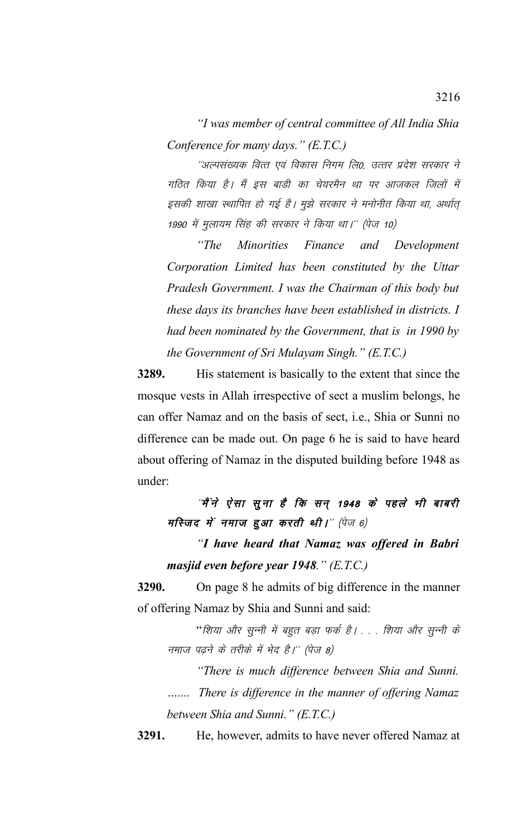*"I was member of central committee of All India Shia Conference for many days." (E.T.C.)*

''अल्पसंख्यक वित्त एवं विकास निगम लि0, उत्तर प्रदेश सरकार ने गठित किया है। मैं इस बाडी का चेयरमैन था पर आजकल जिलों में इसकी शाखा स्थापित हो गई है। मुझे सरकार ने मनोनीत किया था, अर्थात् 1990 में मुलायम सिंह की सरकार ने किया था।'' (पेज 10)

*"The Minorities Finance and Development Corporation Limited has been constituted by the Uttar Pradesh Government. I was the Chairman of this body but these days its branches have been established in districts. I had been nominated by the Government, that is in 1990 by the Government of Sri Mulayam Singh." (E.T.C.)*

**3289.** His statement is basically to the extent that since the mosque vests in Allah irrespective of sect a muslim belongs, he can offer Namaz and on the basis of sect, i.e., Shia or Sunni no difference can be made out. On page 6 he is said to have heard about offering of Namaz in the disputed building before 1948 as under:

*''*मैं ने ऐसा सूना है कि सन् 1948 के पहले भी बाबरी मस्जिद में नमाज हुआ करती थी।'' (पेज 6)

*"I have heard that Namaz was offered in Babri masjid even before year 1948." (E.T.C.)*

**3290.** On page 8 he admits of big difference in the manner of offering Namaz by Shia and Sunni and said:

"शिया और सुन्नी में बहुत बड़ा फर्क है। . . . शिया और सुन्नी के नमाज पढ़ने के तरीके में भेद है।'' (पेज 8)

*"There is much difference between Shia and Sunni. ….... There is difference in the manner of offering Namaz between Shia and Sunni." (E.T.C.)*

**3291.** He, however, admits to have never offered Namaz at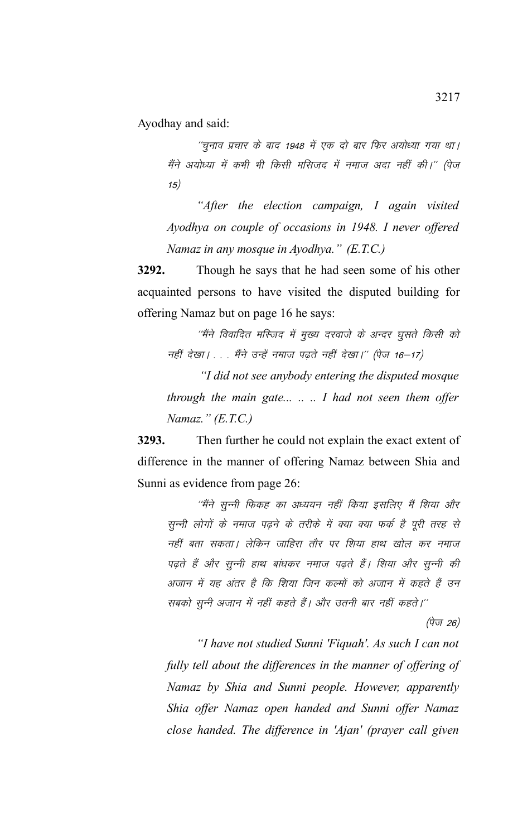Ayodhay and said:

''चुनाव प्रचार के बाद 1948 में एक दो बार फिर अयोध्या गया था। मैंने अयोध्या में कभी भी किसी मसिजद में नमाज अदा नहीं की।'' (पेज 15)

*"After the election campaign, I again visited Ayodhya on couple of occasions in 1948. I never offered Namaz in any mosque in Ayodhya." (E.T.C.)*

**3292.** Though he says that he had seen some of his other acquainted persons to have visited the disputed building for offering Namaz but on page 16 he says:

''मैंने विवादित मस्जिद में मुख्य दरवाजे के अन्दर घुसते किसी को नहीं देखा।... मैंने उन्हें नमाज पढते नहीं देखा।" (पेज 16-17)

 *"I did not see anybody entering the disputed mosque through the main gate... .. .. I had not seen them offer Namaz." (E.T.C.)*

**3293.** Then further he could not explain the exact extent of difference in the manner of offering Namaz between Shia and Sunni as evidence from page 26:

''मैंने सुन्नी फिकह का अध्ययन नहीं किया इसलिए मैं शिया और सुन्नी लोगों के नमाज पढ़ने के तरीके में क्या क्या फर्क है पूरी तरह से नहीं बता सकता। लेकिन जाहिरा तौर पर शिया हाथ खोल कर नमाज पढते हैं और सुन्नी हाथ बांधकर नमाज पढते हैं। शिया और सुन्नी की अजान में यह अंतर है कि शिया जिन कल्मों को अजान में कहते हैं उन सबको सून्ने अजान में नहीं कहते हैं। और उतनी बार नहीं कहते।''

(पेज 26)

*"I have not studied Sunni 'Fiquah'. As such I can not fully tell about the differences in the manner of offering of Namaz by Shia and Sunni people. However, apparently Shia offer Namaz open handed and Sunni offer Namaz close handed. The difference in 'Ajan' (prayer call given*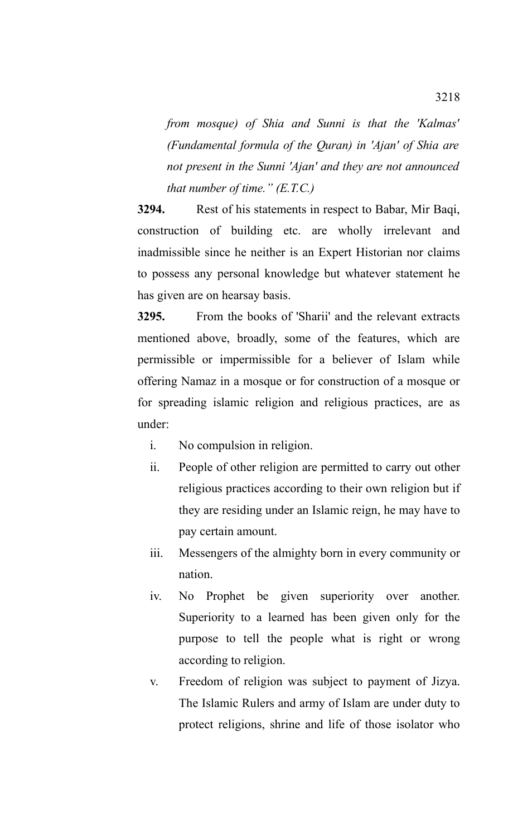*from mosque) of Shia and Sunni is that the 'Kalmas' (Fundamental formula of the Quran) in 'Ajan' of Shia are not present in the Sunni 'Ajan' and they are not announced that number of time." (E.T.C.)*

**3294.** Rest of his statements in respect to Babar, Mir Baqi, construction of building etc. are wholly irrelevant and inadmissible since he neither is an Expert Historian nor claims to possess any personal knowledge but whatever statement he has given are on hearsay basis.

**3295.** From the books of 'Sharii' and the relevant extracts mentioned above, broadly, some of the features, which are permissible or impermissible for a believer of Islam while offering Namaz in a mosque or for construction of a mosque or for spreading islamic religion and religious practices, are as under:

- i. No compulsion in religion.
- ii. People of other religion are permitted to carry out other religious practices according to their own religion but if they are residing under an Islamic reign, he may have to pay certain amount.
- iii. Messengers of the almighty born in every community or nation.
- iv. No Prophet be given superiority over another. Superiority to a learned has been given only for the purpose to tell the people what is right or wrong according to religion.
- v. Freedom of religion was subject to payment of Jizya. The Islamic Rulers and army of Islam are under duty to protect religions, shrine and life of those isolator who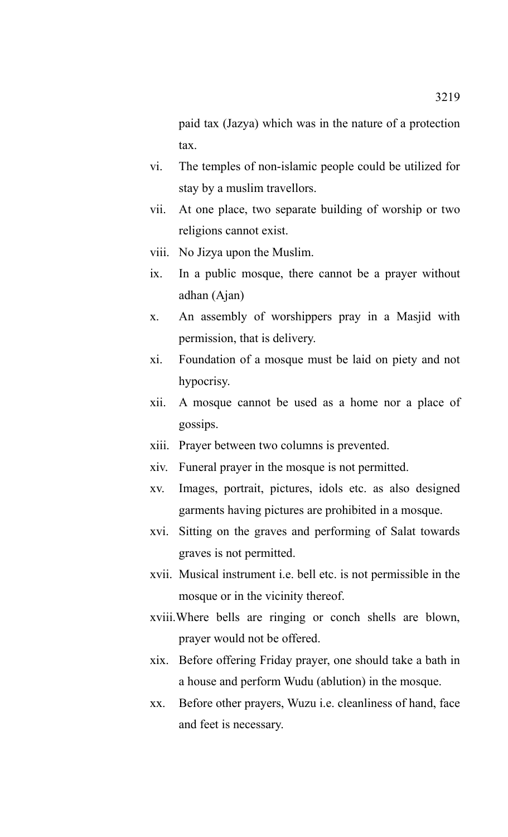paid tax (Jazya) which was in the nature of a protection tax.

- vi. The temples of non-islamic people could be utilized for stay by a muslim travellors.
- vii. At one place, two separate building of worship or two religions cannot exist.
- viii. No Jizya upon the Muslim.
- ix. In a public mosque, there cannot be a prayer without adhan (Ajan)
- x. An assembly of worshippers pray in a Masjid with permission, that is delivery.
- xi. Foundation of a mosque must be laid on piety and not hypocrisy.
- xii. A mosque cannot be used as a home nor a place of gossips.
- xiii. Prayer between two columns is prevented.
- xiv. Funeral prayer in the mosque is not permitted.
- xv. Images, portrait, pictures, idols etc. as also designed garments having pictures are prohibited in a mosque.
- xvi. Sitting on the graves and performing of Salat towards graves is not permitted.
- xvii. Musical instrument i.e. bell etc. is not permissible in the mosque or in the vicinity thereof.
- xviii.Where bells are ringing or conch shells are blown, prayer would not be offered.
- xix. Before offering Friday prayer, one should take a bath in a house and perform Wudu (ablution) in the mosque.
- xx. Before other prayers, Wuzu i.e. cleanliness of hand, face and feet is necessary.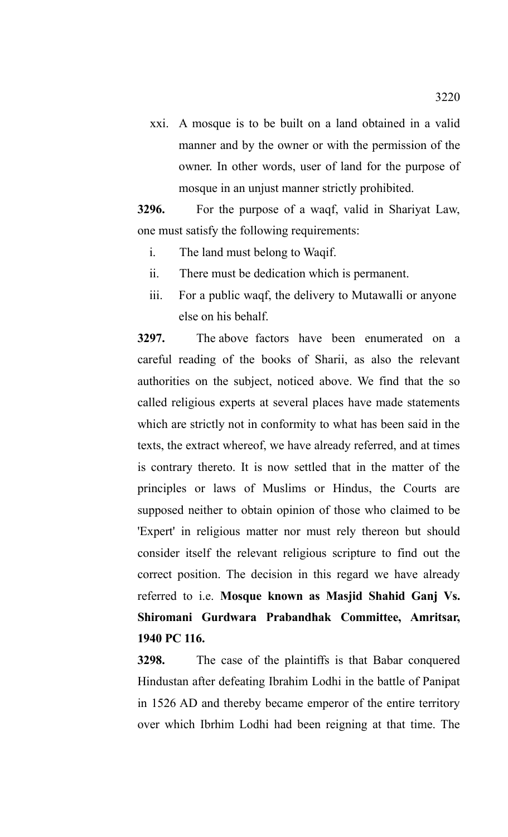xxi. A mosque is to be built on a land obtained in a valid manner and by the owner or with the permission of the owner. In other words, user of land for the purpose of mosque in an unjust manner strictly prohibited.

**3296.** For the purpose of a waqf, valid in Shariyat Law, one must satisfy the following requirements:

- i. The land must belong to Waqif.
- ii. There must be dedication which is permanent.
- iii. For a public waqf, the delivery to Mutawalli or anyone else on his behalf.

**3297.** The above factors have been enumerated on a careful reading of the books of Sharii, as also the relevant authorities on the subject, noticed above. We find that the so called religious experts at several places have made statements which are strictly not in conformity to what has been said in the texts, the extract whereof, we have already referred, and at times is contrary thereto. It is now settled that in the matter of the principles or laws of Muslims or Hindus, the Courts are supposed neither to obtain opinion of those who claimed to be 'Expert' in religious matter nor must rely thereon but should consider itself the relevant religious scripture to find out the correct position. The decision in this regard we have already referred to i.e. **Mosque known as Masjid Shahid Ganj Vs. Shiromani Gurdwara Prabandhak Committee, Amritsar, 1940 PC 116.**

**3298.** The case of the plaintiffs is that Babar conquered Hindustan after defeating Ibrahim Lodhi in the battle of Panipat in 1526 AD and thereby became emperor of the entire territory over which Ibrhim Lodhi had been reigning at that time. The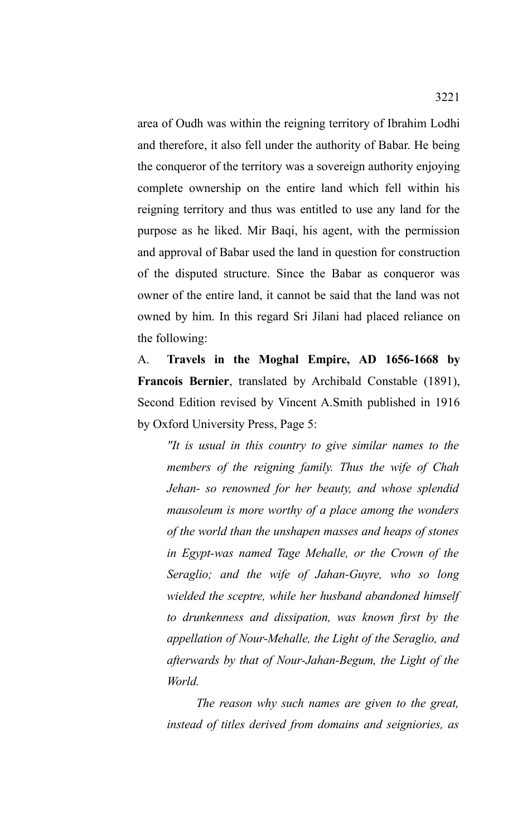area of Oudh was within the reigning territory of Ibrahim Lodhi and therefore, it also fell under the authority of Babar. He being the conqueror of the territory was a sovereign authority enjoying complete ownership on the entire land which fell within his reigning territory and thus was entitled to use any land for the purpose as he liked. Mir Baqi, his agent, with the permission and approval of Babar used the land in question for construction of the disputed structure. Since the Babar as conqueror was owner of the entire land, it cannot be said that the land was not owned by him. In this regard Sri Jilani had placed reliance on the following:

A. **Travels in the Moghal Empire, AD 1656-1668 by Francois Bernier**, translated by Archibald Constable (1891), Second Edition revised by Vincent A.Smith published in 1916 by Oxford University Press, Page 5:

*"It is usual in this country to give similar names to the members of the reigning family. Thus the wife of Chah Jehan- so renowned for her beauty, and whose splendid mausoleum is more worthy of a place among the wonders of the world than the unshapen masses and heaps of stones in Egypt-was named Tage Mehalle, or the Crown of the Seraglio; and the wife of Jahan-Guyre, who so long wielded the sceptre, while her husband abandoned himself to drunkenness and dissipation, was known first by the appellation of Nour-Mehalle, the Light of the Seraglio, and afterwards by that of Nour-Jahan-Begum, the Light of the World.*

*The reason why such names are given to the great, instead of titles derived from domains and seigniories, as*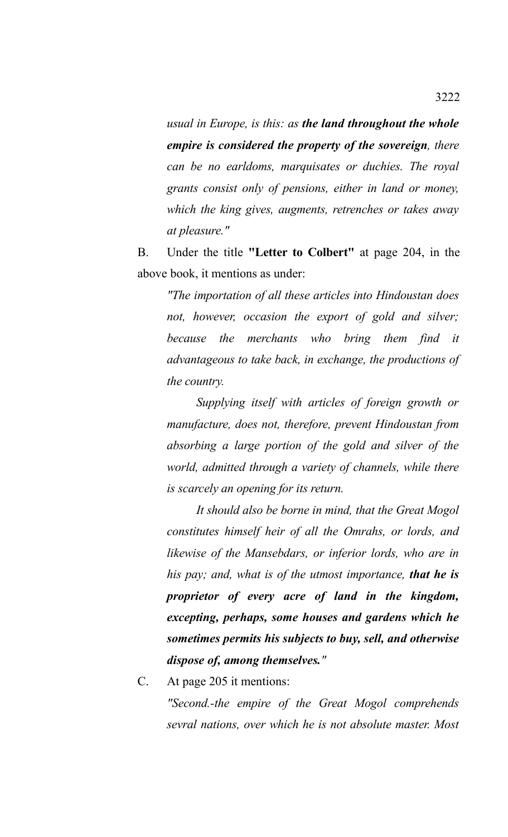*usual in Europe, is this: as the land throughout the whole empire is considered the property of the sovereign, there can be no earldoms, marquisates or duchies. The royal grants consist only of pensions, either in land or money, which the king gives, augments, retrenches or takes away at pleasure."*

B. Under the title **"Letter to Colbert"** at page 204, in the above book, it mentions as under:

*"The importation of all these articles into Hindoustan does not, however, occasion the export of gold and silver; because the merchants who bring them find it advantageous to take back, in exchange, the productions of the country.*

*Supplying itself with articles of foreign growth or manufacture, does not, therefore, prevent Hindoustan from absorbing a large portion of the gold and silver of the world, admitted through a variety of channels, while there is scarcely an opening for its return.*

*It should also be borne in mind, that the Great Mogol constitutes himself heir of all the Omrahs, or lords, and likewise of the Mansebdars, or inferior lords, who are in his pay; and, what is of the utmost importance, that he is proprietor of every acre of land in the kingdom, excepting, perhaps, some houses and gardens which he sometimes permits his subjects to buy, sell, and otherwise dispose of, among themselves."*

C. At page 205 it mentions:

*"Second.-the empire of the Great Mogol comprehends sevral nations, over which he is not absolute master. Most*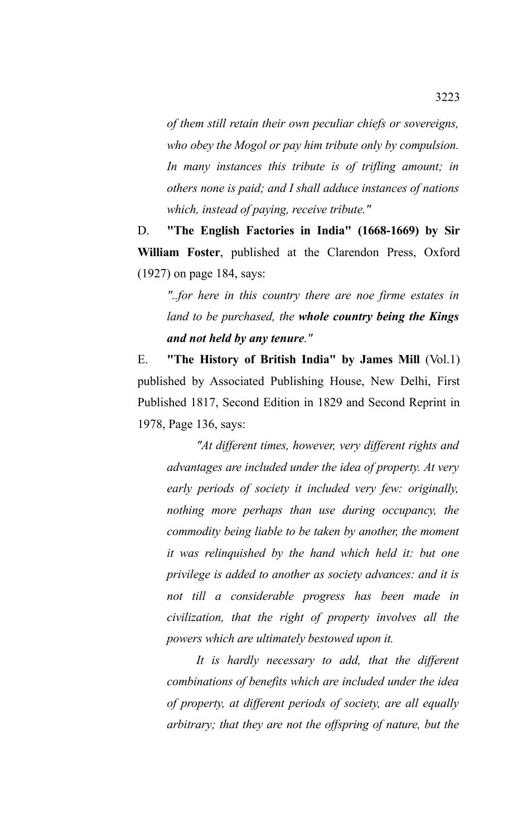*of them still retain their own peculiar chiefs or sovereigns, who obey the Mogol or pay him tribute only by compulsion. In many instances this tribute is of trifling amount; in others none is paid; and I shall adduce instances of nations which, instead of paying, receive tribute."*

D. **"The English Factories in India" (1668-1669) by Sir William Foster**, published at the Clarendon Press, Oxford (1927) on page 184, says:

*"..for here in this country there are noe firme estates in land to be purchased, the whole country being the Kings and not held by any tenure."*

E. **"The History of British India" by James Mill** (Vol.1) published by Associated Publishing House, New Delhi, First Published 1817, Second Edition in 1829 and Second Reprint in 1978, Page 136, says:

*"At different times, however, very different rights and advantages are included under the idea of property. At very early periods of society it included very few: originally, nothing more perhaps than use during occupancy, the commodity being liable to be taken by another, the moment it was relinquished by the hand which held it: but one privilege is added to another as society advances: and it is not till a considerable progress has been made in civilization, that the right of property involves all the powers which are ultimately bestowed upon it.*

*It is hardly necessary to add, that the different combinations of benefits which are included under the idea of property, at different periods of society, are all equally arbitrary; that they are not the offspring of nature, but the*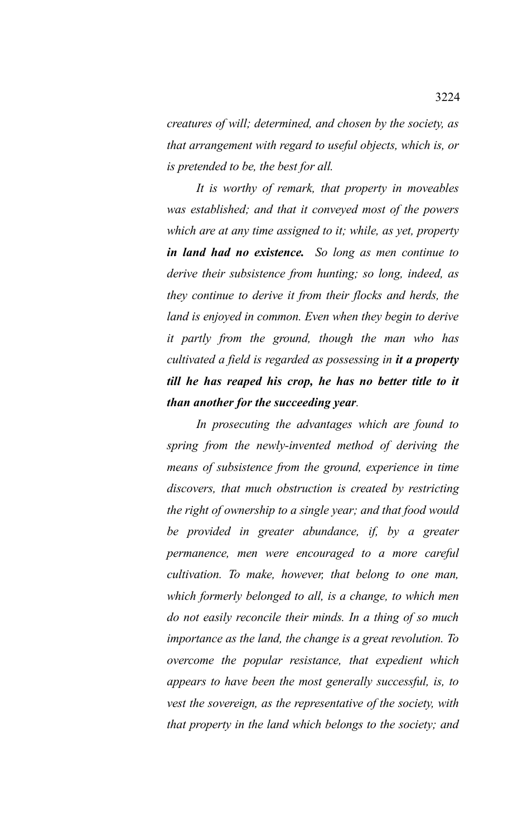*creatures of will; determined, and chosen by the society, as that arrangement with regard to useful objects, which is, or is pretended to be, the best for all.*

*It is worthy of remark, that property in moveables was established; and that it conveyed most of the powers which are at any time assigned to it; while, as yet, property in land had no existence. So long as men continue to derive their subsistence from hunting; so long, indeed, as they continue to derive it from their flocks and herds, the land is enjoyed in common. Even when they begin to derive it partly from the ground, though the man who has cultivated a field is regarded as possessing in it a property till he has reaped his crop, he has no better title to it than another for the succeeding year.*

*In prosecuting the advantages which are found to spring from the newly-invented method of deriving the means of subsistence from the ground, experience in time discovers, that much obstruction is created by restricting the right of ownership to a single year; and that food would be provided in greater abundance, if, by a greater permanence, men were encouraged to a more careful cultivation. To make, however, that belong to one man, which formerly belonged to all, is a change, to which men do not easily reconcile their minds. In a thing of so much importance as the land, the change is a great revolution. To overcome the popular resistance, that expedient which appears to have been the most generally successful, is, to vest the sovereign, as the representative of the society, with that property in the land which belongs to the society; and*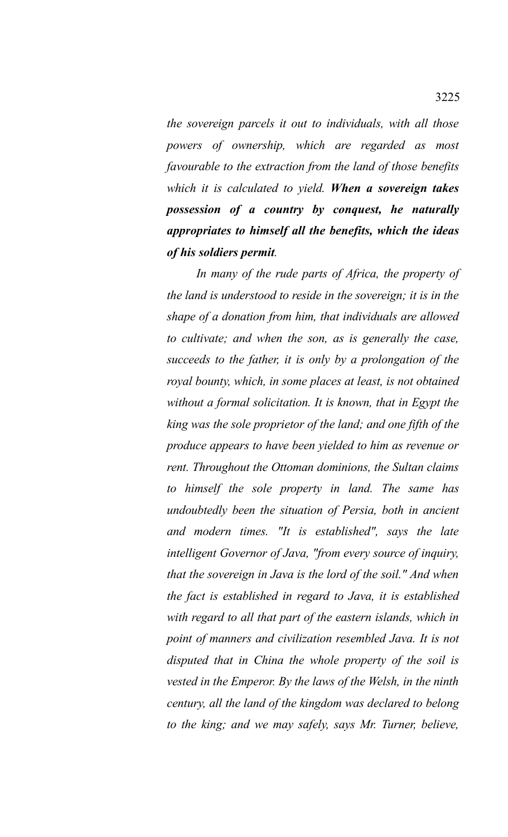*the sovereign parcels it out to individuals, with all those powers of ownership, which are regarded as most favourable to the extraction from the land of those benefits which it is calculated to yield. When a sovereign takes possession of a country by conquest, he naturally appropriates to himself all the benefits, which the ideas of his soldiers permit.*

*In many of the rude parts of Africa, the property of the land is understood to reside in the sovereign; it is in the shape of a donation from him, that individuals are allowed to cultivate; and when the son, as is generally the case, succeeds to the father, it is only by a prolongation of the royal bounty, which, in some places at least, is not obtained without a formal solicitation. It is known, that in Egypt the king was the sole proprietor of the land; and one fifth of the produce appears to have been yielded to him as revenue or rent. Throughout the Ottoman dominions, the Sultan claims to himself the sole property in land. The same has undoubtedly been the situation of Persia, both in ancient and modern times. "It is established", says the late intelligent Governor of Java, "from every source of inquiry, that the sovereign in Java is the lord of the soil." And when the fact is established in regard to Java, it is established with regard to all that part of the eastern islands, which in point of manners and civilization resembled Java. It is not disputed that in China the whole property of the soil is vested in the Emperor. By the laws of the Welsh, in the ninth century, all the land of the kingdom was declared to belong to the king; and we may safely, says Mr. Turner, believe,*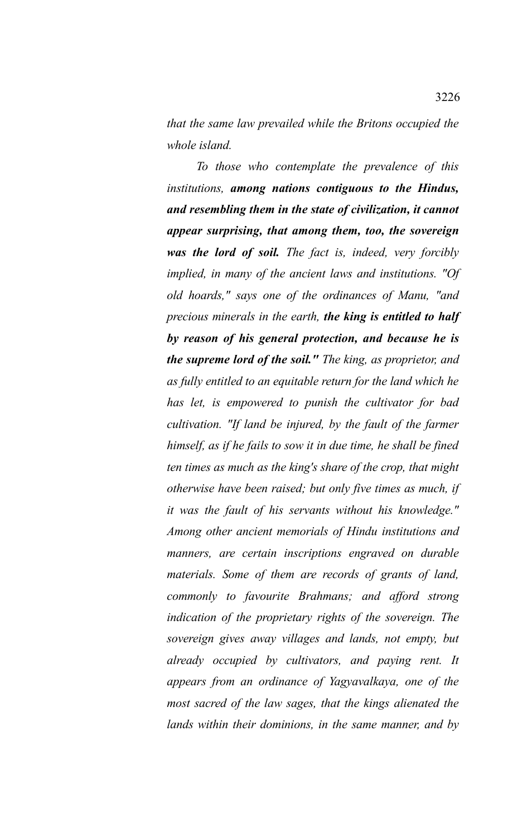*that the same law prevailed while the Britons occupied the whole island.*

*To those who contemplate the prevalence of this institutions, among nations contiguous to the Hindus, and resembling them in the state of civilization, it cannot appear surprising, that among them, too, the sovereign was the lord of soil. The fact is, indeed, very forcibly implied, in many of the ancient laws and institutions. "Of old hoards," says one of the ordinances of Manu, "and precious minerals in the earth, the king is entitled to half by reason of his general protection, and because he is the supreme lord of the soil." The king, as proprietor, and as fully entitled to an equitable return for the land which he has let, is empowered to punish the cultivator for bad cultivation. "If land be injured, by the fault of the farmer himself, as if he fails to sow it in due time, he shall be fined ten times as much as the king's share of the crop, that might otherwise have been raised; but only five times as much, if it was the fault of his servants without his knowledge." Among other ancient memorials of Hindu institutions and manners, are certain inscriptions engraved on durable materials. Some of them are records of grants of land, commonly to favourite Brahmans; and afford strong indication of the proprietary rights of the sovereign. The sovereign gives away villages and lands, not empty, but already occupied by cultivators, and paying rent. It appears from an ordinance of Yagyavalkaya, one of the most sacred of the law sages, that the kings alienated the lands within their dominions, in the same manner, and by*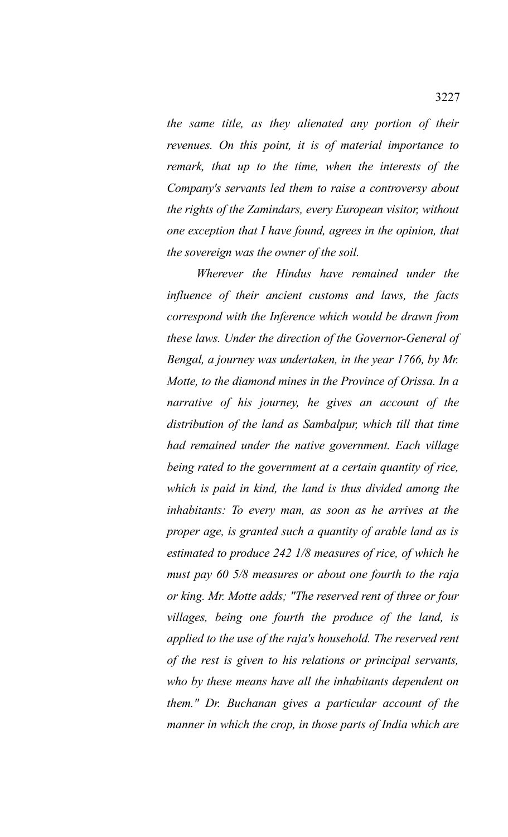*the same title, as they alienated any portion of their revenues. On this point, it is of material importance to remark, that up to the time, when the interests of the Company's servants led them to raise a controversy about the rights of the Zamindars, every European visitor, without one exception that I have found, agrees in the opinion, that the sovereign was the owner of the soil.*

*Wherever the Hindus have remained under the influence of their ancient customs and laws, the facts correspond with the Inference which would be drawn from these laws. Under the direction of the Governor-General of Bengal, a journey was undertaken, in the year 1766, by Mr. Motte, to the diamond mines in the Province of Orissa. In a narrative of his journey, he gives an account of the distribution of the land as Sambalpur, which till that time had remained under the native government. Each village being rated to the government at a certain quantity of rice, which is paid in kind, the land is thus divided among the inhabitants: To every man, as soon as he arrives at the proper age, is granted such a quantity of arable land as is estimated to produce 242 1/8 measures of rice, of which he must pay 60 5/8 measures or about one fourth to the raja or king. Mr. Motte adds; "The reserved rent of three or four villages, being one fourth the produce of the land, is applied to the use of the raja's household. The reserved rent of the rest is given to his relations or principal servants, who by these means have all the inhabitants dependent on them." Dr. Buchanan gives a particular account of the manner in which the crop, in those parts of India which are*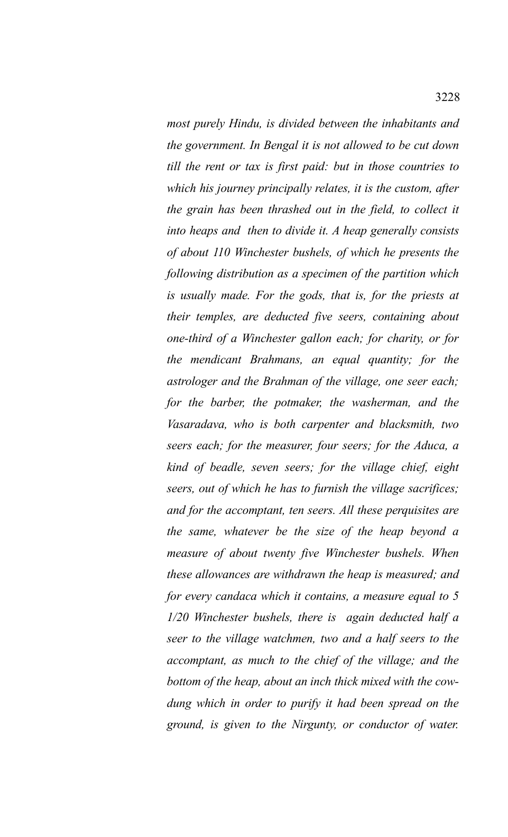*most purely Hindu, is divided between the inhabitants and the government. In Bengal it is not allowed to be cut down till the rent or tax is first paid: but in those countries to which his journey principally relates, it is the custom, after the grain has been thrashed out in the field, to collect it into heaps and then to divide it. A heap generally consists of about 110 Winchester bushels, of which he presents the following distribution as a specimen of the partition which is usually made. For the gods, that is, for the priests at their temples, are deducted five seers, containing about one-third of a Winchester gallon each; for charity, or for the mendicant Brahmans, an equal quantity; for the astrologer and the Brahman of the village, one seer each; for the barber, the potmaker, the washerman, and the Vasaradava, who is both carpenter and blacksmith, two seers each; for the measurer, four seers; for the Aduca, a kind of beadle, seven seers; for the village chief, eight seers, out of which he has to furnish the village sacrifices; and for the accomptant, ten seers. All these perquisites are the same, whatever be the size of the heap beyond a measure of about twenty five Winchester bushels. When these allowances are withdrawn the heap is measured; and for every candaca which it contains, a measure equal to 5 1/20 Winchester bushels, there is again deducted half a seer to the village watchmen, two and a half seers to the accomptant, as much to the chief of the village; and the bottom of the heap, about an inch thick mixed with the cowdung which in order to purify it had been spread on the ground, is given to the Nirgunty, or conductor of water.*

3228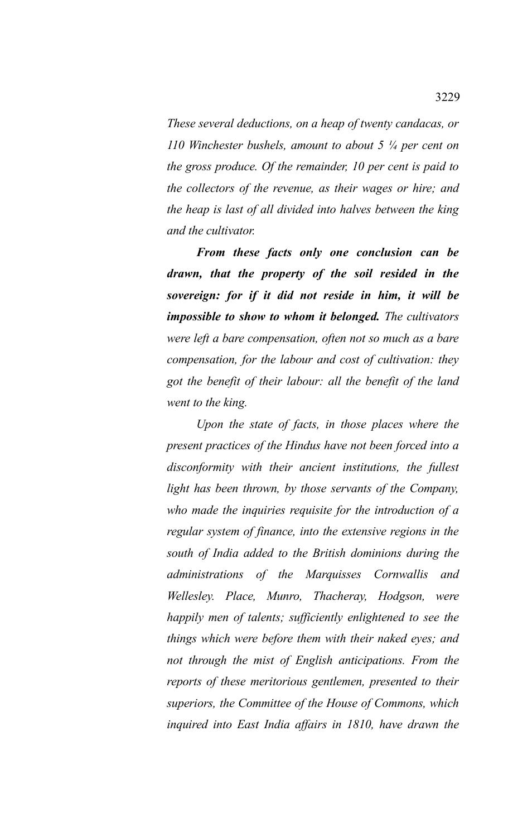*These several deductions, on a heap of twenty candacas, or 110 Winchester bushels, amount to about 5 ¼ per cent on the gross produce. Of the remainder, 10 per cent is paid to the collectors of the revenue, as their wages or hire; and the heap is last of all divided into halves between the king and the cultivator.*

*From these facts only one conclusion can be drawn, that the property of the soil resided in the sovereign: for if it did not reside in him, it will be impossible to show to whom it belonged. The cultivators were left a bare compensation, often not so much as a bare compensation, for the labour and cost of cultivation: they got the benefit of their labour: all the benefit of the land went to the king.*

*Upon the state of facts, in those places where the present practices of the Hindus have not been forced into a disconformity with their ancient institutions, the fullest light has been thrown, by those servants of the Company, who made the inquiries requisite for the introduction of a regular system of finance, into the extensive regions in the south of India added to the British dominions during the administrations of the Marquisses Cornwallis and Wellesley. Place, Munro, Thacheray, Hodgson, were happily men of talents; sufficiently enlightened to see the things which were before them with their naked eyes; and not through the mist of English anticipations. From the reports of these meritorious gentlemen, presented to their superiors, the Committee of the House of Commons, which inquired into East India affairs in 1810, have drawn the*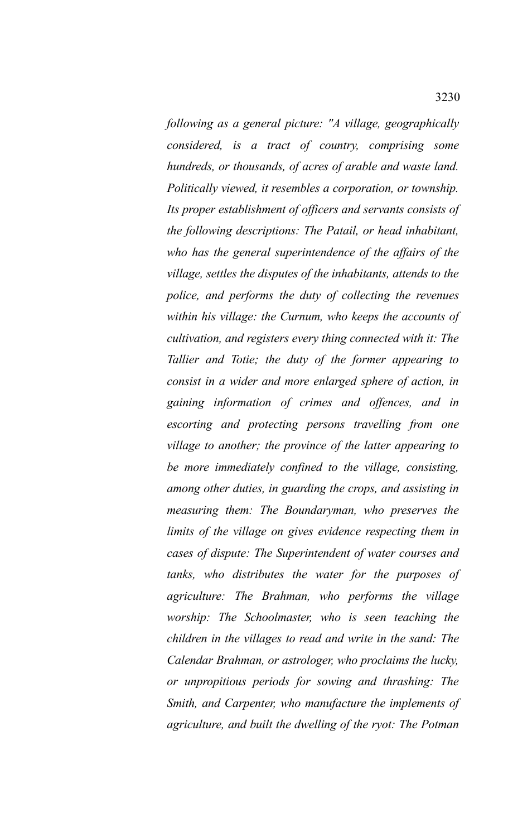*following as a general picture: "A village, geographically considered, is a tract of country, comprising some hundreds, or thousands, of acres of arable and waste land. Politically viewed, it resembles a corporation, or township. Its proper establishment of officers and servants consists of the following descriptions: The Patail, or head inhabitant, who has the general superintendence of the affairs of the village, settles the disputes of the inhabitants, attends to the police, and performs the duty of collecting the revenues within his village: the Curnum, who keeps the accounts of cultivation, and registers every thing connected with it: The Tallier and Totie; the duty of the former appearing to consist in a wider and more enlarged sphere of action, in gaining information of crimes and offences, and in escorting and protecting persons travelling from one village to another; the province of the latter appearing to be more immediately confined to the village, consisting, among other duties, in guarding the crops, and assisting in measuring them: The Boundaryman, who preserves the limits of the village on gives evidence respecting them in cases of dispute: The Superintendent of water courses and tanks, who distributes the water for the purposes of agriculture: The Brahman, who performs the village worship: The Schoolmaster, who is seen teaching the children in the villages to read and write in the sand: The Calendar Brahman, or astrologer, who proclaims the lucky, or unpropitious periods for sowing and thrashing: The Smith, and Carpenter, who manufacture the implements of agriculture, and built the dwelling of the ryot: The Potman*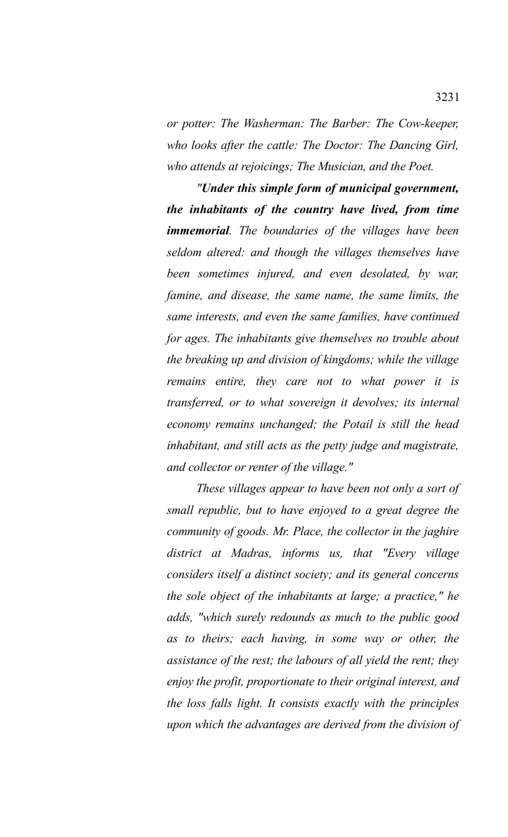*or potter: The Washerman: The Barber: The Cow-keeper, who looks after the cattle: The Doctor: The Dancing Girl, who attends at rejoicings; The Musician, and the Poet.*

*"Under this simple form of municipal government, the inhabitants of the country have lived, from time immemorial. The boundaries of the villages have been seldom altered: and though the villages themselves have been sometimes injured, and even desolated, by war, famine, and disease, the same name, the same limits, the same interests, and even the same families, have continued for ages. The inhabitants give themselves no trouble about the breaking up and division of kingdoms; while the village remains entire, they care not to what power it is transferred, or to what sovereign it devolves; its internal economy remains unchanged; the Potail is still the head inhabitant, and still acts as the petty judge and magistrate, and collector or renter of the village."*

*These villages appear to have been not only a sort of small republic, but to have enjoyed to a great degree the community of goods. Mr. Place, the collector in the jaghire district at Madras, informs us, that "Every village considers itself a distinct society; and its general concerns the sole object of the inhabitants at large; a practice," he adds, "which surely redounds as much to the public good as to theirs; each having, in some way or other, the assistance of the rest; the labours of all yield the rent; they enjoy the profit, proportionate to their original interest, and the loss falls light. It consists exactly with the principles upon which the advantages are derived from the division of*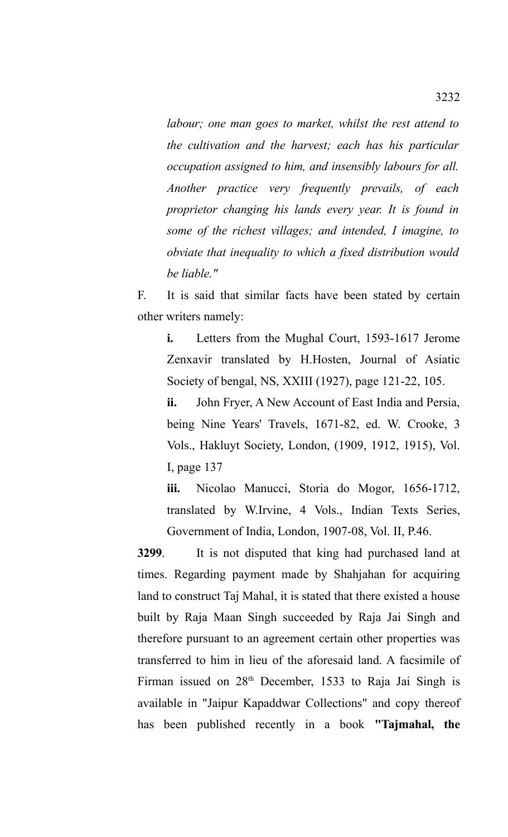*labour; one man goes to market, whilst the rest attend to the cultivation and the harvest; each has his particular occupation assigned to him, and insensibly labours for all. Another practice very frequently prevails, of each proprietor changing his lands every year. It is found in some of the richest villages; and intended, I imagine, to obviate that inequality to which a fixed distribution would be liable."*

F. It is said that similar facts have been stated by certain other writers namely:

**i.** Letters from the Mughal Court, 1593-1617 Jerome Zenxavir translated by H.Hosten, Journal of Asiatic Society of bengal, NS, XXIII (1927), page 121-22, 105.

**ii.** John Fryer, A New Account of East India and Persia, being Nine Years' Travels, 1671-82, ed. W. Crooke, 3 Vols., Hakluyt Society, London, (1909, 1912, 1915), Vol. I, page 137

**iii.** Nicolao Manucci, Storia do Mogor, 1656-1712, translated by W.Irvine, 4 Vols., Indian Texts Series, Government of India, London, 1907-08, Vol. II, P.46.

**3299**. It is not disputed that king had purchased land at times. Regarding payment made by Shahjahan for acquiring land to construct Taj Mahal, it is stated that there existed a house built by Raja Maan Singh succeeded by Raja Jai Singh and therefore pursuant to an agreement certain other properties was transferred to him in lieu of the aforesaid land. A facsimile of Firman issued on 28<sup>th</sup> December, 1533 to Raja Jai Singh is available in "Jaipur Kapaddwar Collections" and copy thereof has been published recently in a book **"Tajmahal, the**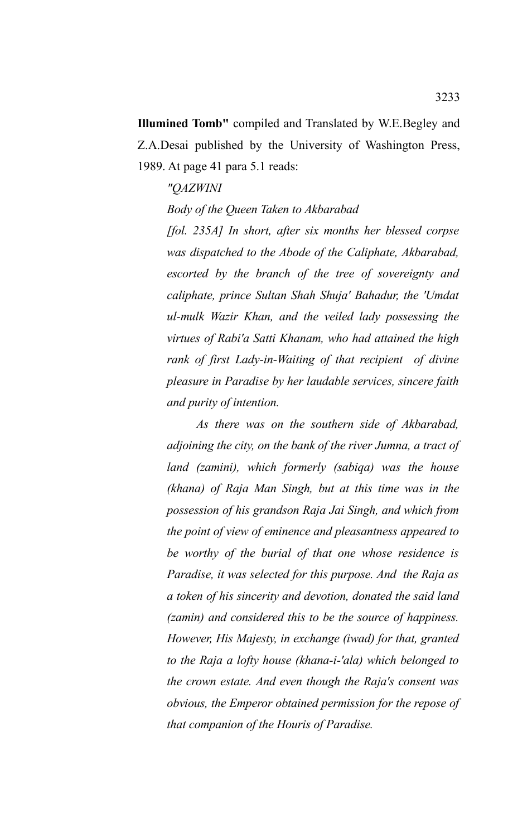**Illumined Tomb"** compiled and Translated by W.E.Begley and Z.A.Desai published by the University of Washington Press, 1989. At page 41 para 5.1 reads:

## *"QAZWINI*

*Body of the Queen Taken to Akbarabad*

*[fol. 235A] In short, after six months her blessed corpse was dispatched to the Abode of the Caliphate, Akbarabad, escorted by the branch of the tree of sovereignty and caliphate, prince Sultan Shah Shuja' Bahadur, the 'Umdat ul-mulk Wazir Khan, and the veiled lady possessing the virtues of Rabi'a Satti Khanam, who had attained the high rank of first Lady-in-Waiting of that recipient of divine pleasure in Paradise by her laudable services, sincere faith and purity of intention.*

*As there was on the southern side of Akbarabad, adjoining the city, on the bank of the river Jumna, a tract of land (zamini), which formerly (sabiqa) was the house (khana) of Raja Man Singh, but at this time was in the possession of his grandson Raja Jai Singh, and which from the point of view of eminence and pleasantness appeared to be worthy of the burial of that one whose residence is Paradise, it was selected for this purpose. And the Raja as a token of his sincerity and devotion, donated the said land (zamin) and considered this to be the source of happiness. However, His Majesty, in exchange (iwad) for that, granted to the Raja a lofty house (khana-i-'ala) which belonged to the crown estate. And even though the Raja's consent was obvious, the Emperor obtained permission for the repose of that companion of the Houris of Paradise.*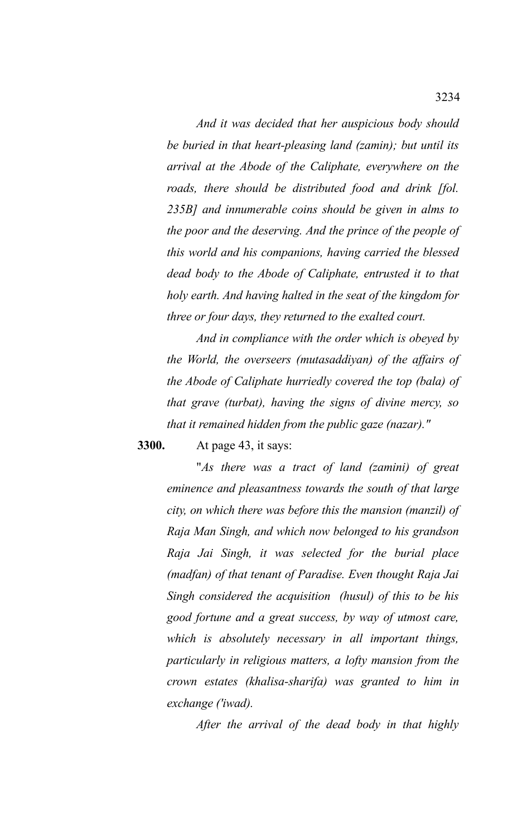*And it was decided that her auspicious body should be buried in that heart-pleasing land (zamin); but until its arrival at the Abode of the Caliphate, everywhere on the roads, there should be distributed food and drink [fol. 235B] and innumerable coins should be given in alms to the poor and the deserving. And the prince of the people of this world and his companions, having carried the blessed dead body to the Abode of Caliphate, entrusted it to that holy earth. And having halted in the seat of the kingdom for three or four days, they returned to the exalted court.*

*And in compliance with the order which is obeyed by the World, the overseers (mutasaddiyan) of the affairs of the Abode of Caliphate hurriedly covered the top (bala) of that grave (turbat), having the signs of divine mercy, so that it remained hidden from the public gaze (nazar)."*

**3300.** At page 43, it says:

"*As there was a tract of land (zamini) of great eminence and pleasantness towards the south of that large city, on which there was before this the mansion (manzil) of Raja Man Singh, and which now belonged to his grandson Raja Jai Singh, it was selected for the burial place (madfan) of that tenant of Paradise. Even thought Raja Jai Singh considered the acquisition (husul) of this to be his good fortune and a great success, by way of utmost care, which is absolutely necessary in all important things, particularly in religious matters, a lofty mansion from the crown estates (khalisa-sharifa) was granted to him in exchange ('iwad).*

*After the arrival of the dead body in that highly*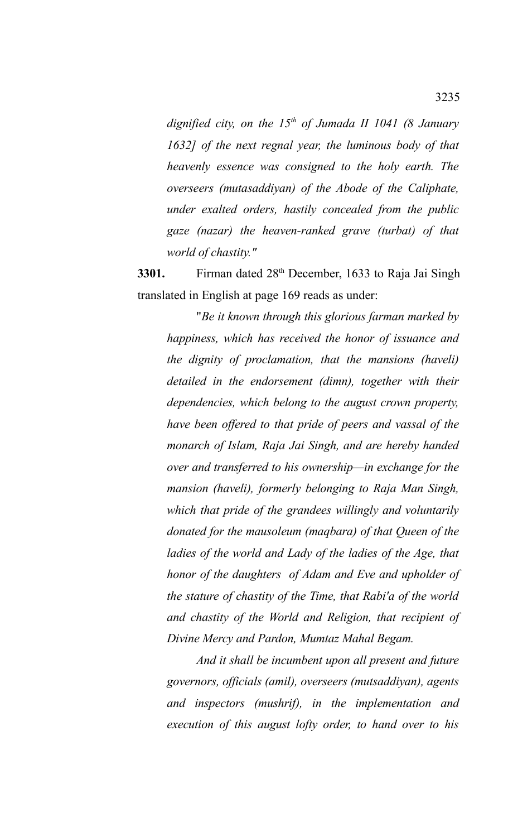*dignified city, on the 15th of Jumada II 1041 (8 January 1632] of the next regnal year, the luminous body of that heavenly essence was consigned to the holy earth. The overseers (mutasaddiyan) of the Abode of the Caliphate, under exalted orders, hastily concealed from the public gaze (nazar) the heaven-ranked grave (turbat) of that world of chastity."*

**3301.** Firman dated 28<sup>th</sup> December, 1633 to Raja Jai Singh translated in English at page 169 reads as under:

"*Be it known through this glorious farman marked by happiness, which has received the honor of issuance and the dignity of proclamation, that the mansions (haveli) detailed in the endorsement (dimn), together with their dependencies, which belong to the august crown property, have been offered to that pride of peers and vassal of the monarch of Islam, Raja Jai Singh, and are hereby handed over and transferred to his ownership—in exchange for the mansion (haveli), formerly belonging to Raja Man Singh, which that pride of the grandees willingly and voluntarily donated for the mausoleum (maqbara) of that Queen of the ladies of the world and Lady of the ladies of the Age, that honor of the daughters of Adam and Eve and upholder of the stature of chastity of the Time, that Rabi'a of the world and chastity of the World and Religion, that recipient of Divine Mercy and Pardon, Mumtaz Mahal Begam.*

*And it shall be incumbent upon all present and future governors, officials (amil), overseers (mutsaddiyan), agents and inspectors (mushrif), in the implementation and execution of this august lofty order, to hand over to his*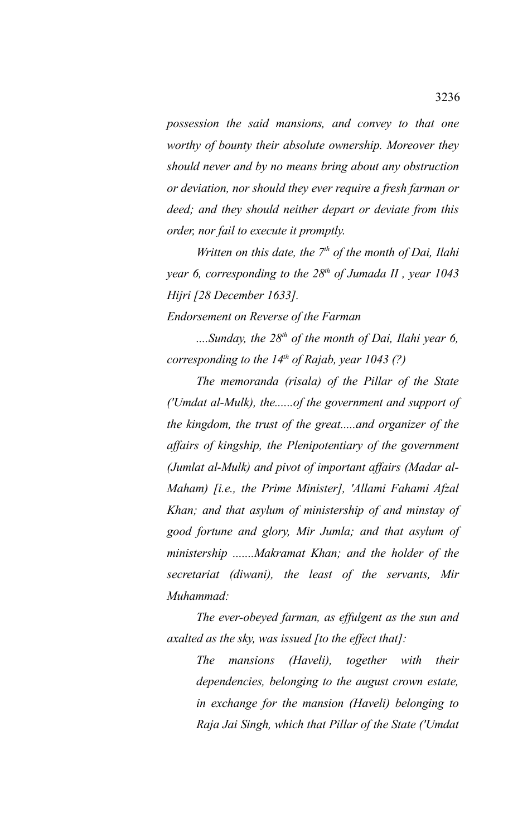*possession the said mansions, and convey to that one worthy of bounty their absolute ownership. Moreover they should never and by no means bring about any obstruction or deviation, nor should they ever require a fresh farman or deed; and they should neither depart or deviate from this order, nor fail to execute it promptly.*

*Written on this date, the 7th of the month of Dai, Ilahi year 6, corresponding to the 28th of Jumada II , year 1043 Hijri [28 December 1633].*

*Endorsement on Reverse of the Farman*

*....Sunday, the 28th of the month of Dai, Ilahi year 6, corresponding to the 14th of Rajab, year 1043 (?)*

*The memoranda (risala) of the Pillar of the State ('Umdat al-Mulk), the......of the government and support of the kingdom, the trust of the great.....and organizer of the affairs of kingship, the Plenipotentiary of the government (Jumlat al-Mulk) and pivot of important affairs (Madar al-Maham) [i.e., the Prime Minister], 'Allami Fahami Afzal Khan; and that asylum of ministership of and minstay of good fortune and glory, Mir Jumla; and that asylum of ministership .......Makramat Khan; and the holder of the secretariat (diwani), the least of the servants, Mir Muhammad:* 

*The ever-obeyed farman, as effulgent as the sun and axalted as the sky, was issued [to the effect that]:*

> *The mansions (Haveli), together with their dependencies, belonging to the august crown estate, in exchange for the mansion (Haveli) belonging to Raja Jai Singh, which that Pillar of the State ('Umdat*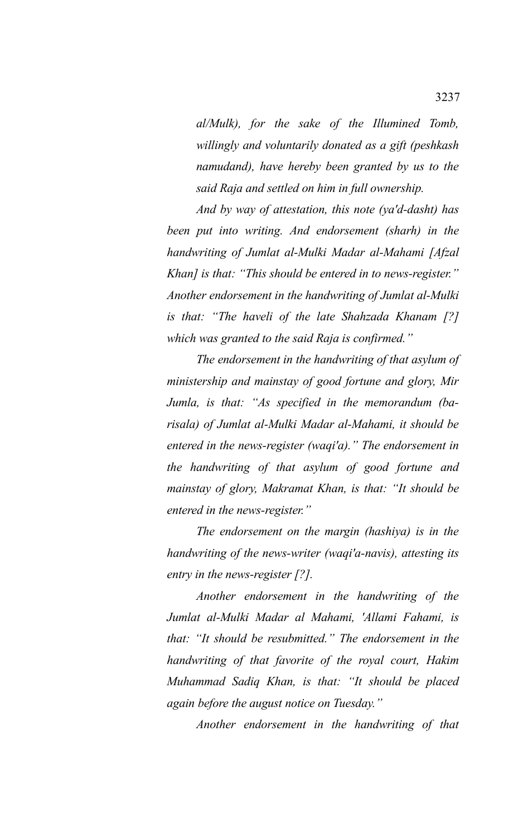*al/Mulk), for the sake of the Illumined Tomb, willingly and voluntarily donated as a gift (peshkash namudand), have hereby been granted by us to the said Raja and settled on him in full ownership.*

*And by way of attestation, this note (ya'd-dasht) has been put into writing. And endorsement (sharh) in the handwriting of Jumlat al-Mulki Madar al-Mahami [Afzal Khan] is that: "This should be entered in to news-register." Another endorsement in the handwriting of Jumlat al-Mulki is that: "The haveli of the late Shahzada Khanam [?] which was granted to the said Raja is confirmed."*

*The endorsement in the handwriting of that asylum of ministership and mainstay of good fortune and glory, Mir Jumla, is that: "As specified in the memorandum (barisala) of Jumlat al-Mulki Madar al-Mahami, it should be entered in the news-register (waqi'a)." The endorsement in the handwriting of that asylum of good fortune and mainstay of glory, Makramat Khan, is that: "It should be entered in the news-register."*

*The endorsement on the margin (hashiya) is in the handwriting of the news-writer (waqi'a-navis), attesting its entry in the news-register [?].*

*Another endorsement in the handwriting of the Jumlat al-Mulki Madar al Mahami, 'Allami Fahami, is that: "It should be resubmitted." The endorsement in the handwriting of that favorite of the royal court, Hakim Muhammad Sadiq Khan, is that: "It should be placed again before the august notice on Tuesday."*

*Another endorsement in the handwriting of that*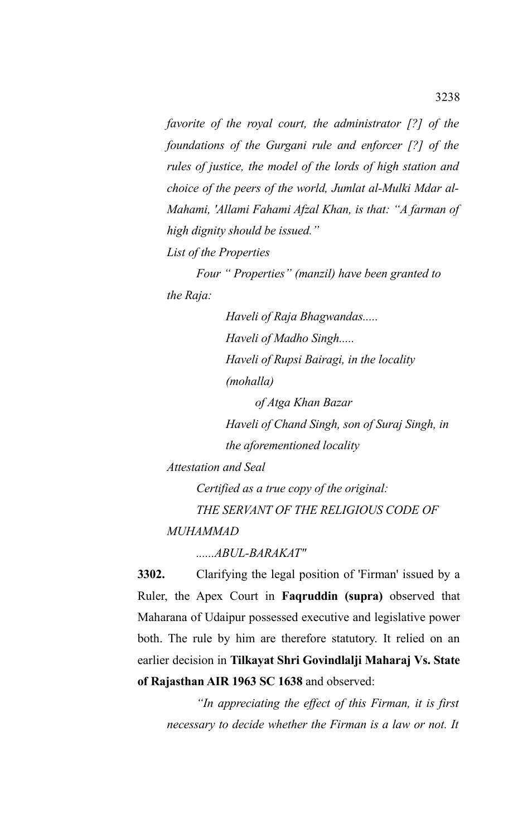*favorite of the royal court, the administrator [?] of the foundations of the Gurgani rule and enforcer [?] of the rules of justice, the model of the lords of high station and choice of the peers of the world, Jumlat al-Mulki Mdar al-Mahami, 'Allami Fahami Afzal Khan, is that: "A farman of high dignity should be issued."*

*List of the Properties*

*Four " Properties" (manzil) have been granted to the Raja:*

> *Haveli of Raja Bhagwandas..... Haveli of Madho Singh..... Haveli of Rupsi Bairagi, in the locality (mohalla)*

*of Atga Khan Bazar Haveli of Chand Singh, son of Suraj Singh, in the aforementioned locality*

*Attestation and Seal*

*Certified as a true copy of the original: THE SERVANT OF THE RELIGIOUS CODE OF*

*MUHAMMAD*

*......ABUL-BARAKAT"*

**3302.** Clarifying the legal position of 'Firman' issued by a Ruler, the Apex Court in **Faqruddin (supra)** observed that Maharana of Udaipur possessed executive and legislative power both. The rule by him are therefore statutory. It relied on an earlier decision in **Tilkayat Shri Govindlalji Maharaj Vs. State of Rajasthan AIR 1963 SC 1638** and observed:

*"In appreciating the effect of this Firman, it is first necessary to decide whether the Firman is a law or not. It*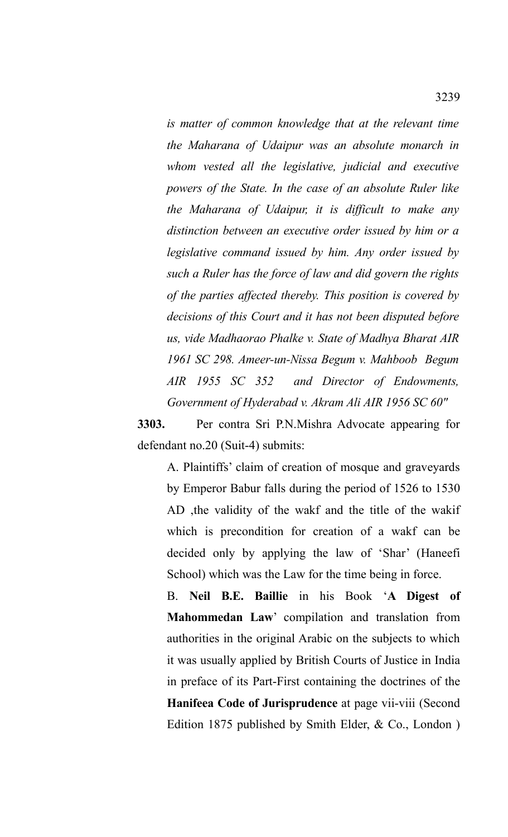*is matter of common knowledge that at the relevant time the Maharana of Udaipur was an absolute monarch in whom vested all the legislative, judicial and executive powers of the State. In the case of an absolute Ruler like the Maharana of Udaipur, it is difficult to make any distinction between an executive order issued by him or a legislative command issued by him. Any order issued by such a Ruler has the force of law and did govern the rights of the parties affected thereby. This position is covered by decisions of this Court and it has not been disputed before us, vide Madhaorao Phalke v. [State of Madhya Bharat AIR](javascript:fnOpenGlobalPopUp() [1961 SC 298.](javascript:fnOpenGlobalPopUp() Ameer-un-Nissa Begum v. Mahboob Begum AIR 1955 SC 352 and Director of Endowments, Government of Hyderabad v. Akram Ali AIR 1956 SC 60"*

**3303.** Per contra Sri P.N.Mishra Advocate appearing for defendant no.20 (Suit-4) submits:

A. Plaintiffs' claim of creation of mosque and graveyards by Emperor Babur falls during the period of 1526 to 1530 AD ,the validity of the wakf and the title of the wakif which is precondition for creation of a wakf can be decided only by applying the law of 'Shar' (Haneefi School) which was the Law for the time being in force.

B. **Neil B.E. Baillie** in his Book '**A Digest of Mahommedan Law**' compilation and translation from authorities in the original Arabic on the subjects to which it was usually applied by British Courts of Justice in India in preface of its Part-First containing the doctrines of the **Hanifeea Code of Jurisprudence** at page vii-viii (Second Edition 1875 published by Smith Elder, & Co., London )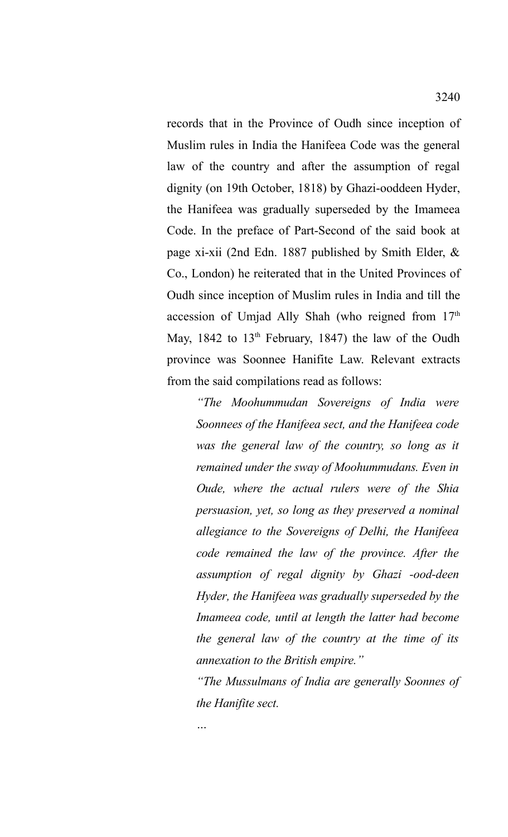records that in the Province of Oudh since inception of Muslim rules in India the Hanifeea Code was the general law of the country and after the assumption of regal dignity (on 19th October, 1818) by Ghazi-ooddeen Hyder, the Hanifeea was gradually superseded by the Imameea Code. In the preface of Part-Second of the said book at page xi-xii (2nd Edn. 1887 published by Smith Elder, & Co., London) he reiterated that in the United Provinces of Oudh since inception of Muslim rules in India and till the accession of Umjad Ally Shah (who reigned from  $17<sup>th</sup>$ May,  $1842$  to  $13<sup>th</sup>$  February, 1847) the law of the Oudh province was Soonnee Hanifite Law. Relevant extracts from the said compilations read as follows:

*"The Moohummudan Sovereigns of India were Soonnees of the Hanifeea sect, and the Hanifeea code was the general law of the country, so long as it remained under the sway of Moohummudans. Even in Oude, where the actual rulers were of the Shia persuasion, yet, so long as they preserved a nominal allegiance to the Sovereigns of Delhi, the Hanifeea code remained the law of the province. After the assumption of regal dignity by Ghazi -ood-deen Hyder, the Hanifeea was gradually superseded by the Imameea code, until at length the latter had become the general law of the country at the time of its annexation to the British empire."*

*"The Mussulmans of India are generally Soonnes of the Hanifite sect.*

*…*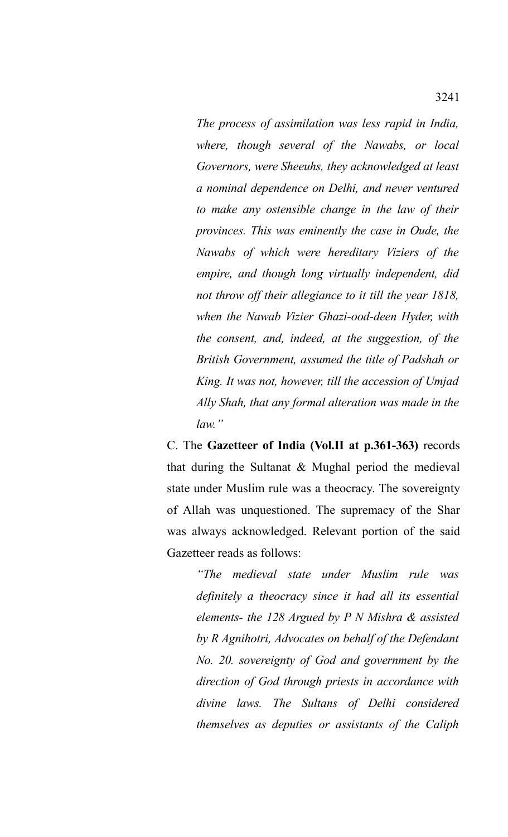*The process of assimilation was less rapid in India, where, though several of the Nawabs, or local Governors, were Sheeuhs, they acknowledged at least a nominal dependence on Delhi, and never ventured to make any ostensible change in the law of their provinces. This was eminently the case in Oude, the Nawabs of which were hereditary Viziers of the empire, and though long virtually independent, did not throw off their allegiance to it till the year 1818, when the Nawab Vizier Ghazi-ood-deen Hyder, with the consent, and, indeed, at the suggestion, of the British Government, assumed the title of Padshah or King. It was not, however, till the accession of Umjad Ally Shah, that any formal alteration was made in the law."*

C. The **Gazetteer of India (Vol.II at p.361-363)** records that during the Sultanat & Mughal period the medieval state under Muslim rule was a theocracy. The sovereignty of Allah was unquestioned. The supremacy of the Shar was always acknowledged. Relevant portion of the said Gazetteer reads as follows:

> *"The medieval state under Muslim rule was definitely a theocracy since it had all its essential elements- the 128 Argued by P N Mishra & assisted by R Agnihotri, Advocates on behalf of the Defendant No. 20. sovereignty of God and government by the direction of God through priests in accordance with divine laws. The Sultans of Delhi considered themselves as deputies or assistants of the Caliph*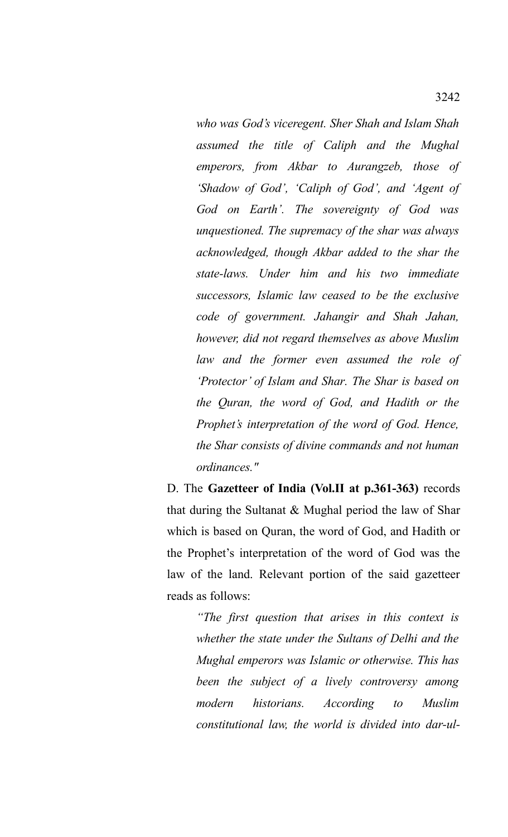*who was God's viceregent. Sher Shah and Islam Shah assumed the title of Caliph and the Mughal emperors, from Akbar to Aurangzeb, those of 'Shadow of God', 'Caliph of God', and 'Agent of God on Earth'. The sovereignty of God was unquestioned. The supremacy of the shar was always acknowledged, though Akbar added to the shar the state-laws. Under him and his two immediate successors, Islamic law ceased to be the exclusive code of government. Jahangir and Shah Jahan, however, did not regard themselves as above Muslim law and the former even assumed the role of 'Protector' of Islam and Shar. The Shar is based on the Quran, the word of God, and Hadith or the Prophet's interpretation of the word of God. Hence, the Shar consists of divine commands and not human ordinances."*

D. The **Gazetteer of India (Vol.II at p.361-363)** records that during the Sultanat & Mughal period the law of Shar which is based on Quran, the word of God, and Hadith or the Prophet's interpretation of the word of God was the law of the land. Relevant portion of the said gazetteer reads as follows:

*"The first question that arises in this context is whether the state under the Sultans of Delhi and the Mughal emperors was Islamic or otherwise. This has been the subject of a lively controversy among modern historians. According to Muslim constitutional law, the world is divided into dar-ul-*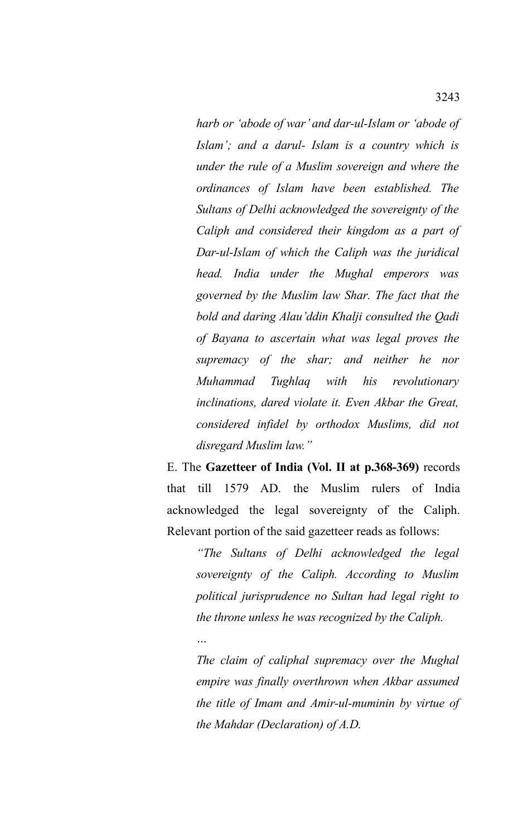*harb or 'abode of war' and dar-ul-Islam or 'abode of Islam'; and a darul- Islam is a country which is under the rule of a Muslim sovereign and where the ordinances of Islam have been established. The Sultans of Delhi acknowledged the sovereignty of the Caliph and considered their kingdom as a part of Dar-ul-Islam of which the Caliph was the juridical head. India under the Mughal emperors was governed by the Muslim law Shar. The fact that the bold and daring Alau'ddin Khalji consulted the Qadi of Bayana to ascertain what was legal proves the supremacy of the shar; and neither he nor Muhammad Tughlaq with his revolutionary inclinations, dared violate it. Even Akbar the Great, considered infidel by orthodox Muslims, did not disregard Muslim law."*

E. The **Gazetteer of India (Vol. II at p.368-369)** records that till 1579 AD. the Muslim rulers of India acknowledged the legal sovereignty of the Caliph. Relevant portion of the said gazetteer reads as follows:

*"The Sultans of Delhi acknowledged the legal sovereignty of the Caliph. According to Muslim political jurisprudence no Sultan had legal right to the throne unless he was recognized by the Caliph.*

*…*

*The claim of caliphal supremacy over the Mughal empire was finally overthrown when Akbar assumed the title of Imam and Amir-ul-muminin by virtue of the Mahdar (Declaration) of A.D.*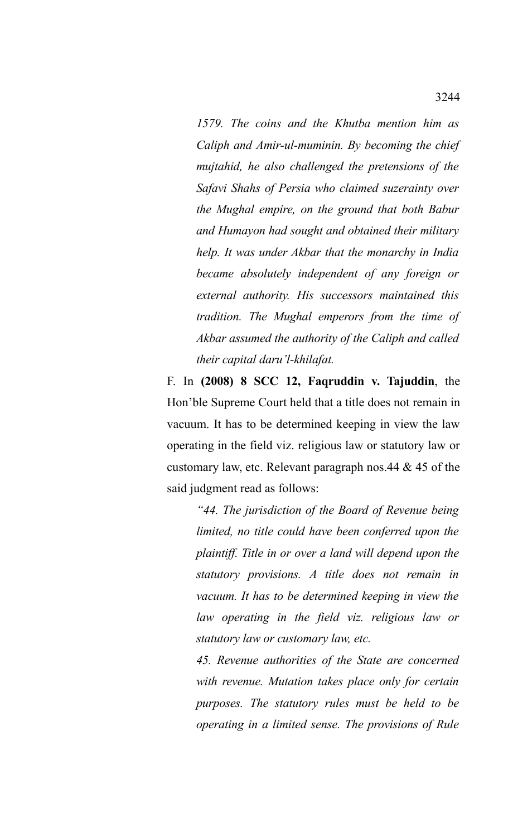*1579. The coins and the Khutba mention him as Caliph and Amir-ul-muminin. By becoming the chief mujtahid, he also challenged the pretensions of the Safavi Shahs of Persia who claimed suzerainty over the Mughal empire, on the ground that both Babur and Humayon had sought and obtained their military help. It was under Akbar that the monarchy in India became absolutely independent of any foreign or external authority. His successors maintained this tradition. The Mughal emperors from the time of Akbar assumed the authority of the Caliph and called their capital daru'l-khilafat.*

F. In **(2008) 8 SCC 12, Faqruddin v. Tajuddin**, the Hon'ble Supreme Court held that a title does not remain in vacuum. It has to be determined keeping in view the law operating in the field viz. religious law or statutory law or customary law, etc. Relevant paragraph nos.44  $&$  45 of the said judgment read as follows:

*"44. The jurisdiction of the Board of Revenue being limited, no title could have been conferred upon the plaintiff. Title in or over a land will depend upon the statutory provisions. A title does not remain in vacuum. It has to be determined keeping in view the law operating in the field viz. religious law or statutory law or customary law, etc.*

*45. Revenue authorities of the State are concerned with revenue. Mutation takes place only for certain purposes. The statutory rules must be held to be operating in a limited sense. The provisions of Rule*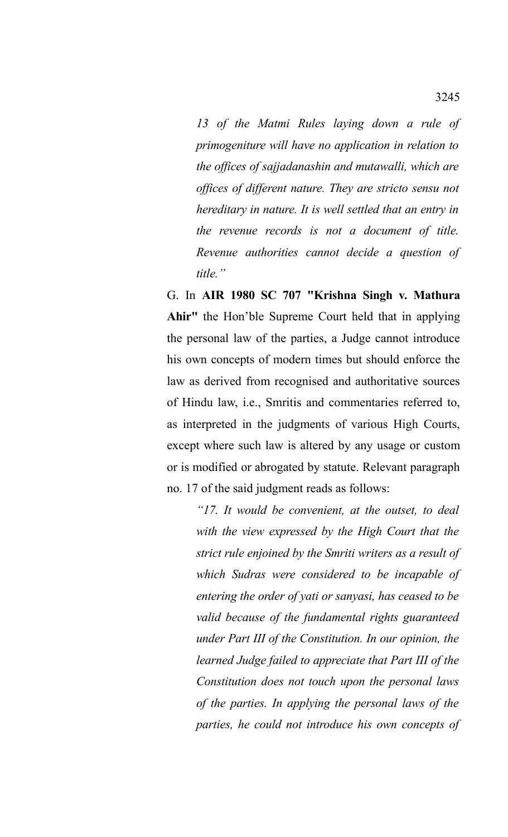*13 of the Matmi Rules laying down a rule of primogeniture will have no application in relation to the offices of sajjadanashin and mutawalli, which are offices of different nature. They are stricto sensu not hereditary in nature. It is well settled that an entry in the revenue records is not a document of title. Revenue authorities cannot decide a question of title."*

G. In **AIR 1980 SC 707 "Krishna Singh v. Mathura Ahir"** the Hon'ble Supreme Court held that in applying the personal law of the parties, a Judge cannot introduce his own concepts of modern times but should enforce the law as derived from recognised and authoritative sources of Hindu law, i.e., Smritis and commentaries referred to, as interpreted in the judgments of various High Courts, except where such law is altered by any usage or custom or is modified or abrogated by statute. Relevant paragraph no. 17 of the said judgment reads as follows:

*"17. It would be convenient, at the outset, to deal with the view expressed by the High Court that the strict rule enjoined by the Smriti writers as a result of which Sudras were considered to be incapable of entering the order of yati or sanyasi, has ceased to be valid because of the fundamental rights guaranteed under Part III of the Constitution. In our opinion, the learned Judge failed to appreciate that Part III of the Constitution does not touch upon the personal laws of the parties. In applying the personal laws of the parties, he could not introduce his own concepts of*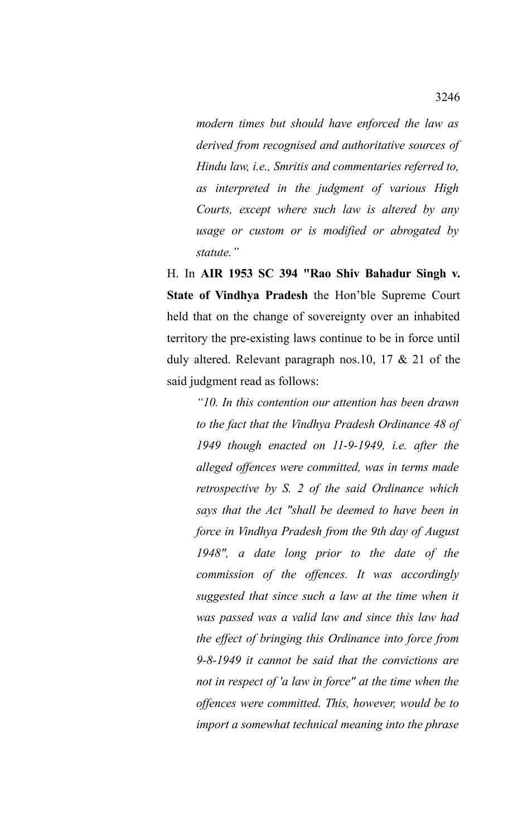*modern times but should have enforced the law as derived from recognised and authoritative sources of Hindu law, i.e., Smritis and commentaries referred to, as interpreted in the judgment of various High Courts, except where such law is altered by any usage or custom or is modified or abrogated by statute."*

H. In **AIR 1953 SC 394 "Rao Shiv Bahadur Singh v. State of Vindhya Pradesh** the Hon'ble Supreme Court held that on the change of sovereignty over an inhabited territory the pre-existing laws continue to be in force until duly altered. Relevant paragraph nos.10, 17 & 21 of the said judgment read as follows:

*"10. In this contention our attention has been drawn to the fact that the Vindhya Pradesh Ordinance 48 of 1949 though enacted on 11-9-1949, i.e. after the alleged offences were committed, was in terms made retrospective by S. 2 of the said Ordinance which says that the Act "shall be deemed to have been in force in Vindhya Pradesh from the 9th day of August 1948", a date long prior to the date of the commission of the offences. It was accordingly suggested that since such a law at the time when it was passed was a valid law and since this law had the effect of bringing this Ordinance into force from 9-8-1949 it cannot be said that the convictions are not in respect of 'a law in force" at the time when the offences were committed. This, however, would be to import a somewhat technical meaning into the phrase*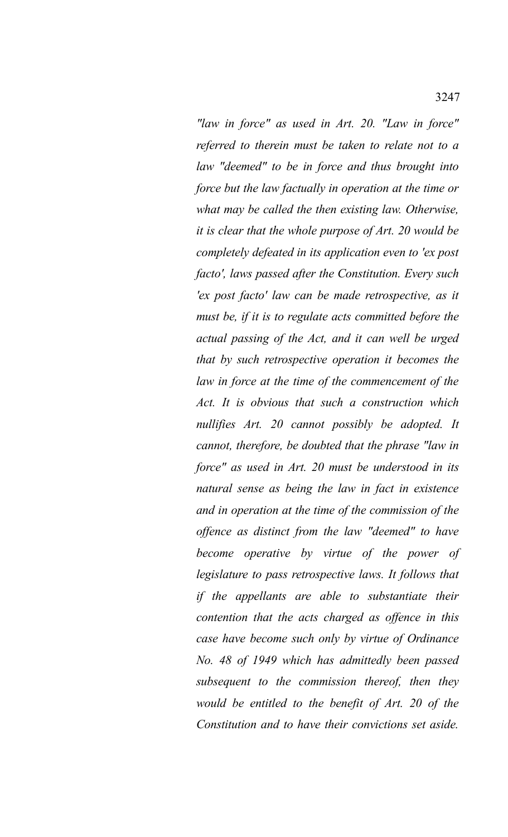*"law in force" as used in Art. 20. "Law in force" referred to therein must be taken to relate not to a law "deemed" to be in force and thus brought into force but the law factually in operation at the time or what may be called the then existing law. Otherwise, it is clear that the whole purpose of Art. 20 would be completely defeated in its application even to 'ex post facto', laws passed after the Constitution. Every such 'ex post facto' law can be made retrospective, as it must be, if it is to regulate acts committed before the actual passing of the Act, and it can well be urged that by such retrospective operation it becomes the law in force at the time of the commencement of the Act. It is obvious that such a construction which nullifies Art. 20 cannot possibly be adopted. It cannot, therefore, be doubted that the phrase "law in force" as used in Art. 20 must be understood in its natural sense as being the law in fact in existence and in operation at the time of the commission of the offence as distinct from the law "deemed" to have become operative by virtue of the power of legislature to pass retrospective laws. It follows that if the appellants are able to substantiate their contention that the acts charged as offence in this case have become such only by virtue of Ordinance No. 48 of 1949 which has admittedly been passed subsequent to the commission thereof, then they would be entitled to the benefit of Art. 20 of the Constitution and to have their convictions set aside.*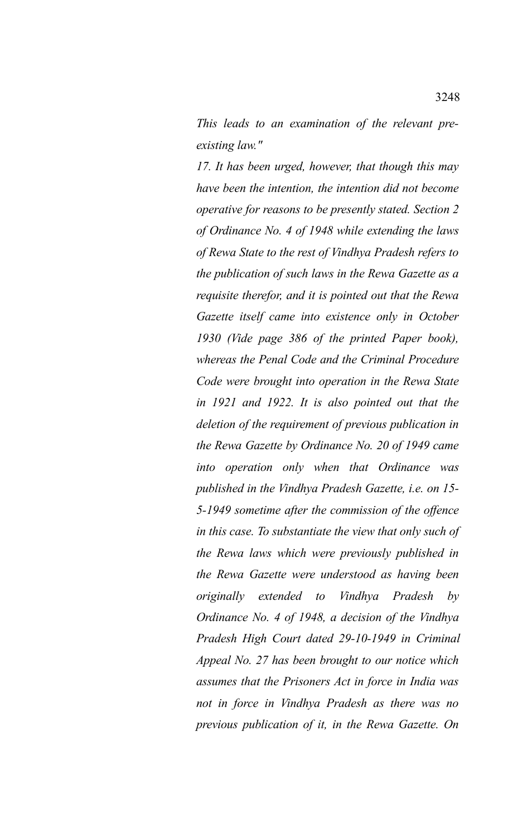*This leads to an examination of the relevant preexisting law."*

*17. It has been urged, however, that though this may have been the intention, the intention did not become operative for reasons to be presently stated. Section 2 of Ordinance No. 4 of 1948 while extending the laws of Rewa State to the rest of Vindhya Pradesh refers to the publication of such laws in the Rewa Gazette as a requisite therefor, and it is pointed out that the Rewa Gazette itself came into existence only in October 1930 (Vide page 386 of the printed Paper book), whereas the Penal Code and the Criminal Procedure Code were brought into operation in the Rewa State in 1921 and 1922. It is also pointed out that the deletion of the requirement of previous publication in the Rewa Gazette by Ordinance No. 20 of 1949 came into operation only when that Ordinance was published in the Vindhya Pradesh Gazette, i.e. on 15- 5-1949 sometime after the commission of the offence in this case. To substantiate the view that only such of the Rewa laws which were previously published in the Rewa Gazette were understood as having been originally extended to Vindhya Pradesh by Ordinance No. 4 of 1948, a decision of the Vindhya Pradesh High Court dated 29-10-1949 in Criminal Appeal No. 27 has been brought to our notice which assumes that the Prisoners Act in force in India was not in force in Vindhya Pradesh as there was no previous publication of it, in the Rewa Gazette. On*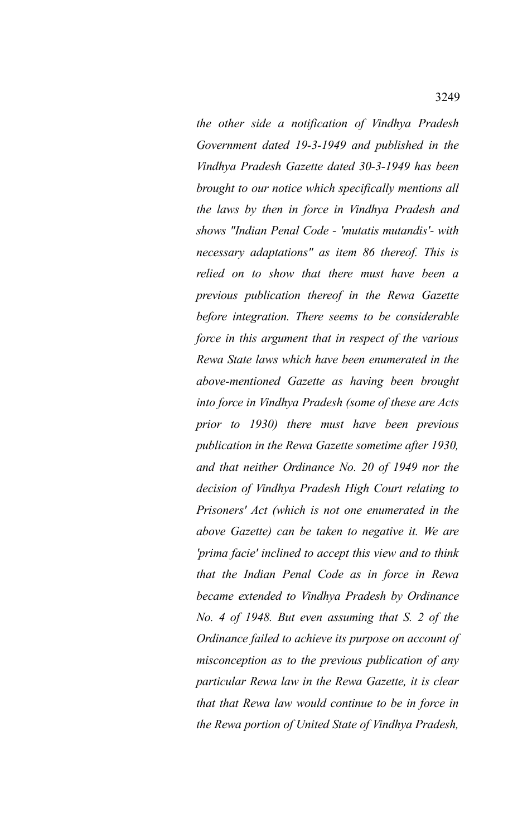*the other side a notification of Vindhya Pradesh Government dated 19-3-1949 and published in the Vindhya Pradesh Gazette dated 30-3-1949 has been brought to our notice which specifically mentions all the laws by then in force in Vindhya Pradesh and shows "Indian Penal Code - 'mutatis mutandis'- with necessary adaptations" as item 86 thereof. This is relied on to show that there must have been a previous publication thereof in the Rewa Gazette before integration. There seems to be considerable force in this argument that in respect of the various Rewa State laws which have been enumerated in the above-mentioned Gazette as having been brought into force in Vindhya Pradesh (some of these are Acts prior to 1930) there must have been previous publication in the Rewa Gazette sometime after 1930, and that neither Ordinance No. 20 of 1949 nor the decision of Vindhya Pradesh High Court relating to Prisoners' Act (which is not one enumerated in the above Gazette) can be taken to negative it. We are 'prima facie' inclined to accept this view and to think that the Indian Penal Code as in force in Rewa became extended to Vindhya Pradesh by Ordinance No. 4 of 1948. But even assuming that S. 2 of the Ordinance failed to achieve its purpose on account of misconception as to the previous publication of any particular Rewa law in the Rewa Gazette, it is clear that that Rewa law would continue to be in force in the Rewa portion of United State of Vindhya Pradesh,*